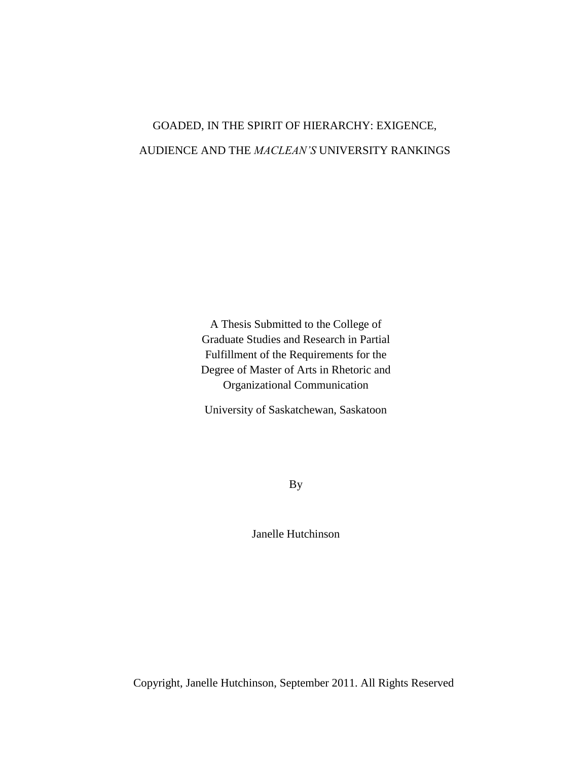# GOADED, IN THE SPIRIT OF HIERARCHY: EXIGENCE, AUDIENCE AND THE *MACLEAN'S* UNIVERSITY RANKINGS

A Thesis Submitted to the College of Graduate Studies and Research in Partial Fulfillment of the Requirements for the Degree of Master of Arts in Rhetoric and Organizational Communication

University of Saskatchewan, Saskatoon

By

Janelle Hutchinson

Copyright, Janelle Hutchinson, September 2011. All Rights Reserved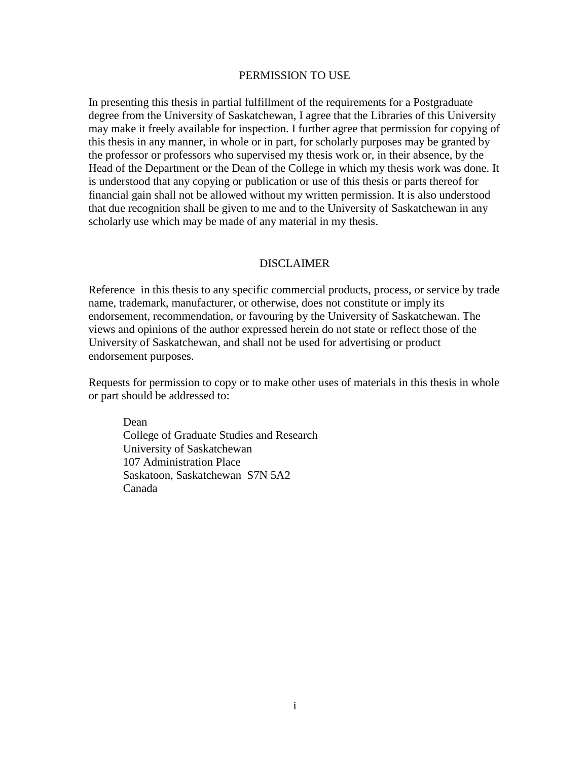## PERMISSION TO USE

In presenting this thesis in partial fulfillment of the requirements for a Postgraduate degree from the University of Saskatchewan, I agree that the Libraries of this University may make it freely available for inspection. I further agree that permission for copying of this thesis in any manner, in whole or in part, for scholarly purposes may be granted by the professor or professors who supervised my thesis work or, in their absence, by the Head of the Department or the Dean of the College in which my thesis work was done. It is understood that any copying or publication or use of this thesis or parts thereof for financial gain shall not be allowed without my written permission. It is also understood that due recognition shall be given to me and to the University of Saskatchewan in any scholarly use which may be made of any material in my thesis.

# DISCLAIMER

Reference in this thesis to any specific commercial products, process, or service by trade name, trademark, manufacturer, or otherwise, does not constitute or imply its endorsement, recommendation, or favouring by the University of Saskatchewan. The views and opinions of the author expressed herein do not state or reflect those of the University of Saskatchewan, and shall not be used for advertising or product endorsement purposes.

Requests for permission to copy or to make other uses of materials in this thesis in whole or part should be addressed to:

Dean College of Graduate Studies and Research University of Saskatchewan 107 Administration Place Saskatoon, Saskatchewan S7N 5A2 Canada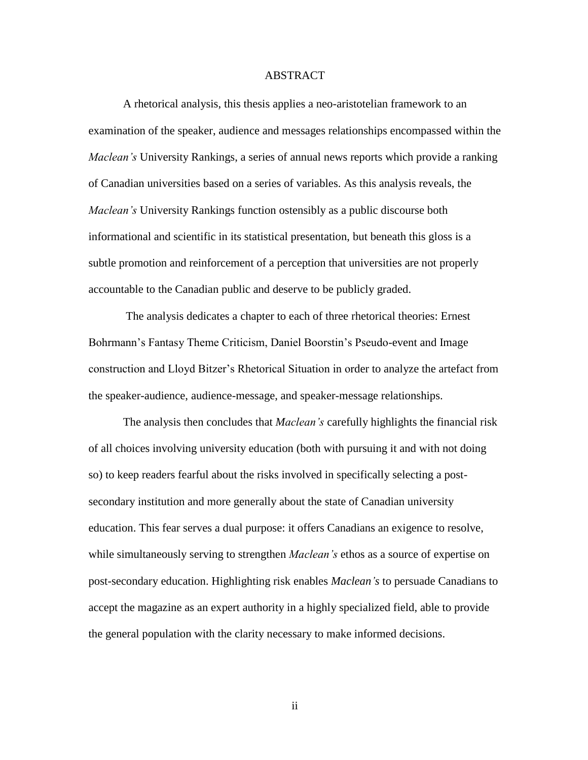#### ABSTRACT

<span id="page-2-0"></span>A rhetorical analysis, this thesis applies a neo-aristotelian framework to an examination of the speaker, audience and messages relationships encompassed within the *Maclean's* University Rankings, a series of annual news reports which provide a ranking of Canadian universities based on a series of variables. As this analysis reveals, the *Maclean's* University Rankings function ostensibly as a public discourse both informational and scientific in its statistical presentation, but beneath this gloss is a subtle promotion and reinforcement of a perception that universities are not properly accountable to the Canadian public and deserve to be publicly graded.

The analysis dedicates a chapter to each of three rhetorical theories: Ernest Bohrmann's Fantasy Theme Criticism, Daniel Boorstin's Pseudo-event and Image construction and Lloyd Bitzer"s Rhetorical Situation in order to analyze the artefact from the speaker-audience, audience-message, and speaker-message relationships.

The analysis then concludes that *Maclean's* carefully highlights the financial risk of all choices involving university education (both with pursuing it and with not doing so) to keep readers fearful about the risks involved in specifically selecting a postsecondary institution and more generally about the state of Canadian university education. This fear serves a dual purpose: it offers Canadians an exigence to resolve, while simultaneously serving to strengthen *Maclean's* ethos as a source of expertise on post-secondary education. Highlighting risk enables *Maclean's* to persuade Canadians to accept the magazine as an expert authority in a highly specialized field, able to provide the general population with the clarity necessary to make informed decisions.

ii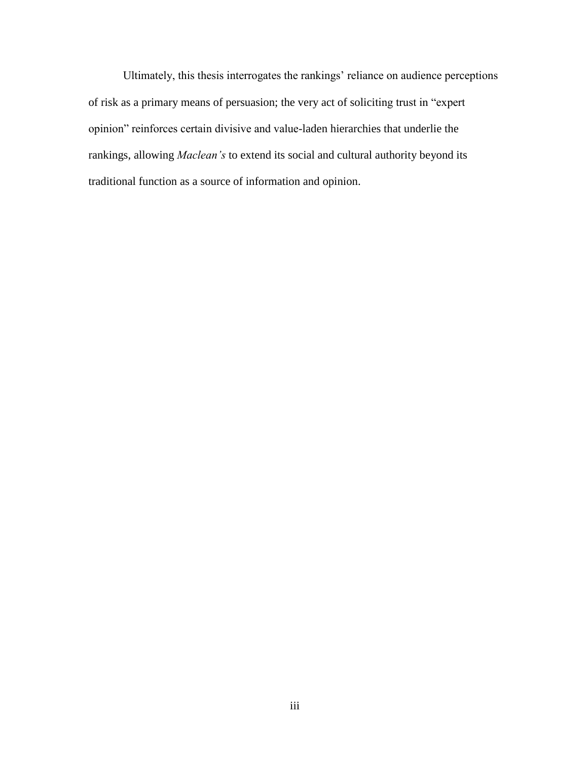Ultimately, this thesis interrogates the rankings" reliance on audience perceptions of risk as a primary means of persuasion; the very act of soliciting trust in "expert opinion" reinforces certain divisive and value-laden hierarchies that underlie the rankings, allowing *Maclean's* to extend its social and cultural authority beyond its traditional function as a source of information and opinion.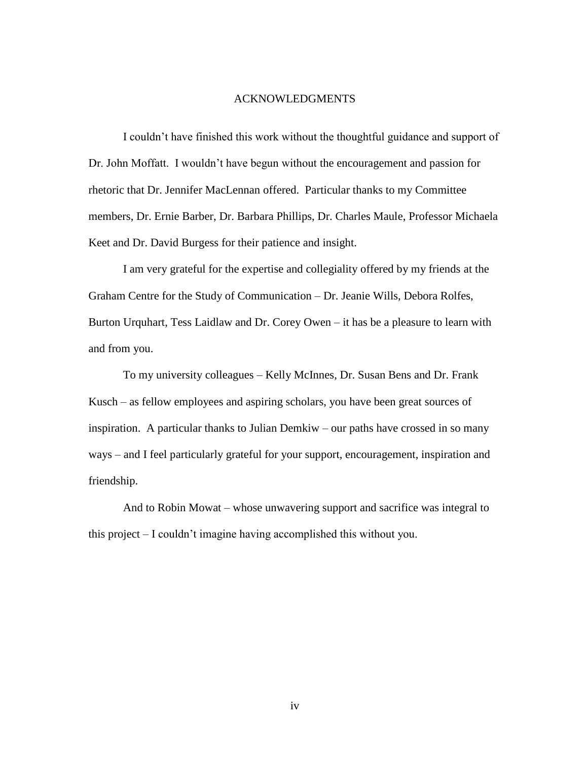#### ACKNOWLEDGMENTS

<span id="page-4-0"></span>I couldn"t have finished this work without the thoughtful guidance and support of Dr. John Moffatt. I wouldn"t have begun without the encouragement and passion for rhetoric that Dr. Jennifer MacLennan offered. Particular thanks to my Committee members, Dr. Ernie Barber, Dr. Barbara Phillips, Dr. Charles Maule, Professor Michaela Keet and Dr. David Burgess for their patience and insight.

I am very grateful for the expertise and collegiality offered by my friends at the Graham Centre for the Study of Communication – Dr. Jeanie Wills, Debora Rolfes, Burton Urquhart, Tess Laidlaw and Dr. Corey Owen – it has be a pleasure to learn with and from you.

To my university colleagues – Kelly McInnes, Dr. Susan Bens and Dr. Frank Kusch – as fellow employees and aspiring scholars, you have been great sources of inspiration. A particular thanks to Julian Demkiw – our paths have crossed in so many ways – and I feel particularly grateful for your support, encouragement, inspiration and friendship.

And to Robin Mowat – whose unwavering support and sacrifice was integral to this project – I couldn"t imagine having accomplished this without you.

iv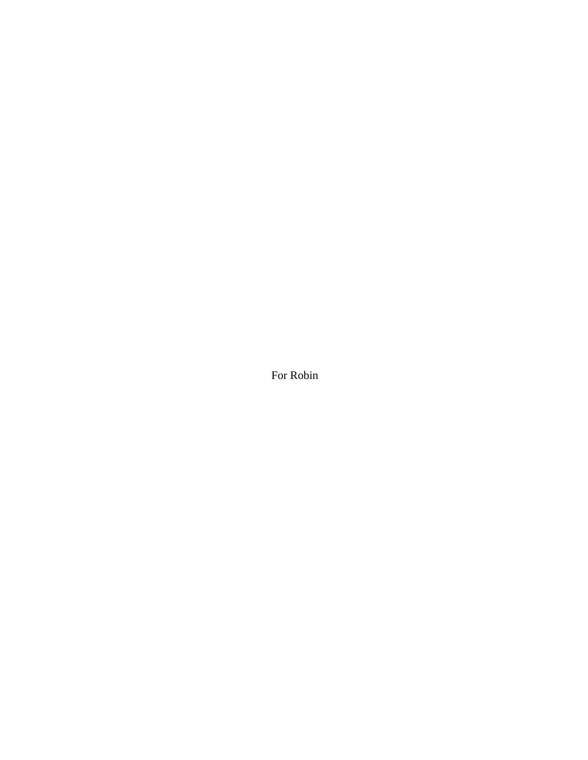For Robin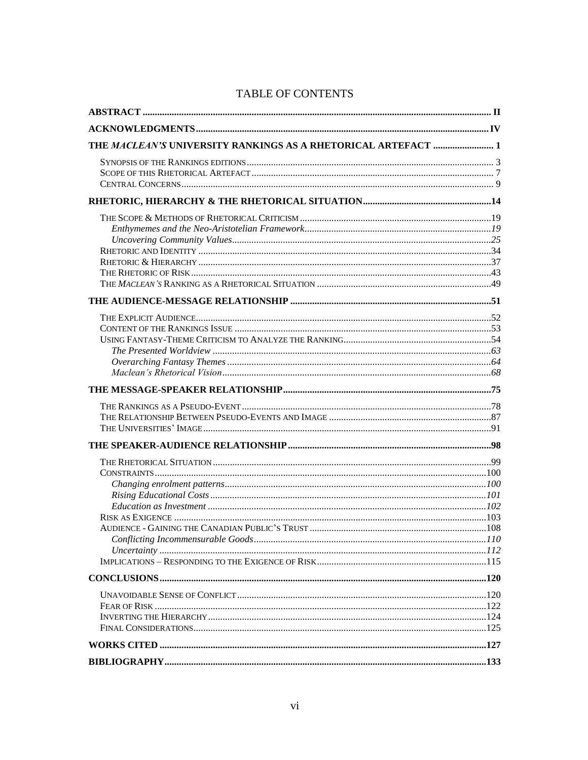| THE MACLEAN'S UNIVERSITY RANKINGS AS A RHETORICAL ARTEFACT  1 |  |
|---------------------------------------------------------------|--|
|                                                               |  |
|                                                               |  |
|                                                               |  |
|                                                               |  |
|                                                               |  |
|                                                               |  |
|                                                               |  |
|                                                               |  |
|                                                               |  |
|                                                               |  |
|                                                               |  |
|                                                               |  |
|                                                               |  |
|                                                               |  |
|                                                               |  |
|                                                               |  |
|                                                               |  |
|                                                               |  |
|                                                               |  |
|                                                               |  |
|                                                               |  |
|                                                               |  |
|                                                               |  |
|                                                               |  |
|                                                               |  |
|                                                               |  |
|                                                               |  |
|                                                               |  |
|                                                               |  |
|                                                               |  |
|                                                               |  |
|                                                               |  |
|                                                               |  |
|                                                               |  |
|                                                               |  |
|                                                               |  |
|                                                               |  |
|                                                               |  |

# TABLE OF CONTENTS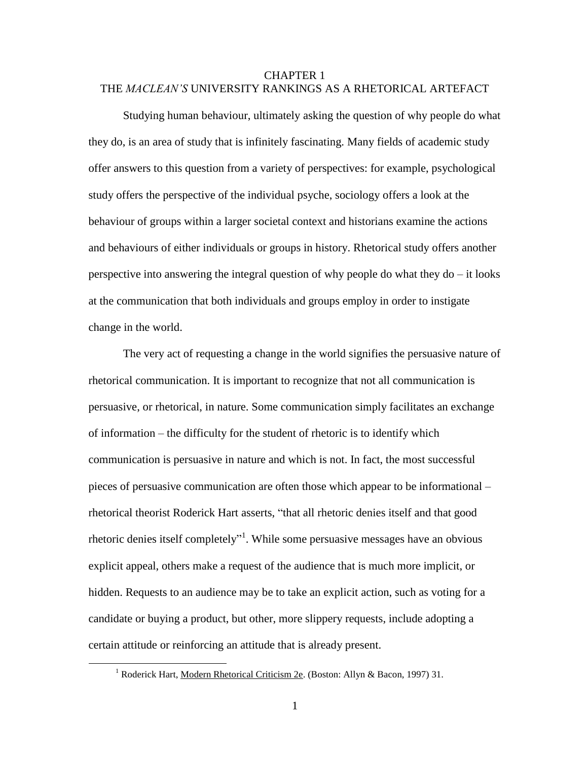# <span id="page-7-0"></span>CHAPTER 1 THE *MACLEAN'S* UNIVERSITY RANKINGS AS A RHETORICAL ARTEFACT

Studying human behaviour, ultimately asking the question of why people do what they do, is an area of study that is infinitely fascinating. Many fields of academic study offer answers to this question from a variety of perspectives: for example, psychological study offers the perspective of the individual psyche, sociology offers a look at the behaviour of groups within a larger societal context and historians examine the actions and behaviours of either individuals or groups in history. Rhetorical study offers another perspective into answering the integral question of why people do what they  $do - it$  looks at the communication that both individuals and groups employ in order to instigate change in the world.

The very act of requesting a change in the world signifies the persuasive nature of rhetorical communication. It is important to recognize that not all communication is persuasive, or rhetorical, in nature. Some communication simply facilitates an exchange of information – the difficulty for the student of rhetoric is to identify which communication is persuasive in nature and which is not. In fact, the most successful pieces of persuasive communication are often those which appear to be informational – rhetorical theorist Roderick Hart asserts, "that all rhetoric denies itself and that good rhetoric denies itself completely"<sup>1</sup>. While some persuasive messages have an obvious explicit appeal, others make a request of the audience that is much more implicit, or hidden. Requests to an audience may be to take an explicit action, such as voting for a candidate or buying a product, but other, more slippery requests, include adopting a certain attitude or reinforcing an attitude that is already present.

<sup>&</sup>lt;sup>1</sup> Roderick Hart, Modern Rhetorical Criticism 2e. (Boston: Allyn & Bacon, 1997) 31.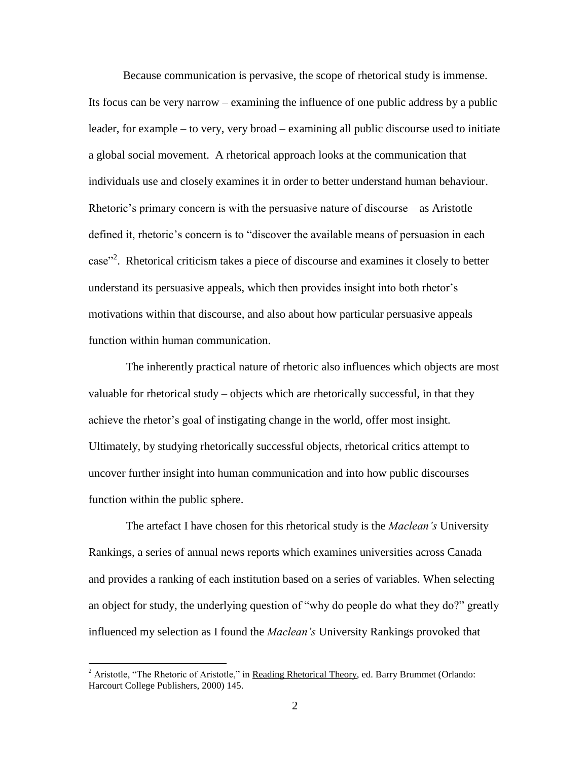Because communication is pervasive, the scope of rhetorical study is immense. Its focus can be very narrow – examining the influence of one public address by a public leader, for example – to very, very broad – examining all public discourse used to initiate a global social movement. A rhetorical approach looks at the communication that individuals use and closely examines it in order to better understand human behaviour. Rhetoric's primary concern is with the persuasive nature of discourse  $-$  as Aristotle defined it, rhetoric's concern is to "discover the available means of persuasion in each case"<sup>2</sup>. Rhetorical criticism takes a piece of discourse and examines it closely to better understand its persuasive appeals, which then provides insight into both rhetor"s motivations within that discourse, and also about how particular persuasive appeals function within human communication.

The inherently practical nature of rhetoric also influences which objects are most valuable for rhetorical study – objects which are rhetorically successful, in that they achieve the rhetor"s goal of instigating change in the world, offer most insight. Ultimately, by studying rhetorically successful objects, rhetorical critics attempt to uncover further insight into human communication and into how public discourses function within the public sphere.

The artefact I have chosen for this rhetorical study is the *Maclean's* University Rankings, a series of annual news reports which examines universities across Canada and provides a ranking of each institution based on a series of variables. When selecting an object for study, the underlying question of "why do people do what they do?" greatly influenced my selection as I found the *Maclean's* University Rankings provoked that

<sup>&</sup>lt;sup>2</sup> Aristotle, "The Rhetoric of Aristotle," in Reading Rhetorical Theory, ed. Barry Brummet (Orlando: Harcourt College Publishers, 2000) 145.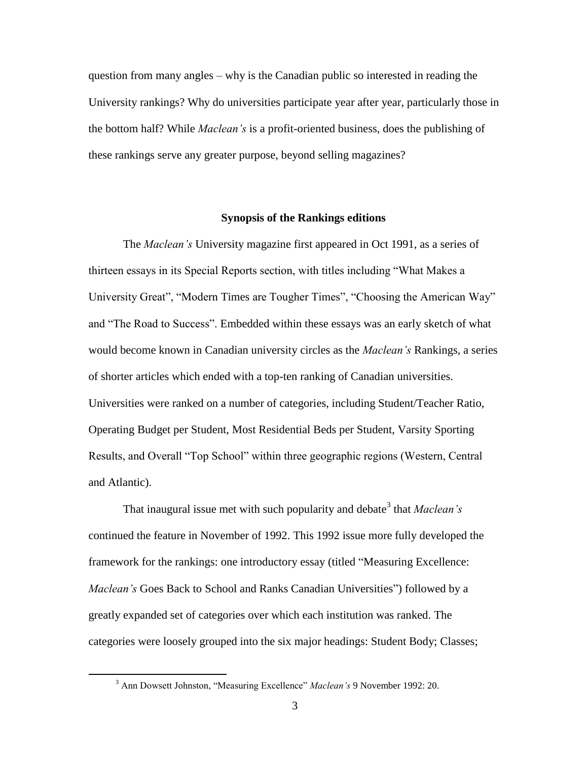question from many angles – why is the Canadian public so interested in reading the University rankings? Why do universities participate year after year, particularly those in the bottom half? While *Maclean's* is a profit-oriented business, does the publishing of these rankings serve any greater purpose, beyond selling magazines?

## **Synopsis of the Rankings editions**

<span id="page-9-0"></span>The *Maclean's* University magazine first appeared in Oct 1991, as a series of thirteen essays in its Special Reports section, with titles including "What Makes a University Great", "Modern Times are Tougher Times", "Choosing the American Way" and "The Road to Success". Embedded within these essays was an early sketch of what would become known in Canadian university circles as the *Maclean's* Rankings, a series of shorter articles which ended with a top-ten ranking of Canadian universities. Universities were ranked on a number of categories, including Student/Teacher Ratio, Operating Budget per Student, Most Residential Beds per Student, Varsity Sporting Results, and Overall "Top School" within three geographic regions (Western, Central and Atlantic).

That inaugural issue met with such popularity and debate<sup>3</sup> that *Maclean's* continued the feature in November of 1992. This 1992 issue more fully developed the framework for the rankings: one introductory essay (titled "Measuring Excellence: *Maclean's* Goes Back to School and Ranks Canadian Universities") followed by a greatly expanded set of categories over which each institution was ranked. The categories were loosely grouped into the six major headings: Student Body; Classes;

<sup>3</sup> Ann Dowsett Johnston, "Measuring Excellence" *Maclean's* 9 November 1992: 20.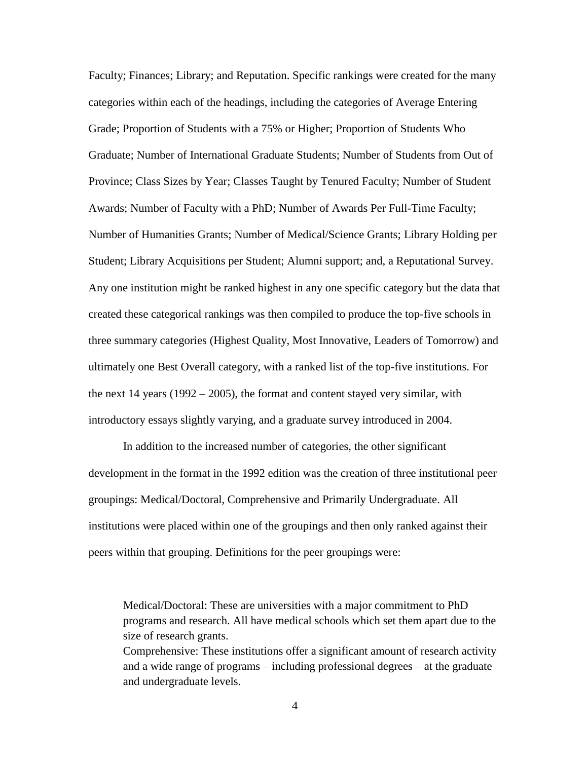Faculty; Finances; Library; and Reputation. Specific rankings were created for the many categories within each of the headings, including the categories of Average Entering Grade; Proportion of Students with a 75% or Higher; Proportion of Students Who Graduate; Number of International Graduate Students; Number of Students from Out of Province; Class Sizes by Year; Classes Taught by Tenured Faculty; Number of Student Awards; Number of Faculty with a PhD; Number of Awards Per Full-Time Faculty; Number of Humanities Grants; Number of Medical/Science Grants; Library Holding per Student; Library Acquisitions per Student; Alumni support; and, a Reputational Survey. Any one institution might be ranked highest in any one specific category but the data that created these categorical rankings was then compiled to produce the top-five schools in three summary categories (Highest Quality, Most Innovative, Leaders of Tomorrow) and ultimately one Best Overall category, with a ranked list of the top-five institutions. For the next  $14$  years ( $1992 - 2005$ ), the format and content stayed very similar, with introductory essays slightly varying, and a graduate survey introduced in 2004.

In addition to the increased number of categories, the other significant development in the format in the 1992 edition was the creation of three institutional peer groupings: Medical/Doctoral, Comprehensive and Primarily Undergraduate. All institutions were placed within one of the groupings and then only ranked against their peers within that grouping. Definitions for the peer groupings were:

Medical/Doctoral: These are universities with a major commitment to PhD programs and research. All have medical schools which set them apart due to the size of research grants. Comprehensive: These institutions offer a significant amount of research activity

and a wide range of programs – including professional degrees – at the graduate and undergraduate levels.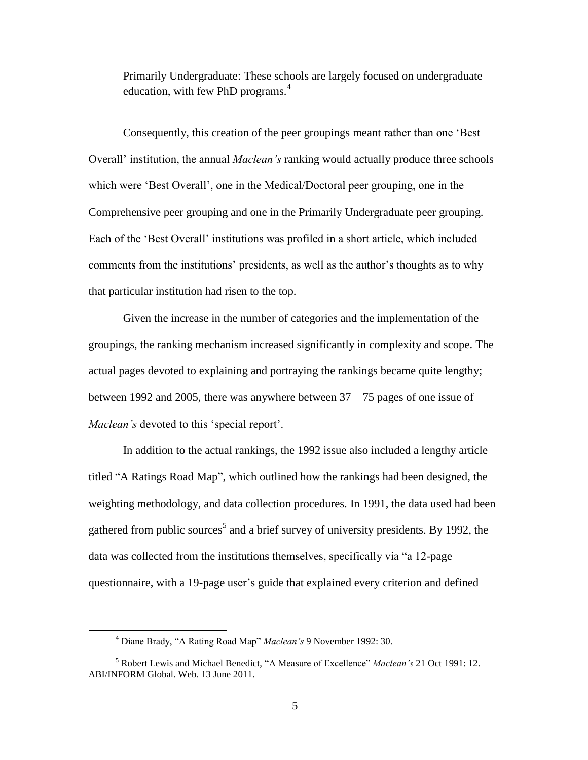Primarily Undergraduate: These schools are largely focused on undergraduate education, with few PhD programs.<sup>4</sup>

Consequently, this creation of the peer groupings meant rather than one "Best Overall" institution, the annual *Maclean's* ranking would actually produce three schools which were "Best Overall", one in the Medical/Doctoral peer grouping, one in the Comprehensive peer grouping and one in the Primarily Undergraduate peer grouping. Each of the "Best Overall" institutions was profiled in a short article, which included comments from the institutions' presidents, as well as the author's thoughts as to why that particular institution had risen to the top.

Given the increase in the number of categories and the implementation of the groupings, the ranking mechanism increased significantly in complexity and scope. The actual pages devoted to explaining and portraying the rankings became quite lengthy; between 1992 and 2005, there was anywhere between 37 – 75 pages of one issue of *Maclean's* devoted to this "special report".

In addition to the actual rankings, the 1992 issue also included a lengthy article titled "A Ratings Road Map", which outlined how the rankings had been designed, the weighting methodology, and data collection procedures. In 1991, the data used had been gathered from public sources<sup>5</sup> and a brief survey of university presidents. By 1992, the data was collected from the institutions themselves, specifically via "a 12-page questionnaire, with a 19-page user's guide that explained every criterion and defined

<sup>4</sup> Diane Brady, "A Rating Road Map" *Maclean's* 9 November 1992: 30.

<sup>5</sup> Robert Lewis and Michael Benedict, "A Measure of Excellence" *Maclean's* 21 Oct 1991: 12. ABI/INFORM Global. Web. 13 June 2011.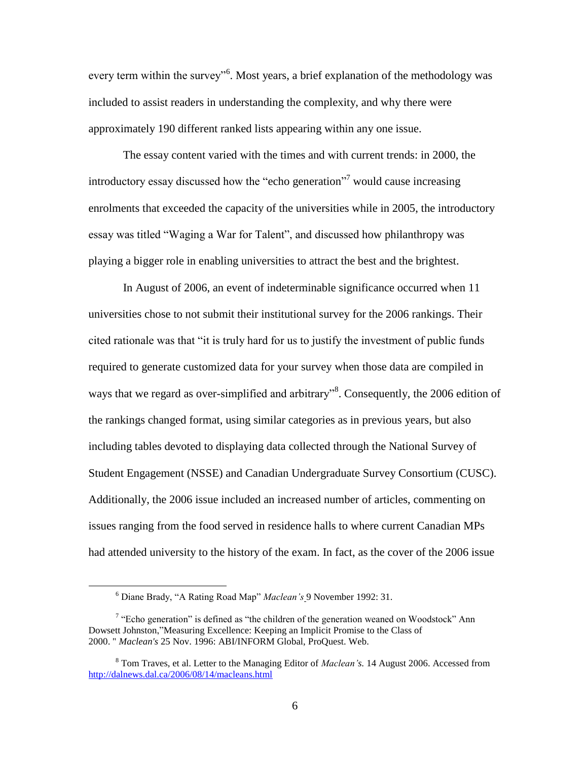every term within the survey<sup>56</sup>. Most years, a brief explanation of the methodology was included to assist readers in understanding the complexity, and why there were approximately 190 different ranked lists appearing within any one issue.

The essay content varied with the times and with current trends: in 2000, the introductory essay discussed how the "echo generation"<sup>7</sup> would cause increasing enrolments that exceeded the capacity of the universities while in 2005, the introductory essay was titled "Waging a War for Talent", and discussed how philanthropy was playing a bigger role in enabling universities to attract the best and the brightest.

In August of 2006, an event of indeterminable significance occurred when 11 universities chose to not submit their institutional survey for the 2006 rankings. Their cited rationale was that "it is truly hard for us to justify the investment of public funds required to generate customized data for your survey when those data are compiled in ways that we regard as over-simplified and arbitrary"<sup>8</sup>. Consequently, the 2006 edition of the rankings changed format, using similar categories as in previous years, but also including tables devoted to displaying data collected through the National Survey of Student Engagement (NSSE) and Canadian Undergraduate Survey Consortium (CUSC). Additionally, the 2006 issue included an increased number of articles, commenting on issues ranging from the food served in residence halls to where current Canadian MPs had attended university to the history of the exam. In fact, as the cover of the 2006 issue

<sup>6</sup> Diane Brady, "A Rating Road Map" *Maclean's* 9 November 1992: 31.

<sup>&</sup>lt;sup>7</sup> "Echo generation" is defined as "the children of the generation weaned on Woodstock" Ann Dowsett Johnston,"Measuring Excellence: Keeping an Implicit Promise to the Class of 2000. " *Maclean's* 25 Nov. 1996: ABI/INFORM Global, ProQuest. Web.

<sup>8</sup> Tom Traves, et al. Letter to the Managing Editor of *Maclean's.* 14 August 2006. Accessed from <http://dalnews.dal.ca/2006/08/14/macleans.html>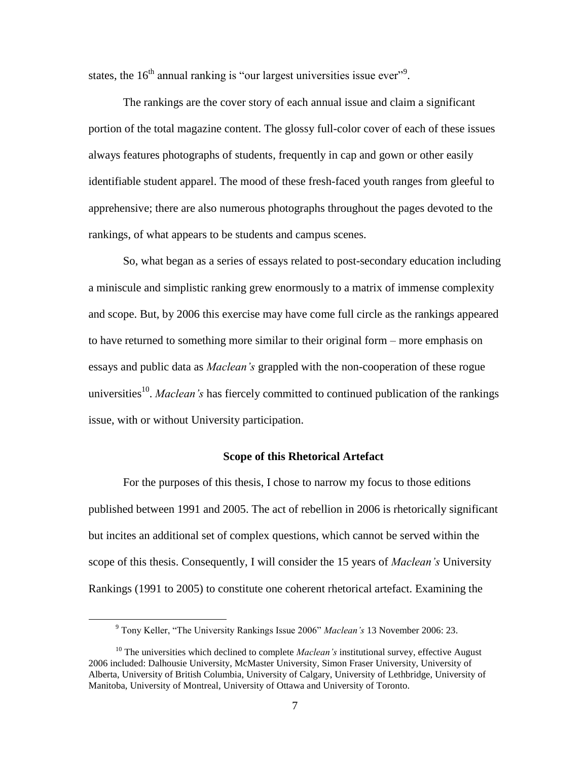states, the  $16<sup>th</sup>$  annual ranking is "our largest universities issue ever"<sup>9</sup>.

The rankings are the cover story of each annual issue and claim a significant portion of the total magazine content. The glossy full-color cover of each of these issues always features photographs of students, frequently in cap and gown or other easily identifiable student apparel. The mood of these fresh-faced youth ranges from gleeful to apprehensive; there are also numerous photographs throughout the pages devoted to the rankings, of what appears to be students and campus scenes.

So, what began as a series of essays related to post-secondary education including a miniscule and simplistic ranking grew enormously to a matrix of immense complexity and scope. But, by 2006 this exercise may have come full circle as the rankings appeared to have returned to something more similar to their original form – more emphasis on essays and public data as *Maclean's* grappled with the non-cooperation of these rogue universities<sup>10</sup>. *Maclean's* has fiercely committed to continued publication of the rankings issue, with or without University participation.

#### **Scope of this Rhetorical Artefact**

<span id="page-13-0"></span>For the purposes of this thesis, I chose to narrow my focus to those editions published between 1991 and 2005. The act of rebellion in 2006 is rhetorically significant but incites an additional set of complex questions, which cannot be served within the scope of this thesis. Consequently, I will consider the 15 years of *Maclean's* University Rankings (1991 to 2005) to constitute one coherent rhetorical artefact. Examining the

<sup>9</sup> Tony Keller, "The University Rankings Issue 2006" *Maclean's* 13 November 2006: 23.

<sup>&</sup>lt;sup>10</sup> The universities which declined to complete *Maclean's* institutional survey, effective August 2006 included: Dalhousie University, McMaster University, Simon Fraser University, University of Alberta, University of British Columbia, University of Calgary, University of Lethbridge, University of Manitoba, University of Montreal, University of Ottawa and University of Toronto.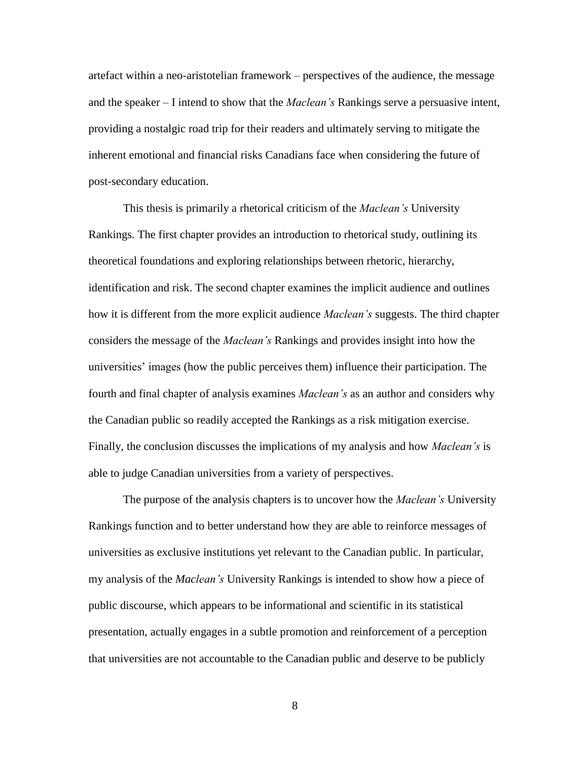artefact within a neo-aristotelian framework – perspectives of the audience, the message and the speaker – I intend to show that the *Maclean's* Rankings serve a persuasive intent, providing a nostalgic road trip for their readers and ultimately serving to mitigate the inherent emotional and financial risks Canadians face when considering the future of post-secondary education.

This thesis is primarily a rhetorical criticism of the *Maclean's* University Rankings. The first chapter provides an introduction to rhetorical study, outlining its theoretical foundations and exploring relationships between rhetoric, hierarchy, identification and risk. The second chapter examines the implicit audience and outlines how it is different from the more explicit audience *Maclean's* suggests. The third chapter considers the message of the *Maclean's* Rankings and provides insight into how the universities" images (how the public perceives them) influence their participation. The fourth and final chapter of analysis examines *Maclean's* as an author and considers why the Canadian public so readily accepted the Rankings as a risk mitigation exercise. Finally, the conclusion discusses the implications of my analysis and how *Maclean's* is able to judge Canadian universities from a variety of perspectives.

The purpose of the analysis chapters is to uncover how the *Maclean's* University Rankings function and to better understand how they are able to reinforce messages of universities as exclusive institutions yet relevant to the Canadian public. In particular, my analysis of the *Maclean's* University Rankings is intended to show how a piece of public discourse, which appears to be informational and scientific in its statistical presentation, actually engages in a subtle promotion and reinforcement of a perception that universities are not accountable to the Canadian public and deserve to be publicly

8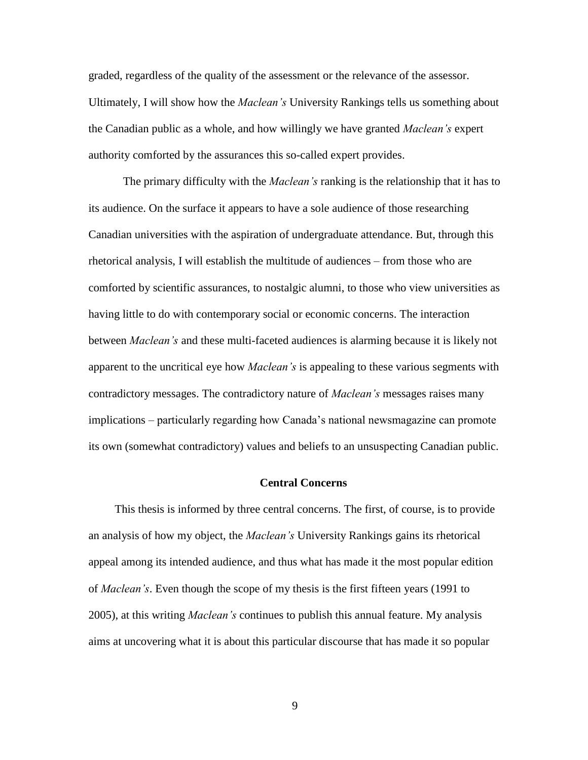graded, regardless of the quality of the assessment or the relevance of the assessor. Ultimately, I will show how the *Maclean's* University Rankings tells us something about the Canadian public as a whole, and how willingly we have granted *Maclean's* expert authority comforted by the assurances this so-called expert provides.

The primary difficulty with the *Maclean's* ranking is the relationship that it has to its audience. On the surface it appears to have a sole audience of those researching Canadian universities with the aspiration of undergraduate attendance. But, through this rhetorical analysis, I will establish the multitude of audiences – from those who are comforted by scientific assurances, to nostalgic alumni, to those who view universities as having little to do with contemporary social or economic concerns. The interaction between *Maclean's* and these multi-faceted audiences is alarming because it is likely not apparent to the uncritical eye how *Maclean's* is appealing to these various segments with contradictory messages. The contradictory nature of *Maclean's* messages raises many implications – particularly regarding how Canada"s national newsmagazine can promote its own (somewhat contradictory) values and beliefs to an unsuspecting Canadian public.

## **Central Concerns**

<span id="page-15-0"></span>This thesis is informed by three central concerns. The first, of course, is to provide an analysis of how my object, the *Maclean's* University Rankings gains its rhetorical appeal among its intended audience, and thus what has made it the most popular edition of *Maclean's*. Even though the scope of my thesis is the first fifteen years (1991 to 2005), at this writing *Maclean's* continues to publish this annual feature. My analysis aims at uncovering what it is about this particular discourse that has made it so popular

9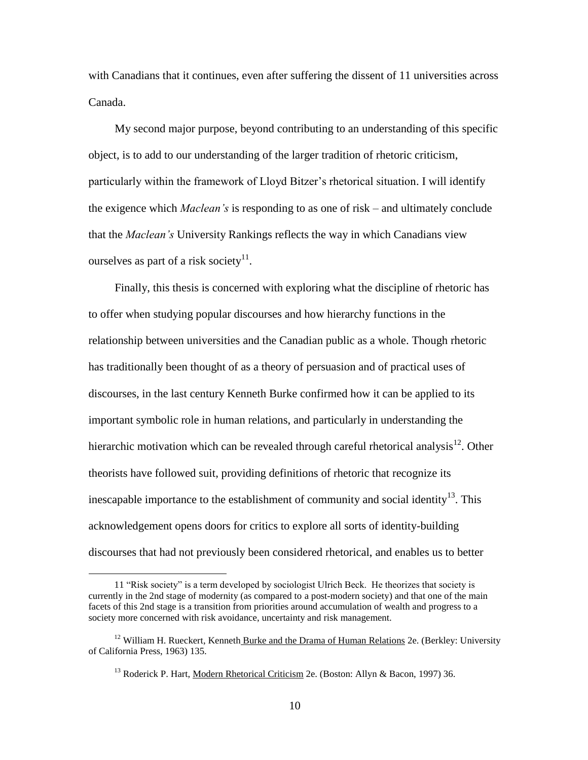with Canadians that it continues, even after suffering the dissent of 11 universities across Canada.

My second major purpose, beyond contributing to an understanding of this specific object, is to add to our understanding of the larger tradition of rhetoric criticism, particularly within the framework of Lloyd Bitzer"s rhetorical situation. I will identify the exigence which *Maclean's* is responding to as one of risk – and ultimately conclude that the *Maclean's* University Rankings reflects the way in which Canadians view ourselves as part of a risk society $11$ .

Finally, this thesis is concerned with exploring what the discipline of rhetoric has to offer when studying popular discourses and how hierarchy functions in the relationship between universities and the Canadian public as a whole. Though rhetoric has traditionally been thought of as a theory of persuasion and of practical uses of discourses, in the last century Kenneth Burke confirmed how it can be applied to its important symbolic role in human relations, and particularly in understanding the hierarchic motivation which can be revealed through careful rhetorical analysis $^{12}$ . Other theorists have followed suit, providing definitions of rhetoric that recognize its inescapable importance to the establishment of community and social identity<sup>13</sup>. This acknowledgement opens doors for critics to explore all sorts of identity-building discourses that had not previously been considered rhetorical, and enables us to better

<sup>11</sup> "Risk society" is a term developed by sociologist Ulrich Beck. He theorizes that society is currently in the 2nd stage of modernity (as compared to a post-modern society) and that one of the main facets of this 2nd stage is a transition from priorities around accumulation of wealth and progress to a society more concerned with risk avoidance, uncertainty and risk management.

 $12$  William H. Rueckert, Kenneth Burke and the Drama of Human Relations 2e. (Berkley: University of California Press, 1963) 135.

<sup>&</sup>lt;sup>13</sup> Roderick P. Hart, Modern Rhetorical Criticism 2e. (Boston: Allyn & Bacon, 1997) 36.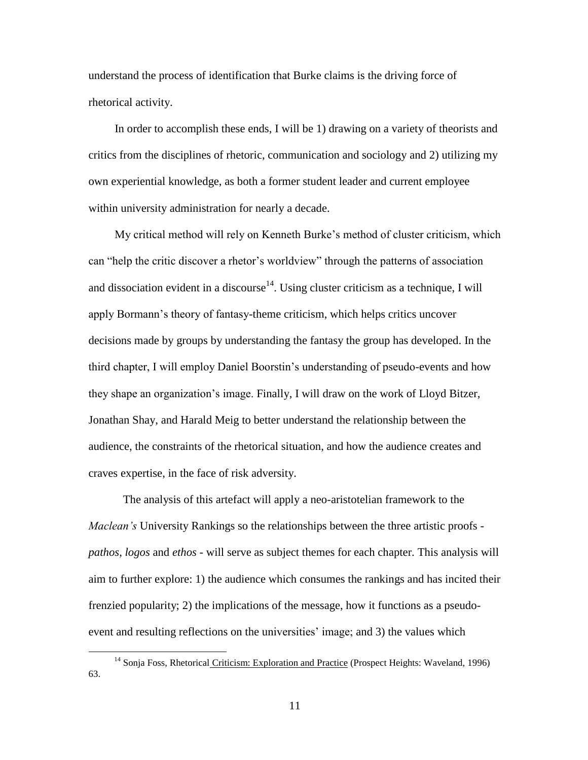understand the process of identification that Burke claims is the driving force of rhetorical activity.

In order to accomplish these ends, I will be 1) drawing on a variety of theorists and critics from the disciplines of rhetoric, communication and sociology and 2) utilizing my own experiential knowledge, as both a former student leader and current employee within university administration for nearly a decade.

My critical method will rely on Kenneth Burke"s method of cluster criticism, which can "help the critic discover a rhetor's worldview" through the patterns of association and dissociation evident in a discourse<sup>14</sup>. Using cluster criticism as a technique, I will apply Bormann"s theory of fantasy-theme criticism, which helps critics uncover decisions made by groups by understanding the fantasy the group has developed. In the third chapter, I will employ Daniel Boorstin"s understanding of pseudo-events and how they shape an organization"s image. Finally, I will draw on the work of Lloyd Bitzer, Jonathan Shay, and Harald Meig to better understand the relationship between the audience, the constraints of the rhetorical situation, and how the audience creates and craves expertise, in the face of risk adversity.

The analysis of this artefact will apply a neo-aristotelian framework to the *Maclean's* University Rankings so the relationships between the three artistic proofs *pathos, logos* and *ethos -* will serve as subject themes for each chapter. This analysis will aim to further explore: 1) the audience which consumes the rankings and has incited their frenzied popularity; 2) the implications of the message, how it functions as a pseudoevent and resulting reflections on the universities' image; and 3) the values which

<sup>&</sup>lt;sup>14</sup> Sonja Foss, Rhetorical Criticism: Exploration and Practice (Prospect Heights: Waveland, 1996) 63.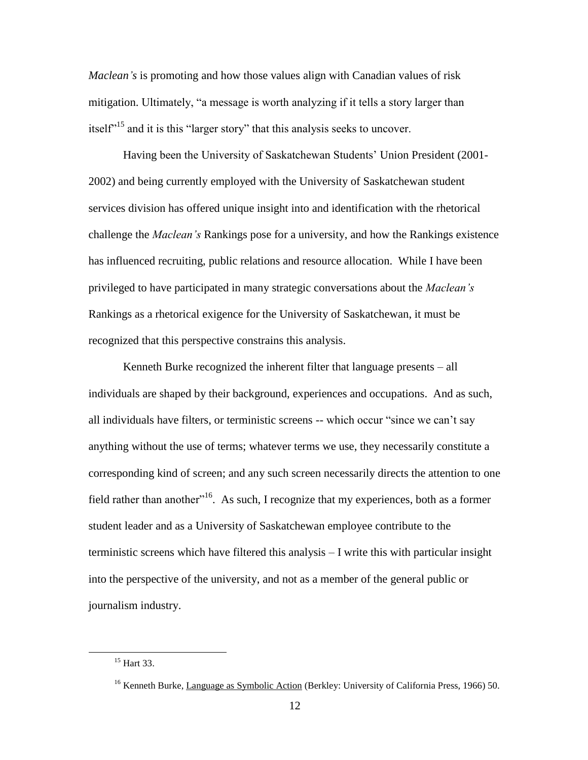*Maclean's* is promoting and how those values align with Canadian values of risk mitigation. Ultimately, "a message is worth analyzing if it tells a story larger than itself<sup> $15$ </sup> and it is this "larger story" that this analysis seeks to uncover.

Having been the University of Saskatchewan Students" Union President (2001- 2002) and being currently employed with the University of Saskatchewan student services division has offered unique insight into and identification with the rhetorical challenge the *Maclean's* Rankings pose for a university, and how the Rankings existence has influenced recruiting, public relations and resource allocation. While I have been privileged to have participated in many strategic conversations about the *Maclean's* Rankings as a rhetorical exigence for the University of Saskatchewan, it must be recognized that this perspective constrains this analysis.

Kenneth Burke recognized the inherent filter that language presents – all individuals are shaped by their background, experiences and occupations. And as such, all individuals have filters, or terministic screens -- which occur "since we can"t say anything without the use of terms; whatever terms we use, they necessarily constitute a corresponding kind of screen; and any such screen necessarily directs the attention to one field rather than another<sup>116</sup>. As such, I recognize that my experiences, both as a former student leader and as a University of Saskatchewan employee contribute to the terministic screens which have filtered this analysis – I write this with particular insight into the perspective of the university, and not as a member of the general public or journalism industry.

<sup>15</sup> Hart 33.

<sup>&</sup>lt;sup>16</sup> Kenneth Burke, Language as Symbolic Action (Berkley: University of California Press, 1966) 50.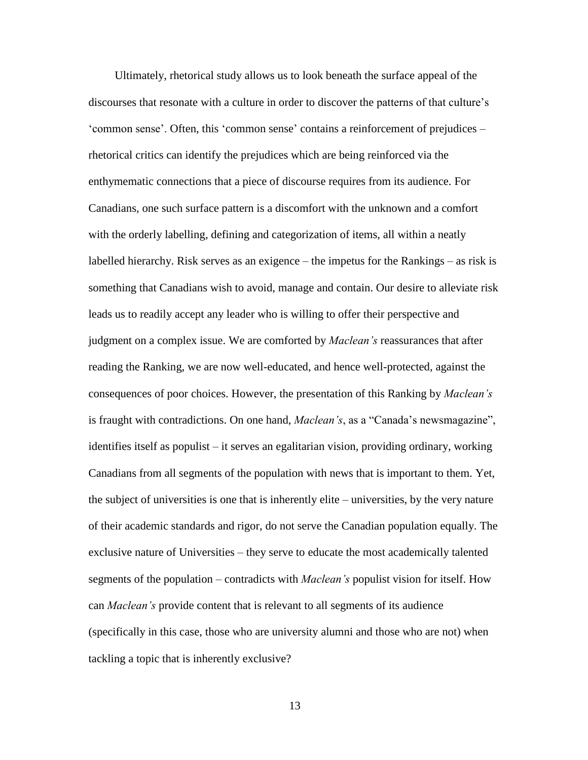Ultimately, rhetorical study allows us to look beneath the surface appeal of the discourses that resonate with a culture in order to discover the patterns of that culture"s "common sense". Often, this "common sense" contains a reinforcement of prejudices – rhetorical critics can identify the prejudices which are being reinforced via the enthymematic connections that a piece of discourse requires from its audience. For Canadians, one such surface pattern is a discomfort with the unknown and a comfort with the orderly labelling, defining and categorization of items, all within a neatly labelled hierarchy. Risk serves as an exigence – the impetus for the Rankings – as risk is something that Canadians wish to avoid, manage and contain. Our desire to alleviate risk leads us to readily accept any leader who is willing to offer their perspective and judgment on a complex issue. We are comforted by *Maclean's* reassurances that after reading the Ranking, we are now well-educated, and hence well-protected, against the consequences of poor choices. However, the presentation of this Ranking by *Maclean's* is fraught with contradictions. On one hand, *Maclean's*, as a "Canada"s newsmagazine", identifies itself as populist – it serves an egalitarian vision, providing ordinary, working Canadians from all segments of the population with news that is important to them. Yet, the subject of universities is one that is inherently elite – universities, by the very nature of their academic standards and rigor, do not serve the Canadian population equally. The exclusive nature of Universities – they serve to educate the most academically talented segments of the population – contradicts with *Maclean's* populist vision for itself. How can *Maclean's* provide content that is relevant to all segments of its audience (specifically in this case, those who are university alumni and those who are not) when tackling a topic that is inherently exclusive?

13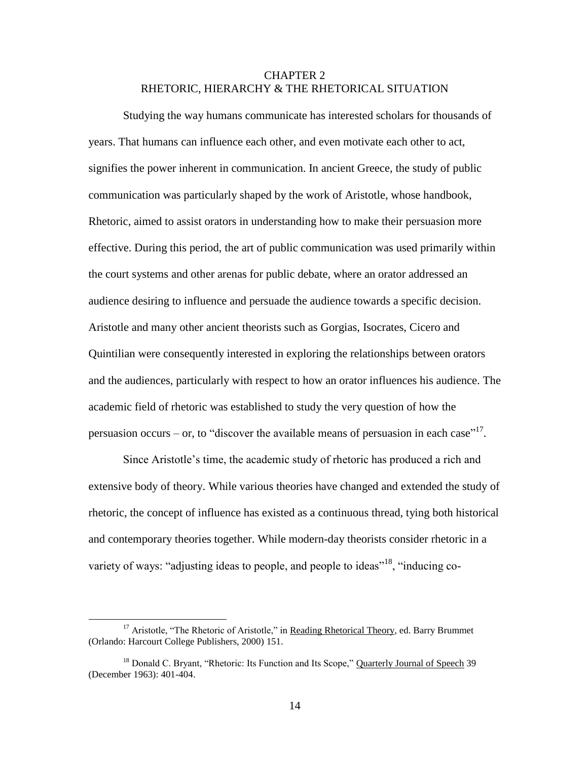# CHAPTER 2 RHETORIC, HIERARCHY & THE RHETORICAL SITUATION

<span id="page-20-0"></span>Studying the way humans communicate has interested scholars for thousands of years. That humans can influence each other, and even motivate each other to act, signifies the power inherent in communication. In ancient Greece, the study of public communication was particularly shaped by the work of Aristotle, whose handbook, Rhetoric, aimed to assist orators in understanding how to make their persuasion more effective. During this period, the art of public communication was used primarily within the court systems and other arenas for public debate, where an orator addressed an audience desiring to influence and persuade the audience towards a specific decision. Aristotle and many other ancient theorists such as Gorgias, Isocrates, Cicero and Quintilian were consequently interested in exploring the relationships between orators and the audiences, particularly with respect to how an orator influences his audience. The academic field of rhetoric was established to study the very question of how the persuasion occurs – or, to "discover the available means of persuasion in each case"<sup>17</sup>.

Since Aristotle"s time, the academic study of rhetoric has produced a rich and extensive body of theory. While various theories have changed and extended the study of rhetoric, the concept of influence has existed as a continuous thread, tying both historical and contemporary theories together. While modern-day theorists consider rhetoric in a variety of ways: "adjusting ideas to people, and people to ideas"<sup>18</sup>, "inducing co-

<sup>&</sup>lt;sup>17</sup> Aristotle, "The Rhetoric of Aristotle," in Reading Rhetorical Theory, ed. Barry Brummet (Orlando: Harcourt College Publishers, 2000) 151.

<sup>&</sup>lt;sup>18</sup> Donald C. Bryant, "Rhetoric: Its Function and Its Scope," Quarterly Journal of Speech 39 (December 1963): 401-404.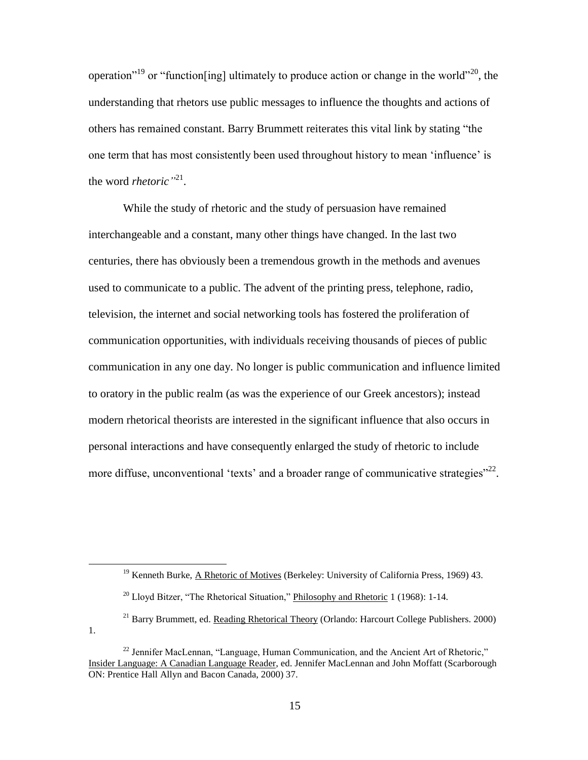operation<sup>"19</sup> or "function[ing] ultimately to produce action or change in the world"<sup>20</sup>, the understanding that rhetors use public messages to influence the thoughts and actions of others has remained constant. Barry Brummett reiterates this vital link by stating "the one term that has most consistently been used throughout history to mean "influence" is the word *rhetoric*<sup>"21</sup>.

While the study of rhetoric and the study of persuasion have remained interchangeable and a constant, many other things have changed. In the last two centuries, there has obviously been a tremendous growth in the methods and avenues used to communicate to a public. The advent of the printing press, telephone, radio, television, the internet and social networking tools has fostered the proliferation of communication opportunities, with individuals receiving thousands of pieces of public communication in any one day. No longer is public communication and influence limited to oratory in the public realm (as was the experience of our Greek ancestors); instead modern rhetorical theorists are interested in the significant influence that also occurs in personal interactions and have consequently enlarged the study of rhetoric to include more diffuse, unconventional 'texts' and a broader range of communicative strategies"<sup>22</sup>.

 $19$  Kenneth Burke, A Rhetoric of Motives (Berkeley: University of California Press, 1969) 43.

 $20$  Lloyd Bitzer, "The Rhetorical Situation," Philosophy and Rhetoric 1 (1968): 1-14.

 $^{21}$  Barry Brummett, ed. Reading Rhetorical Theory (Orlando: Harcourt College Publishers. 2000) 1.

 $^{22}$  Jennifer MacLennan, "Language, Human Communication, and the Ancient Art of Rhetoric," Insider Language: A Canadian Language Reader, ed. Jennifer MacLennan and John Moffatt (Scarborough ON: Prentice Hall Allyn and Bacon Canada, 2000) 37.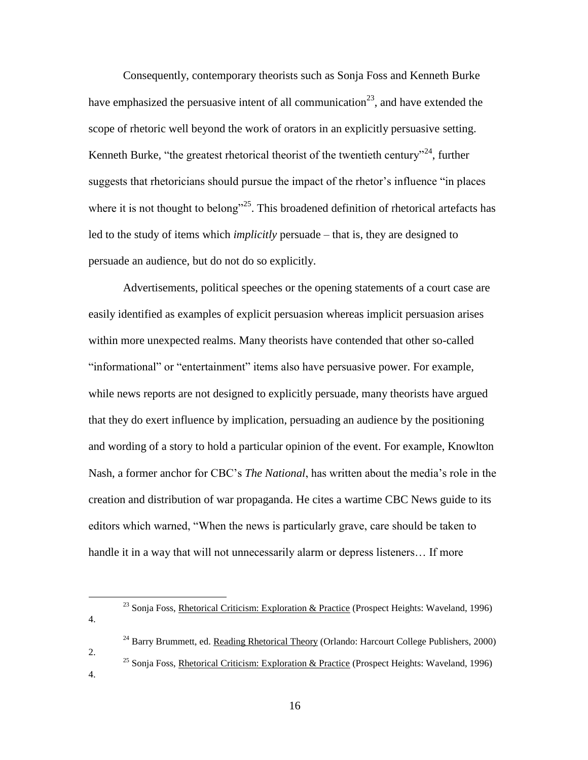Consequently, contemporary theorists such as Sonja Foss and Kenneth Burke have emphasized the persuasive intent of all communication<sup>23</sup>, and have extended the scope of rhetoric well beyond the work of orators in an explicitly persuasive setting. Kenneth Burke, "the greatest rhetorical theorist of the twentieth century"<sup>24</sup>, further suggests that rhetoricians should pursue the impact of the rhetor's influence "in places" where it is not thought to belong"<sup>25</sup>. This broadened definition of rhetorical artefacts has led to the study of items which *implicitly* persuade – that is, they are designed to persuade an audience, but do not do so explicitly.

Advertisements, political speeches or the opening statements of a court case are easily identified as examples of explicit persuasion whereas implicit persuasion arises within more unexpected realms. Many theorists have contended that other so-called "informational" or "entertainment" items also have persuasive power. For example, while news reports are not designed to explicitly persuade, many theorists have argued that they do exert influence by implication, persuading an audience by the positioning and wording of a story to hold a particular opinion of the event. For example, Knowlton Nash, a former anchor for CBC"s *The National*, has written about the media"s role in the creation and distribution of war propaganda. He cites a wartime CBC News guide to its editors which warned, "When the news is particularly grave, care should be taken to handle it in a way that will not unnecessarily alarm or depress listeners... If more

4.

2.

- <sup>24</sup> Barry Brummett, ed. Reading Rhetorical Theory (Orlando: Harcourt College Publishers, 2000)
- <sup>25</sup> Sonja Foss, Rhetorical Criticism: Exploration & Practice (Prospect Heights: Waveland, 1996)
- 4.

<sup>&</sup>lt;sup>23</sup> Sonja Foss, Rhetorical Criticism: Exploration & Practice (Prospect Heights: Waveland, 1996)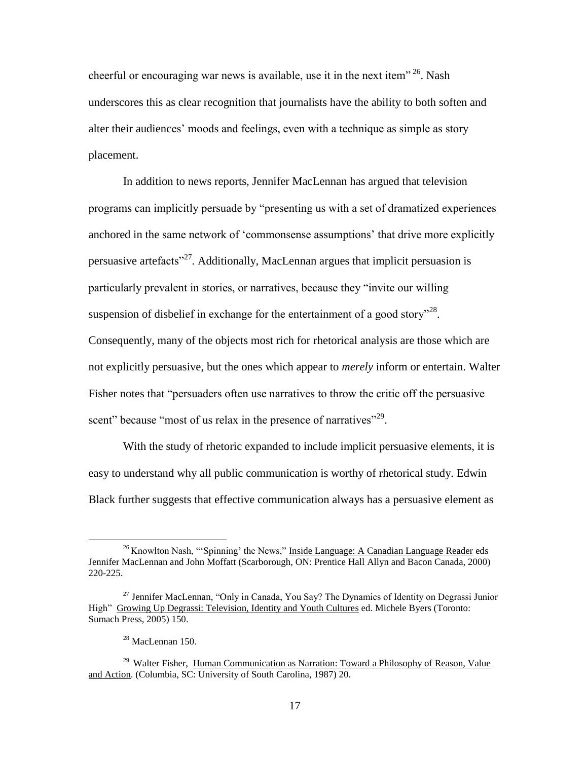cheerful or encouraging war news is available, use it in the next item"<sup>26</sup>. Nash underscores this as clear recognition that journalists have the ability to both soften and alter their audiences" moods and feelings, even with a technique as simple as story placement.

In addition to news reports, Jennifer MacLennan has argued that television programs can implicitly persuade by "presenting us with a set of dramatized experiences anchored in the same network of "commonsense assumptions" that drive more explicitly persuasive artefacts<sup>327</sup>. Additionally, MacLennan argues that implicit persuasion is particularly prevalent in stories, or narratives, because they "invite our willing suspension of disbelief in exchange for the entertainment of a good story<sup> $128$ </sup>. Consequently, many of the objects most rich for rhetorical analysis are those which are not explicitly persuasive, but the ones which appear to *merely* inform or entertain. Walter Fisher notes that "persuaders often use narratives to throw the critic off the persuasive scent" because "most of us relax in the presence of narratives"<sup>29</sup>.

With the study of rhetoric expanded to include implicit persuasive elements, it is easy to understand why all public communication is worthy of rhetorical study. Edwin Black further suggests that effective communication always has a persuasive element as

 $26$  Knowlton Nash, "'Spinning' the News," Inside Language: A Canadian Language Reader eds Jennifer MacLennan and John Moffatt (Scarborough, ON: Prentice Hall Allyn and Bacon Canada, 2000) 220-225.

<sup>&</sup>lt;sup>27</sup> Jennifer MacLennan, "Only in Canada, You Say? The Dynamics of Identity on Degrassi Junior High" Growing Up Degrassi: Television, Identity and Youth Cultures ed. Michele Byers (Toronto: Sumach Press, 2005) 150.

<sup>28</sup> MacLennan 150.

<sup>&</sup>lt;sup>29</sup> Walter Fisher, Human Communication as Narration: Toward a Philosophy of Reason, Value and Action. (Columbia, SC: University of South Carolina, 1987) 20.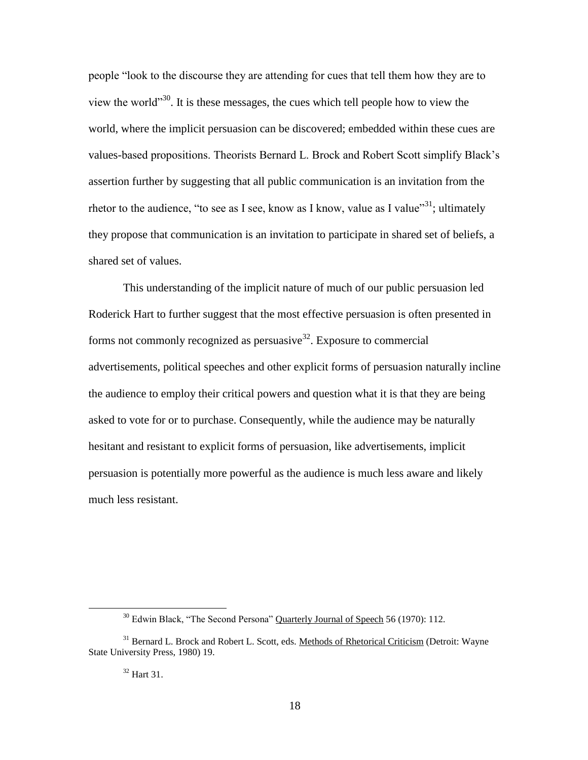people "look to the discourse they are attending for cues that tell them how they are to view the world"<sup>30</sup>. It is these messages, the cues which tell people how to view the world, where the implicit persuasion can be discovered; embedded within these cues are values-based propositions. Theorists Bernard L. Brock and Robert Scott simplify Black"s assertion further by suggesting that all public communication is an invitation from the rhetor to the audience, "to see as I see, know as I know, value as I value"<sup>31</sup>; ultimately they propose that communication is an invitation to participate in shared set of beliefs, a shared set of values.

This understanding of the implicit nature of much of our public persuasion led Roderick Hart to further suggest that the most effective persuasion is often presented in forms not commonly recognized as persuasive<sup>32</sup>. Exposure to commercial advertisements, political speeches and other explicit forms of persuasion naturally incline the audience to employ their critical powers and question what it is that they are being asked to vote for or to purchase. Consequently, while the audience may be naturally hesitant and resistant to explicit forms of persuasion, like advertisements, implicit persuasion is potentially more powerful as the audience is much less aware and likely much less resistant.

<sup>&</sup>lt;sup>30</sup> Edwin Black, "The Second Persona" Quarterly Journal of Speech 56 (1970): 112.

<sup>&</sup>lt;sup>31</sup> Bernard L. Brock and Robert L. Scott, eds. Methods of Rhetorical Criticism (Detroit: Wayne State University Press, 1980) 19.

<sup>32</sup> Hart 31.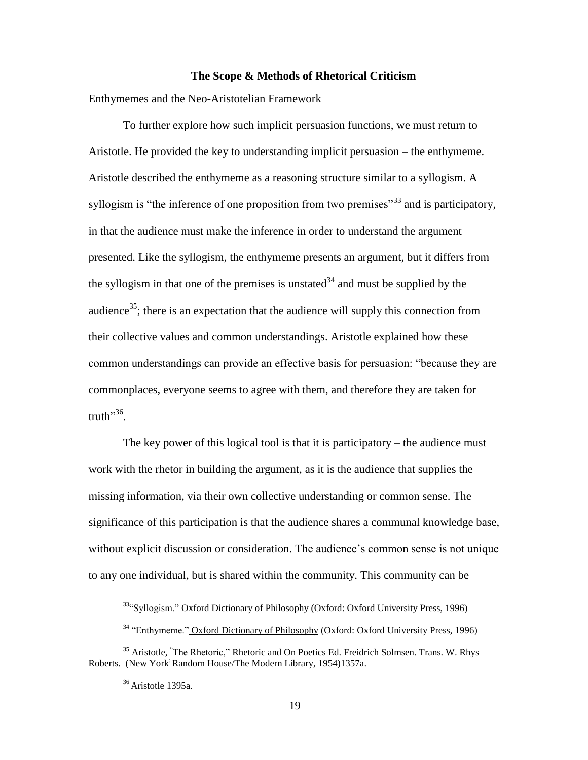#### **The Scope & Methods of Rhetorical Criticism**

#### <span id="page-25-1"></span><span id="page-25-0"></span>Enthymemes and the Neo-Aristotelian Framework

To further explore how such implicit persuasion functions, we must return to Aristotle. He provided the key to understanding implicit persuasion – the enthymeme. Aristotle described the enthymeme as a reasoning structure similar to a syllogism. A syllogism is "the inference of one proposition from two premises"<sup>33</sup> and is participatory, in that the audience must make the inference in order to understand the argument presented. Like the syllogism, the enthymeme presents an argument, but it differs from the syllogism in that one of the premises is unstated  $34$  and must be supplied by the audience<sup>35</sup>; there is an expectation that the audience will supply this connection from their collective values and common understandings. Aristotle explained how these common understandings can provide an effective basis for persuasion: "because they are commonplaces, everyone seems to agree with them, and therefore they are taken for truth"<sup>36</sup>.

The key power of this logical tool is that it is  $participatory$  – the audience must work with the rhetor in building the argument, as it is the audience that supplies the missing information, via their own collective understanding or common sense. The significance of this participation is that the audience shares a communal knowledge base, without explicit discussion or consideration. The audience's common sense is not unique to any one individual, but is shared within the community. This community can be

<sup>&</sup>lt;sup>33</sup>"Syllogism." Oxford Dictionary of Philosophy (Oxford: Oxford University Press, 1996)

<sup>&</sup>lt;sup>34</sup> "Enthymeme." Oxford Dictionary of Philosophy (Oxford: Oxford University Press, 1996)

<sup>&</sup>lt;sup>35</sup> Aristotle, "The Rhetoric," Rhetoric and On Poetics Ed. Freidrich Solmsen. Trans. W. Rhys Roberts. (New York: Random House/The Modern Library, 1954)1357a.

 $36$  Aristotle 1395a.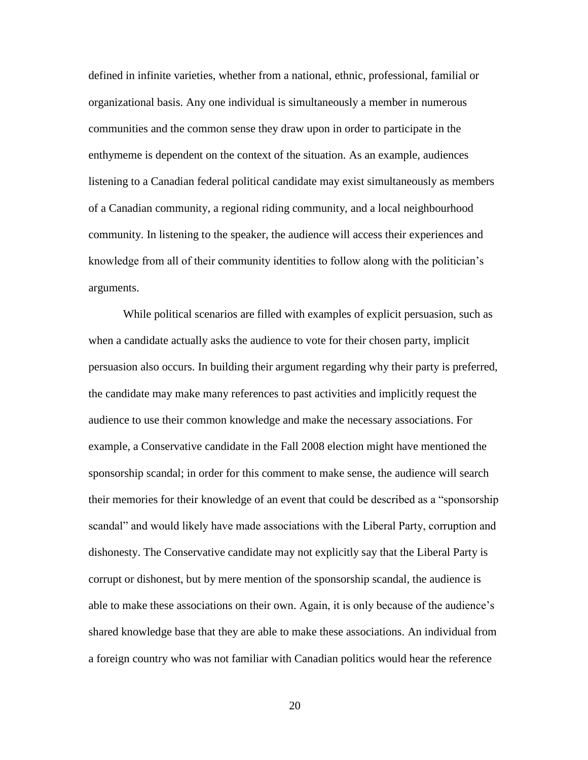defined in infinite varieties, whether from a national, ethnic, professional, familial or organizational basis. Any one individual is simultaneously a member in numerous communities and the common sense they draw upon in order to participate in the enthymeme is dependent on the context of the situation. As an example, audiences listening to a Canadian federal political candidate may exist simultaneously as members of a Canadian community, a regional riding community, and a local neighbourhood community. In listening to the speaker, the audience will access their experiences and knowledge from all of their community identities to follow along with the politician"s arguments.

While political scenarios are filled with examples of explicit persuasion, such as when a candidate actually asks the audience to vote for their chosen party, implicit persuasion also occurs. In building their argument regarding why their party is preferred, the candidate may make many references to past activities and implicitly request the audience to use their common knowledge and make the necessary associations. For example, a Conservative candidate in the Fall 2008 election might have mentioned the sponsorship scandal; in order for this comment to make sense, the audience will search their memories for their knowledge of an event that could be described as a "sponsorship scandal" and would likely have made associations with the Liberal Party, corruption and dishonesty. The Conservative candidate may not explicitly say that the Liberal Party is corrupt or dishonest, but by mere mention of the sponsorship scandal, the audience is able to make these associations on their own. Again, it is only because of the audience"s shared knowledge base that they are able to make these associations. An individual from a foreign country who was not familiar with Canadian politics would hear the reference

20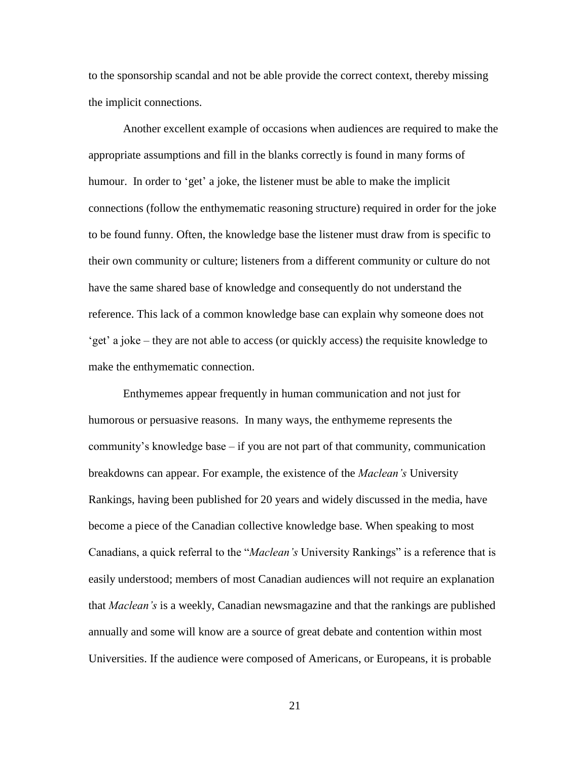to the sponsorship scandal and not be able provide the correct context, thereby missing the implicit connections.

Another excellent example of occasions when audiences are required to make the appropriate assumptions and fill in the blanks correctly is found in many forms of humour. In order to 'get' a joke, the listener must be able to make the implicit connections (follow the enthymematic reasoning structure) required in order for the joke to be found funny. Often, the knowledge base the listener must draw from is specific to their own community or culture; listeners from a different community or culture do not have the same shared base of knowledge and consequently do not understand the reference. This lack of a common knowledge base can explain why someone does not "get" a joke – they are not able to access (or quickly access) the requisite knowledge to make the enthymematic connection.

Enthymemes appear frequently in human communication and not just for humorous or persuasive reasons. In many ways, the enthymeme represents the community's knowledge base  $-$  if you are not part of that community, communication breakdowns can appear. For example, the existence of the *Maclean's* University Rankings, having been published for 20 years and widely discussed in the media, have become a piece of the Canadian collective knowledge base. When speaking to most Canadians, a quick referral to the "*Maclean's* University Rankings" is a reference that is easily understood; members of most Canadian audiences will not require an explanation that *Maclean's* is a weekly, Canadian newsmagazine and that the rankings are published annually and some will know are a source of great debate and contention within most Universities. If the audience were composed of Americans, or Europeans, it is probable

21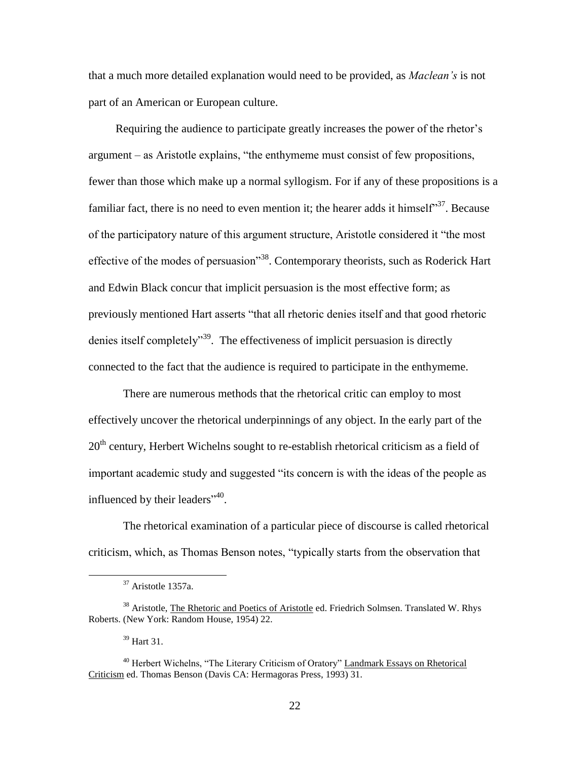that a much more detailed explanation would need to be provided, as *Maclean's* is not part of an American or European culture.

Requiring the audience to participate greatly increases the power of the rhetor"s argument – as Aristotle explains, "the enthymeme must consist of few propositions, fewer than those which make up a normal syllogism. For if any of these propositions is a familiar fact, there is no need to even mention it; the hearer adds it himself<sup>37</sup>. Because of the participatory nature of this argument structure, Aristotle considered it "the most effective of the modes of persuasion"<sup>38</sup>. Contemporary theorists, such as Roderick Hart and Edwin Black concur that implicit persuasion is the most effective form; as previously mentioned Hart asserts "that all rhetoric denies itself and that good rhetoric denies itself completely<sup>39</sup>. The effectiveness of implicit persuasion is directly connected to the fact that the audience is required to participate in the enthymeme.

There are numerous methods that the rhetorical critic can employ to most effectively uncover the rhetorical underpinnings of any object. In the early part of the  $20<sup>th</sup>$  century, Herbert Wichelns sought to re-establish rhetorical criticism as a field of important academic study and suggested "its concern is with the ideas of the people as influenced by their leaders<sup>"40</sup>.

The rhetorical examination of a particular piece of discourse is called rhetorical criticism, which, as Thomas Benson notes, "typically starts from the observation that

<sup>37</sup> Aristotle 1357a.

<sup>&</sup>lt;sup>38</sup> Aristotle, The Rhetoric and Poetics of Aristotle ed. Friedrich Solmsen. Translated W. Rhys Roberts. (New York: Random House, 1954) 22.

<sup>39</sup> Hart 31.

<sup>&</sup>lt;sup>40</sup> Herbert Wichelns, "The Literary Criticism of Oratory" Landmark Essays on Rhetorical Criticism ed. Thomas Benson (Davis CA: Hermagoras Press, 1993) 31.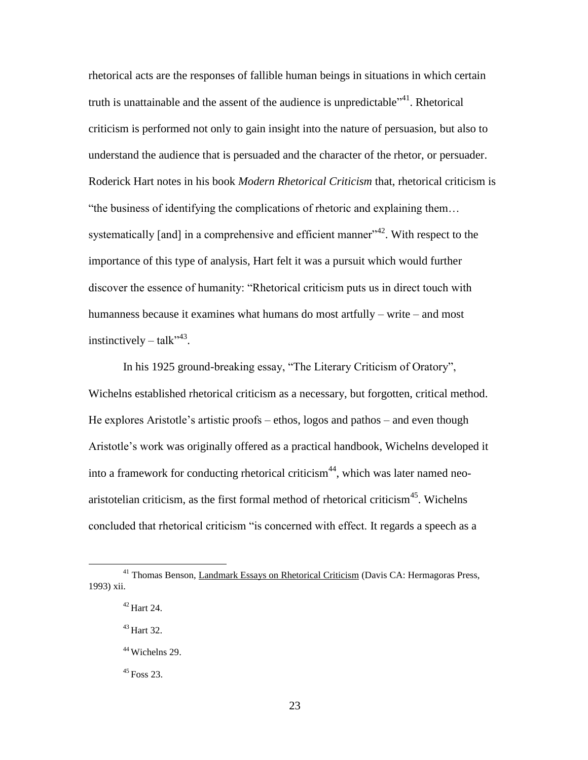rhetorical acts are the responses of fallible human beings in situations in which certain truth is unattainable and the assent of the audience is unpredictable<sup>141</sup>. Rhetorical criticism is performed not only to gain insight into the nature of persuasion, but also to understand the audience that is persuaded and the character of the rhetor, or persuader. Roderick Hart notes in his book *Modern Rhetorical Criticism* that, rhetorical criticism is "the business of identifying the complications of rhetoric and explaining them… systematically  $[$ and $]$  in a comprehensive and efficient manner"<sup>42</sup>. With respect to the importance of this type of analysis, Hart felt it was a pursuit which would further discover the essence of humanity: "Rhetorical criticism puts us in direct touch with humanness because it examines what humans do most artfully – write – and most instinctively  $-$  talk"<sup>43</sup>.

In his 1925 ground-breaking essay, "The Literary Criticism of Oratory", Wichelns established rhetorical criticism as a necessary, but forgotten, critical method. He explores Aristotle"s artistic proofs – ethos, logos and pathos – and even though Aristotle"s work was originally offered as a practical handbook, Wichelns developed it into a framework for conducting rhetorical criticism<sup>44</sup>, which was later named neoaristotelian criticism, as the first formal method of rhetorical criticism<sup>45</sup>. Wichelns concluded that rhetorical criticism "is concerned with effect. It regards a speech as a

 $\overline{a}$ 

<sup>43</sup> Hart 32.

<sup>45</sup> Foss 23.

<sup>&</sup>lt;sup>41</sup> Thomas Benson, Landmark Essays on Rhetorical Criticism (Davis CA: Hermagoras Press, 1993) xii.

 $42$  Hart 24.

<sup>44</sup> Wichelns 29.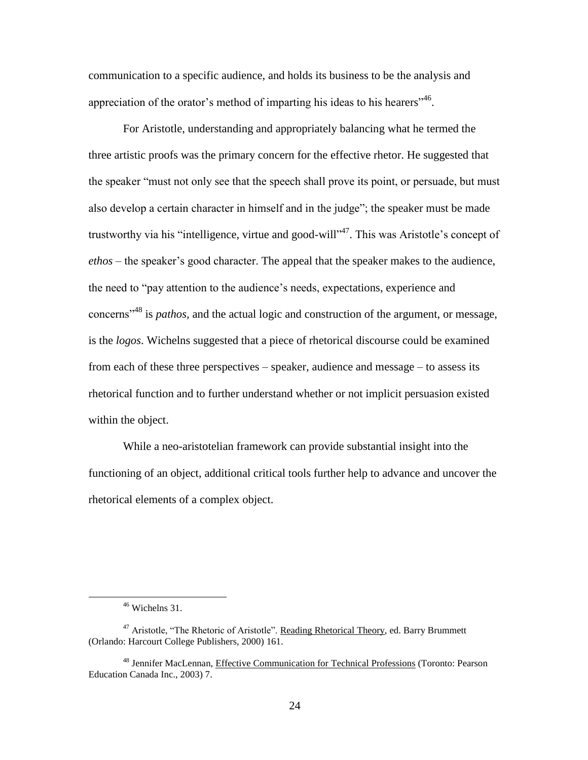communication to a specific audience, and holds its business to be the analysis and appreciation of the orator's method of imparting his ideas to his hearers<sup>146</sup>.

For Aristotle, understanding and appropriately balancing what he termed the three artistic proofs was the primary concern for the effective rhetor. He suggested that the speaker "must not only see that the speech shall prove its point, or persuade, but must also develop a certain character in himself and in the judge"; the speaker must be made trustworthy via his "intelligence, virtue and good-will"<sup>47</sup>. This was Aristotle's concept of *ethos* – the speaker"s good character. The appeal that the speaker makes to the audience, the need to "pay attention to the audience"s needs, expectations, experience and concerns"<sup>48</sup> is *pathos,* and the actual logic and construction of the argument, or message, is the *logos*. Wichelns suggested that a piece of rhetorical discourse could be examined from each of these three perspectives – speaker, audience and message – to assess its rhetorical function and to further understand whether or not implicit persuasion existed within the object.

While a neo-aristotelian framework can provide substantial insight into the functioning of an object, additional critical tools further help to advance and uncover the rhetorical elements of a complex object.

<sup>46</sup> Wichelns 31.

<sup>&</sup>lt;sup>47</sup> Aristotle, "The Rhetoric of Aristotle". Reading Rhetorical Theory, ed. Barry Brummett (Orlando: Harcourt College Publishers, 2000) 161.

<sup>48</sup> Jennifer MacLennan, Effective Communication for Technical Professions (Toronto: Pearson Education Canada Inc., 2003) 7.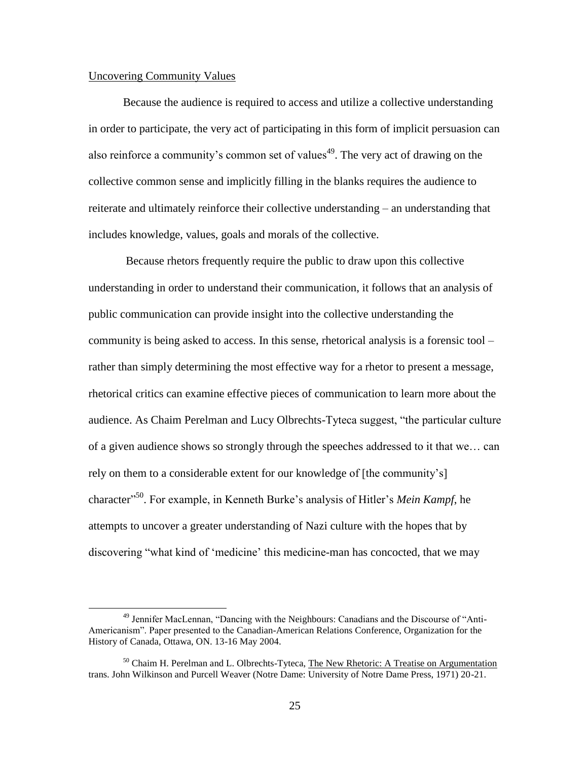## <span id="page-31-0"></span>Uncovering Community Values

 $\overline{a}$ 

Because the audience is required to access and utilize a collective understanding in order to participate, the very act of participating in this form of implicit persuasion can also reinforce a community's common set of values<sup>49</sup>. The very act of drawing on the collective common sense and implicitly filling in the blanks requires the audience to reiterate and ultimately reinforce their collective understanding – an understanding that includes knowledge, values, goals and morals of the collective.

Because rhetors frequently require the public to draw upon this collective understanding in order to understand their communication, it follows that an analysis of public communication can provide insight into the collective understanding the community is being asked to access. In this sense, rhetorical analysis is a forensic tool – rather than simply determining the most effective way for a rhetor to present a message, rhetorical critics can examine effective pieces of communication to learn more about the audience. As Chaim Perelman and Lucy Olbrechts-Tyteca suggest, "the particular culture of a given audience shows so strongly through the speeches addressed to it that we… can rely on them to a considerable extent for our knowledge of [the community"s] character<sup>"50</sup>. For example, in Kenneth Burke's analysis of Hitler's *Mein Kampf*, he attempts to uncover a greater understanding of Nazi culture with the hopes that by discovering "what kind of 'medicine' this medicine-man has concocted, that we may

<sup>49</sup> Jennifer MacLennan, "Dancing with the Neighbours: Canadians and the Discourse of "Anti-Americanism". Paper presented to the Canadian-American Relations Conference, Organization for the History of Canada, Ottawa, ON. 13-16 May 2004.

<sup>&</sup>lt;sup>50</sup> Chaim H. Perelman and L. Olbrechts-Tyteca, The New Rhetoric: A Treatise on Argumentation trans. John Wilkinson and Purcell Weaver (Notre Dame: University of Notre Dame Press, 1971) 20-21.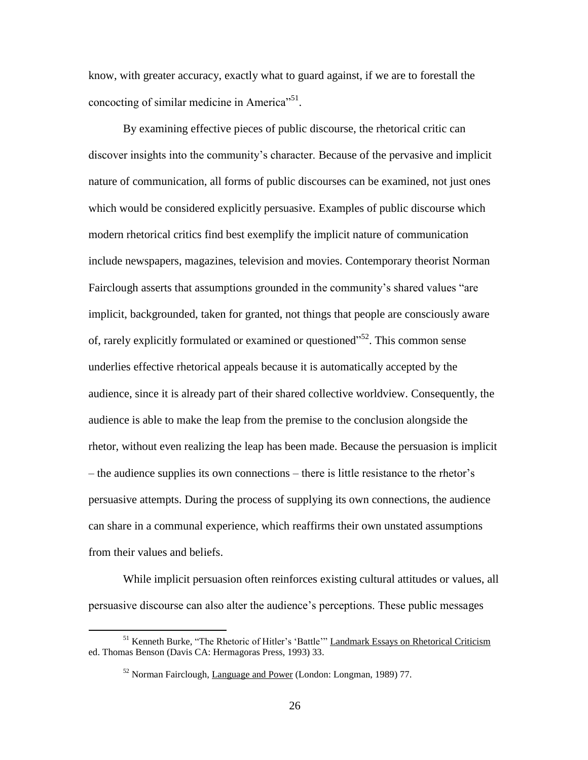know, with greater accuracy, exactly what to guard against, if we are to forestall the concocting of similar medicine in America"<sup>51</sup>.

By examining effective pieces of public discourse, the rhetorical critic can discover insights into the community"s character. Because of the pervasive and implicit nature of communication, all forms of public discourses can be examined, not just ones which would be considered explicitly persuasive. Examples of public discourse which modern rhetorical critics find best exemplify the implicit nature of communication include newspapers, magazines, television and movies. Contemporary theorist Norman Fairclough asserts that assumptions grounded in the community"s shared values "are implicit, backgrounded, taken for granted, not things that people are consciously aware of, rarely explicitly formulated or examined or questioned"<sup>52</sup>. This common sense underlies effective rhetorical appeals because it is automatically accepted by the audience, since it is already part of their shared collective worldview. Consequently, the audience is able to make the leap from the premise to the conclusion alongside the rhetor, without even realizing the leap has been made. Because the persuasion is implicit – the audience supplies its own connections – there is little resistance to the rhetor"s persuasive attempts. During the process of supplying its own connections, the audience can share in a communal experience, which reaffirms their own unstated assumptions from their values and beliefs.

While implicit persuasion often reinforces existing cultural attitudes or values, all persuasive discourse can also alter the audience"s perceptions. These public messages

<sup>&</sup>lt;sup>51</sup> Kenneth Burke, "The Rhetoric of Hitler's 'Battle'" Landmark Essays on Rhetorical Criticism ed. Thomas Benson (Davis CA: Hermagoras Press, 1993) 33.

<sup>52</sup> Norman Fairclough, Language and Power (London: Longman, 1989) 77.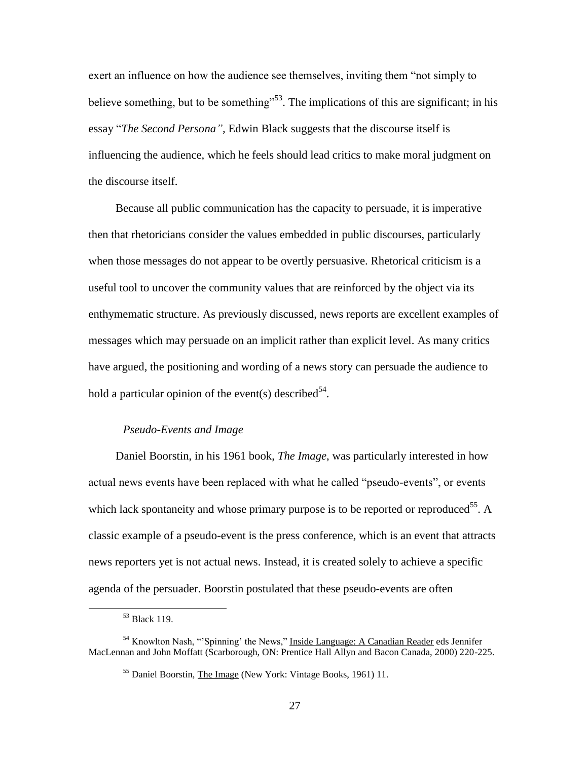exert an influence on how the audience see themselves, inviting them "not simply to believe something, but to be something<sup> $53$ </sup>. The implications of this are significant; in his essay "*The Second Persona",* Edwin Black suggests that the discourse itself is influencing the audience, which he feels should lead critics to make moral judgment on the discourse itself.

Because all public communication has the capacity to persuade, it is imperative then that rhetoricians consider the values embedded in public discourses, particularly when those messages do not appear to be overtly persuasive. Rhetorical criticism is a useful tool to uncover the community values that are reinforced by the object via its enthymematic structure. As previously discussed, news reports are excellent examples of messages which may persuade on an implicit rather than explicit level. As many critics have argued, the positioning and wording of a news story can persuade the audience to hold a particular opinion of the event(s) described<sup>54</sup>.

# *Pseudo-Events and Image*

Daniel Boorstin, in his 1961 book, *The Image*, was particularly interested in how actual news events have been replaced with what he called "pseudo-events", or events which lack spontaneity and whose primary purpose is to be reported or reproduced<sup>55</sup>. A classic example of a pseudo-event is the press conference, which is an event that attracts news reporters yet is not actual news. Instead, it is created solely to achieve a specific agenda of the persuader. Boorstin postulated that these pseudo-events are often

<sup>53</sup> Black 119.

<sup>&</sup>lt;sup>54</sup> Knowlton Nash, "'Spinning' the News," Inside Language: A Canadian Reader eds Jennifer MacLennan and John Moffatt (Scarborough, ON: Prentice Hall Allyn and Bacon Canada, 2000) 220-225.

<sup>55</sup> Daniel Boorstin, The Image (New York: Vintage Books, 1961) 11.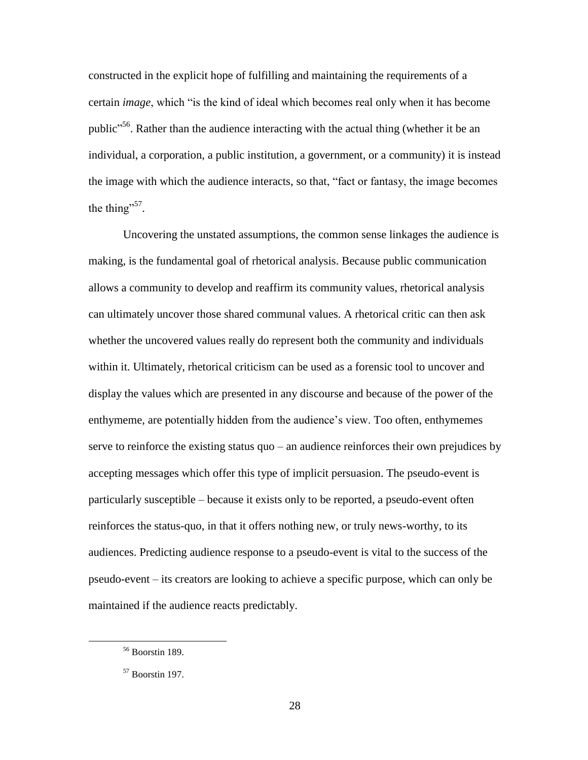constructed in the explicit hope of fulfilling and maintaining the requirements of a certain *image*, which "is the kind of ideal which becomes real only when it has become public<sup>356</sup>. Rather than the audience interacting with the actual thing (whether it be an individual, a corporation, a public institution, a government, or a community) it is instead the image with which the audience interacts, so that, "fact or fantasy, the image becomes the thing"<sup>57</sup>.

Uncovering the unstated assumptions, the common sense linkages the audience is making, is the fundamental goal of rhetorical analysis. Because public communication allows a community to develop and reaffirm its community values, rhetorical analysis can ultimately uncover those shared communal values. A rhetorical critic can then ask whether the uncovered values really do represent both the community and individuals within it. Ultimately, rhetorical criticism can be used as a forensic tool to uncover and display the values which are presented in any discourse and because of the power of the enthymeme, are potentially hidden from the audience"s view. Too often, enthymemes serve to reinforce the existing status quo – an audience reinforces their own prejudices by accepting messages which offer this type of implicit persuasion. The pseudo-event is particularly susceptible – because it exists only to be reported, a pseudo-event often reinforces the status-quo, in that it offers nothing new, or truly news-worthy, to its audiences. Predicting audience response to a pseudo-event is vital to the success of the pseudo-event – its creators are looking to achieve a specific purpose, which can only be maintained if the audience reacts predictably.

<sup>56</sup> Boorstin 189.

 $57$  Boorstin 197.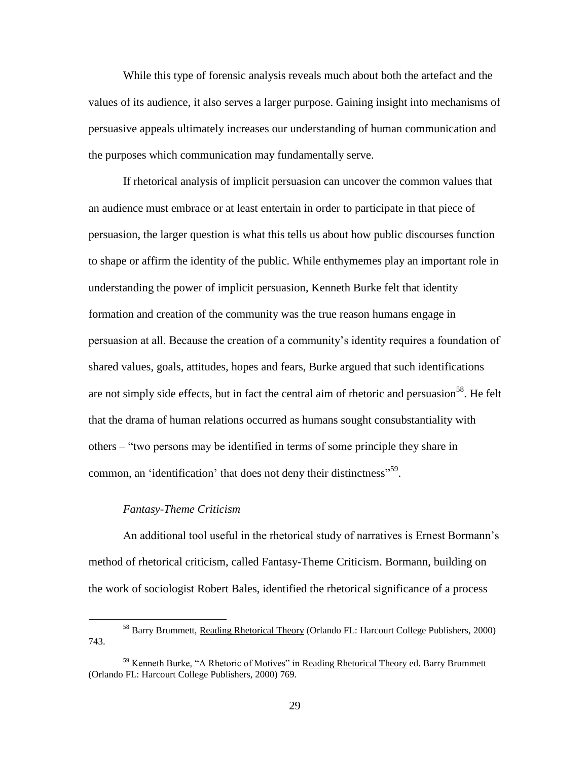While this type of forensic analysis reveals much about both the artefact and the values of its audience, it also serves a larger purpose. Gaining insight into mechanisms of persuasive appeals ultimately increases our understanding of human communication and the purposes which communication may fundamentally serve.

If rhetorical analysis of implicit persuasion can uncover the common values that an audience must embrace or at least entertain in order to participate in that piece of persuasion, the larger question is what this tells us about how public discourses function to shape or affirm the identity of the public. While enthymemes play an important role in understanding the power of implicit persuasion, Kenneth Burke felt that identity formation and creation of the community was the true reason humans engage in persuasion at all. Because the creation of a community"s identity requires a foundation of shared values, goals, attitudes, hopes and fears, Burke argued that such identifications are not simply side effects, but in fact the central aim of rhetoric and persuasion<sup>58</sup>. He felt that the drama of human relations occurred as humans sought consubstantiality with others – "two persons may be identified in terms of some principle they share in common, an 'identification' that does not deny their distinctness"<sup>59</sup>.

# *Fantasy-Theme Criticism*

 $\overline{a}$ 

An additional tool useful in the rhetorical study of narratives is Ernest Bormann"s method of rhetorical criticism, called Fantasy-Theme Criticism. Bormann, building on the work of sociologist Robert Bales, identified the rhetorical significance of a process

<sup>58</sup> Barry Brummett, Reading Rhetorical Theory (Orlando FL: Harcourt College Publishers, 2000) 743.

<sup>&</sup>lt;sup>59</sup> Kenneth Burke, "A Rhetoric of Motives" in Reading Rhetorical Theory ed. Barry Brummett (Orlando FL: Harcourt College Publishers, 2000) 769.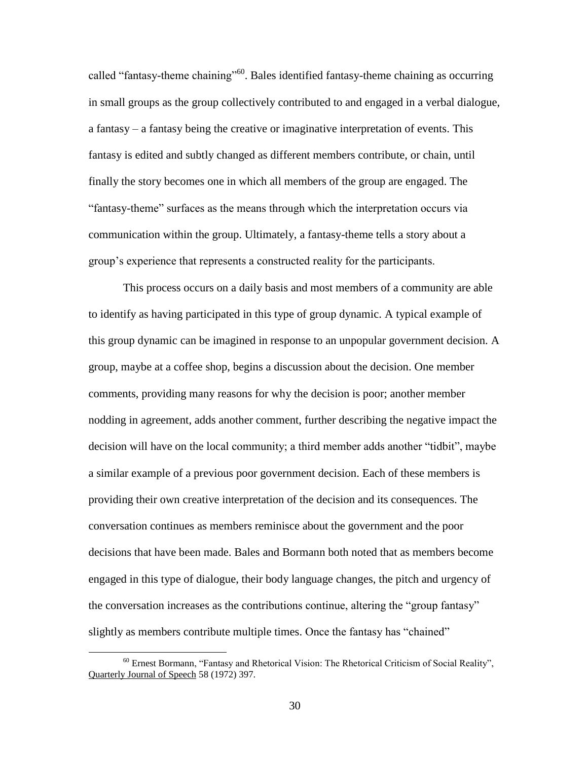called "fantasy-theme chaining"<sup>60</sup>. Bales identified fantasy-theme chaining as occurring in small groups as the group collectively contributed to and engaged in a verbal dialogue, a fantasy – a fantasy being the creative or imaginative interpretation of events. This fantasy is edited and subtly changed as different members contribute, or chain, until finally the story becomes one in which all members of the group are engaged. The "fantasy-theme" surfaces as the means through which the interpretation occurs via communication within the group. Ultimately, a fantasy-theme tells a story about a group"s experience that represents a constructed reality for the participants.

This process occurs on a daily basis and most members of a community are able to identify as having participated in this type of group dynamic. A typical example of this group dynamic can be imagined in response to an unpopular government decision. A group, maybe at a coffee shop, begins a discussion about the decision. One member comments, providing many reasons for why the decision is poor; another member nodding in agreement, adds another comment, further describing the negative impact the decision will have on the local community; a third member adds another "tidbit", maybe a similar example of a previous poor government decision. Each of these members is providing their own creative interpretation of the decision and its consequences. The conversation continues as members reminisce about the government and the poor decisions that have been made. Bales and Bormann both noted that as members become engaged in this type of dialogue, their body language changes, the pitch and urgency of the conversation increases as the contributions continue, altering the "group fantasy" slightly as members contribute multiple times. Once the fantasy has "chained"

<sup>60</sup> Ernest Bormann, "Fantasy and Rhetorical Vision: The Rhetorical Criticism of Social Reality", Quarterly Journal of Speech 58 (1972) 397.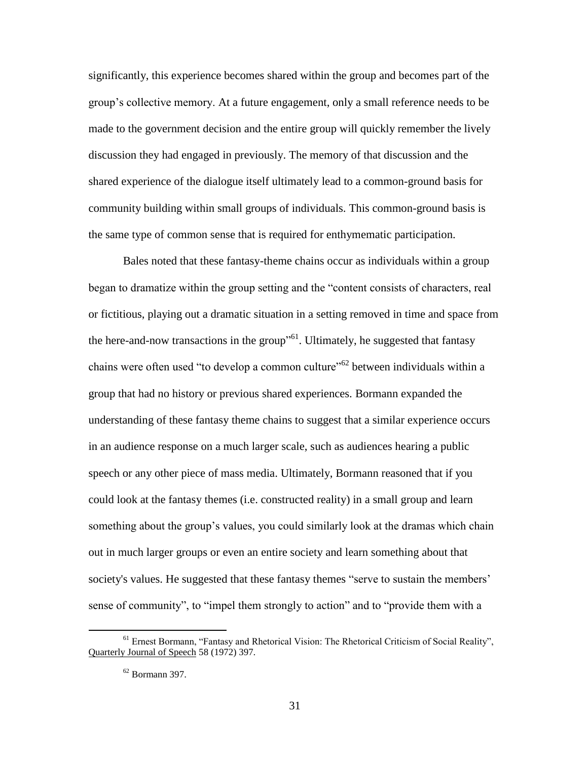significantly, this experience becomes shared within the group and becomes part of the group"s collective memory. At a future engagement, only a small reference needs to be made to the government decision and the entire group will quickly remember the lively discussion they had engaged in previously. The memory of that discussion and the shared experience of the dialogue itself ultimately lead to a common-ground basis for community building within small groups of individuals. This common-ground basis is the same type of common sense that is required for enthymematic participation.

Bales noted that these fantasy-theme chains occur as individuals within a group began to dramatize within the group setting and the "content consists of characters, real or fictitious, playing out a dramatic situation in a setting removed in time and space from the here-and-now transactions in the group<sup> $1$ </sup>. Ultimately, he suggested that fantasy chains were often used "to develop a common culture"<sup>62</sup> between individuals within a group that had no history or previous shared experiences. Bormann expanded the understanding of these fantasy theme chains to suggest that a similar experience occurs in an audience response on a much larger scale, such as audiences hearing a public speech or any other piece of mass media. Ultimately, Bormann reasoned that if you could look at the fantasy themes (i.e. constructed reality) in a small group and learn something about the group's values, you could similarly look at the dramas which chain out in much larger groups or even an entire society and learn something about that society's values. He suggested that these fantasy themes "serve to sustain the members" sense of community", to "impel them strongly to action" and to "provide them with a

<sup>61</sup> Ernest Bormann, "Fantasy and Rhetorical Vision: The Rhetorical Criticism of Social Reality", Quarterly Journal of Speech 58 (1972) 397.

 $62$  Bormann 397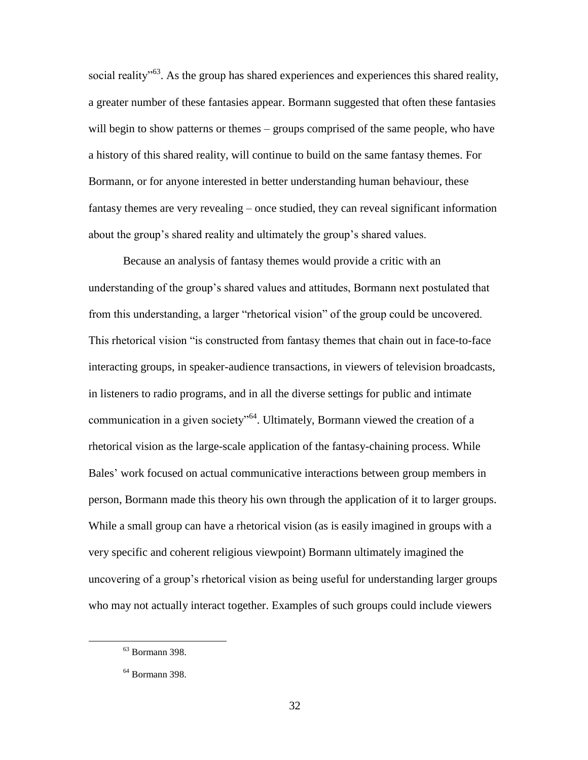social reality<sup>563</sup>. As the group has shared experiences and experiences this shared reality, a greater number of these fantasies appear. Bormann suggested that often these fantasies will begin to show patterns or themes – groups comprised of the same people, who have a history of this shared reality, will continue to build on the same fantasy themes. For Bormann, or for anyone interested in better understanding human behaviour, these fantasy themes are very revealing – once studied, they can reveal significant information about the group"s shared reality and ultimately the group"s shared values.

Because an analysis of fantasy themes would provide a critic with an understanding of the group"s shared values and attitudes, Bormann next postulated that from this understanding, a larger "rhetorical vision" of the group could be uncovered. This rhetorical vision "is constructed from fantasy themes that chain out in face-to-face interacting groups, in speaker-audience transactions, in viewers of television broadcasts, in listeners to radio programs, and in all the diverse settings for public and intimate communication in a given society"<sup>64</sup>. Ultimately, Bormann viewed the creation of a rhetorical vision as the large-scale application of the fantasy-chaining process. While Bales' work focused on actual communicative interactions between group members in person, Bormann made this theory his own through the application of it to larger groups. While a small group can have a rhetorical vision (as is easily imagined in groups with a very specific and coherent religious viewpoint) Bormann ultimately imagined the uncovering of a group"s rhetorical vision as being useful for understanding larger groups who may not actually interact together. Examples of such groups could include viewers

<sup>63</sup> Bormann 398.

<sup>64</sup> Bormann 398.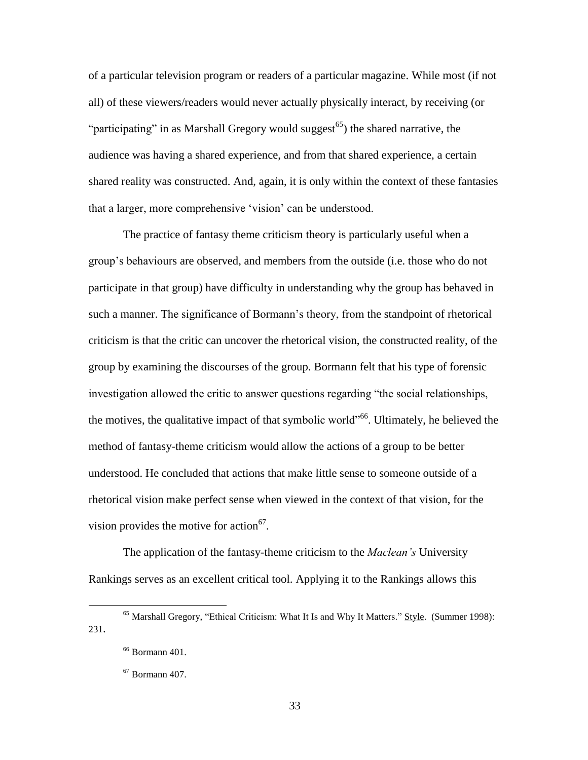of a particular television program or readers of a particular magazine. While most (if not all) of these viewers/readers would never actually physically interact, by receiving (or "participating" in as Marshall Gregory would suggest<sup>65</sup>) the shared narrative, the audience was having a shared experience, and from that shared experience, a certain shared reality was constructed. And, again, it is only within the context of these fantasies that a larger, more comprehensive "vision" can be understood.

The practice of fantasy theme criticism theory is particularly useful when a group"s behaviours are observed, and members from the outside (i.e. those who do not participate in that group) have difficulty in understanding why the group has behaved in such a manner. The significance of Bormann"s theory, from the standpoint of rhetorical criticism is that the critic can uncover the rhetorical vision, the constructed reality, of the group by examining the discourses of the group. Bormann felt that his type of forensic investigation allowed the critic to answer questions regarding "the social relationships, the motives, the qualitative impact of that symbolic world"<sup>66</sup>. Ultimately, he believed the method of fantasy-theme criticism would allow the actions of a group to be better understood. He concluded that actions that make little sense to someone outside of a rhetorical vision make perfect sense when viewed in the context of that vision, for the vision provides the motive for action $67$ .

The application of the fantasy-theme criticism to the *Maclean's* University Rankings serves as an excellent critical tool. Applying it to the Rankings allows this

<sup>&</sup>lt;sup>65</sup> Marshall Gregory, "Ethical Criticism: What It Is and Why It Matters." Style. (Summer 1998): 231.

<sup>66</sup> Bormann 401.

 $67$  Bormann 407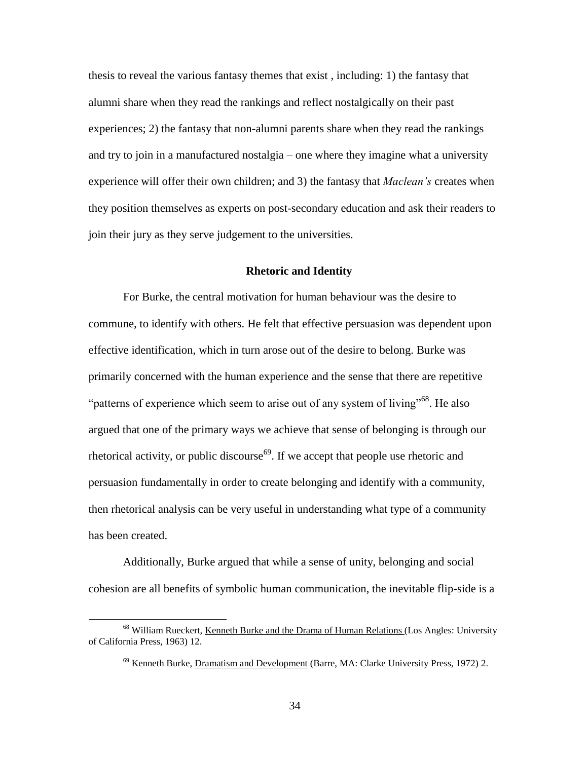thesis to reveal the various fantasy themes that exist , including: 1) the fantasy that alumni share when they read the rankings and reflect nostalgically on their past experiences; 2) the fantasy that non-alumni parents share when they read the rankings and try to join in a manufactured nostalgia – one where they imagine what a university experience will offer their own children; and 3) the fantasy that *Maclean's* creates when they position themselves as experts on post-secondary education and ask their readers to join their jury as they serve judgement to the universities.

## **Rhetoric and Identity**

For Burke, the central motivation for human behaviour was the desire to commune, to identify with others. He felt that effective persuasion was dependent upon effective identification, which in turn arose out of the desire to belong. Burke was primarily concerned with the human experience and the sense that there are repetitive "patterns of experience which seem to arise out of any system of living"<sup>68</sup>. He also argued that one of the primary ways we achieve that sense of belonging is through our rhetorical activity, or public discourse<sup> $69$ </sup>. If we accept that people use rhetoric and persuasion fundamentally in order to create belonging and identify with a community, then rhetorical analysis can be very useful in understanding what type of a community has been created.

Additionally, Burke argued that while a sense of unity, belonging and social cohesion are all benefits of symbolic human communication, the inevitable flip-side is a

<sup>&</sup>lt;sup>68</sup> William Rueckert, Kenneth Burke and the Drama of Human Relations (Los Angles: University of California Press, 1963) 12.

<sup>&</sup>lt;sup>69</sup> Kenneth Burke, Dramatism and Development (Barre, MA: Clarke University Press, 1972) 2.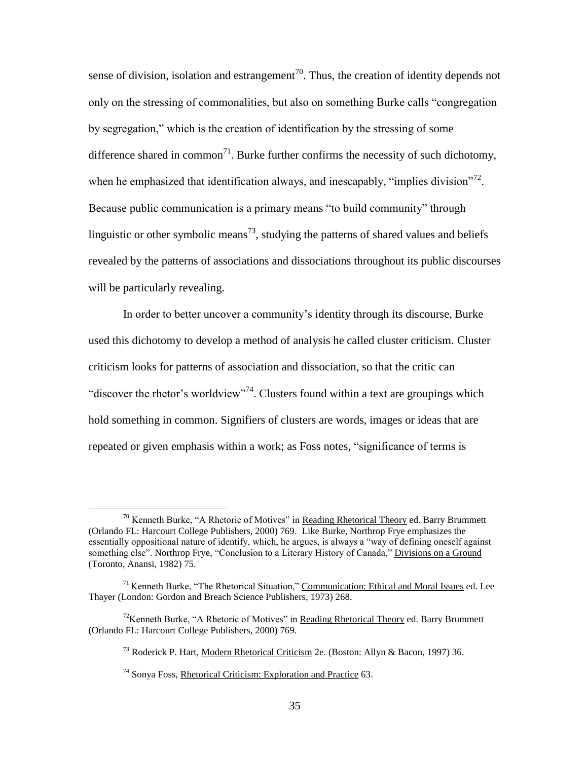sense of division, isolation and estrangement<sup>70</sup>. Thus, the creation of identity depends not only on the stressing of commonalities, but also on something Burke calls "congregation by segregation," which is the creation of identification by the stressing of some difference shared in common<sup>71</sup>. Burke further confirms the necessity of such dichotomy, when he emphasized that identification always, and inescapably, "implies division"<sup>72</sup>. Because public communication is a primary means "to build community" through linguistic or other symbolic means<sup>73</sup>, studying the patterns of shared values and beliefs revealed by the patterns of associations and dissociations throughout its public discourses will be particularly revealing.

In order to better uncover a community"s identity through its discourse, Burke used this dichotomy to develop a method of analysis he called cluster criticism. Cluster criticism looks for patterns of association and dissociation, so that the critic can "discover the rhetor's worldview"<sup>74</sup>. Clusters found within a text are groupings which hold something in common. Signifiers of clusters are words, images or ideas that are repeated or given emphasis within a work; as Foss notes, "significance of terms is

 $70$  Kenneth Burke, "A Rhetoric of Motives" in Reading Rhetorical Theory ed. Barry Brummett (Orlando FL: Harcourt College Publishers, 2000) 769. Like Burke, Northrop Frye emphasizes the essentially oppositional nature of identify, which, he argues, is always a "way of defining oneself against something else". Northrop Frye, "Conclusion to a Literary History of Canada," Divisions on a Ground (Toronto, Anansi, 1982) 75.

<sup>&</sup>lt;sup>71</sup> Kenneth Burke, "The Rhetorical Situation," Communication: Ethical and Moral Issues ed. Lee Thayer (London: Gordon and Breach Science Publishers, 1973) 268.

<sup>&</sup>lt;sup>72</sup>Kenneth Burke, "A Rhetoric of Motives" in Reading Rhetorical Theory ed. Barry Brummett (Orlando FL: Harcourt College Publishers, 2000) 769.

<sup>&</sup>lt;sup>73</sup> Roderick P. Hart, Modern Rhetorical Criticism 2e. (Boston: Allyn & Bacon, 1997) 36.

<sup>74</sup> Sonya Foss, Rhetorical Criticism: Exploration and Practice 63.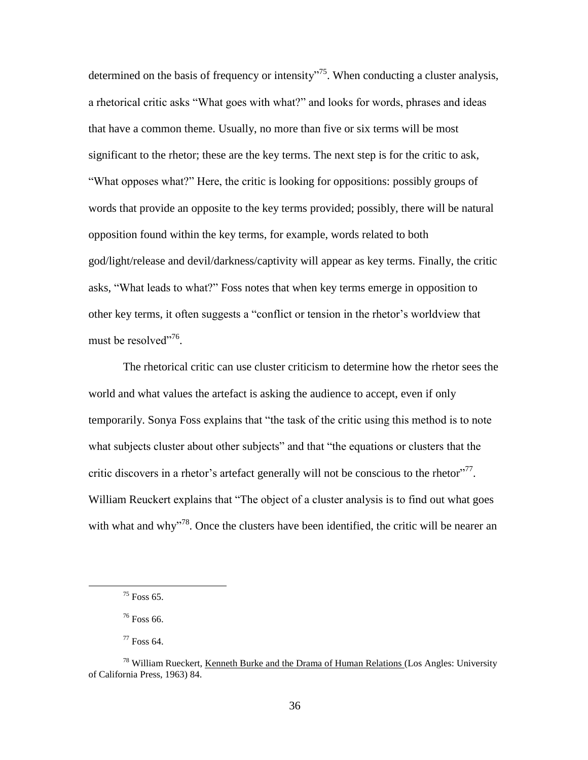determined on the basis of frequency or intensity"<sup>75</sup>. When conducting a cluster analysis, a rhetorical critic asks "What goes with what?" and looks for words, phrases and ideas that have a common theme. Usually, no more than five or six terms will be most significant to the rhetor; these are the key terms. The next step is for the critic to ask, "What opposes what?" Here, the critic is looking for oppositions: possibly groups of words that provide an opposite to the key terms provided; possibly, there will be natural opposition found within the key terms, for example, words related to both god/light/release and devil/darkness/captivity will appear as key terms. Finally, the critic asks, "What leads to what?" Foss notes that when key terms emerge in opposition to other key terms, it often suggests a "conflict or tension in the rhetor"s worldview that must be resolved"<sup>76</sup>.

The rhetorical critic can use cluster criticism to determine how the rhetor sees the world and what values the artefact is asking the audience to accept, even if only temporarily. Sonya Foss explains that "the task of the critic using this method is to note what subjects cluster about other subjects" and that "the equations or clusters that the critic discovers in a rhetor's artefact generally will not be conscious to the rhetor $177$ . William Reuckert explains that "The object of a cluster analysis is to find out what goes with what and why<sup> $18$ </sup>. Once the clusters have been identified, the critic will be nearer an

 $75$  Foss 65.

<sup>76</sup> Foss 66.

<sup>77</sup> Foss 64.

<sup>&</sup>lt;sup>78</sup> William Rueckert, Kenneth Burke and the Drama of Human Relations (Los Angles: University of California Press, 1963) 84.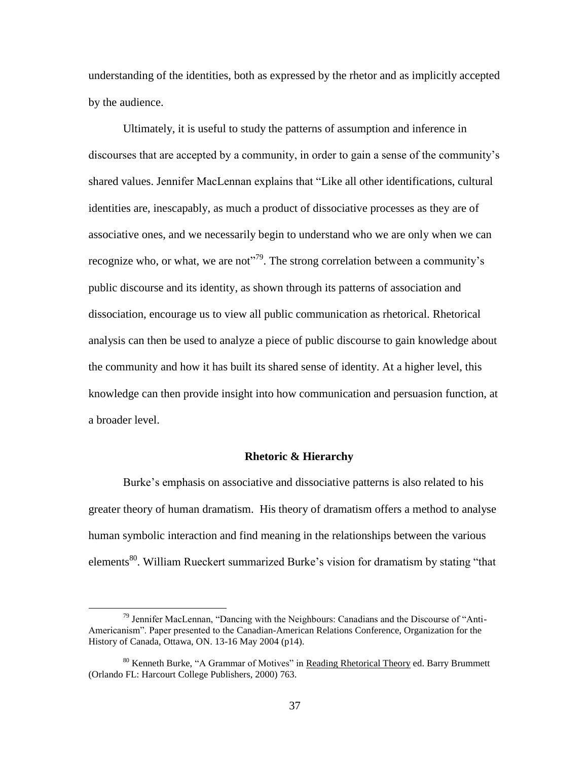understanding of the identities, both as expressed by the rhetor and as implicitly accepted by the audience.

Ultimately, it is useful to study the patterns of assumption and inference in discourses that are accepted by a community, in order to gain a sense of the community"s shared values. Jennifer MacLennan explains that "Like all other identifications, cultural identities are, inescapably, as much a product of dissociative processes as they are of associative ones, and we necessarily begin to understand who we are only when we can recognize who, or what, we are not<sup> $n^{79}$ </sup>. The strong correlation between a community's public discourse and its identity, as shown through its patterns of association and dissociation, encourage us to view all public communication as rhetorical. Rhetorical analysis can then be used to analyze a piece of public discourse to gain knowledge about the community and how it has built its shared sense of identity. At a higher level, this knowledge can then provide insight into how communication and persuasion function, at a broader level.

#### **Rhetoric & Hierarchy**

Burke"s emphasis on associative and dissociative patterns is also related to his greater theory of human dramatism. His theory of dramatism offers a method to analyse human symbolic interaction and find meaning in the relationships between the various elements<sup>80</sup>. William Rueckert summarized Burke's vision for dramatism by stating "that

 $79$  Jennifer MacLennan, "Dancing with the Neighbours: Canadians and the Discourse of "Anti-Americanism". Paper presented to the Canadian-American Relations Conference, Organization for the History of Canada, Ottawa, ON. 13-16 May 2004 (p14).

<sup>&</sup>lt;sup>80</sup> Kenneth Burke, "A Grammar of Motives" in Reading Rhetorical Theory ed. Barry Brummett (Orlando FL: Harcourt College Publishers, 2000) 763.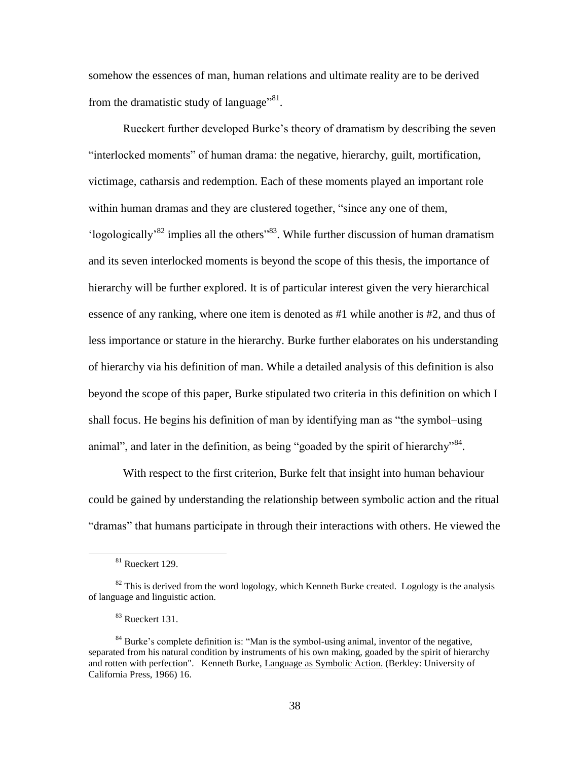somehow the essences of man, human relations and ultimate reality are to be derived from the dramatistic study of language"<sup>81</sup>.

Rueckert further developed Burke"s theory of dramatism by describing the seven "interlocked moments" of human drama: the negative, hierarchy, guilt, mortification, victimage, catharsis and redemption. Each of these moments played an important role within human dramas and they are clustered together, "since any one of them, 'logologically<sup>'82</sup> implies all the others<sup>''83</sup>. While further discussion of human dramatism and its seven interlocked moments is beyond the scope of this thesis, the importance of hierarchy will be further explored. It is of particular interest given the very hierarchical essence of any ranking, where one item is denoted as #1 while another is #2, and thus of less importance or stature in the hierarchy. Burke further elaborates on his understanding of hierarchy via his definition of man. While a detailed analysis of this definition is also beyond the scope of this paper, Burke stipulated two criteria in this definition on which I shall focus. He begins his definition of man by identifying man as "the symbol–using animal", and later in the definition, as being "goaded by the spirit of hierarchy"<sup>84</sup>.

With respect to the first criterion, Burke felt that insight into human behaviour could be gained by understanding the relationship between symbolic action and the ritual "dramas" that humans participate in through their interactions with others. He viewed the

 $81$  Rueckert 129.

 $82$  This is derived from the word logology, which Kenneth Burke created. Logology is the analysis of language and linguistic action.

<sup>&</sup>lt;sup>83</sup> Rueckert 131.

<sup>&</sup>lt;sup>84</sup> Burke's complete definition is: "Man is the symbol-using animal, inventor of the negative, separated from his natural condition by instruments of his own making, goaded by the spirit of hierarchy and rotten with perfection". Kenneth Burke, Language as Symbolic Action. (Berkley: University of California Press, 1966) 16.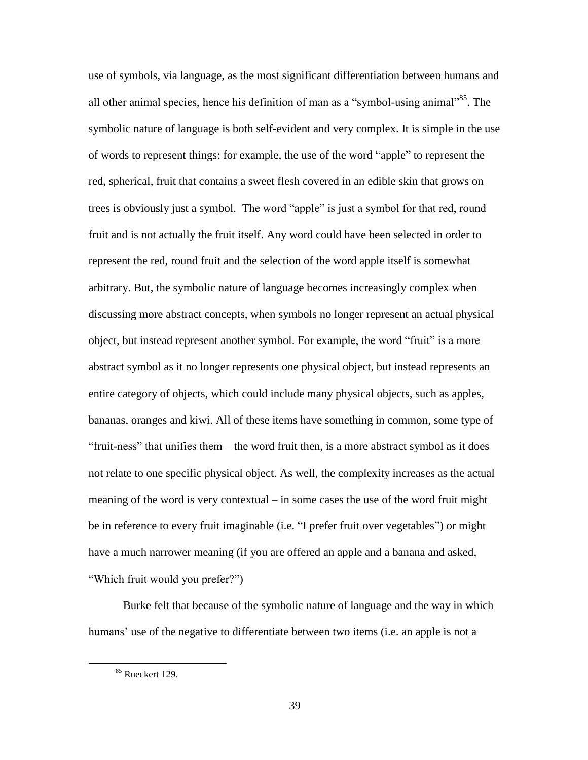use of symbols, via language, as the most significant differentiation between humans and all other animal species, hence his definition of man as a "symbol-using animal"<sup>85</sup>. The symbolic nature of language is both self-evident and very complex. It is simple in the use of words to represent things: for example, the use of the word "apple" to represent the red, spherical, fruit that contains a sweet flesh covered in an edible skin that grows on trees is obviously just a symbol. The word "apple" is just a symbol for that red, round fruit and is not actually the fruit itself. Any word could have been selected in order to represent the red, round fruit and the selection of the word apple itself is somewhat arbitrary. But, the symbolic nature of language becomes increasingly complex when discussing more abstract concepts, when symbols no longer represent an actual physical object, but instead represent another symbol. For example, the word "fruit" is a more abstract symbol as it no longer represents one physical object, but instead represents an entire category of objects, which could include many physical objects, such as apples, bananas, oranges and kiwi. All of these items have something in common, some type of "fruit-ness" that unifies them – the word fruit then, is a more abstract symbol as it does not relate to one specific physical object. As well, the complexity increases as the actual meaning of the word is very contextual – in some cases the use of the word fruit might be in reference to every fruit imaginable (i.e. "I prefer fruit over vegetables") or might have a much narrower meaning (if you are offered an apple and a banana and asked, "Which fruit would you prefer?")

Burke felt that because of the symbolic nature of language and the way in which humans' use of the negative to differentiate between two items (i.e. an apple is not a

<sup>&</sup>lt;sup>85</sup> Rueckert 129.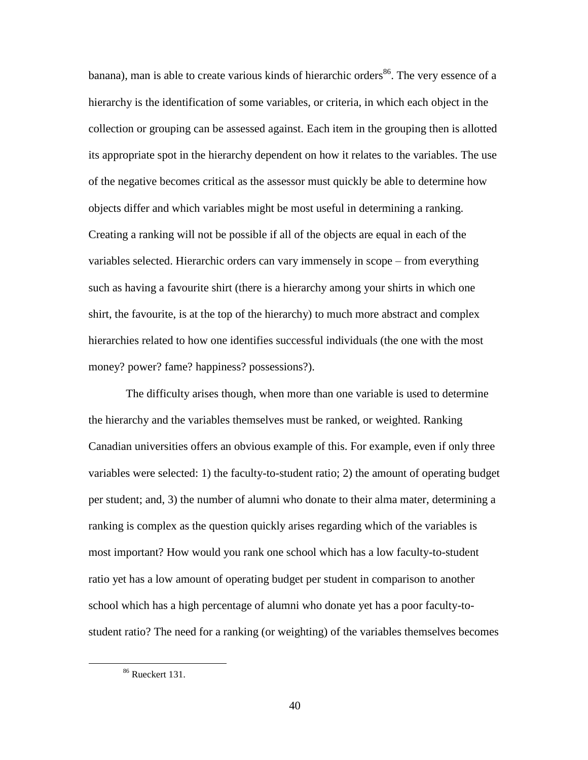banana), man is able to create various kinds of hierarchic orders<sup>86</sup>. The very essence of a hierarchy is the identification of some variables, or criteria, in which each object in the collection or grouping can be assessed against. Each item in the grouping then is allotted its appropriate spot in the hierarchy dependent on how it relates to the variables. The use of the negative becomes critical as the assessor must quickly be able to determine how objects differ and which variables might be most useful in determining a ranking. Creating a ranking will not be possible if all of the objects are equal in each of the variables selected. Hierarchic orders can vary immensely in scope – from everything such as having a favourite shirt (there is a hierarchy among your shirts in which one shirt, the favourite, is at the top of the hierarchy) to much more abstract and complex hierarchies related to how one identifies successful individuals (the one with the most money? power? fame? happiness? possessions?).

The difficulty arises though, when more than one variable is used to determine the hierarchy and the variables themselves must be ranked, or weighted. Ranking Canadian universities offers an obvious example of this. For example, even if only three variables were selected: 1) the faculty-to-student ratio; 2) the amount of operating budget per student; and, 3) the number of alumni who donate to their alma mater, determining a ranking is complex as the question quickly arises regarding which of the variables is most important? How would you rank one school which has a low faculty-to-student ratio yet has a low amount of operating budget per student in comparison to another school which has a high percentage of alumni who donate yet has a poor faculty-tostudent ratio? The need for a ranking (or weighting) of the variables themselves becomes

<sup>86</sup> Rueckert 131.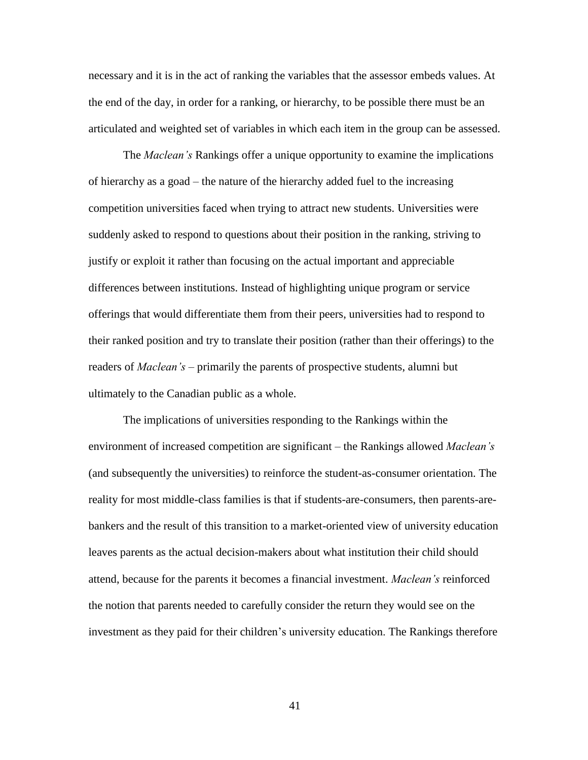necessary and it is in the act of ranking the variables that the assessor embeds values. At the end of the day, in order for a ranking, or hierarchy, to be possible there must be an articulated and weighted set of variables in which each item in the group can be assessed.

The *Maclean's* Rankings offer a unique opportunity to examine the implications of hierarchy as a goad – the nature of the hierarchy added fuel to the increasing competition universities faced when trying to attract new students. Universities were suddenly asked to respond to questions about their position in the ranking, striving to justify or exploit it rather than focusing on the actual important and appreciable differences between institutions. Instead of highlighting unique program or service offerings that would differentiate them from their peers, universities had to respond to their ranked position and try to translate their position (rather than their offerings) to the readers of *Maclean's* – primarily the parents of prospective students, alumni but ultimately to the Canadian public as a whole.

The implications of universities responding to the Rankings within the environment of increased competition are significant – the Rankings allowed *Maclean's* (and subsequently the universities) to reinforce the student-as-consumer orientation. The reality for most middle-class families is that if students-are-consumers, then parents-arebankers and the result of this transition to a market-oriented view of university education leaves parents as the actual decision-makers about what institution their child should attend, because for the parents it becomes a financial investment. *Maclean's* reinforced the notion that parents needed to carefully consider the return they would see on the investment as they paid for their children"s university education. The Rankings therefore

41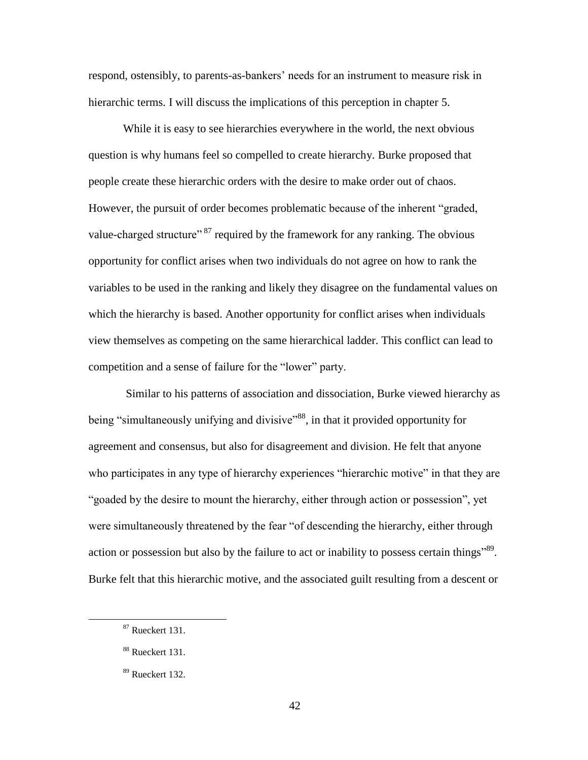respond, ostensibly, to parents-as-bankers" needs for an instrument to measure risk in hierarchic terms. I will discuss the implications of this perception in chapter 5.

While it is easy to see hierarchies everywhere in the world, the next obvious question is why humans feel so compelled to create hierarchy. Burke proposed that people create these hierarchic orders with the desire to make order out of chaos. However, the pursuit of order becomes problematic because of the inherent "graded, value-charged structure"<sup>87</sup> required by the framework for any ranking. The obvious opportunity for conflict arises when two individuals do not agree on how to rank the variables to be used in the ranking and likely they disagree on the fundamental values on which the hierarchy is based. Another opportunity for conflict arises when individuals view themselves as competing on the same hierarchical ladder. This conflict can lead to competition and a sense of failure for the "lower" party.

Similar to his patterns of association and dissociation, Burke viewed hierarchy as being "simultaneously unifying and divisive"<sup>88</sup>, in that it provided opportunity for agreement and consensus, but also for disagreement and division. He felt that anyone who participates in any type of hierarchy experiences "hierarchic motive" in that they are "goaded by the desire to mount the hierarchy, either through action or possession", yet were simultaneously threatened by the fear "of descending the hierarchy, either through action or possession but also by the failure to act or inability to possess certain things<sup>789</sup>. Burke felt that this hierarchic motive, and the associated guilt resulting from a descent or

<sup>&</sup>lt;sup>87</sup> Rueckert 131.

<sup>88</sup> Rueckert 131.

<sup>89</sup> Rueckert 132.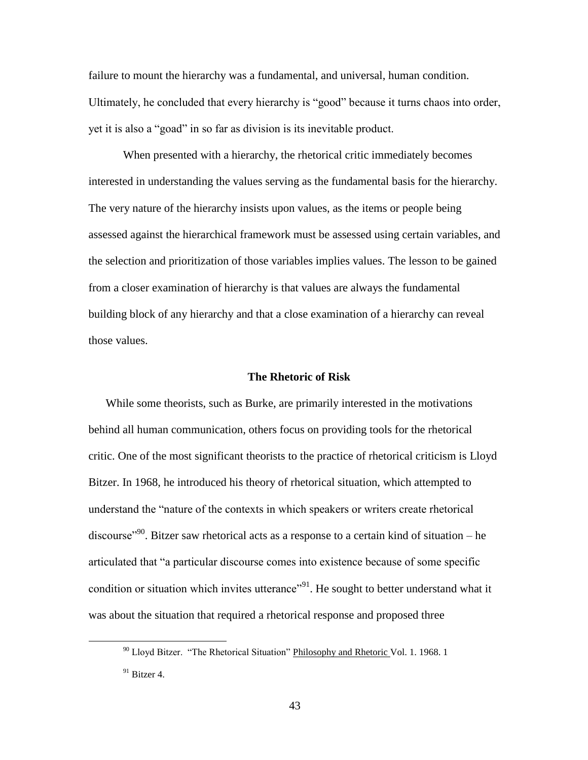failure to mount the hierarchy was a fundamental, and universal, human condition. Ultimately, he concluded that every hierarchy is "good" because it turns chaos into order, yet it is also a "goad" in so far as division is its inevitable product.

When presented with a hierarchy, the rhetorical critic immediately becomes interested in understanding the values serving as the fundamental basis for the hierarchy. The very nature of the hierarchy insists upon values, as the items or people being assessed against the hierarchical framework must be assessed using certain variables, and the selection and prioritization of those variables implies values. The lesson to be gained from a closer examination of hierarchy is that values are always the fundamental building block of any hierarchy and that a close examination of a hierarchy can reveal those values.

## **The Rhetoric of Risk**

While some theorists, such as Burke, are primarily interested in the motivations behind all human communication, others focus on providing tools for the rhetorical critic. One of the most significant theorists to the practice of rhetorical criticism is Lloyd Bitzer. In 1968, he introduced his theory of rhetorical situation, which attempted to understand the "nature of the contexts in which speakers or writers create rhetorical discourse<sup>"90</sup>. Bitzer saw rhetorical acts as a response to a certain kind of situation – he articulated that "a particular discourse comes into existence because of some specific condition or situation which invites utterance"<sup>91</sup>. He sought to better understand what it was about the situation that required a rhetorical response and proposed three

<sup>&</sup>lt;sup>90</sup> Lloyd Bitzer. "The Rhetorical Situation" Philosophy and Rhetoric Vol. 1. 1968. 1

 $91$  Bitzer 4.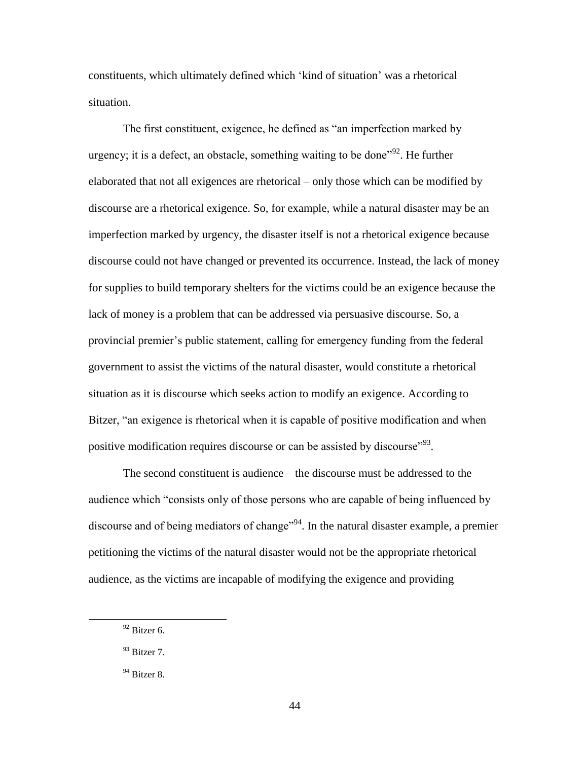constituents, which ultimately defined which "kind of situation" was a rhetorical situation.

The first constituent, exigence, he defined as "an imperfection marked by urgency; it is a defect, an obstacle, something waiting to be done<sup> $192$ </sup>. He further elaborated that not all exigences are rhetorical – only those which can be modified by discourse are a rhetorical exigence. So, for example, while a natural disaster may be an imperfection marked by urgency, the disaster itself is not a rhetorical exigence because discourse could not have changed or prevented its occurrence. Instead, the lack of money for supplies to build temporary shelters for the victims could be an exigence because the lack of money is a problem that can be addressed via persuasive discourse. So, a provincial premier"s public statement, calling for emergency funding from the federal government to assist the victims of the natural disaster, would constitute a rhetorical situation as it is discourse which seeks action to modify an exigence. According to Bitzer, "an exigence is rhetorical when it is capable of positive modification and when positive modification requires discourse or can be assisted by discourse<sup> $.93$ </sup>.

The second constituent is audience – the discourse must be addressed to the audience which "consists only of those persons who are capable of being influenced by discourse and of being mediators of change<sup>194</sup>. In the natural disaster example, a premier petitioning the victims of the natural disaster would not be the appropriate rhetorical audience, as the victims are incapable of modifying the exigence and providing

 $92$  Bitzer 6.

<sup>93</sup> Bitzer 7.

 $94$  Bitzer 8.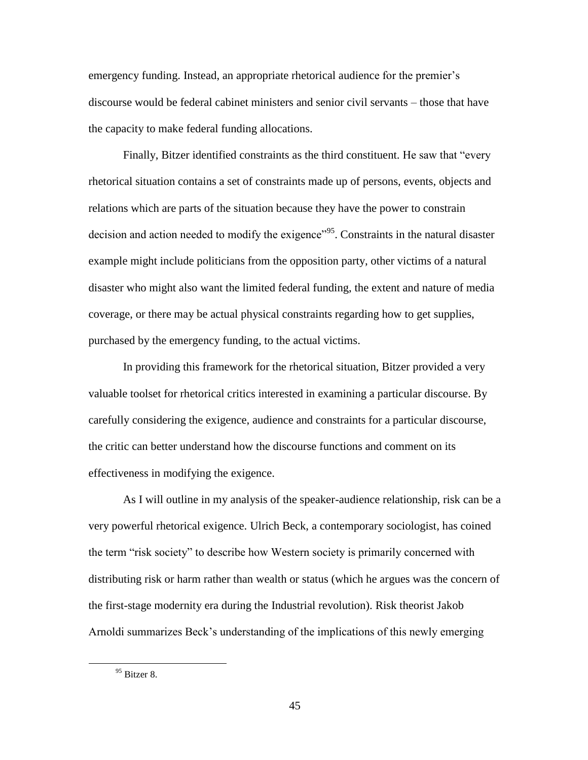emergency funding. Instead, an appropriate rhetorical audience for the premier"s discourse would be federal cabinet ministers and senior civil servants – those that have the capacity to make federal funding allocations.

Finally, Bitzer identified constraints as the third constituent. He saw that "every rhetorical situation contains a set of constraints made up of persons, events, objects and relations which are parts of the situation because they have the power to constrain decision and action needed to modify the exigence<sup>"95</sup>. Constraints in the natural disaster example might include politicians from the opposition party, other victims of a natural disaster who might also want the limited federal funding, the extent and nature of media coverage, or there may be actual physical constraints regarding how to get supplies, purchased by the emergency funding, to the actual victims.

In providing this framework for the rhetorical situation, Bitzer provided a very valuable toolset for rhetorical critics interested in examining a particular discourse. By carefully considering the exigence, audience and constraints for a particular discourse, the critic can better understand how the discourse functions and comment on its effectiveness in modifying the exigence.

As I will outline in my analysis of the speaker-audience relationship, risk can be a very powerful rhetorical exigence. Ulrich Beck, a contemporary sociologist, has coined the term "risk society" to describe how Western society is primarily concerned with distributing risk or harm rather than wealth or status (which he argues was the concern of the first-stage modernity era during the Industrial revolution). Risk theorist Jakob Arnoldi summarizes Beck"s understanding of the implications of this newly emerging

 $95$  Bitzer 8.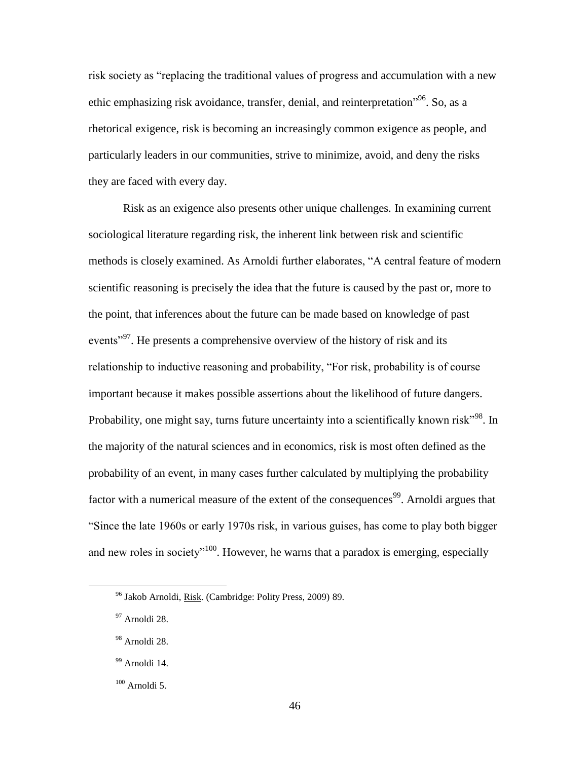risk society as "replacing the traditional values of progress and accumulation with a new ethic emphasizing risk avoidance, transfer, denial, and reinterpretation<sup>"96</sup>. So, as a rhetorical exigence, risk is becoming an increasingly common exigence as people, and particularly leaders in our communities, strive to minimize, avoid, and deny the risks they are faced with every day.

Risk as an exigence also presents other unique challenges. In examining current sociological literature regarding risk, the inherent link between risk and scientific methods is closely examined. As Arnoldi further elaborates, "A central feature of modern scientific reasoning is precisely the idea that the future is caused by the past or, more to the point, that inferences about the future can be made based on knowledge of past events<sup>"97</sup>. He presents a comprehensive overview of the history of risk and its relationship to inductive reasoning and probability, "For risk, probability is of course important because it makes possible assertions about the likelihood of future dangers. Probability, one might say, turns future uncertainty into a scientifically known risk"<sup>98</sup>. In the majority of the natural sciences and in economics, risk is most often defined as the probability of an event, in many cases further calculated by multiplying the probability factor with a numerical measure of the extent of the consequences<sup>99</sup>. Arnoldi argues that "Since the late 1960s or early 1970s risk, in various guises, has come to play both bigger and new roles in society<sup> $100$ </sup>. However, he warns that a paradox is emerging, especially

<sup>96</sup> Jakob Arnoldi, Risk. (Cambridge: Polity Press, 2009) 89.

<sup>97</sup> Arnoldi 28.

<sup>98</sup> Arnoldi 28.

<sup>&</sup>lt;sup>99</sup> Arnoldi 14.

 $100$  Arnoldi 5.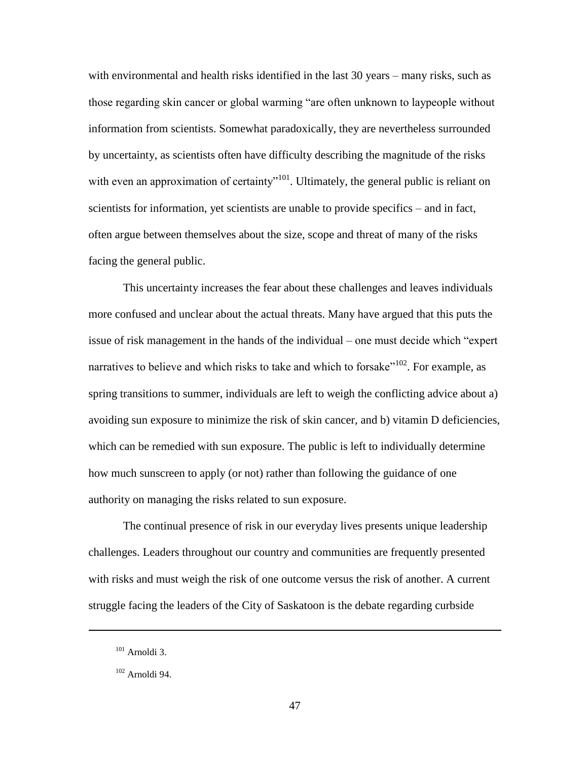with environmental and health risks identified in the last 30 years – many risks, such as those regarding skin cancer or global warming "are often unknown to laypeople without information from scientists. Somewhat paradoxically, they are nevertheless surrounded by uncertainty, as scientists often have difficulty describing the magnitude of the risks with even an approximation of certainty<sup> $n_{101}$ </sup>. Ultimately, the general public is reliant on scientists for information, yet scientists are unable to provide specifics – and in fact, often argue between themselves about the size, scope and threat of many of the risks facing the general public.

This uncertainty increases the fear about these challenges and leaves individuals more confused and unclear about the actual threats. Many have argued that this puts the issue of risk management in the hands of the individual – one must decide which "expert narratives to believe and which risks to take and which to forsake"<sup>102</sup>. For example, as spring transitions to summer, individuals are left to weigh the conflicting advice about a) avoiding sun exposure to minimize the risk of skin cancer, and b) vitamin D deficiencies, which can be remedied with sun exposure. The public is left to individually determine how much sunscreen to apply (or not) rather than following the guidance of one authority on managing the risks related to sun exposure.

The continual presence of risk in our everyday lives presents unique leadership challenges. Leaders throughout our country and communities are frequently presented with risks and must weigh the risk of one outcome versus the risk of another. A current struggle facing the leaders of the City of Saskatoon is the debate regarding curbside

1

<sup>101</sup> Arnoldi 3.

 $102$  Arnoldi 94.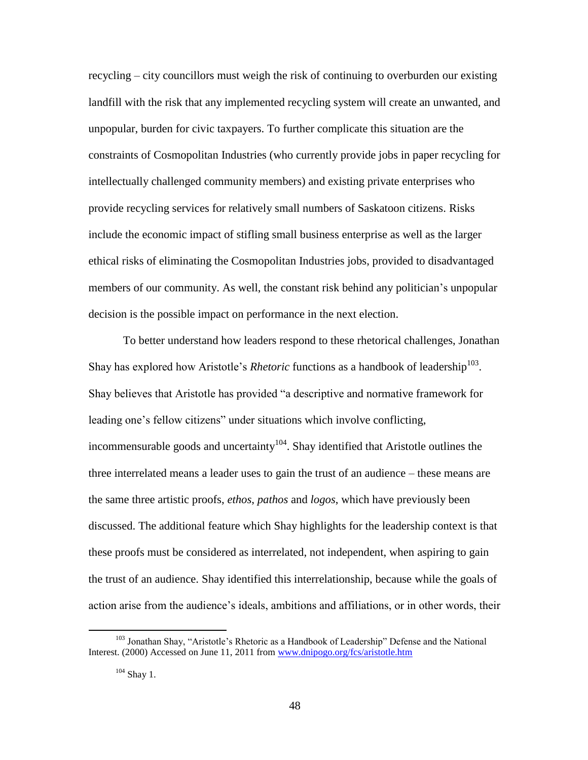recycling – city councillors must weigh the risk of continuing to overburden our existing landfill with the risk that any implemented recycling system will create an unwanted, and unpopular, burden for civic taxpayers. To further complicate this situation are the constraints of Cosmopolitan Industries (who currently provide jobs in paper recycling for intellectually challenged community members) and existing private enterprises who provide recycling services for relatively small numbers of Saskatoon citizens. Risks include the economic impact of stifling small business enterprise as well as the larger ethical risks of eliminating the Cosmopolitan Industries jobs, provided to disadvantaged members of our community. As well, the constant risk behind any politician"s unpopular decision is the possible impact on performance in the next election.

To better understand how leaders respond to these rhetorical challenges, Jonathan Shay has explored how Aristotle's *Rhetoric* functions as a handbook of leadership<sup>103</sup>. Shay believes that Aristotle has provided "a descriptive and normative framework for leading one's fellow citizens" under situations which involve conflicting, incommensurable goods and uncertainty<sup>104</sup>. Shay identified that Aristotle outlines the three interrelated means a leader uses to gain the trust of an audience – these means are the same three artistic proofs, *ethos*, *pathos* and *logos*, which have previously been discussed. The additional feature which Shay highlights for the leadership context is that these proofs must be considered as interrelated, not independent, when aspiring to gain the trust of an audience. Shay identified this interrelationship, because while the goals of action arise from the audience"s ideals, ambitions and affiliations, or in other words, their

<sup>&</sup>lt;sup>103</sup> Jonathan Shay, "Aristotle's Rhetoric as a Handbook of Leadership" Defense and the National Interest. (2000) Accessed on June 11, 2011 from [www.dnipogo.org/fcs/aristotle.htm](http://www.dnipogo.org/fcs/aristotle.htm)

 $104$  Shav 1.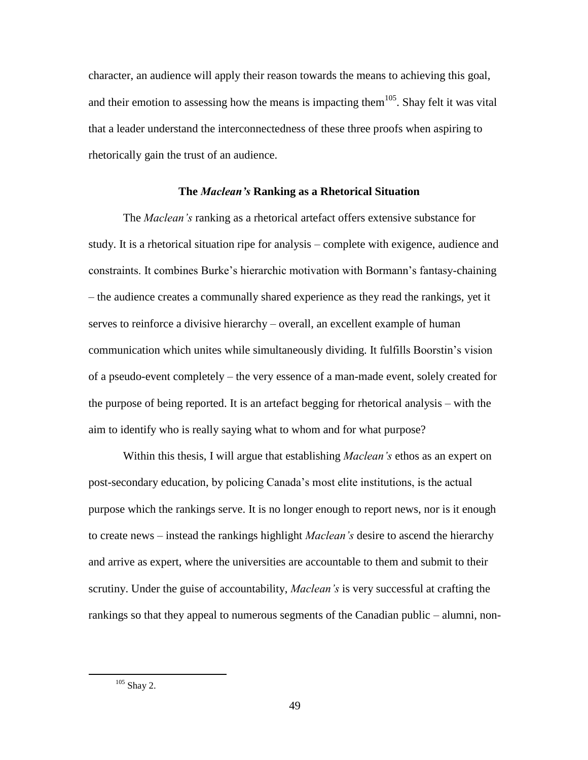character, an audience will apply their reason towards the means to achieving this goal, and their emotion to assessing how the means is impacting them<sup>105</sup>. Shay felt it was vital that a leader understand the interconnectedness of these three proofs when aspiring to rhetorically gain the trust of an audience.

## **The** *Maclean's* **Ranking as a Rhetorical Situation**

The *Maclean's* ranking as a rhetorical artefact offers extensive substance for study. It is a rhetorical situation ripe for analysis – complete with exigence, audience and constraints. It combines Burke"s hierarchic motivation with Bormann"s fantasy-chaining – the audience creates a communally shared experience as they read the rankings, yet it serves to reinforce a divisive hierarchy – overall, an excellent example of human communication which unites while simultaneously dividing. It fulfills Boorstin"s vision of a pseudo-event completely – the very essence of a man-made event, solely created for the purpose of being reported. It is an artefact begging for rhetorical analysis – with the aim to identify who is really saying what to whom and for what purpose?

Within this thesis, I will argue that establishing *Maclean's* ethos as an expert on post-secondary education, by policing Canada"s most elite institutions, is the actual purpose which the rankings serve. It is no longer enough to report news, nor is it enough to create news – instead the rankings highlight *Maclean's* desire to ascend the hierarchy and arrive as expert, where the universities are accountable to them and submit to their scrutiny. Under the guise of accountability, *Maclean's* is very successful at crafting the rankings so that they appeal to numerous segments of the Canadian public – alumni, non-

 $105$  Shay 2.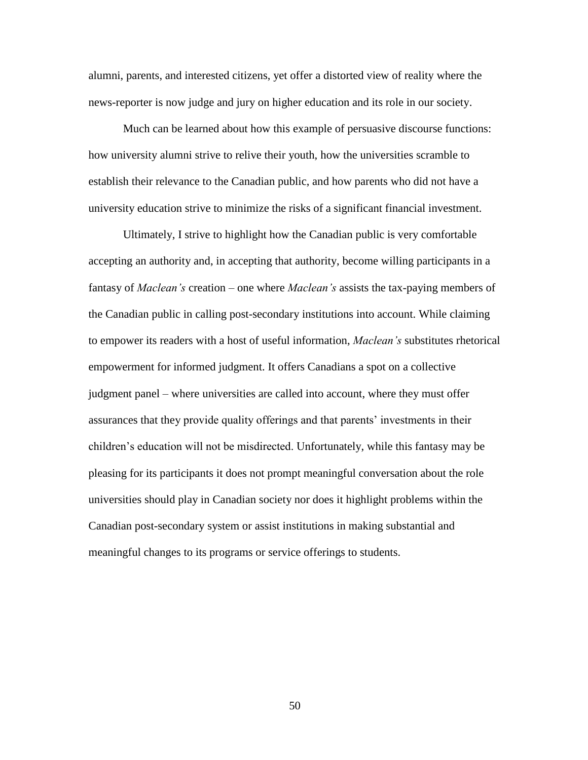alumni, parents, and interested citizens, yet offer a distorted view of reality where the news-reporter is now judge and jury on higher education and its role in our society.

Much can be learned about how this example of persuasive discourse functions: how university alumni strive to relive their youth, how the universities scramble to establish their relevance to the Canadian public, and how parents who did not have a university education strive to minimize the risks of a significant financial investment.

Ultimately, I strive to highlight how the Canadian public is very comfortable accepting an authority and, in accepting that authority, become willing participants in a fantasy of *Maclean's* creation – one where *Maclean's* assists the tax-paying members of the Canadian public in calling post-secondary institutions into account. While claiming to empower its readers with a host of useful information, *Maclean's* substitutes rhetorical empowerment for informed judgment. It offers Canadians a spot on a collective judgment panel – where universities are called into account, where they must offer assurances that they provide quality offerings and that parents" investments in their children"s education will not be misdirected. Unfortunately, while this fantasy may be pleasing for its participants it does not prompt meaningful conversation about the role universities should play in Canadian society nor does it highlight problems within the Canadian post-secondary system or assist institutions in making substantial and meaningful changes to its programs or service offerings to students.

50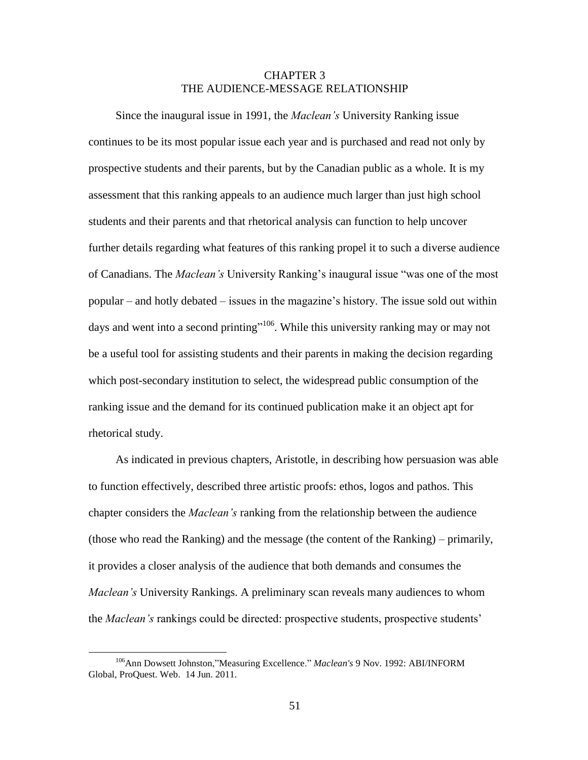# CHAPTER 3 THE AUDIENCE-MESSAGE RELATIONSHIP

Since the inaugural issue in 1991, the *Maclean's* University Ranking issue continues to be its most popular issue each year and is purchased and read not only by prospective students and their parents, but by the Canadian public as a whole. It is my assessment that this ranking appeals to an audience much larger than just high school students and their parents and that rhetorical analysis can function to help uncover further details regarding what features of this ranking propel it to such a diverse audience of Canadians. The *Maclean's* University Ranking's inaugural issue "was one of the most popular – and hotly debated – issues in the magazine"s history. The issue sold out within days and went into a second printing"<sup>106</sup>. While this university ranking may or may not be a useful tool for assisting students and their parents in making the decision regarding which post-secondary institution to select, the widespread public consumption of the ranking issue and the demand for its continued publication make it an object apt for rhetorical study.

As indicated in previous chapters, Aristotle, in describing how persuasion was able to function effectively, described three artistic proofs: ethos, logos and pathos. This chapter considers the *Maclean's* ranking from the relationship between the audience (those who read the Ranking) and the message (the content of the Ranking) – primarily, it provides a closer analysis of the audience that both demands and consumes the *Maclean's* University Rankings. A preliminary scan reveals many audiences to whom the *Maclean's* rankings could be directed: prospective students, prospective students"

<sup>106</sup>Ann Dowsett Johnston,"Measuring Excellence." *Maclean's* 9 Nov. 1992: ABI/INFORM Global, ProQuest. Web. 14 Jun. 2011.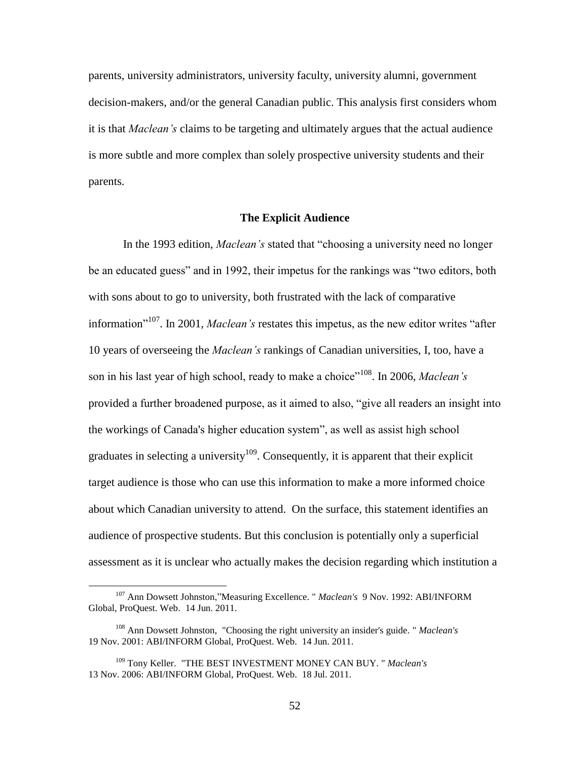parents, university administrators, university faculty, university alumni, government decision-makers, and/or the general Canadian public. This analysis first considers whom it is that *Maclean's* claims to be targeting and ultimately argues that the actual audience is more subtle and more complex than solely prospective university students and their parents.

## **The Explicit Audience**

In the 1993 edition, *Maclean's* stated that "choosing a university need no longer be an educated guess" and in 1992, their impetus for the rankings was "two editors, both with sons about to go to university, both frustrated with the lack of comparative information<sup>"107</sup>. In 2001, *Maclean's* restates this impetus, as the new editor writes "after 10 years of overseeing the *Maclean's* rankings of Canadian universities, I, too, have a son in his last year of high school, ready to make a choice"<sup>108</sup>. In 2006, *Maclean's* provided a further broadened purpose, as it aimed to also, "give all readers an insight into the workings of Canada's higher education system", as well as assist high school graduates in selecting a university<sup>109</sup>. Consequently, it is apparent that their explicit target audience is those who can use this information to make a more informed choice about which Canadian university to attend. On the surface, this statement identifies an audience of prospective students. But this conclusion is potentially only a superficial assessment as it is unclear who actually makes the decision regarding which institution a

<sup>107</sup> Ann Dowsett Johnston,"Measuring Excellence. " *Maclean's* 9 Nov. 1992: ABI/INFORM Global, ProQuest. Web. 14 Jun. 2011.

<sup>108</sup> Ann Dowsett Johnston, "Choosing the right university an insider's guide. " *Maclean's* 19 Nov. 2001: ABI/INFORM Global, ProQuest. Web. 14 Jun. 2011.

<sup>109</sup> Tony Keller. "THE BEST INVESTMENT MONEY CAN BUY. " *Maclean's* 13 Nov. 2006: ABI/INFORM Global, ProQuest. Web. 18 Jul. 2011.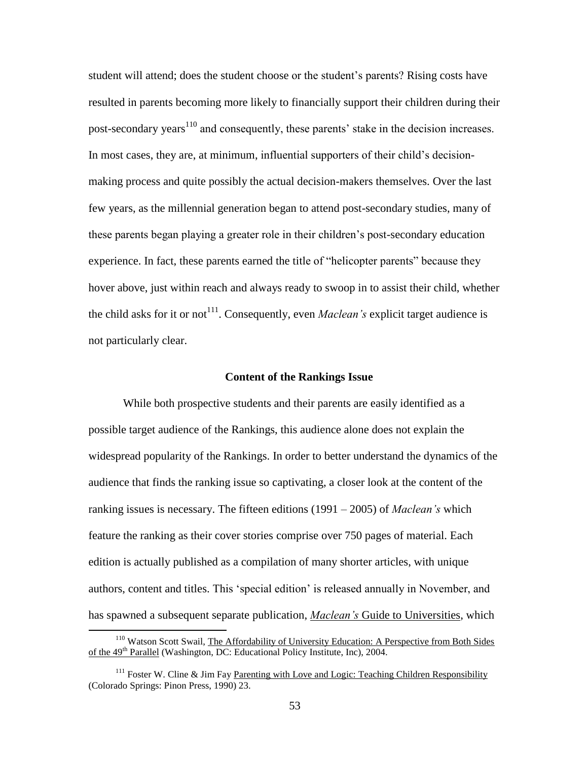student will attend; does the student choose or the student"s parents? Rising costs have resulted in parents becoming more likely to financially support their children during their post-secondary years<sup>110</sup> and consequently, these parents' stake in the decision increases. In most cases, they are, at minimum, influential supporters of their child"s decisionmaking process and quite possibly the actual decision-makers themselves. Over the last few years, as the millennial generation began to attend post-secondary studies, many of these parents began playing a greater role in their children"s post-secondary education experience. In fact, these parents earned the title of "helicopter parents" because they hover above, just within reach and always ready to swoop in to assist their child, whether the child asks for it or not<sup>111</sup>. Consequently, even *Maclean's* explicit target audience is not particularly clear.

#### **Content of the Rankings Issue**

While both prospective students and their parents are easily identified as a possible target audience of the Rankings, this audience alone does not explain the widespread popularity of the Rankings. In order to better understand the dynamics of the audience that finds the ranking issue so captivating, a closer look at the content of the ranking issues is necessary. The fifteen editions (1991 – 2005) of *Maclean's* which feature the ranking as their cover stories comprise over 750 pages of material. Each edition is actually published as a compilation of many shorter articles, with unique authors, content and titles. This "special edition" is released annually in November, and has spawned a subsequent separate publication, *Maclean's* Guide to Universities, which

<sup>&</sup>lt;sup>110</sup> Watson Scott Swail, The Affordability of University Education: A Perspective from Both Sides of the 49<sup>th</sup> Parallel (Washington, DC: Educational Policy Institute, Inc), 2004.

 $111$  Foster W. Cline & Jim Fa[y Parenting with Love and Logic: Teaching Children Responsibility](http://www.loveandlogic.com/) (Colorado Springs: Pinon Press, 1990) 23.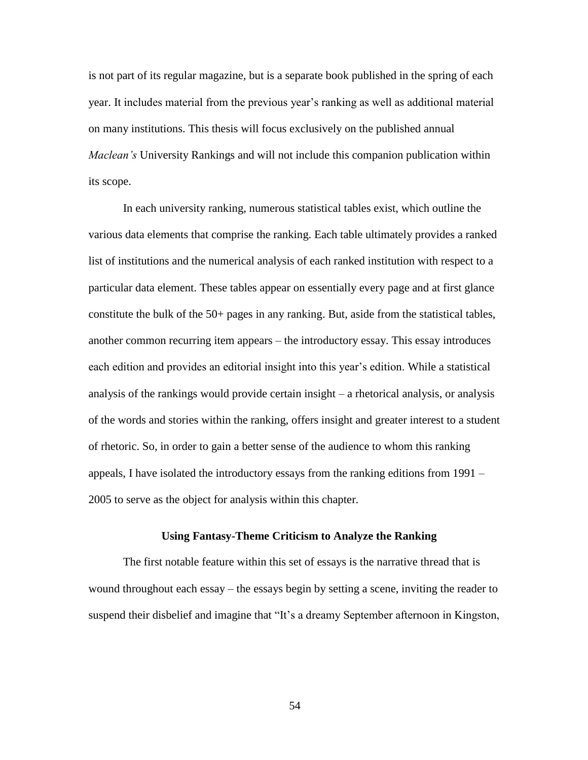is not part of its regular magazine, but is a separate book published in the spring of each year. It includes material from the previous year"s ranking as well as additional material on many institutions. This thesis will focus exclusively on the published annual *Maclean's* University Rankings and will not include this companion publication within its scope.

In each university ranking, numerous statistical tables exist, which outline the various data elements that comprise the ranking. Each table ultimately provides a ranked list of institutions and the numerical analysis of each ranked institution with respect to a particular data element. These tables appear on essentially every page and at first glance constitute the bulk of the 50+ pages in any ranking. But, aside from the statistical tables, another common recurring item appears – the introductory essay. This essay introduces each edition and provides an editorial insight into this year"s edition. While a statistical analysis of the rankings would provide certain insight – a rhetorical analysis, or analysis of the words and stories within the ranking, offers insight and greater interest to a student of rhetoric. So, in order to gain a better sense of the audience to whom this ranking appeals, I have isolated the introductory essays from the ranking editions from 1991 – 2005 to serve as the object for analysis within this chapter.

## **Using Fantasy-Theme Criticism to Analyze the Ranking**

The first notable feature within this set of essays is the narrative thread that is wound throughout each essay – the essays begin by setting a scene, inviting the reader to suspend their disbelief and imagine that "It's a dreamy September afternoon in Kingston,

54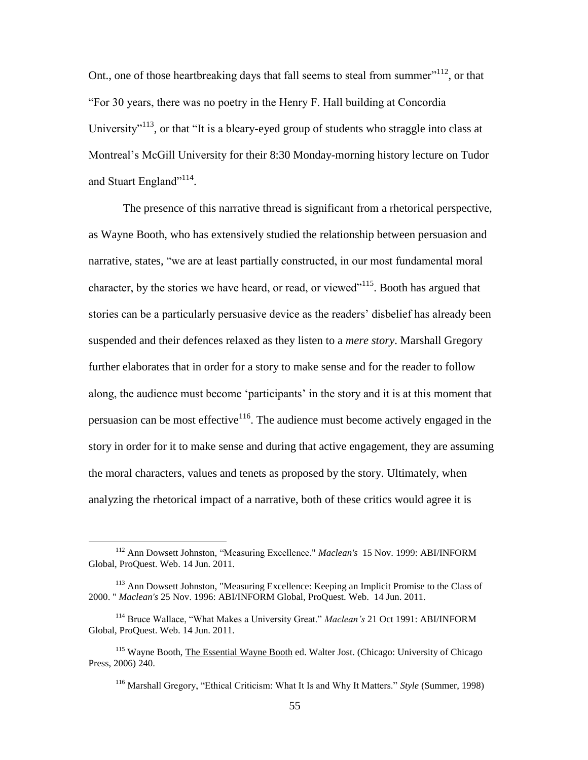Ont., one of those heartbreaking days that fall seems to steal from summer $112$ , or that "For 30 years, there was no poetry in the Henry F. Hall building at Concordia University"<sup>113</sup>, or that "It is a bleary-eyed group of students who straggle into class at Montreal"s McGill University for their 8:30 Monday-morning history lecture on Tudor and Stuart England"<sup>114</sup>.

The presence of this narrative thread is significant from a rhetorical perspective, as Wayne Booth, who has extensively studied the relationship between persuasion and narrative, states, "we are at least partially constructed, in our most fundamental moral character, by the stories we have heard, or read, or viewed $^{\prime\prime}$ <sup>115</sup>. Booth has argued that stories can be a particularly persuasive device as the readers" disbelief has already been suspended and their defences relaxed as they listen to a *mere story*. Marshall Gregory further elaborates that in order for a story to make sense and for the reader to follow along, the audience must become "participants" in the story and it is at this moment that persuasion can be most effective  $1^{16}$ . The audience must become actively engaged in the story in order for it to make sense and during that active engagement, they are assuming the moral characters, values and tenets as proposed by the story. Ultimately, when analyzing the rhetorical impact of a narrative, both of these critics would agree it is

<sup>112</sup> Ann Dowsett Johnston, "Measuring Excellence." *Maclean's* 15 Nov. 1999: ABI/INFORM Global, ProQuest. Web. 14 Jun. 2011.

<sup>113</sup> Ann Dowsett Johnston, "Measuring Excellence: Keeping an Implicit Promise to the Class of 2000. " *Maclean's* 25 Nov. 1996: ABI/INFORM Global, ProQuest. Web. 14 Jun. 2011.

<sup>114</sup> Bruce Wallace, "What Makes a University Great." *Maclean's* 21 Oct 1991: ABI/INFORM Global, ProQuest. Web. 14 Jun. 2011.

<sup>115</sup> Wayne Booth, The Essential Wayne Booth ed. Walter Jost. (Chicago: University of Chicago Press, 2006) 240.

<sup>116</sup> Marshall Gregory, "Ethical Criticism: What It Is and Why It Matters." *Style* (Summer, 1998)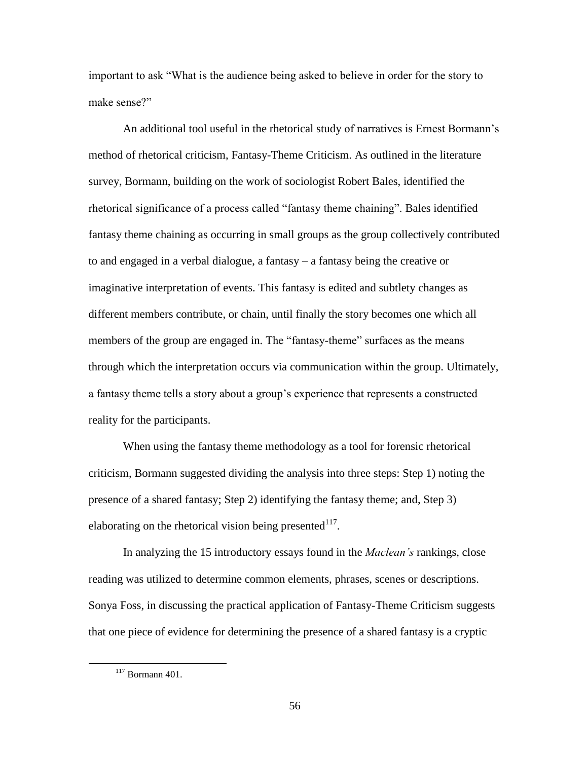important to ask "What is the audience being asked to believe in order for the story to make sense?"

An additional tool useful in the rhetorical study of narratives is Ernest Bormann"s method of rhetorical criticism, Fantasy-Theme Criticism. As outlined in the literature survey, Bormann, building on the work of sociologist Robert Bales, identified the rhetorical significance of a process called "fantasy theme chaining". Bales identified fantasy theme chaining as occurring in small groups as the group collectively contributed to and engaged in a verbal dialogue, a fantasy – a fantasy being the creative or imaginative interpretation of events. This fantasy is edited and subtlety changes as different members contribute, or chain, until finally the story becomes one which all members of the group are engaged in. The "fantasy-theme" surfaces as the means through which the interpretation occurs via communication within the group. Ultimately, a fantasy theme tells a story about a group's experience that represents a constructed reality for the participants.

When using the fantasy theme methodology as a tool for forensic rhetorical criticism, Bormann suggested dividing the analysis into three steps: Step 1) noting the presence of a shared fantasy; Step 2) identifying the fantasy theme; and, Step 3) elaborating on the rhetorical vision being presented $^{117}$ .

In analyzing the 15 introductory essays found in the *Maclean's* rankings, close reading was utilized to determine common elements, phrases, scenes or descriptions. Sonya Foss, in discussing the practical application of Fantasy-Theme Criticism suggests that one piece of evidence for determining the presence of a shared fantasy is a cryptic

<sup>117</sup> Bormann 401.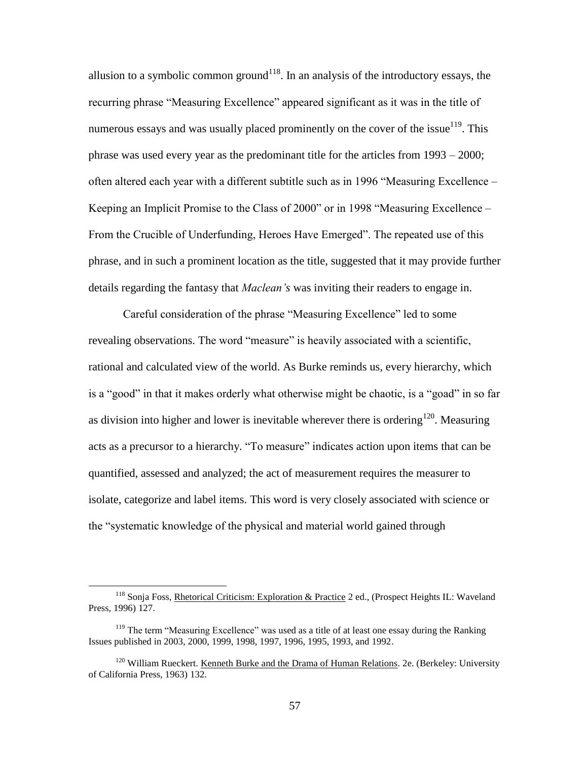allusion to a symbolic common ground<sup>118</sup>. In an analysis of the introductory essays, the recurring phrase "Measuring Excellence" appeared significant as it was in the title of numerous essays and was usually placed prominently on the cover of the issue<sup>119</sup>. This phrase was used every year as the predominant title for the articles from 1993 – 2000; often altered each year with a different subtitle such as in 1996 "Measuring Excellence – Keeping an Implicit Promise to the Class of 2000" or in 1998 "Measuring Excellence – From the Crucible of Underfunding, Heroes Have Emerged". The repeated use of this phrase, and in such a prominent location as the title, suggested that it may provide further details regarding the fantasy that *Maclean's* was inviting their readers to engage in.

Careful consideration of the phrase "Measuring Excellence" led to some revealing observations. The word "measure" is heavily associated with a scientific, rational and calculated view of the world. As Burke reminds us, every hierarchy, which is a "good" in that it makes orderly what otherwise might be chaotic, is a "goad" in so far as division into higher and lower is inevitable wherever there is ordering<sup>120</sup>. Measuring acts as a precursor to a hierarchy. "To measure" indicates action upon items that can be quantified, assessed and analyzed; the act of measurement requires the measurer to isolate, categorize and label items. This word is very closely associated with science or the "systematic knowledge of the physical and material world gained through

<sup>&</sup>lt;sup>118</sup> Sonja Foss, Rhetorical Criticism: Exploration & Practice 2 ed., (Prospect Heights IL: Waveland Press, 1996) 127.

<sup>&</sup>lt;sup>119</sup> The term "Measuring Excellence" was used as a title of at least one essay during the Ranking Issues published in 2003, 2000, 1999, 1998, 1997, 1996, 1995, 1993, and 1992.

<sup>&</sup>lt;sup>120</sup> William Rueckert. Kenneth Burke and the Drama of Human Relations. 2e. (Berkeley: University of California Press, 1963) 132.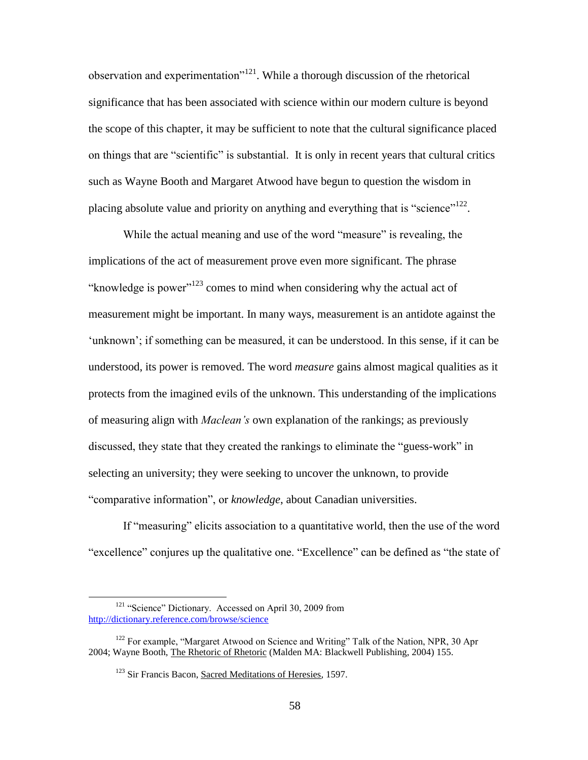observation and experimentation"<sup>121</sup>. While a thorough discussion of the rhetorical significance that has been associated with science within our modern culture is beyond the scope of this chapter, it may be sufficient to note that the cultural significance placed on things that are "scientific" is substantial. It is only in recent years that cultural critics such as Wayne Booth and Margaret Atwood have begun to question the wisdom in placing absolute value and priority on anything and everything that is "science"<sup>122</sup>.

While the actual meaning and use of the word "measure" is revealing, the implications of the act of measurement prove even more significant. The phrase "knowledge is power"<sup>123</sup> comes to mind when considering why the actual act of measurement might be important. In many ways, measurement is an antidote against the 'unknown'; if something can be measured, it can be understood. In this sense, if it can be understood, its power is removed. The word *measure* gains almost magical qualities as it protects from the imagined evils of the unknown. This understanding of the implications of measuring align with *Maclean's* own explanation of the rankings; as previously discussed, they state that they created the rankings to eliminate the "guess-work" in selecting an university; they were seeking to uncover the unknown, to provide "comparative information", or *knowledge*, about Canadian universities.

If "measuring" elicits association to a quantitative world, then the use of the word "excellence" conjures up the qualitative one. "Excellence" can be defined as "the state of

<sup>&</sup>lt;sup>121</sup> "Science" Dictionary. Accessed on April 30, 2009 from <http://dictionary.reference.com/browse/science>

<sup>&</sup>lt;sup>122</sup> For example, "Margaret Atwood on Science and Writing" Talk of the Nation, NPR, 30 Apr 2004; Wayne Booth, The Rhetoric of Rhetoric (Malden MA: Blackwell Publishing, 2004) 155.

<sup>&</sup>lt;sup>123</sup> Sir Francis Bacon, Sacred Meditations of Heresies, 1597.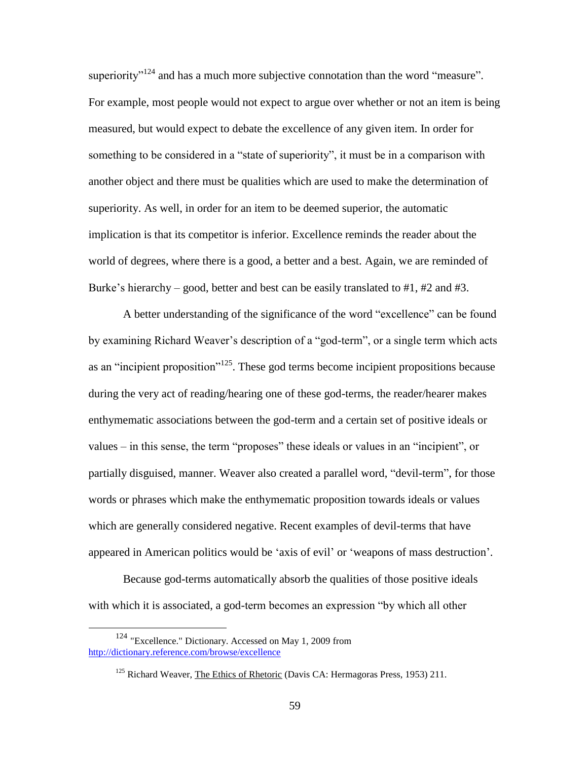superiority $v^{124}$  and has a much more subjective connotation than the word "measure". For example, most people would not expect to argue over whether or not an item is being measured, but would expect to debate the excellence of any given item. In order for something to be considered in a "state of superiority", it must be in a comparison with another object and there must be qualities which are used to make the determination of superiority. As well, in order for an item to be deemed superior, the automatic implication is that its competitor is inferior. Excellence reminds the reader about the world of degrees, where there is a good, a better and a best. Again, we are reminded of Burke's hierarchy – good, better and best can be easily translated to  $\#1$ ,  $\#2$  and  $\#3$ .

A better understanding of the significance of the word "excellence" can be found by examining Richard Weaver"s description of a "god-term", or a single term which acts as an "incipient proposition"<sup>125</sup>. These god terms become incipient propositions because during the very act of reading/hearing one of these god-terms, the reader/hearer makes enthymematic associations between the god-term and a certain set of positive ideals or values – in this sense, the term "proposes" these ideals or values in an "incipient", or partially disguised, manner. Weaver also created a parallel word, "devil-term", for those words or phrases which make the enthymematic proposition towards ideals or values which are generally considered negative. Recent examples of devil-terms that have appeared in American politics would be "axis of evil" or "weapons of mass destruction".

Because god-terms automatically absorb the qualities of those positive ideals with which it is associated, a god-term becomes an expression "by which all other

<sup>124</sup> "Excellence." Dictionary. Accessed on May 1, 2009 from <http://dictionary.reference.com/browse/excellence>

 $125$  Richard Weaver, The Ethics of Rhetoric (Davis CA: Hermagoras Press, 1953) 211.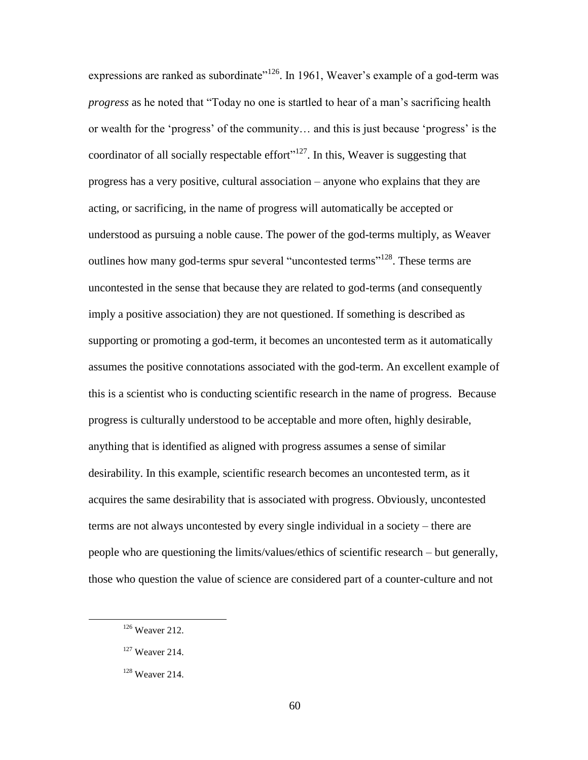expressions are ranked as subordinate<sup> $126$ </sup>. In 1961, Weaver's example of a god-term was *progress* as he noted that "Today no one is startled to hear of a man"s sacrificing health or wealth for the "progress" of the community… and this is just because "progress" is the coordinator of all socially respectable effort $v^{127}$ . In this, Weaver is suggesting that progress has a very positive, cultural association – anyone who explains that they are acting, or sacrificing, in the name of progress will automatically be accepted or understood as pursuing a noble cause. The power of the god-terms multiply, as Weaver outlines how many god-terms spur several "uncontested terms"<sup>128</sup>. These terms are uncontested in the sense that because they are related to god-terms (and consequently imply a positive association) they are not questioned. If something is described as supporting or promoting a god-term, it becomes an uncontested term as it automatically assumes the positive connotations associated with the god-term. An excellent example of this is a scientist who is conducting scientific research in the name of progress. Because progress is culturally understood to be acceptable and more often, highly desirable, anything that is identified as aligned with progress assumes a sense of similar desirability. In this example, scientific research becomes an uncontested term, as it acquires the same desirability that is associated with progress. Obviously, uncontested terms are not always uncontested by every single individual in a society – there are people who are questioning the limits/values/ethics of scientific research – but generally, those who question the value of science are considered part of a counter-culture and not

<sup>&</sup>lt;sup>126</sup> Weaver 212.

<sup>127</sup> Weaver 214.

<sup>128</sup> Weaver 214.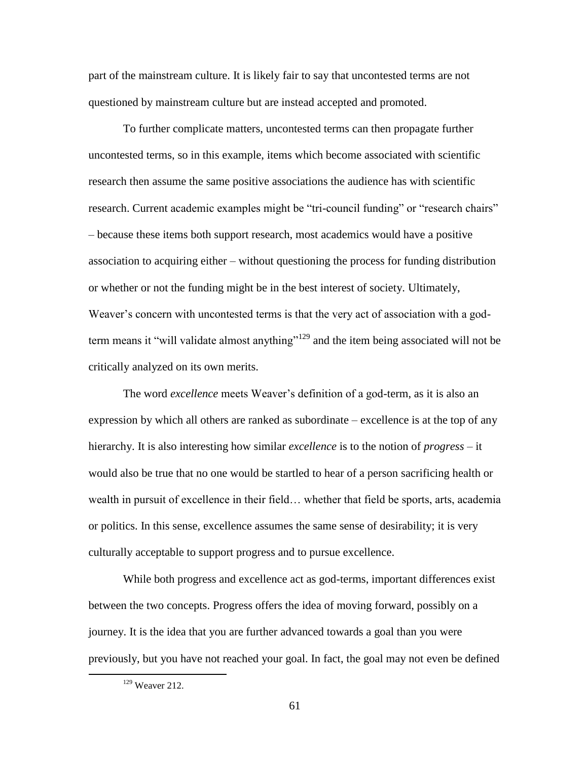part of the mainstream culture. It is likely fair to say that uncontested terms are not questioned by mainstream culture but are instead accepted and promoted.

To further complicate matters, uncontested terms can then propagate further uncontested terms, so in this example, items which become associated with scientific research then assume the same positive associations the audience has with scientific research. Current academic examples might be "tri-council funding" or "research chairs" – because these items both support research, most academics would have a positive association to acquiring either – without questioning the process for funding distribution or whether or not the funding might be in the best interest of society. Ultimately, Weaver"s concern with uncontested terms is that the very act of association with a godterm means it "will validate almost anything"<sup>129</sup> and the item being associated will not be critically analyzed on its own merits.

The word *excellence* meets Weaver's definition of a god-term, as it is also an expression by which all others are ranked as subordinate – excellence is at the top of any hierarchy. It is also interesting how similar *excellence* is to the notion of *progress* – it would also be true that no one would be startled to hear of a person sacrificing health or wealth in pursuit of excellence in their field… whether that field be sports, arts, academia or politics. In this sense, excellence assumes the same sense of desirability; it is very culturally acceptable to support progress and to pursue excellence.

While both progress and excellence act as god-terms, important differences exist between the two concepts. Progress offers the idea of moving forward, possibly on a journey. It is the idea that you are further advanced towards a goal than you were previously, but you have not reached your goal. In fact, the goal may not even be defined

<sup>129</sup> Weaver 212.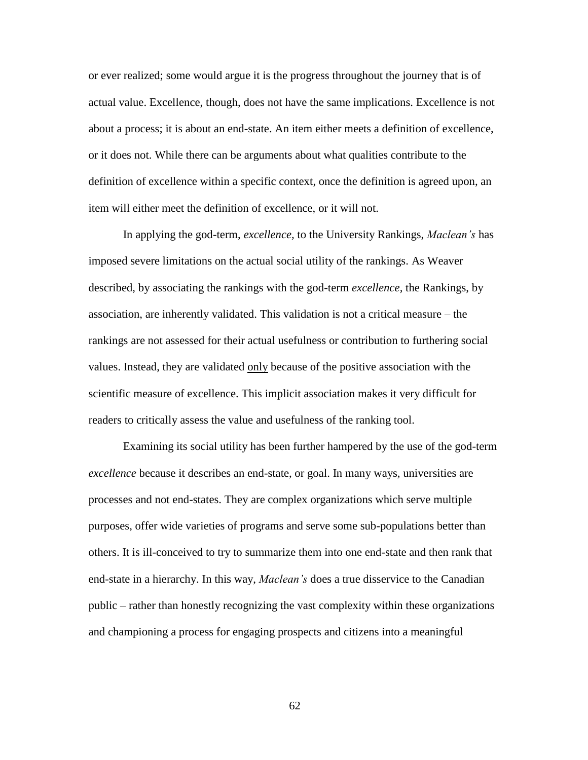or ever realized; some would argue it is the progress throughout the journey that is of actual value. Excellence, though, does not have the same implications. Excellence is not about a process; it is about an end-state. An item either meets a definition of excellence, or it does not. While there can be arguments about what qualities contribute to the definition of excellence within a specific context, once the definition is agreed upon, an item will either meet the definition of excellence, or it will not.

In applying the god-term, *excellence,* to the University Rankings, *Maclean's* has imposed severe limitations on the actual social utility of the rankings. As Weaver described, by associating the rankings with the god-term *excellence,* the Rankings, by association, are inherently validated. This validation is not a critical measure – the rankings are not assessed for their actual usefulness or contribution to furthering social values. Instead, they are validated only because of the positive association with the scientific measure of excellence. This implicit association makes it very difficult for readers to critically assess the value and usefulness of the ranking tool.

Examining its social utility has been further hampered by the use of the god-term *excellence* because it describes an end-state, or goal. In many ways, universities are processes and not end-states. They are complex organizations which serve multiple purposes, offer wide varieties of programs and serve some sub-populations better than others. It is ill-conceived to try to summarize them into one end-state and then rank that end-state in a hierarchy. In this way, *Maclean's* does a true disservice to the Canadian public – rather than honestly recognizing the vast complexity within these organizations and championing a process for engaging prospects and citizens into a meaningful

62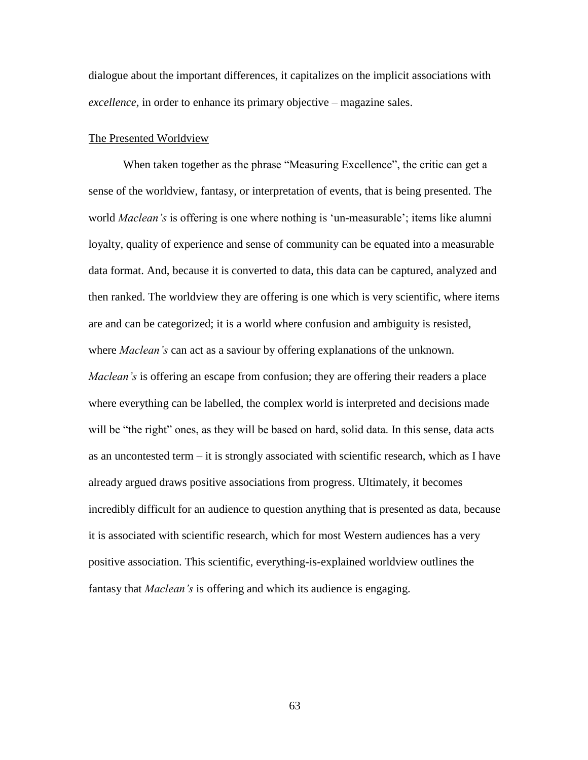dialogue about the important differences, it capitalizes on the implicit associations with *excellence,* in order to enhance its primary objective – magazine sales.

#### The Presented Worldview

When taken together as the phrase "Measuring Excellence", the critic can get a sense of the worldview, fantasy, or interpretation of events, that is being presented. The world *Maclean's* is offering is one where nothing is "un-measurable"; items like alumni loyalty, quality of experience and sense of community can be equated into a measurable data format. And, because it is converted to data, this data can be captured, analyzed and then ranked. The worldview they are offering is one which is very scientific, where items are and can be categorized; it is a world where confusion and ambiguity is resisted, where *Maclean's* can act as a saviour by offering explanations of the unknown. *Maclean's* is offering an escape from confusion; they are offering their readers a place where everything can be labelled, the complex world is interpreted and decisions made will be "the right" ones, as they will be based on hard, solid data. In this sense, data acts as an uncontested term – it is strongly associated with scientific research, which as I have already argued draws positive associations from progress. Ultimately, it becomes incredibly difficult for an audience to question anything that is presented as data, because it is associated with scientific research, which for most Western audiences has a very positive association. This scientific, everything-is-explained worldview outlines the fantasy that *Maclean's* is offering and which its audience is engaging.

63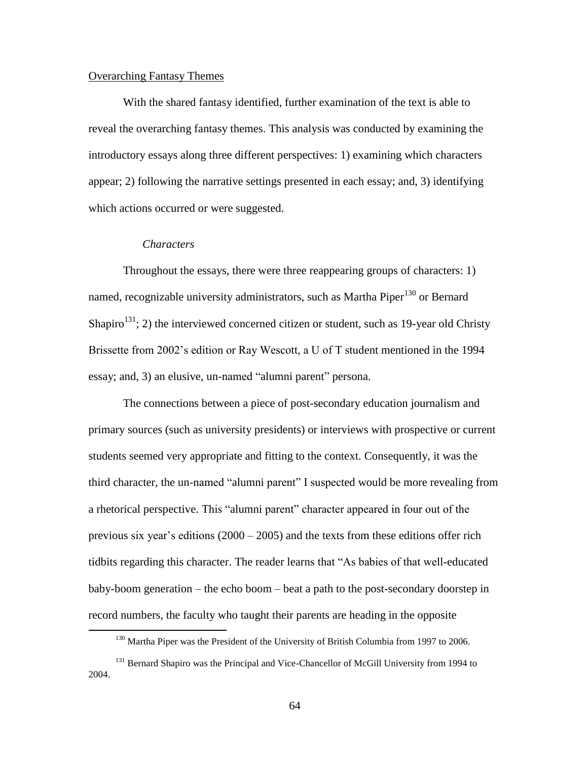## Overarching Fantasy Themes

With the shared fantasy identified, further examination of the text is able to reveal the overarching fantasy themes. This analysis was conducted by examining the introductory essays along three different perspectives: 1) examining which characters appear; 2) following the narrative settings presented in each essay; and, 3) identifying which actions occurred or were suggested.

### *Characters*

 $\overline{a}$ 

Throughout the essays, there were three reappearing groups of characters: 1) named, recognizable university administrators, such as Martha Piper $130$  or Bernard Shapiro<sup>131</sup>; 2) the interviewed concerned citizen or student, such as 19-year old Christy Brissette from 2002"s edition or Ray Wescott, a U of T student mentioned in the 1994 essay; and, 3) an elusive, un-named "alumni parent" persona.

The connections between a piece of post-secondary education journalism and primary sources (such as university presidents) or interviews with prospective or current students seemed very appropriate and fitting to the context. Consequently, it was the third character, the un-named "alumni parent" I suspected would be more revealing from a rhetorical perspective. This "alumni parent" character appeared in four out of the previous six year's editions  $(2000 - 2005)$  and the texts from these editions offer rich tidbits regarding this character. The reader learns that "As babies of that well-educated baby-boom generation – the echo boom – beat a path to the post-secondary doorstep in record numbers, the faculty who taught their parents are heading in the opposite

<sup>&</sup>lt;sup>130</sup> Martha Piper was the President of the University of British Columbia from 1997 to 2006.

<sup>&</sup>lt;sup>131</sup> Bernard Shapiro was the Principal and Vice-Chancellor of McGill University from 1994 to 2004.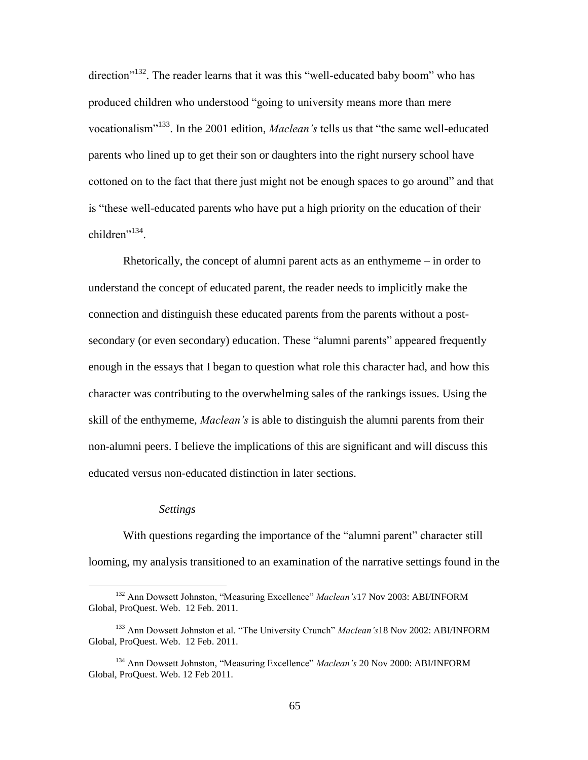direction"<sup>132</sup>. The reader learns that it was this "well-educated baby boom" who has produced children who understood "going to university means more than mere vocationalism<sup>"133</sup>. In the 2001 edition, *Maclean's* tells us that "the same well-educated parents who lined up to get their son or daughters into the right nursery school have cottoned on to the fact that there just might not be enough spaces to go around" and that is "these well-educated parents who have put a high priority on the education of their children"<sup>134</sup>.

Rhetorically, the concept of alumni parent acts as an enthymeme – in order to understand the concept of educated parent, the reader needs to implicitly make the connection and distinguish these educated parents from the parents without a postsecondary (or even secondary) education. These "alumni parents" appeared frequently enough in the essays that I began to question what role this character had, and how this character was contributing to the overwhelming sales of the rankings issues. Using the skill of the enthymeme, *Maclean's* is able to distinguish the alumni parents from their non-alumni peers. I believe the implications of this are significant and will discuss this educated versus non-educated distinction in later sections.

#### *Settings*

 $\overline{a}$ 

With questions regarding the importance of the "alumni parent" character still looming, my analysis transitioned to an examination of the narrative settings found in the

<sup>132</sup> Ann Dowsett Johnston, "Measuring Excellence" *Maclean's*17 Nov 2003: ABI/INFORM Global, ProQuest. Web. 12 Feb. 2011.

<sup>133</sup> Ann Dowsett Johnston et al. "The University Crunch" *Maclean's*18 Nov 2002: ABI/INFORM Global, ProQuest. Web. 12 Feb. 2011.

<sup>134</sup> Ann Dowsett Johnston, "Measuring Excellence" *Maclean's* 20 Nov 2000: ABI/INFORM Global, ProQuest. Web. 12 Feb 2011.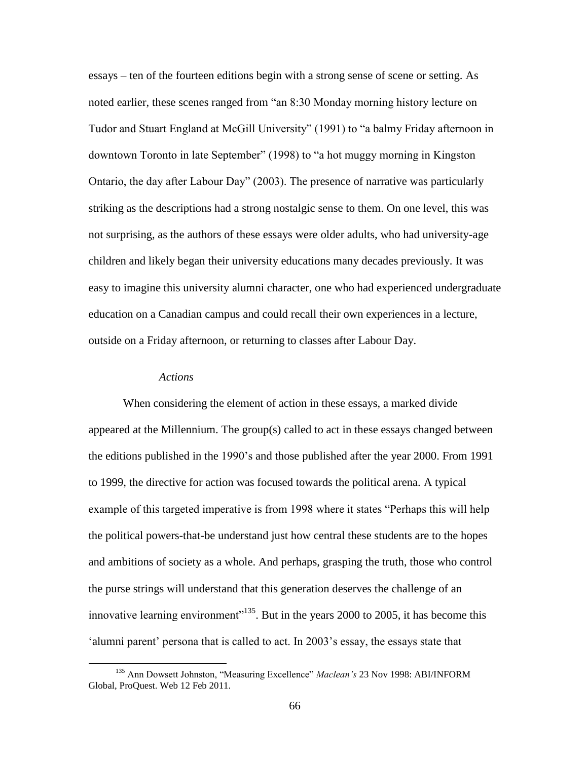essays – ten of the fourteen editions begin with a strong sense of scene or setting. As noted earlier, these scenes ranged from "an 8:30 Monday morning history lecture on Tudor and Stuart England at McGill University" (1991) to "a balmy Friday afternoon in downtown Toronto in late September" (1998) to "a hot muggy morning in Kingston Ontario, the day after Labour Day" (2003). The presence of narrative was particularly striking as the descriptions had a strong nostalgic sense to them. On one level, this was not surprising, as the authors of these essays were older adults, who had university-age children and likely began their university educations many decades previously. It was easy to imagine this university alumni character, one who had experienced undergraduate education on a Canadian campus and could recall their own experiences in a lecture, outside on a Friday afternoon, or returning to classes after Labour Day.

### *Actions*

 $\overline{a}$ 

When considering the element of action in these essays, a marked divide appeared at the Millennium. The group(s) called to act in these essays changed between the editions published in the 1990"s and those published after the year 2000. From 1991 to 1999, the directive for action was focused towards the political arena. A typical example of this targeted imperative is from 1998 where it states "Perhaps this will help the political powers-that-be understand just how central these students are to the hopes and ambitions of society as a whole. And perhaps, grasping the truth, those who control the purse strings will understand that this generation deserves the challenge of an innovative learning environment"<sup>135</sup>. But in the years 2000 to 2005, it has become this 'alumni parent' persona that is called to act. In 2003's essay, the essays state that

<sup>135</sup> Ann Dowsett Johnston, "Measuring Excellence" *Maclean's* 23 Nov 1998: ABI/INFORM Global, ProQuest. Web 12 Feb 2011.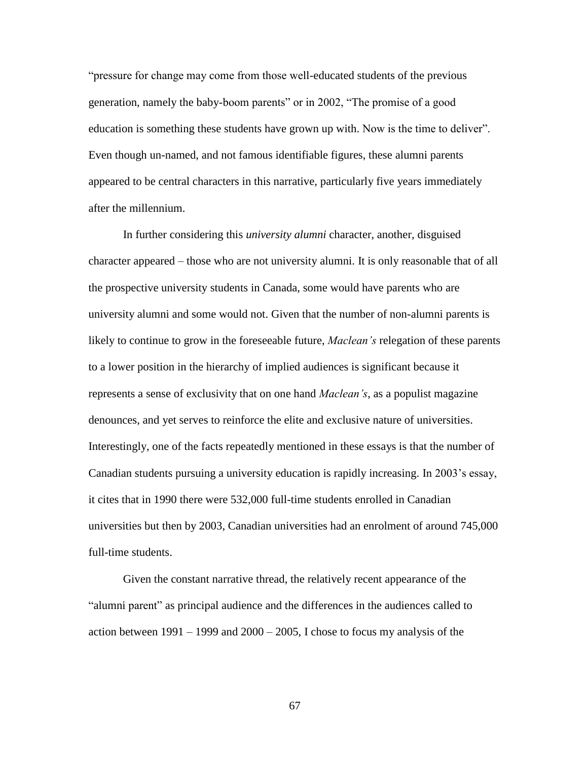"pressure for change may come from those well-educated students of the previous generation, namely the baby-boom parents" or in 2002, "The promise of a good education is something these students have grown up with. Now is the time to deliver". Even though un-named, and not famous identifiable figures, these alumni parents appeared to be central characters in this narrative, particularly five years immediately after the millennium.

In further considering this *university alumni* character, another, disguised character appeared – those who are not university alumni. It is only reasonable that of all the prospective university students in Canada, some would have parents who are university alumni and some would not. Given that the number of non-alumni parents is likely to continue to grow in the foreseeable future, *Maclean's* relegation of these parents to a lower position in the hierarchy of implied audiences is significant because it represents a sense of exclusivity that on one hand *Maclean's*, as a populist magazine denounces, and yet serves to reinforce the elite and exclusive nature of universities. Interestingly, one of the facts repeatedly mentioned in these essays is that the number of Canadian students pursuing a university education is rapidly increasing. In 2003"s essay, it cites that in 1990 there were 532,000 full-time students enrolled in Canadian universities but then by 2003, Canadian universities had an enrolment of around 745,000 full-time students.

Given the constant narrative thread, the relatively recent appearance of the "alumni parent" as principal audience and the differences in the audiences called to action between  $1991 - 1999$  and  $2000 - 2005$ , I chose to focus my analysis of the

67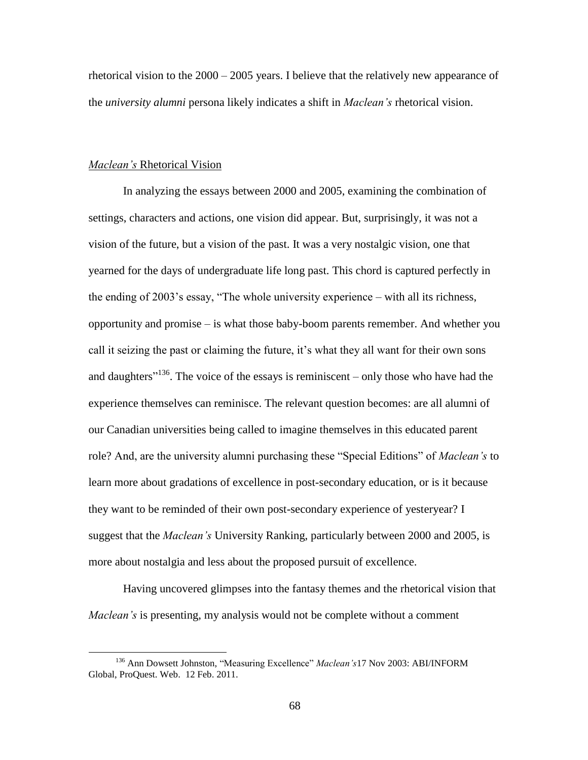rhetorical vision to the 2000 – 2005 years. I believe that the relatively new appearance of the *university alumni* persona likely indicates a shift in *Maclean's* rhetorical vision.

### *Maclean's* Rhetorical Vision

 $\overline{a}$ 

In analyzing the essays between 2000 and 2005, examining the combination of settings, characters and actions, one vision did appear. But, surprisingly, it was not a vision of the future, but a vision of the past. It was a very nostalgic vision, one that yearned for the days of undergraduate life long past. This chord is captured perfectly in the ending of 2003's essay, "The whole university experience – with all its richness, opportunity and promise – is what those baby-boom parents remember. And whether you call it seizing the past or claiming the future, it's what they all want for their own sons and daughters<sup> $136$ </sup>. The voice of the essays is reminiscent – only those who have had the experience themselves can reminisce. The relevant question becomes: are all alumni of our Canadian universities being called to imagine themselves in this educated parent role? And, are the university alumni purchasing these "Special Editions" of *Maclean's* to learn more about gradations of excellence in post-secondary education, or is it because they want to be reminded of their own post-secondary experience of yesteryear? I suggest that the *Maclean's* University Ranking, particularly between 2000 and 2005, is more about nostalgia and less about the proposed pursuit of excellence.

Having uncovered glimpses into the fantasy themes and the rhetorical vision that *Maclean's* is presenting, my analysis would not be complete without a comment

<sup>136</sup> Ann Dowsett Johnston, "Measuring Excellence" *Maclean's*17 Nov 2003: ABI/INFORM Global, ProQuest. Web. 12 Feb. 2011.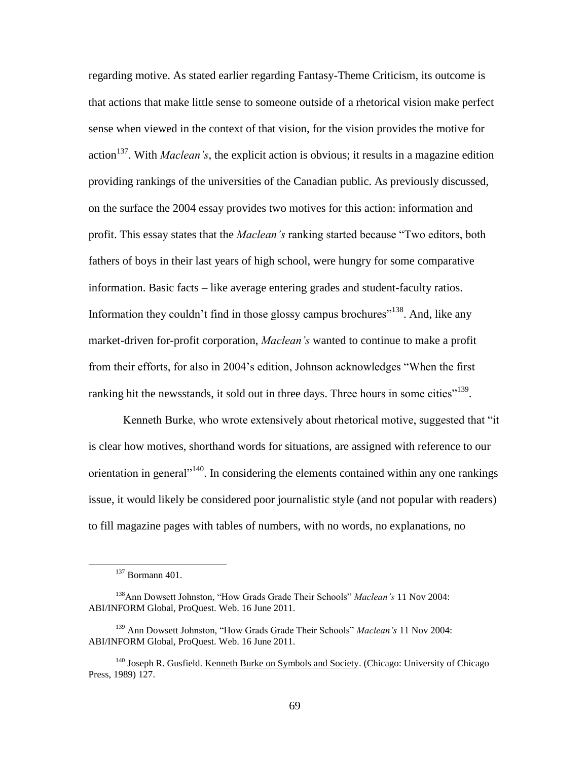regarding motive. As stated earlier regarding Fantasy-Theme Criticism, its outcome is that actions that make little sense to someone outside of a rhetorical vision make perfect sense when viewed in the context of that vision, for the vision provides the motive for action<sup>137</sup>. With *Maclean's*, the explicit action is obvious; it results in a magazine edition providing rankings of the universities of the Canadian public. As previously discussed, on the surface the 2004 essay provides two motives for this action: information and profit. This essay states that the *Maclean's* ranking started because "Two editors, both fathers of boys in their last years of high school, were hungry for some comparative information. Basic facts – like average entering grades and student-faculty ratios. Information they couldn't find in those glossy campus brochures"<sup>138</sup>. And, like any market-driven for-profit corporation, *Maclean's* wanted to continue to make a profit from their efforts, for also in 2004"s edition, Johnson acknowledges "When the first ranking hit the newsstands, it sold out in three days. Three hours in some cities"<sup>139</sup>.

Kenneth Burke, who wrote extensively about rhetorical motive, suggested that "it is clear how motives, shorthand words for situations, are assigned with reference to our orientation in general<sup> $n+140$ </sup>. In considering the elements contained within any one rankings issue, it would likely be considered poor journalistic style (and not popular with readers) to fill magazine pages with tables of numbers, with no words, no explanations, no

<sup>137</sup> Bormann 401.

<sup>138</sup>Ann Dowsett Johnston, "How Grads Grade Their Schools" *Maclean's* 11 Nov 2004: ABI/INFORM Global, ProQuest. Web. 16 June 2011.

<sup>139</sup> Ann Dowsett Johnston, "How Grads Grade Their Schools" *Maclean's* 11 Nov 2004: ABI/INFORM Global, ProQuest. Web. 16 June 2011.

<sup>140</sup> Joseph R. Gusfield. Kenneth Burke on Symbols and Society. (Chicago: University of Chicago Press, 1989) 127.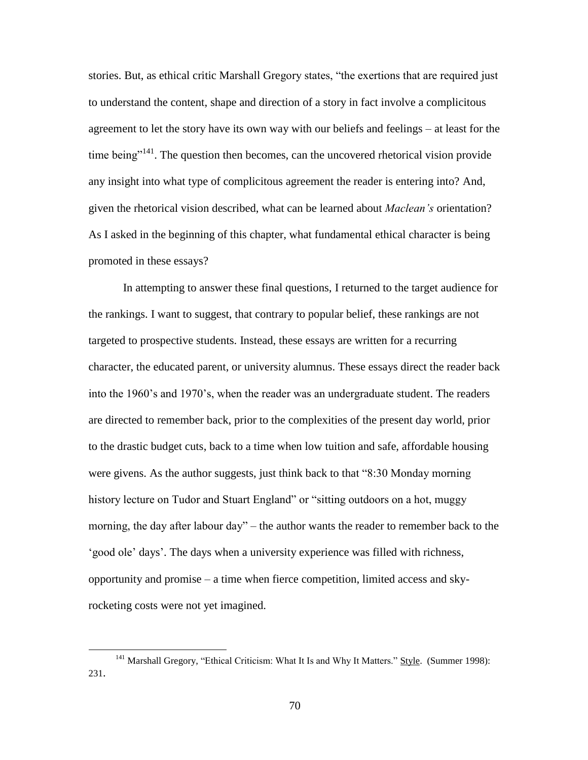stories. But, as ethical critic Marshall Gregory states, "the exertions that are required just to understand the content, shape and direction of a story in fact involve a complicitous agreement to let the story have its own way with our beliefs and feelings – at least for the time being $"^{141}$ . The question then becomes, can the uncovered rhetorical vision provide any insight into what type of complicitous agreement the reader is entering into? And, given the rhetorical vision described, what can be learned about *Maclean's* orientation? As I asked in the beginning of this chapter, what fundamental ethical character is being promoted in these essays?

In attempting to answer these final questions, I returned to the target audience for the rankings. I want to suggest, that contrary to popular belief, these rankings are not targeted to prospective students. Instead, these essays are written for a recurring character, the educated parent, or university alumnus. These essays direct the reader back into the 1960"s and 1970"s, when the reader was an undergraduate student. The readers are directed to remember back, prior to the complexities of the present day world, prior to the drastic budget cuts, back to a time when low tuition and safe, affordable housing were givens. As the author suggests, just think back to that "8:30 Monday morning history lecture on Tudor and Stuart England" or "sitting outdoors on a hot, muggy morning, the day after labour day" – the author wants the reader to remember back to the "good ole" days". The days when a university experience was filled with richness, opportunity and promise – a time when fierce competition, limited access and skyrocketing costs were not yet imagined.

<sup>&</sup>lt;sup>141</sup> Marshall Gregory, "Ethical Criticism: What It Is and Why It Matters." Style. (Summer 1998): 231.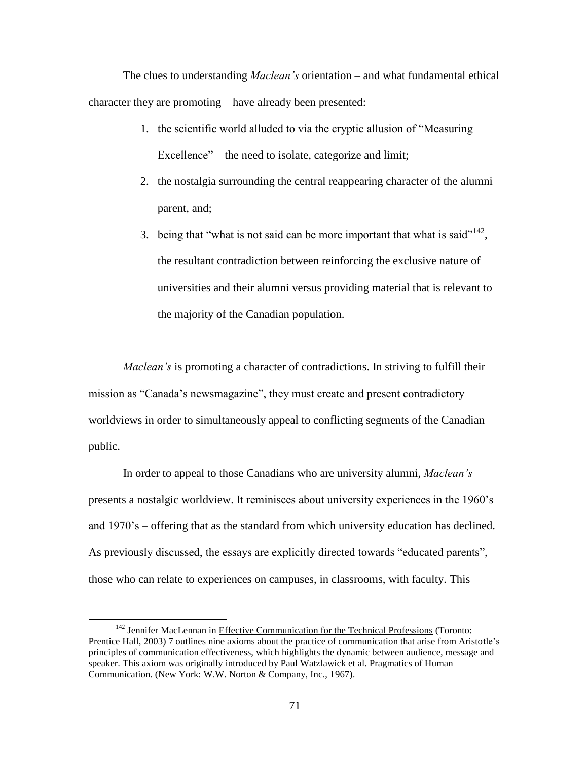The clues to understanding *Maclean's* orientation – and what fundamental ethical character they are promoting – have already been presented:

- 1. the scientific world alluded to via the cryptic allusion of "Measuring Excellence" – the need to isolate, categorize and limit;
- 2. the nostalgia surrounding the central reappearing character of the alumni parent, and;
- 3. being that "what is not said can be more important that what is said"<sup>142</sup>, the resultant contradiction between reinforcing the exclusive nature of universities and their alumni versus providing material that is relevant to the majority of the Canadian population.

*Maclean's* is promoting a character of contradictions. In striving to fulfill their mission as "Canada"s newsmagazine", they must create and present contradictory worldviews in order to simultaneously appeal to conflicting segments of the Canadian public.

In order to appeal to those Canadians who are university alumni, *Maclean's*  presents a nostalgic worldview. It reminisces about university experiences in the 1960"s and 1970"s – offering that as the standard from which university education has declined. As previously discussed, the essays are explicitly directed towards "educated parents", those who can relate to experiences on campuses, in classrooms, with faculty. This

<sup>&</sup>lt;sup>142</sup> Jennifer MacLennan in Effective Communication for the Technical Professions (Toronto: Prentice Hall, 2003) 7 outlines nine axioms about the practice of communication that arise from Aristotle"s principles of communication effectiveness, which highlights the dynamic between audience, message and speaker. This axiom was originally introduced by Paul Watzlawick et al. Pragmatics of Human Communication. (New York: W.W. Norton & Company, Inc., 1967).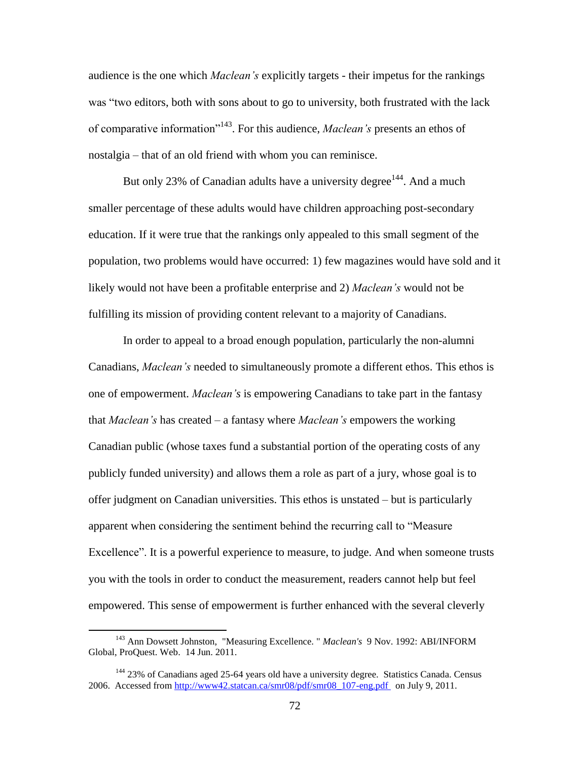audience is the one which *Maclean's* explicitly targets - their impetus for the rankings was "two editors, both with sons about to go to university, both frustrated with the lack of comparative information<sup>"143</sup>. For this audience, *Maclean's* presents an ethos of nostalgia – that of an old friend with whom you can reminisce.

But only 23% of Canadian adults have a university degree<sup>144</sup>. And a much smaller percentage of these adults would have children approaching post-secondary education. If it were true that the rankings only appealed to this small segment of the population, two problems would have occurred: 1) few magazines would have sold and it likely would not have been a profitable enterprise and 2) *Maclean's* would not be fulfilling its mission of providing content relevant to a majority of Canadians.

In order to appeal to a broad enough population, particularly the non-alumni Canadians, *Maclean's* needed to simultaneously promote a different ethos. This ethos is one of empowerment. *Maclean's* is empowering Canadians to take part in the fantasy that *Maclean's* has created – a fantasy where *Maclean's* empowers the working Canadian public (whose taxes fund a substantial portion of the operating costs of any publicly funded university) and allows them a role as part of a jury, whose goal is to offer judgment on Canadian universities. This ethos is unstated – but is particularly apparent when considering the sentiment behind the recurring call to "Measure Excellence". It is a powerful experience to measure, to judge. And when someone trusts you with the tools in order to conduct the measurement, readers cannot help but feel empowered. This sense of empowerment is further enhanced with the several cleverly

<sup>143</sup> Ann Dowsett Johnston, "Measuring Excellence. " *Maclean's* 9 Nov. 1992: ABI/INFORM Global, ProQuest. Web. 14 Jun. 2011.

 $144$  23% of Canadians aged 25-64 years old have a university degree. Statistics Canada. Census 2006. Accessed from [http://www42.statcan.ca/smr08/pdf/smr08\\_107-eng.pdf](http://www42.statcan.ca/smr08/pdf/smr08_107-eng.pdf) on July 9, 2011.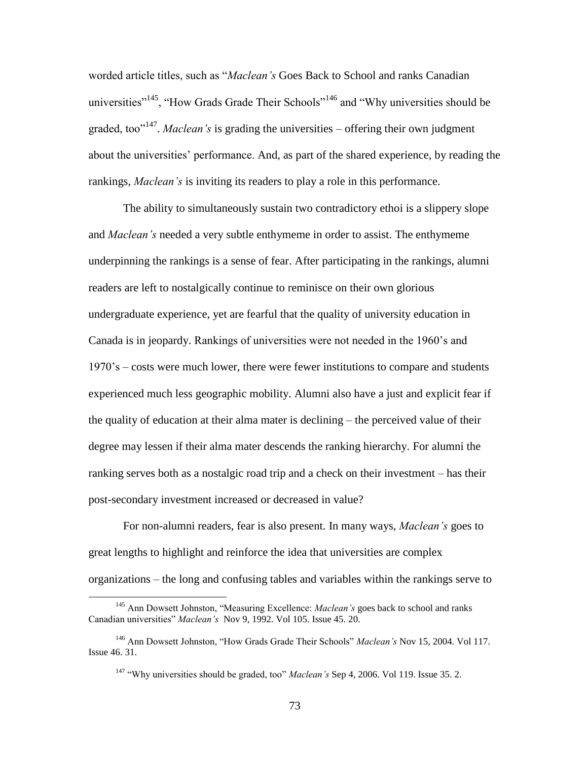worded article titles, such as "*Maclean's* Goes Back to School and ranks Canadian universities"<sup>145</sup>, "How Grads Grade Their Schools"<sup>146</sup> and "Why universities should be graded, too<sup>"147</sup>. *Maclean's* is grading the universities – offering their own judgment about the universities" performance. And, as part of the shared experience, by reading the rankings, *Maclean's* is inviting its readers to play a role in this performance.

The ability to simultaneously sustain two contradictory ethoi is a slippery slope and *Maclean's* needed a very subtle enthymeme in order to assist. The enthymeme underpinning the rankings is a sense of fear. After participating in the rankings, alumni readers are left to nostalgically continue to reminisce on their own glorious undergraduate experience, yet are fearful that the quality of university education in Canada is in jeopardy. Rankings of universities were not needed in the 1960"s and 1970"s – costs were much lower, there were fewer institutions to compare and students experienced much less geographic mobility. Alumni also have a just and explicit fear if the quality of education at their alma mater is declining – the perceived value of their degree may lessen if their alma mater descends the ranking hierarchy. For alumni the ranking serves both as a nostalgic road trip and a check on their investment – has their post-secondary investment increased or decreased in value?

For non-alumni readers, fear is also present. In many ways, *Maclean's* goes to great lengths to highlight and reinforce the idea that universities are complex organizations – the long and confusing tables and variables within the rankings serve to

<sup>145</sup> Ann Dowsett Johnston, "Measuring Excellence: *Maclean's* goes back to school and ranks Canadian universities" *Maclean's* Nov 9, 1992. Vol 105. Issue 45. 20.

<sup>146</sup> Ann Dowsett Johnston, "How Grads Grade Their Schools" *Maclean's* Nov 15, 2004. Vol 117. Issue 46. 31.

<sup>147</sup> "Why universities should be graded, too" *Maclean's* Sep 4, 2006. Vol 119. Issue 35. 2.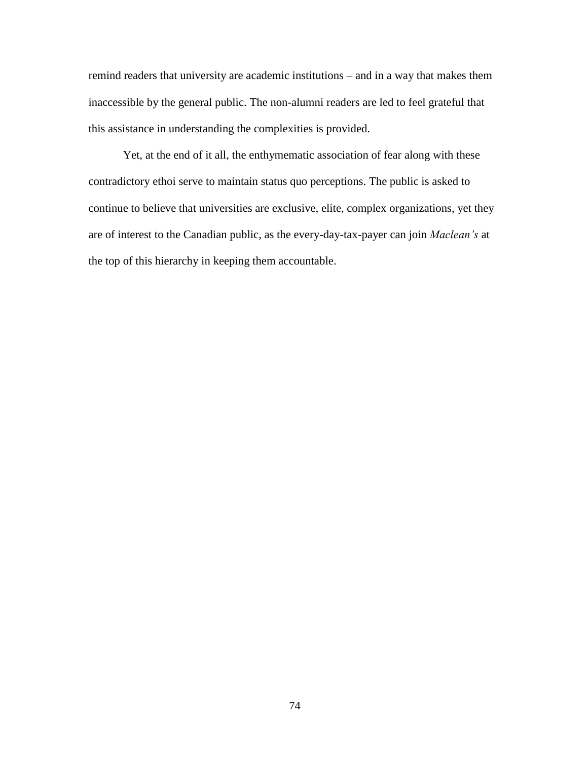remind readers that university are academic institutions – and in a way that makes them inaccessible by the general public. The non-alumni readers are led to feel grateful that this assistance in understanding the complexities is provided.

Yet, at the end of it all, the enthymematic association of fear along with these contradictory ethoi serve to maintain status quo perceptions. The public is asked to continue to believe that universities are exclusive, elite, complex organizations, yet they are of interest to the Canadian public, as the every-day-tax-payer can join *Maclean's* at the top of this hierarchy in keeping them accountable.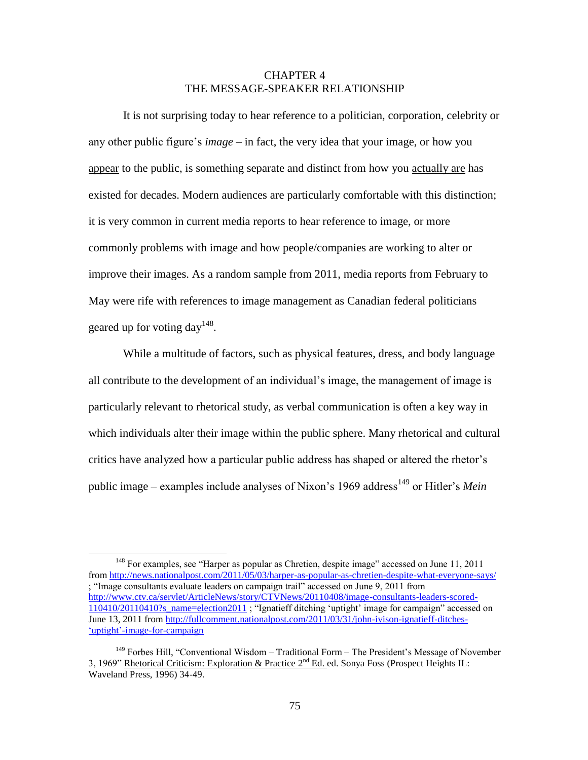# CHAPTER 4 THE MESSAGE-SPEAKER RELATIONSHIP

It is not surprising today to hear reference to a politician, corporation, celebrity or any other public figure"s *image* – in fact, the very idea that your image, or how you appear to the public, is something separate and distinct from how you actually are has existed for decades. Modern audiences are particularly comfortable with this distinction; it is very common in current media reports to hear reference to image, or more commonly problems with image and how people/companies are working to alter or improve their images. As a random sample from 2011, media reports from February to May were rife with references to image management as Canadian federal politicians geared up for voting day<sup>148</sup>.

While a multitude of factors, such as physical features, dress, and body language all contribute to the development of an individual"s image, the management of image is particularly relevant to rhetorical study, as verbal communication is often a key way in which individuals alter their image within the public sphere. Many rhetorical and cultural critics have analyzed how a particular public address has shaped or altered the rhetor"s public image – examples include analyses of Nixon's 1969 address<sup>149</sup> or Hitler's *Mein* 

<sup>&</sup>lt;sup>148</sup> For examples, see "Harper as popular as Chretien, despite image" accessed on June 11, 2011 from<http://news.nationalpost.com/2011/05/03/harper-as-popular-as-chretien-despite-what-everyone-says/> ; "Image consultants evaluate leaders on campaign trail" accessed on June 9, 2011 from [http://www.ctv.ca/servlet/ArticleNews/story/CTVNews/20110408/image-consultants-leaders-scored-](http://www.ctv.ca/servlet/ArticleNews/story/CTVNews/20110408/image-consultants-leaders-scored-110410/20110410?s_name=election2011)[110410/20110410?s\\_name=election2011](http://www.ctv.ca/servlet/ArticleNews/story/CTVNews/20110408/image-consultants-leaders-scored-110410/20110410?s_name=election2011) ; "Ignatieff ditching "uptight" image for campaign" accessed on June 13, 2011 from<http://fullcomment.nationalpost.com/2011/03/31/john-ivison-ignatieff-ditches-> 'uptight'-image-for-campaign

<sup>&</sup>lt;sup>149</sup> Forbes Hill, "Conventional Wisdom – Traditional Form – The President's Message of November 3, 1969" Rhetorical Criticism: Exploration & Practice 2<sup>nd</sup> Ed. ed. Sonya Foss (Prospect Heights IL: Waveland Press, 1996) 34-49.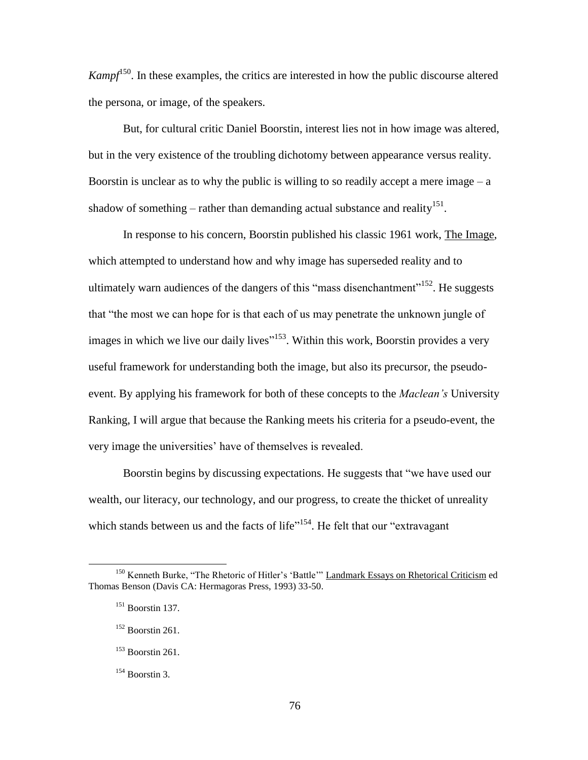$Kampf^{150}$ . In these examples, the critics are interested in how the public discourse altered the persona, or image, of the speakers.

But, for cultural critic Daniel Boorstin, interest lies not in how image was altered, but in the very existence of the troubling dichotomy between appearance versus reality. Boorstin is unclear as to why the public is willing to so readily accept a mere image  $-a$ shadow of something – rather than demanding actual substance and reality<sup>151</sup>.

In response to his concern, Boorstin published his classic 1961 work, The Image, which attempted to understand how and why image has superseded reality and to ultimately warn audiences of the dangers of this "mass disenchantment"<sup>152</sup>. He suggests that "the most we can hope for is that each of us may penetrate the unknown jungle of images in which we live our daily lives<sup>"153</sup>. Within this work, Boorstin provides a very useful framework for understanding both the image, but also its precursor, the pseudoevent. By applying his framework for both of these concepts to the *Maclean's* University Ranking, I will argue that because the Ranking meets his criteria for a pseudo-event, the very image the universities" have of themselves is revealed.

Boorstin begins by discussing expectations. He suggests that "we have used our wealth, our literacy, our technology, and our progress, to create the thicket of unreality which stands between us and the facts of life"<sup>154</sup>. He felt that our "extravagant"

<sup>&</sup>lt;sup>150</sup> Kenneth Burke, "The Rhetoric of Hitler's 'Battle'" Landmark Essays on Rhetorical Criticism ed Thomas Benson (Davis CA: Hermagoras Press, 1993) 33-50.

<sup>151</sup> Boorstin 137.

 $152$  Boorstin 261.

 $153$  Boorstin 261.

 $154$  Boorstin 3.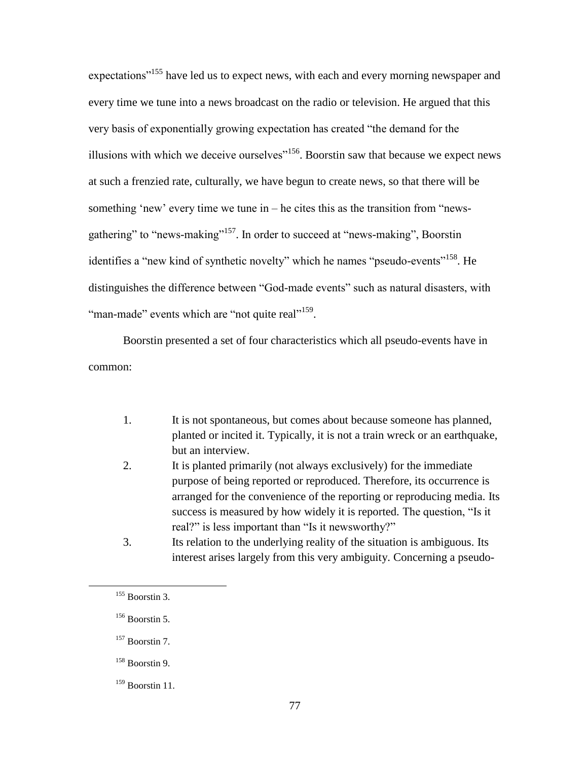expectations<sup>"155</sup> have led us to expect news, with each and every morning newspaper and every time we tune into a news broadcast on the radio or television. He argued that this very basis of exponentially growing expectation has created "the demand for the illusions with which we deceive ourselves<sup> $156$ </sup>. Boorstin saw that because we expect news at such a frenzied rate, culturally, we have begun to create news, so that there will be something 'new' every time we tune in  $-$  he cites this as the transition from "newsgathering" to "news-making"<sup>157</sup>. In order to succeed at "news-making", Boorstin identifies a "new kind of synthetic novelty" which he names "pseudo-events"<sup>158</sup>. He distinguishes the difference between "God-made events" such as natural disasters, with "man-made" events which are "not quite real"<sup>159</sup>.

Boorstin presented a set of four characteristics which all pseudo-events have in common:

- 1. It is not spontaneous, but comes about because someone has planned, planted or incited it. Typically, it is not a train wreck or an earthquake, but an interview.
- 2. It is planted primarily (not always exclusively) for the immediate purpose of being reported or reproduced. Therefore, its occurrence is arranged for the convenience of the reporting or reproducing media. Its success is measured by how widely it is reported. The question, "Is it real?" is less important than "Is it newsworthy?"
- 3. Its relation to the underlying reality of the situation is ambiguous. Its interest arises largely from this very ambiguity. Concerning a pseudo-

 $155$  Boorstin 3.

 $156$  Boorstin 5.

<sup>&</sup>lt;sup>157</sup> Boorstin 7.

<sup>158</sup> Boorstin 9.

 $159$  Boorstin 11.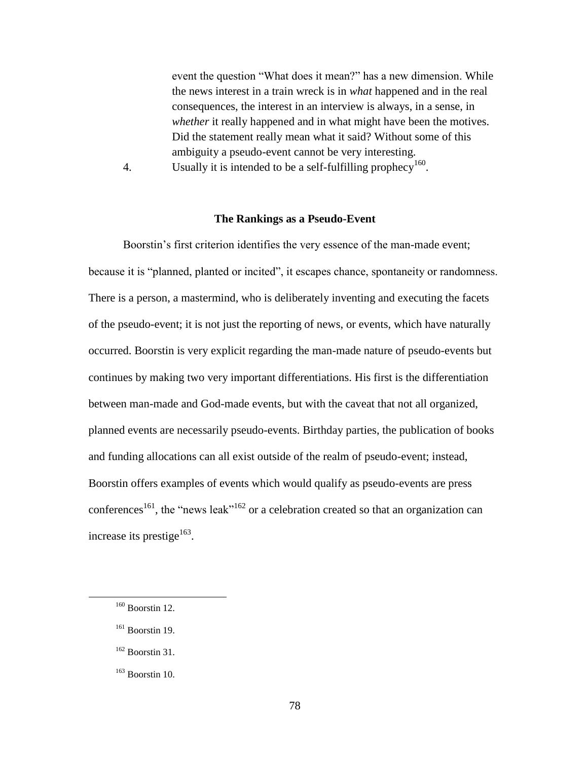event the question "What does it mean?" has a new dimension. While the news interest in a train wreck is in *what* happened and in the real consequences, the interest in an interview is always, in a sense, in *whether* it really happened and in what might have been the motives. Did the statement really mean what it said? Without some of this ambiguity a pseudo-event cannot be very interesting.

4. Usually it is intended to be a self-fulfilling prophecy<sup>160</sup>.

### **The Rankings as a Pseudo-Event**

Boorstin's first criterion identifies the very essence of the man-made event; because it is "planned, planted or incited", it escapes chance, spontaneity or randomness. There is a person, a mastermind, who is deliberately inventing and executing the facets of the pseudo-event; it is not just the reporting of news, or events, which have naturally occurred. Boorstin is very explicit regarding the man-made nature of pseudo-events but continues by making two very important differentiations. His first is the differentiation between man-made and God-made events, but with the caveat that not all organized, planned events are necessarily pseudo-events. Birthday parties, the publication of books and funding allocations can all exist outside of the realm of pseudo-event; instead, Boorstin offers examples of events which would qualify as pseudo-events are press conferences<sup>161</sup>, the "news leak"<sup>162</sup> or a celebration created so that an organization can increase its prestige $^{163}$ .

- $161$  Boorstin 19.
- $162$  Boorstin 31.
- $163$  Boorstin 10.

 $160$  Boorstin 12.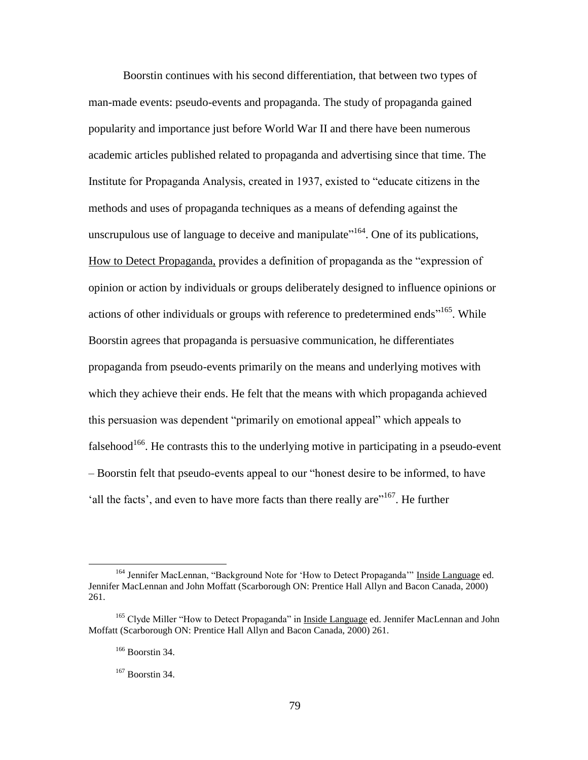Boorstin continues with his second differentiation, that between two types of man-made events: pseudo-events and propaganda. The study of propaganda gained popularity and importance just before World War II and there have been numerous academic articles published related to propaganda and advertising since that time. The Institute for Propaganda Analysis, created in 1937, existed to "educate citizens in the methods and uses of propaganda techniques as a means of defending against the unscrupulous use of language to deceive and manipulate<sup> $164$ </sup>. One of its publications, How to Detect Propaganda, provides a definition of propaganda as the "expression of opinion or action by individuals or groups deliberately designed to influence opinions or actions of other individuals or groups with reference to predetermined ends"<sup>165</sup>. While Boorstin agrees that propaganda is persuasive communication, he differentiates propaganda from pseudo-events primarily on the means and underlying motives with which they achieve their ends. He felt that the means with which propaganda achieved this persuasion was dependent "primarily on emotional appeal" which appeals to falsehood<sup>166</sup>. He contrasts this to the underlying motive in participating in a pseudo-event – Boorstin felt that pseudo-events appeal to our "honest desire to be informed, to have 'all the facts', and even to have more facts than there really are"<sup>167</sup>. He further

<sup>&</sup>lt;sup>164</sup> Jennifer MacLennan, "Background Note for 'How to Detect Propaganda'" Inside Language ed. Jennifer MacLennan and John Moffatt (Scarborough ON: Prentice Hall Allyn and Bacon Canada, 2000) 261.

<sup>&</sup>lt;sup>165</sup> Clyde Miller "How to Detect Propaganda" in Inside Language ed. Jennifer MacLennan and John Moffatt (Scarborough ON: Prentice Hall Allyn and Bacon Canada, 2000) 261.

<sup>166</sup> Boorstin 34.

 $167$  Boorstin 34.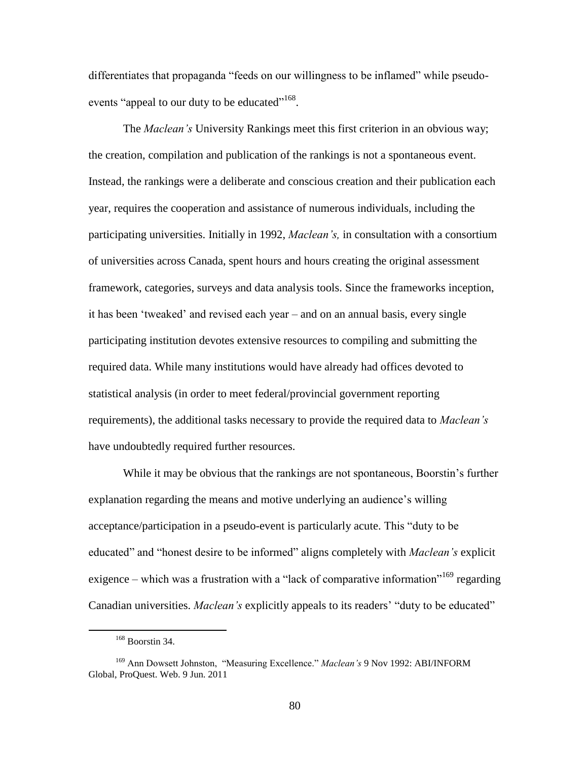differentiates that propaganda "feeds on our willingness to be inflamed" while pseudoevents "appeal to our duty to be educated"<sup>168</sup>.

The *Maclean's* University Rankings meet this first criterion in an obvious way; the creation, compilation and publication of the rankings is not a spontaneous event. Instead, the rankings were a deliberate and conscious creation and their publication each year, requires the cooperation and assistance of numerous individuals, including the participating universities. Initially in 1992, *Maclean's,* in consultation with a consortium of universities across Canada, spent hours and hours creating the original assessment framework, categories, surveys and data analysis tools. Since the frameworks inception, it has been "tweaked" and revised each year – and on an annual basis, every single participating institution devotes extensive resources to compiling and submitting the required data. While many institutions would have already had offices devoted to statistical analysis (in order to meet federal/provincial government reporting requirements), the additional tasks necessary to provide the required data to *Maclean's* have undoubtedly required further resources.

While it may be obvious that the rankings are not spontaneous, Boorstin's further explanation regarding the means and motive underlying an audience's willing acceptance/participation in a pseudo-event is particularly acute. This "duty to be educated" and "honest desire to be informed" aligns completely with *Maclean's* explicit exigence – which was a frustration with a "lack of comparative information"<sup>169</sup> regarding Canadian universities. *Maclean's* explicitly appeals to its readers" "duty to be educated"

<sup>168</sup> Boorstin 34.

<sup>169</sup> Ann Dowsett Johnston, "Measuring Excellence." *Maclean's* 9 Nov 1992: ABI/INFORM Global, ProQuest. Web. 9 Jun. 2011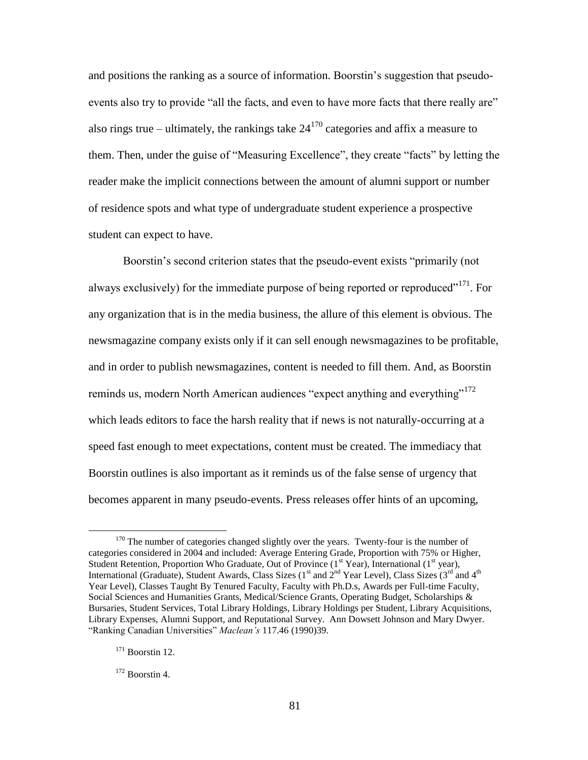and positions the ranking as a source of information. Boorstin"s suggestion that pseudoevents also try to provide "all the facts, and even to have more facts that there really are" also rings true – ultimately, the rankings take  $24^{170}$  categories and affix a measure to them. Then, under the guise of "Measuring Excellence", they create "facts" by letting the reader make the implicit connections between the amount of alumni support or number of residence spots and what type of undergraduate student experience a prospective student can expect to have.

Boorstin's second criterion states that the pseudo-event exists "primarily (not always exclusively) for the immediate purpose of being reported or reproduced<sup> $171$ </sup>. For any organization that is in the media business, the allure of this element is obvious. The newsmagazine company exists only if it can sell enough newsmagazines to be profitable, and in order to publish newsmagazines, content is needed to fill them. And, as Boorstin reminds us, modern North American audiences "expect anything and everything"<sup>172</sup> which leads editors to face the harsh reality that if news is not naturally-occurring at a speed fast enough to meet expectations, content must be created. The immediacy that Boorstin outlines is also important as it reminds us of the false sense of urgency that becomes apparent in many pseudo-events. Press releases offer hints of an upcoming,

<sup>&</sup>lt;sup>170</sup> The number of categories changed slightly over the years. Twenty-four is the number of categories considered in 2004 and included: Average Entering Grade, Proportion with 75% or Higher, Student Retention, Proportion Who Graduate, Out of Province (1<sup>st</sup> Year), International (1<sup>st</sup> year), International (Graduate), Student Awards, Class Sizes (1<sup>st</sup> and  $2^{nd}$  Year Level), Class Sizes (3<sup>rd</sup> and 4<sup>th</sup> Year Level), Classes Taught By Tenured Faculty, Faculty with Ph.D.s, Awards per Full-time Faculty, Social Sciences and Humanities Grants, Medical/Science Grants, Operating Budget, Scholarships & Bursaries, Student Services, Total Library Holdings, Library Holdings per Student, Library Acquisitions, Library Expenses, Alumni Support, and Reputational Survey. Ann Dowsett Johnson and Mary Dwyer. "Ranking Canadian Universities" *Maclean's* 117.46 (1990)39.

<sup>&</sup>lt;sup>171</sup> Boorstin 12.

 $172$  Boorstin 4.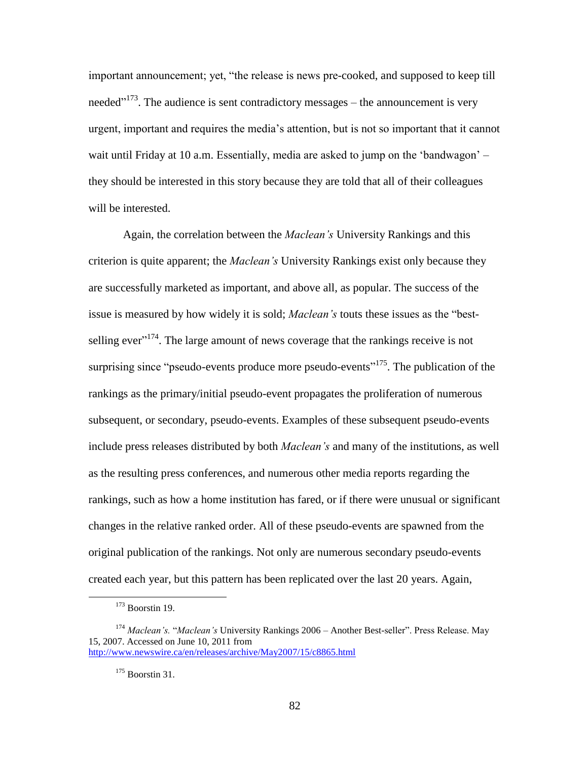important announcement; yet, "the release is news pre-cooked, and supposed to keep till needed<sup> $173$ </sup>. The audience is sent contradictory messages – the announcement is very urgent, important and requires the media"s attention, but is not so important that it cannot wait until Friday at 10 a.m. Essentially, media are asked to jump on the 'bandwagon' – they should be interested in this story because they are told that all of their colleagues will be interested.

Again, the correlation between the *Maclean's* University Rankings and this criterion is quite apparent; the *Maclean's* University Rankings exist only because they are successfully marketed as important, and above all, as popular. The success of the issue is measured by how widely it is sold; *Maclean's* touts these issues as the "bestselling ever<sup> $174$ </sup>. The large amount of news coverage that the rankings receive is not surprising since "pseudo-events produce more pseudo-events"<sup>175</sup>. The publication of the rankings as the primary/initial pseudo-event propagates the proliferation of numerous subsequent, or secondary, pseudo-events. Examples of these subsequent pseudo-events include press releases distributed by both *Maclean's* and many of the institutions, as well as the resulting press conferences, and numerous other media reports regarding the rankings, such as how a home institution has fared, or if there were unusual or significant changes in the relative ranked order. All of these pseudo-events are spawned from the original publication of the rankings. Not only are numerous secondary pseudo-events created each year, but this pattern has been replicated over the last 20 years. Again,

 $173$  Boorstin 19.

<sup>174</sup> *Maclean's.* "*Maclean's* University Rankings 2006 – Another Best-seller". Press Release. May 15, 2007. Accessed on June 10, 2011 from <http://www.newswire.ca/en/releases/archive/May2007/15/c8865.html>

<sup>175</sup> Boorstin 31.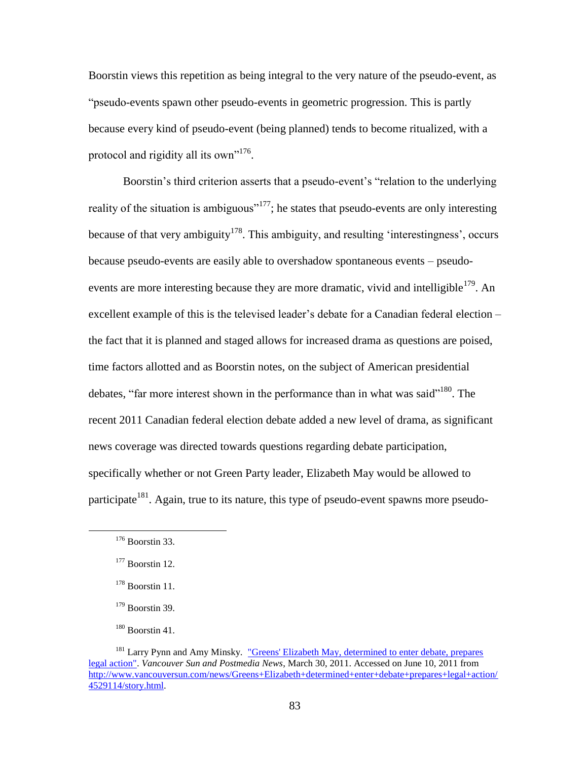Boorstin views this repetition as being integral to the very nature of the pseudo-event, as "pseudo-events spawn other pseudo-events in geometric progression. This is partly because every kind of pseudo-event (being planned) tends to become ritualized, with a protocol and rigidity all its own"<sup>176</sup>.

Boorstin's third criterion asserts that a pseudo-event's "relation to the underlying reality of the situation is ambiguous"<sup>177</sup>; he states that pseudo-events are only interesting because of that very ambiguity<sup>178</sup>. This ambiguity, and resulting 'interestingness', occurs because pseudo-events are easily able to overshadow spontaneous events – pseudoevents are more interesting because they are more dramatic, vivid and intelligible<sup>179</sup>. An excellent example of this is the televised leader"s debate for a Canadian federal election – the fact that it is planned and staged allows for increased drama as questions are poised, time factors allotted and as Boorstin notes, on the subject of American presidential debates, "far more interest shown in the performance than in what was said"<sup>180</sup>. The recent 2011 Canadian federal election debate added a new level of drama, as significant news coverage was directed towards questions regarding debate participation, specifically whether or not Green Party leader, Elizabeth May would be allowed to participate<sup>181</sup>. Again, true to its nature, this type of pseudo-event spawns more pseudo-

 $176$  Boorstin 33.

 $177$  Boorstin 12.

 $178$  Boorstin 11.

 $179$  Boorstin 39.

 $180$  Boorstin 41.

<sup>&</sup>lt;sup>181</sup> Larry Pynn and Amy Minsky. "Greens' Elizabeth May, determined to enter debate, prepares [legal action".](http://www.vancouversun.com/news/Greens+Elizabeth+determined+enter+debate+prepares+legal+action/4529114/story.html) *Vancouver Sun and Postmedia News*, March 30, 2011. Accessed on June 10, 2011 from [http://www.vancouversun.com/news/Greens+Elizabeth+determined+enter+debate+prepares+legal+action/](http://www.vancouversun.com/news/Greens+Elizabeth+determined+enter+debate+prepares+legal+action/4529114/story.html) [4529114/story.html.](http://www.vancouversun.com/news/Greens+Elizabeth+determined+enter+debate+prepares+legal+action/4529114/story.html)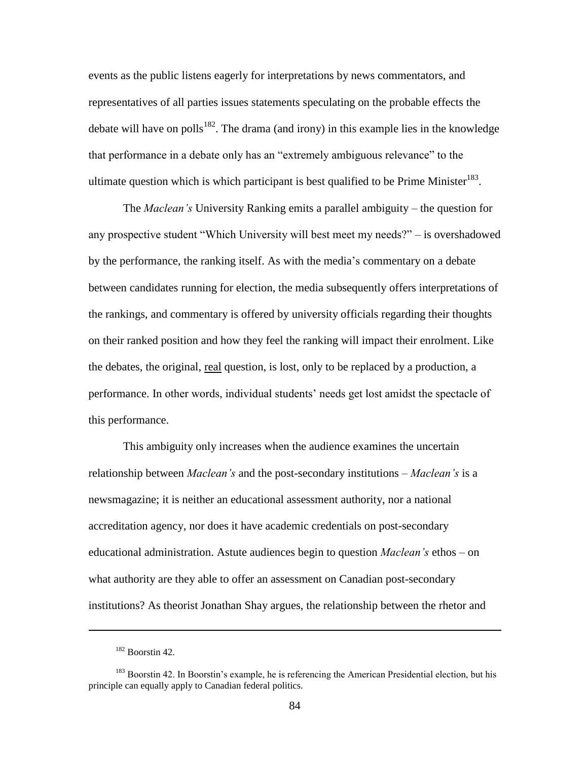events as the public listens eagerly for interpretations by news commentators, and representatives of all parties issues statements speculating on the probable effects the debate will have on polls<sup>182</sup>. The drama (and irony) in this example lies in the knowledge that performance in a debate only has an "extremely ambiguous relevance" to the ultimate question which is which participant is best qualified to be Prime Minister $^{183}$ .

The *Maclean's* University Ranking emits a parallel ambiguity – the question for any prospective student "Which University will best meet my needs?" – is overshadowed by the performance, the ranking itself. As with the media"s commentary on a debate between candidates running for election, the media subsequently offers interpretations of the rankings, and commentary is offered by university officials regarding their thoughts on their ranked position and how they feel the ranking will impact their enrolment. Like the debates, the original, real question, is lost, only to be replaced by a production, a performance. In other words, individual students' needs get lost amidst the spectacle of this performance.

This ambiguity only increases when the audience examines the uncertain relationship between *Maclean's* and the post-secondary institutions – *Maclean's* is a newsmagazine; it is neither an educational assessment authority, nor a national accreditation agency, nor does it have academic credentials on post-secondary educational administration. Astute audiences begin to question *Maclean's* ethos – on what authority are they able to offer an assessment on Canadian post-secondary institutions? As theorist Jonathan Shay argues, the relationship between the rhetor and

1

<sup>182</sup> Boorstin 42.

<sup>&</sup>lt;sup>183</sup> Boorstin 42. In Boorstin's example, he is referencing the American Presidential election, but his principle can equally apply to Canadian federal politics.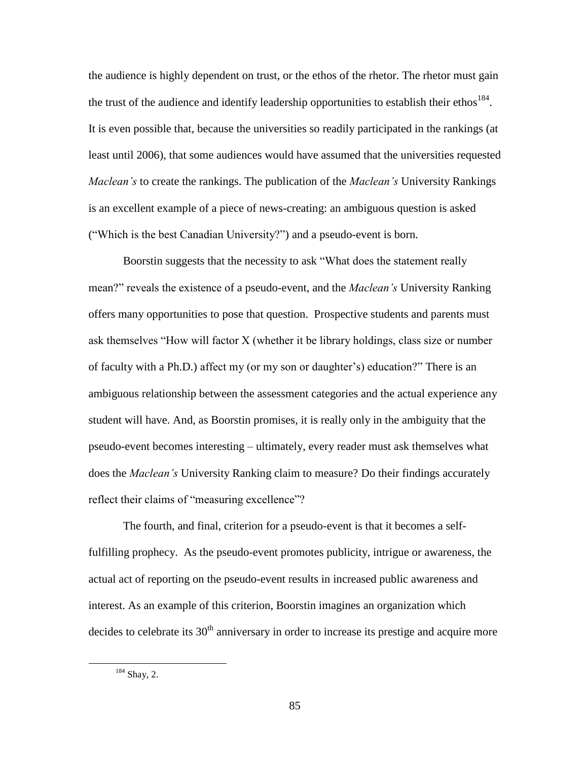the audience is highly dependent on trust, or the ethos of the rhetor. The rhetor must gain the trust of the audience and identify leadership opportunities to establish their ethos<sup>184</sup>. It is even possible that, because the universities so readily participated in the rankings (at least until 2006), that some audiences would have assumed that the universities requested *Maclean's* to create the rankings. The publication of the *Maclean's* University Rankings is an excellent example of a piece of news-creating: an ambiguous question is asked ("Which is the best Canadian University?") and a pseudo-event is born.

Boorstin suggests that the necessity to ask "What does the statement really mean?" reveals the existence of a pseudo-event, and the *Maclean's* University Ranking offers many opportunities to pose that question. Prospective students and parents must ask themselves "How will factor X (whether it be library holdings, class size or number of faculty with a Ph.D.) affect my (or my son or daughter"s) education?" There is an ambiguous relationship between the assessment categories and the actual experience any student will have. And, as Boorstin promises, it is really only in the ambiguity that the pseudo-event becomes interesting – ultimately, every reader must ask themselves what does the *Maclean's* University Ranking claim to measure? Do their findings accurately reflect their claims of "measuring excellence"?

The fourth, and final, criterion for a pseudo-event is that it becomes a selffulfilling prophecy. As the pseudo-event promotes publicity, intrigue or awareness, the actual act of reporting on the pseudo-event results in increased public awareness and interest. As an example of this criterion, Boorstin imagines an organization which decides to celebrate its  $30<sup>th</sup>$  anniversary in order to increase its prestige and acquire more

<sup>&</sup>lt;sup>184</sup> Shay, 2.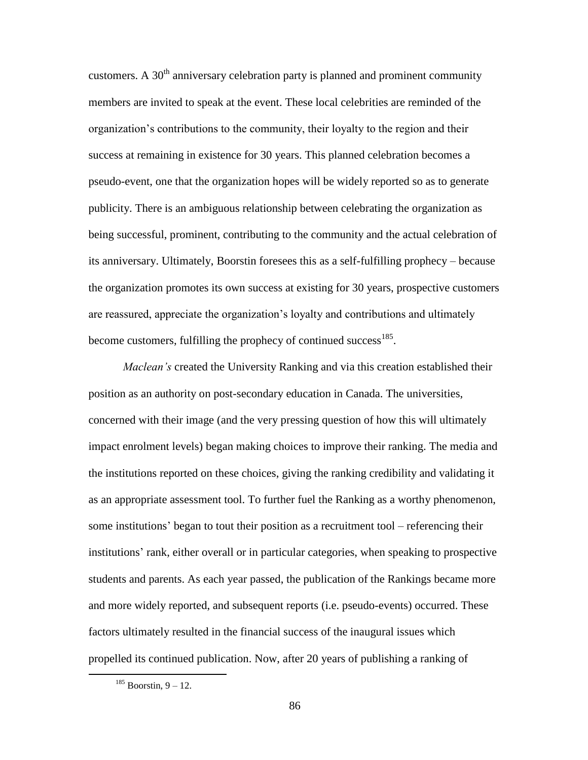customers. A  $30<sup>th</sup>$  anniversary celebration party is planned and prominent community members are invited to speak at the event. These local celebrities are reminded of the organization"s contributions to the community, their loyalty to the region and their success at remaining in existence for 30 years. This planned celebration becomes a pseudo-event, one that the organization hopes will be widely reported so as to generate publicity. There is an ambiguous relationship between celebrating the organization as being successful, prominent, contributing to the community and the actual celebration of its anniversary. Ultimately, Boorstin foresees this as a self-fulfilling prophecy – because the organization promotes its own success at existing for 30 years, prospective customers are reassured, appreciate the organization"s loyalty and contributions and ultimately become customers, fulfilling the prophecy of continued success<sup>185</sup>.

*Maclean's* created the University Ranking and via this creation established their position as an authority on post-secondary education in Canada. The universities, concerned with their image (and the very pressing question of how this will ultimately impact enrolment levels) began making choices to improve their ranking. The media and the institutions reported on these choices, giving the ranking credibility and validating it as an appropriate assessment tool. To further fuel the Ranking as a worthy phenomenon, some institutions" began to tout their position as a recruitment tool – referencing their institutions' rank, either overall or in particular categories, when speaking to prospective students and parents. As each year passed, the publication of the Rankings became more and more widely reported, and subsequent reports (i.e. pseudo-events) occurred. These factors ultimately resulted in the financial success of the inaugural issues which propelled its continued publication. Now, after 20 years of publishing a ranking of

 $185$  Boorstin, 9 – 12.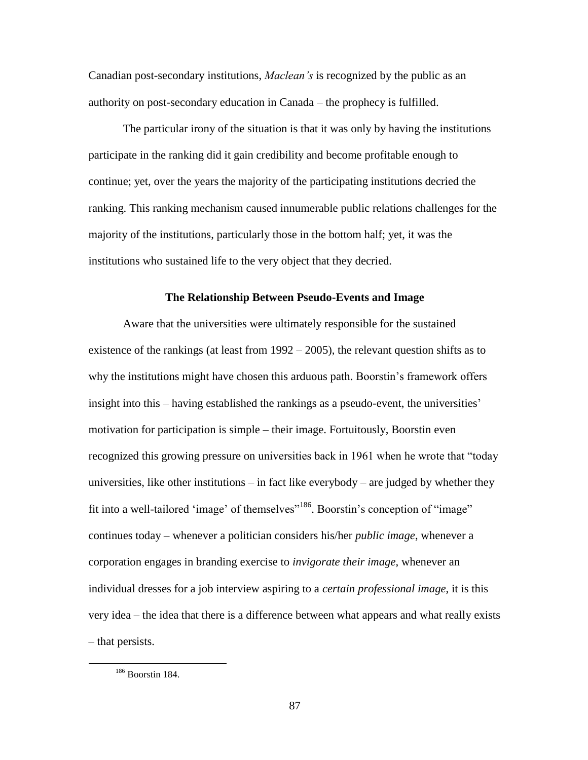Canadian post-secondary institutions, *Maclean's* is recognized by the public as an authority on post-secondary education in Canada – the prophecy is fulfilled.

The particular irony of the situation is that it was only by having the institutions participate in the ranking did it gain credibility and become profitable enough to continue; yet, over the years the majority of the participating institutions decried the ranking. This ranking mechanism caused innumerable public relations challenges for the majority of the institutions, particularly those in the bottom half; yet, it was the institutions who sustained life to the very object that they decried.

#### **The Relationship Between Pseudo-Events and Image**

Aware that the universities were ultimately responsible for the sustained existence of the rankings (at least from  $1992 - 2005$ ), the relevant question shifts as to why the institutions might have chosen this arduous path. Boorstin"s framework offers insight into this – having established the rankings as a pseudo-event, the universities' motivation for participation is simple – their image. Fortuitously, Boorstin even recognized this growing pressure on universities back in 1961 when he wrote that "today universities, like other institutions – in fact like everybody – are judged by whether they fit into a well-tailored 'image' of themselves"<sup>186</sup>. Boorstin's conception of "image" continues today – whenever a politician considers his/her *public image*, whenever a corporation engages in branding exercise to *invigorate their image*, whenever an individual dresses for a job interview aspiring to a *certain professional image*, it is this very idea – the idea that there is a difference between what appears and what really exists – that persists.

<sup>186</sup> Boorstin 184.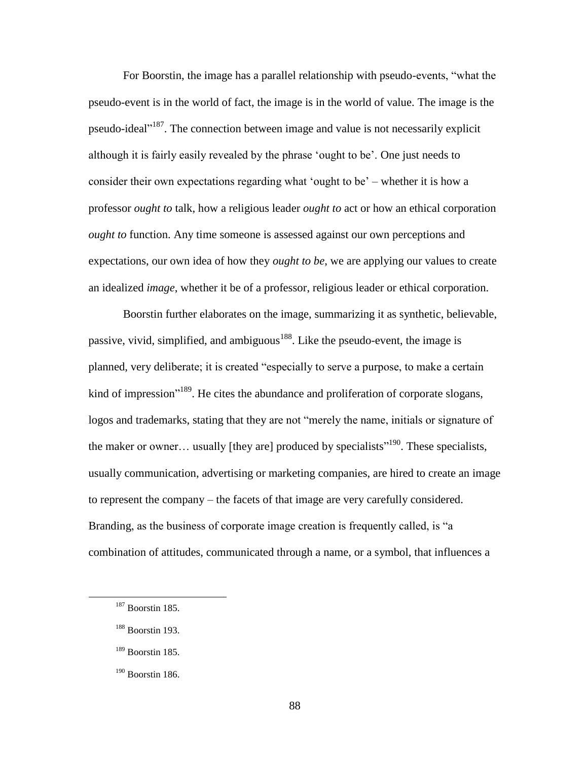For Boorstin, the image has a parallel relationship with pseudo-events, "what the pseudo-event is in the world of fact, the image is in the world of value. The image is the pseudo-ideal"<sup>187</sup>. The connection between image and value is not necessarily explicit although it is fairly easily revealed by the phrase "ought to be". One just needs to consider their own expectations regarding what 'ought to be' – whether it is how a professor *ought to* talk, how a religious leader *ought to* act or how an ethical corporation *ought to* function. Any time someone is assessed against our own perceptions and expectations, our own idea of how they *ought to be*, we are applying our values to create an idealized *image*, whether it be of a professor, religious leader or ethical corporation.

Boorstin further elaborates on the image, summarizing it as synthetic, believable, passive, vivid, simplified, and ambiguous<sup>188</sup>. Like the pseudo-event, the image is planned, very deliberate; it is created "especially to serve a purpose, to make a certain kind of impression<sup>"189</sup>. He cites the abundance and proliferation of corporate slogans, logos and trademarks, stating that they are not "merely the name, initials or signature of the maker or owner... usually [they are] produced by specialists<sup> $190$ </sup>. These specialists, usually communication, advertising or marketing companies, are hired to create an image to represent the company – the facets of that image are very carefully considered. Branding, as the business of corporate image creation is frequently called, is "a combination of attitudes, communicated through a name, or a symbol, that influences a

<sup>187</sup> Boorstin 185.

<sup>&</sup>lt;sup>188</sup> Boorstin 193.

<sup>189</sup> Boorstin 185.

<sup>&</sup>lt;sup>190</sup> Boorstin 186.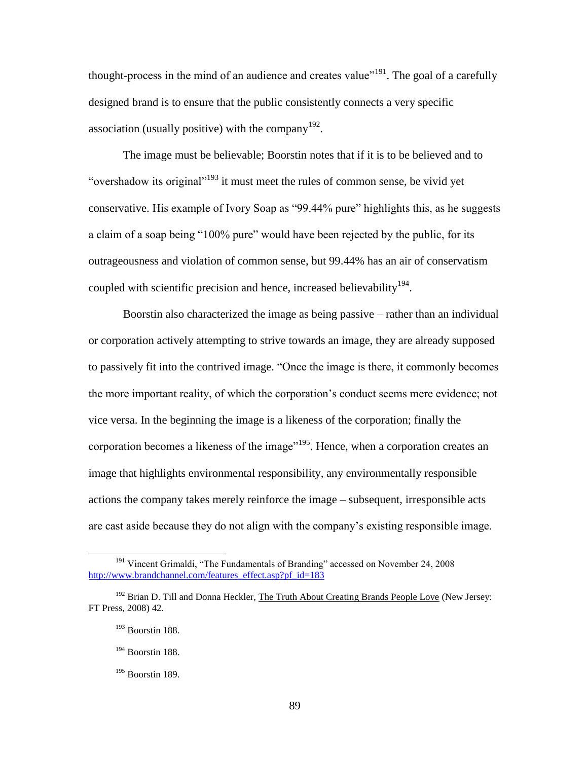thought-process in the mind of an audience and creates value"<sup>191</sup>. The goal of a carefully designed brand is to ensure that the public consistently connects a very specific association (usually positive) with the company  $192$ .

The image must be believable; Boorstin notes that if it is to be believed and to "overshadow its original"<sup>193</sup> it must meet the rules of common sense, be vivid yet conservative. His example of Ivory Soap as "99.44% pure" highlights this, as he suggests a claim of a soap being "100% pure" would have been rejected by the public, for its outrageousness and violation of common sense, but 99.44% has an air of conservatism coupled with scientific precision and hence, increased believability  $194$ .

Boorstin also characterized the image as being passive – rather than an individual or corporation actively attempting to strive towards an image, they are already supposed to passively fit into the contrived image. "Once the image is there, it commonly becomes the more important reality, of which the corporation"s conduct seems mere evidence; not vice versa. In the beginning the image is a likeness of the corporation; finally the corporation becomes a likeness of the image<sup>"195</sup>. Hence, when a corporation creates an image that highlights environmental responsibility, any environmentally responsible actions the company takes merely reinforce the image – subsequent, irresponsible acts are cast aside because they do not align with the company"s existing responsible image.

<sup>&</sup>lt;sup>191</sup> Vincent Grimaldi, "The Fundamentals of Branding" accessed on November 24, 2008 [http://www.brandchannel.com/features\\_effect.asp?pf\\_id=183](http://www.brandchannel.com/features_effect.asp?pf_id=183)

<sup>&</sup>lt;sup>192</sup> Brian D. Till and Donna Heckler, The Truth About Creating Brands People Love (New Jersey: FT Press, 2008) 42.

<sup>193</sup> Boorstin 188.

<sup>194</sup> Boorstin 188.

<sup>195</sup> Boorstin 189.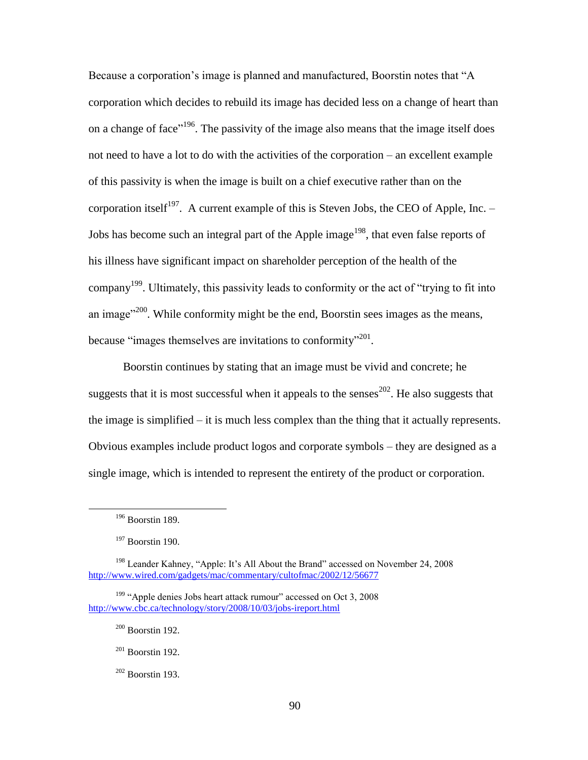Because a corporation's image is planned and manufactured, Boorstin notes that "A corporation which decides to rebuild its image has decided less on a change of heart than on a change of face"<sup>196</sup>. The passivity of the image also means that the image itself does not need to have a lot to do with the activities of the corporation – an excellent example of this passivity is when the image is built on a chief executive rather than on the corporation itself<sup>197</sup>. A current example of this is Steven Jobs, the CEO of Apple, Inc.  $-$ Jobs has become such an integral part of the Apple image<sup>198</sup>, that even false reports of his illness have significant impact on shareholder perception of the health of the company<sup>199</sup>. Ultimately, this passivity leads to conformity or the act of "trying to fit into an image $^{200}$ . While conformity might be the end, Boorstin sees images as the means, because "images themselves are invitations to conformity"<sup>201</sup>.

Boorstin continues by stating that an image must be vivid and concrete; he suggests that it is most successful when it appeals to the senses<sup>202</sup>. He also suggests that the image is simplified – it is much less complex than the thing that it actually represents. Obvious examples include product logos and corporate symbols – they are designed as a single image, which is intended to represent the entirety of the product or corporation.

 $196$  Boorstin 189.

<sup>&</sup>lt;sup>197</sup> Boorstin 190.

<sup>&</sup>lt;sup>198</sup> Leander Kahney, "Apple: It's All About the Brand" accessed on November 24, 2008 <http://www.wired.com/gadgets/mac/commentary/cultofmac/2002/12/56677>

<sup>&</sup>lt;sup>199</sup> "Apple denies Jobs heart attack rumour" accessed on Oct 3, 2008 <http://www.cbc.ca/technology/story/2008/10/03/jobs-ireport.html>

 $200$  Boorstin 192.

 $201$  Boorstin 192.

 $202$  Boorstin 193.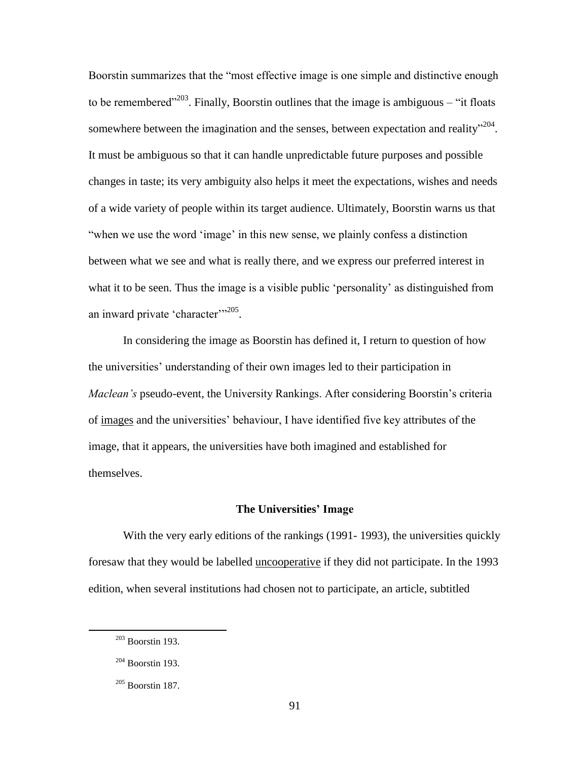Boorstin summarizes that the "most effective image is one simple and distinctive enough to be remembered<sup> $203$ </sup>. Finally, Boorstin outlines that the image is ambiguous – "it floats" somewhere between the imagination and the senses, between expectation and reality"<sup>204</sup>. It must be ambiguous so that it can handle unpredictable future purposes and possible changes in taste; its very ambiguity also helps it meet the expectations, wishes and needs of a wide variety of people within its target audience. Ultimately, Boorstin warns us that "when we use the word 'image' in this new sense, we plainly confess a distinction between what we see and what is really there, and we express our preferred interest in what it to be seen. Thus the image is a visible public "personality" as distinguished from an inward private 'character"<sup>205</sup>.

In considering the image as Boorstin has defined it, I return to question of how the universities' understanding of their own images led to their participation in *Maclean's* pseudo-event, the University Rankings. After considering Boorstin's criteria of images and the universities" behaviour, I have identified five key attributes of the image, that it appears, the universities have both imagined and established for themselves.

### **The Universities' Image**

With the very early editions of the rankings (1991- 1993), the universities quickly foresaw that they would be labelled uncooperative if they did not participate. In the 1993 edition, when several institutions had chosen not to participate, an article, subtitled

<sup>203</sup> Boorstin 193.

<sup>204</sup> Boorstin 193.

 $205$  Boorstin 187.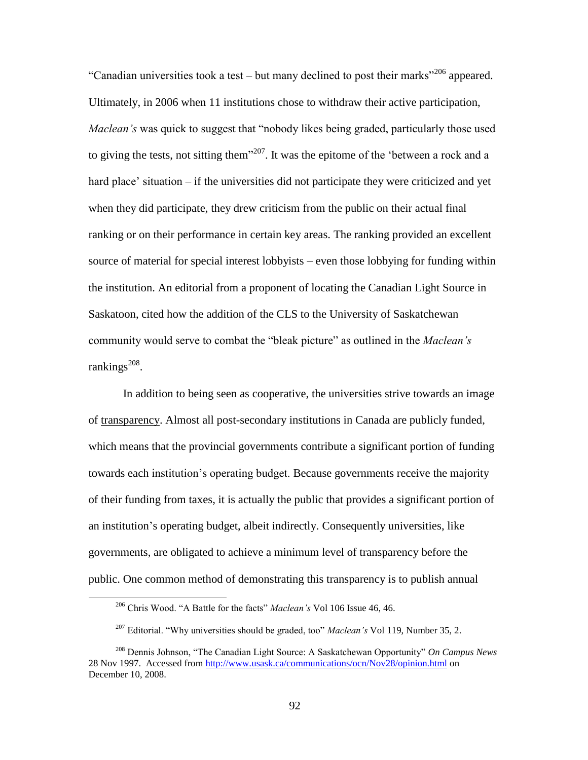"Canadian universities took a test – but many declined to post their marks<sup> $206$ </sup> appeared. Ultimately, in 2006 when 11 institutions chose to withdraw their active participation, *Maclean's* was quick to suggest that "nobody likes being graded, particularly those used to giving the tests, not sitting them<sup>3207</sup>. It was the epitome of the 'between a rock and a hard place' situation – if the universities did not participate they were criticized and yet when they did participate, they drew criticism from the public on their actual final ranking or on their performance in certain key areas. The ranking provided an excellent source of material for special interest lobbyists – even those lobbying for funding within the institution. An editorial from a proponent of locating the Canadian Light Source in Saskatoon, cited how the addition of the CLS to the University of Saskatchewan community would serve to combat the "bleak picture" as outlined in the *Maclean's*   $rankings<sup>208</sup>$ .

In addition to being seen as cooperative, the universities strive towards an image of transparency. Almost all post-secondary institutions in Canada are publicly funded, which means that the provincial governments contribute a significant portion of funding towards each institution"s operating budget. Because governments receive the majority of their funding from taxes, it is actually the public that provides a significant portion of an institution"s operating budget, albeit indirectly. Consequently universities, like governments, are obligated to achieve a minimum level of transparency before the public. One common method of demonstrating this transparency is to publish annual

<sup>206</sup> Chris Wood. "A Battle for the facts" *Maclean's* Vol 106 Issue 46, 46.

<sup>207</sup> Editorial. "Why universities should be graded, too" *Maclean's* Vol 119, Number 35, 2.

<sup>208</sup> Dennis Johnson, "The Canadian Light Source: A Saskatchewan Opportunity" *On Campus News* 28 Nov 1997. Accessed from<http://www.usask.ca/communications/ocn/Nov28/opinion.html> on December 10, 2008.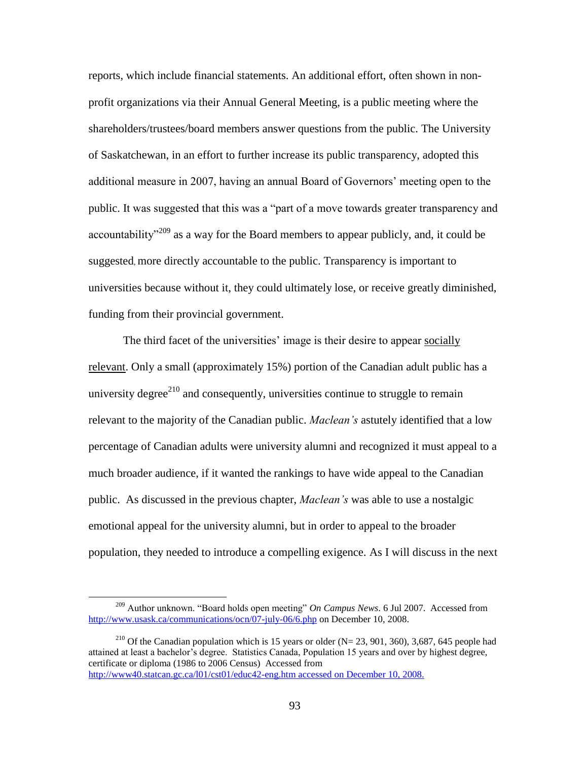reports, which include financial statements. An additional effort, often shown in nonprofit organizations via their Annual General Meeting, is a public meeting where the shareholders/trustees/board members answer questions from the public. The University of Saskatchewan, in an effort to further increase its public transparency, adopted this additional measure in 2007, having an annual Board of Governors" meeting open to the public. It was suggested that this was a "part of a move towards greater transparency and accountability<sup>"209</sup> as a way for the Board members to appear publicly, and, it could be suggested, more directly accountable to the public. Transparency is important to universities because without it, they could ultimately lose, or receive greatly diminished, funding from their provincial government.

The third facet of the universities' image is their desire to appear socially relevant. Only a small (approximately 15%) portion of the Canadian adult public has a university degree<sup>210</sup> and consequently, universities continue to struggle to remain relevant to the majority of the Canadian public. *Maclean's* astutely identified that a low percentage of Canadian adults were university alumni and recognized it must appeal to a much broader audience, if it wanted the rankings to have wide appeal to the Canadian public. As discussed in the previous chapter, *Maclean's* was able to use a nostalgic emotional appeal for the university alumni, but in order to appeal to the broader population, they needed to introduce a compelling exigence. As I will discuss in the next

<sup>209</sup> Author unknown. "Board holds open meeting" *On Campus News*. 6 Jul 2007. Accessed from <http://www.usask.ca/communications/ocn/07-july-06/6.php> on December 10, 2008.

<sup>&</sup>lt;sup>210</sup> Of the Canadian population which is 15 years or older (N= 23, 901, 360), 3,687, 645 people had attained at least a bachelor"s degree. Statistics Canada, Population 15 years and over by highest degree, certificate or diploma (1986 to 2006 Census) Accessed from [http://www40.statcan.gc.ca/l01/cst01/educ42-eng.htm accessed on December 10, 2008.](http://www40.statcan.gc.ca/l01/cst01/educ42-eng.htm%20accessed%20on%20December%2010,%202008.)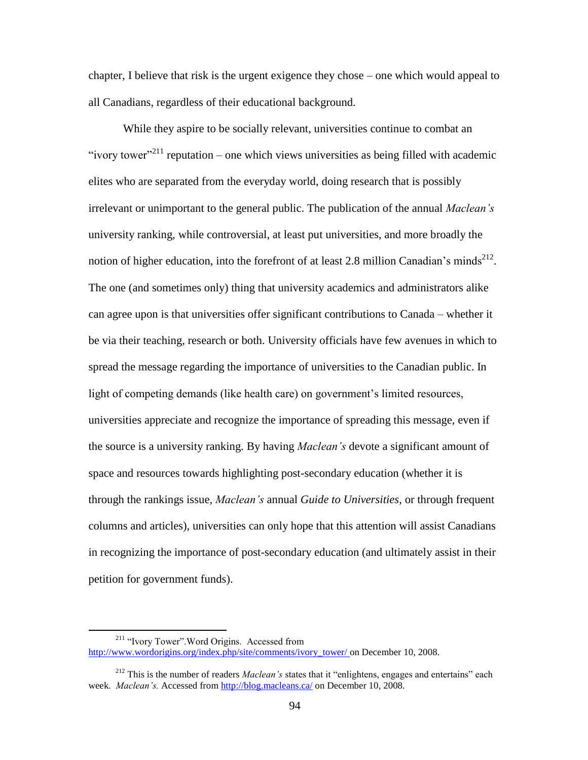chapter, I believe that risk is the urgent exigence they chose – one which would appeal to all Canadians, regardless of their educational background.

While they aspire to be socially relevant, universities continue to combat an "ivory tower"<sup>211</sup> reputation – one which views universities as being filled with academic elites who are separated from the everyday world, doing research that is possibly irrelevant or unimportant to the general public. The publication of the annual *Maclean's* university ranking, while controversial, at least put universities, and more broadly the notion of higher education, into the forefront of at least 2.8 million Canadian's minds<sup>212</sup>. The one (and sometimes only) thing that university academics and administrators alike can agree upon is that universities offer significant contributions to Canada – whether it be via their teaching, research or both. University officials have few avenues in which to spread the message regarding the importance of universities to the Canadian public. In light of competing demands (like health care) on government's limited resources, universities appreciate and recognize the importance of spreading this message, even if the source is a university ranking. By having *Maclean's* devote a significant amount of space and resources towards highlighting post-secondary education (whether it is through the rankings issue, *Maclean's* annual *Guide to Universities*, or through frequent columns and articles), universities can only hope that this attention will assist Canadians in recognizing the importance of post-secondary education (and ultimately assist in their petition for government funds).

<sup>211</sup> "Ivory Tower".Word Origins. Accessed from [http://www.wordorigins.org/index.php/site/comments/ivory\\_tower/](http://www.wordorigins.org/index.php/site/comments/ivory_tower/) on December 10, 2008.

<sup>212</sup> This is the number of readers *Maclean's* states that it "enlightens, engages and entertains" each week. *Maclean's.* Accessed from<http://blog.macleans.ca/> on December 10, 2008.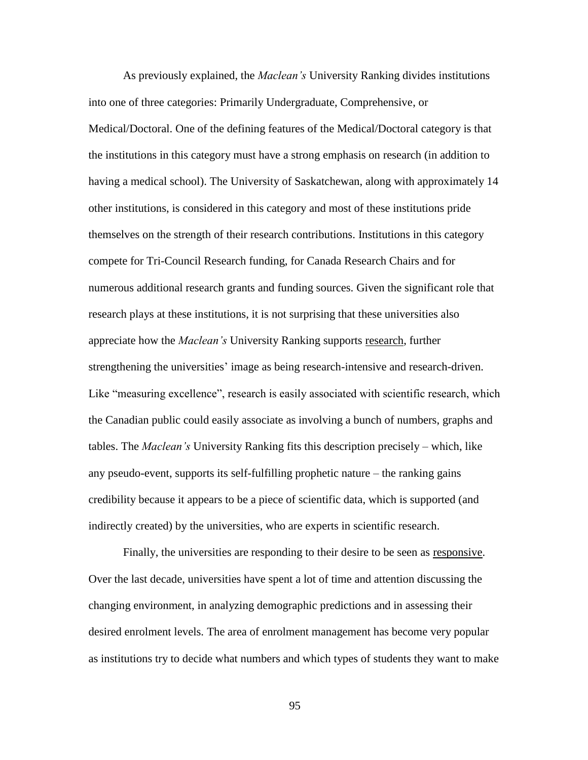As previously explained, the *Maclean's* University Ranking divides institutions into one of three categories: Primarily Undergraduate, Comprehensive, or Medical/Doctoral. One of the defining features of the Medical/Doctoral category is that the institutions in this category must have a strong emphasis on research (in addition to having a medical school). The University of Saskatchewan, along with approximately 14 other institutions, is considered in this category and most of these institutions pride themselves on the strength of their research contributions. Institutions in this category compete for Tri-Council Research funding, for Canada Research Chairs and for numerous additional research grants and funding sources. Given the significant role that research plays at these institutions, it is not surprising that these universities also appreciate how the *Maclean's* University Ranking supports research, further strengthening the universities" image as being research-intensive and research-driven. Like "measuring excellence", research is easily associated with scientific research, which the Canadian public could easily associate as involving a bunch of numbers, graphs and tables. The *Maclean's* University Ranking fits this description precisely – which, like any pseudo-event, supports its self-fulfilling prophetic nature – the ranking gains credibility because it appears to be a piece of scientific data, which is supported (and indirectly created) by the universities, who are experts in scientific research.

Finally, the universities are responding to their desire to be seen as responsive. Over the last decade, universities have spent a lot of time and attention discussing the changing environment, in analyzing demographic predictions and in assessing their desired enrolment levels. The area of enrolment management has become very popular as institutions try to decide what numbers and which types of students they want to make

95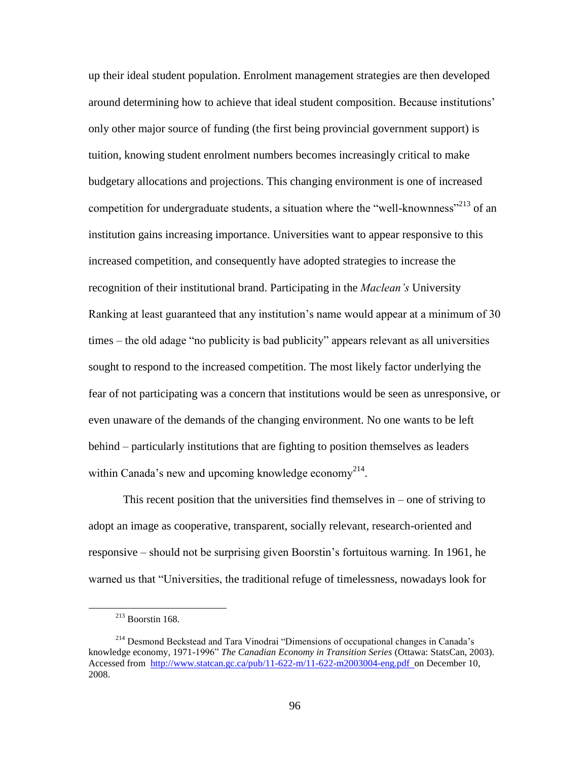up their ideal student population. Enrolment management strategies are then developed around determining how to achieve that ideal student composition. Because institutions" only other major source of funding (the first being provincial government support) is tuition, knowing student enrolment numbers becomes increasingly critical to make budgetary allocations and projections. This changing environment is one of increased competition for undergraduate students, a situation where the "well-knownness"<sup>213</sup> of an institution gains increasing importance. Universities want to appear responsive to this increased competition, and consequently have adopted strategies to increase the recognition of their institutional brand. Participating in the *Maclean's* University Ranking at least guaranteed that any institution"s name would appear at a minimum of 30 times – the old adage "no publicity is bad publicity" appears relevant as all universities sought to respond to the increased competition. The most likely factor underlying the fear of not participating was a concern that institutions would be seen as unresponsive, or even unaware of the demands of the changing environment. No one wants to be left behind – particularly institutions that are fighting to position themselves as leaders within Canada's new and upcoming knowledge economy<sup>214</sup>.

This recent position that the universities find themselves in – one of striving to adopt an image as cooperative, transparent, socially relevant, research-oriented and responsive – should not be surprising given Boorstin"s fortuitous warning. In 1961, he warned us that "Universities, the traditional refuge of timelessness, nowadays look for

 $213$  Boorstin 168.

<sup>214</sup> Desmond Beckstead and Tara Vinodrai "Dimensions of occupational changes in Canada"s knowledge economy, 1971-1996" *The Canadian Economy in Transition Series* (Ottawa: StatsCan, 2003). Accessed from [http://www.statcan.gc.ca/pub/11-622-m/11-622-m2003004-eng.pdf on December 10,](http://www.statcan.gc.ca/pub/11-622-m/11-622-m2003004-eng.pdf%20%20on%20December%2010) 2008.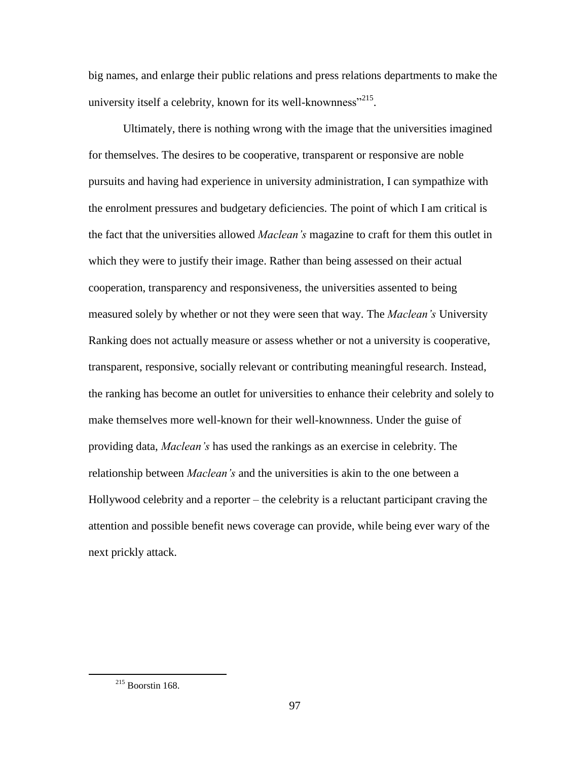big names, and enlarge their public relations and press relations departments to make the university itself a celebrity, known for its well-knownness"<sup>215</sup>.

Ultimately, there is nothing wrong with the image that the universities imagined for themselves. The desires to be cooperative, transparent or responsive are noble pursuits and having had experience in university administration, I can sympathize with the enrolment pressures and budgetary deficiencies. The point of which I am critical is the fact that the universities allowed *Maclean's* magazine to craft for them this outlet in which they were to justify their image. Rather than being assessed on their actual cooperation, transparency and responsiveness, the universities assented to being measured solely by whether or not they were seen that way. The *Maclean's* University Ranking does not actually measure or assess whether or not a university is cooperative, transparent, responsive, socially relevant or contributing meaningful research. Instead, the ranking has become an outlet for universities to enhance their celebrity and solely to make themselves more well-known for their well-knownness. Under the guise of providing data, *Maclean's* has used the rankings as an exercise in celebrity. The relationship between *Maclean's* and the universities is akin to the one between a Hollywood celebrity and a reporter – the celebrity is a reluctant participant craving the attention and possible benefit news coverage can provide, while being ever wary of the next prickly attack.

 $215$  Boorstin 168.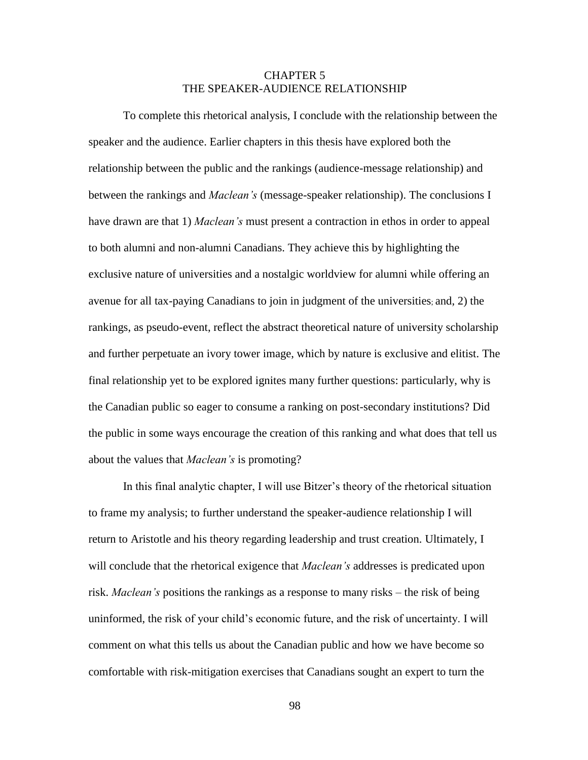# CHAPTER 5 THE SPEAKER-AUDIENCE RELATIONSHIP

To complete this rhetorical analysis, I conclude with the relationship between the speaker and the audience. Earlier chapters in this thesis have explored both the relationship between the public and the rankings (audience-message relationship) and between the rankings and *Maclean's* (message-speaker relationship). The conclusions I have drawn are that 1) *Maclean's* must present a contraction in ethos in order to appeal to both alumni and non-alumni Canadians. They achieve this by highlighting the exclusive nature of universities and a nostalgic worldview for alumni while offering an avenue for all tax-paying Canadians to join in judgment of the universities; and, 2) the rankings, as pseudo-event, reflect the abstract theoretical nature of university scholarship and further perpetuate an ivory tower image, which by nature is exclusive and elitist. The final relationship yet to be explored ignites many further questions: particularly, why is the Canadian public so eager to consume a ranking on post-secondary institutions? Did the public in some ways encourage the creation of this ranking and what does that tell us about the values that *Maclean's* is promoting?

In this final analytic chapter, I will use Bitzer"s theory of the rhetorical situation to frame my analysis; to further understand the speaker-audience relationship I will return to Aristotle and his theory regarding leadership and trust creation. Ultimately, I will conclude that the rhetorical exigence that *Maclean's* addresses is predicated upon risk. *Maclean's* positions the rankings as a response to many risks – the risk of being uninformed, the risk of your child"s economic future, and the risk of uncertainty. I will comment on what this tells us about the Canadian public and how we have become so comfortable with risk-mitigation exercises that Canadians sought an expert to turn the

98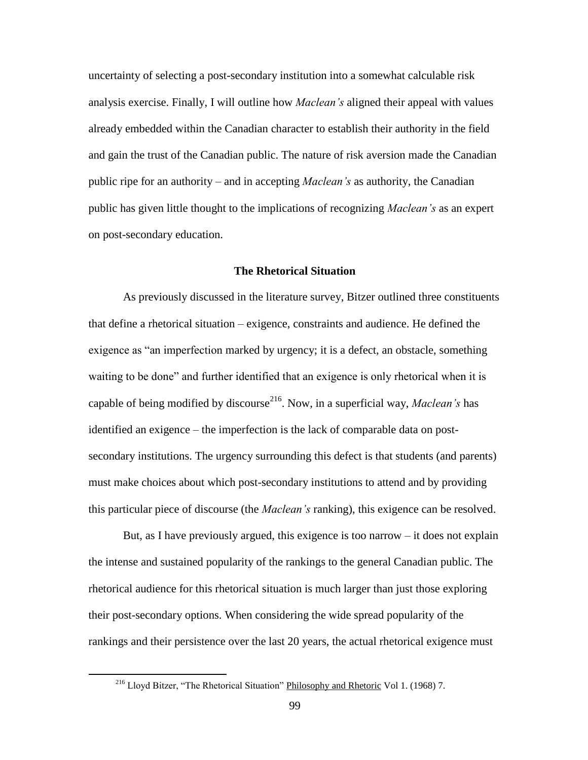uncertainty of selecting a post-secondary institution into a somewhat calculable risk analysis exercise. Finally, I will outline how *Maclean's* aligned their appeal with values already embedded within the Canadian character to establish their authority in the field and gain the trust of the Canadian public. The nature of risk aversion made the Canadian public ripe for an authority – and in accepting *Maclean's* as authority, the Canadian public has given little thought to the implications of recognizing *Maclean's* as an expert on post-secondary education.

# **The Rhetorical Situation**

As previously discussed in the literature survey, Bitzer outlined three constituents that define a rhetorical situation – exigence, constraints and audience. He defined the exigence as "an imperfection marked by urgency; it is a defect, an obstacle, something waiting to be done" and further identified that an exigence is only rhetorical when it is capable of being modified by discourse<sup>216</sup>. Now, in a superficial way, *Maclean's* has identified an exigence – the imperfection is the lack of comparable data on postsecondary institutions. The urgency surrounding this defect is that students (and parents) must make choices about which post-secondary institutions to attend and by providing this particular piece of discourse (the *Maclean's* ranking), this exigence can be resolved.

But, as I have previously argued, this exigence is too narrow  $-$  it does not explain the intense and sustained popularity of the rankings to the general Canadian public. The rhetorical audience for this rhetorical situation is much larger than just those exploring their post-secondary options. When considering the wide spread popularity of the rankings and their persistence over the last 20 years, the actual rhetorical exigence must

<sup>&</sup>lt;sup>216</sup> Lloyd Bitzer, "The Rhetorical Situation" Philosophy and Rhetoric Vol 1. (1968) 7.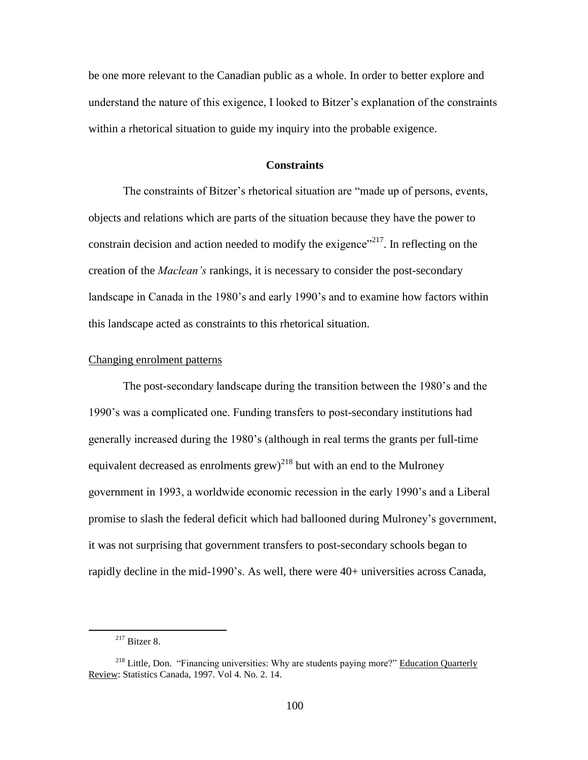be one more relevant to the Canadian public as a whole. In order to better explore and understand the nature of this exigence, I looked to Bitzer"s explanation of the constraints within a rhetorical situation to guide my inquiry into the probable exigence.

# **Constraints**

The constraints of Bitzer's rhetorical situation are "made up of persons, events, objects and relations which are parts of the situation because they have the power to constrain decision and action needed to modify the exigence"<sup>217</sup>. In reflecting on the creation of the *Maclean's* rankings, it is necessary to consider the post-secondary landscape in Canada in the 1980's and early 1990's and to examine how factors within this landscape acted as constraints to this rhetorical situation.

### Changing enrolment patterns

The post-secondary landscape during the transition between the 1980"s and the 1990"s was a complicated one. Funding transfers to post-secondary institutions had generally increased during the 1980"s (although in real terms the grants per full-time equivalent decreased as enrolments grew)<sup>218</sup> but with an end to the Mulroney government in 1993, a worldwide economic recession in the early 1990"s and a Liberal promise to slash the federal deficit which had ballooned during Mulroney"s government, it was not surprising that government transfers to post-secondary schools began to rapidly decline in the mid-1990"s. As well, there were 40+ universities across Canada,

<sup>217</sup> Bitzer 8.

<sup>&</sup>lt;sup>218</sup> Little, Don. "Financing universities: Why are students paying more?" Education Quarterly Review: Statistics Canada, 1997. Vol 4. No. 2. 14.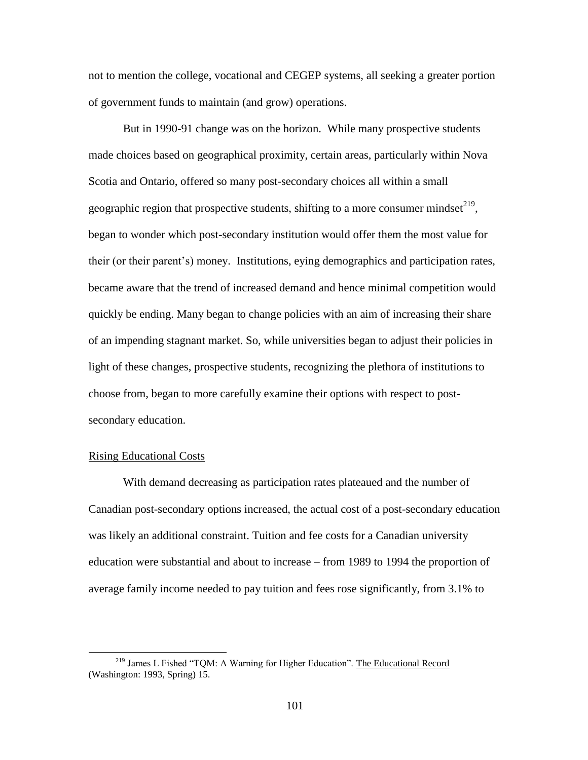not to mention the college, vocational and CEGEP systems, all seeking a greater portion of government funds to maintain (and grow) operations.

But in 1990-91 change was on the horizon. While many prospective students made choices based on geographical proximity, certain areas, particularly within Nova Scotia and Ontario, offered so many post-secondary choices all within a small geographic region that prospective students, shifting to a more consumer mindset $^{219}$ , began to wonder which post-secondary institution would offer them the most value for their (or their parent"s) money. Institutions, eying demographics and participation rates, became aware that the trend of increased demand and hence minimal competition would quickly be ending. Many began to change policies with an aim of increasing their share of an impending stagnant market. So, while universities began to adjust their policies in light of these changes, prospective students, recognizing the plethora of institutions to choose from, began to more carefully examine their options with respect to postsecondary education.

## Rising Educational Costs

 $\overline{a}$ 

With demand decreasing as participation rates plateaued and the number of Canadian post-secondary options increased, the actual cost of a post-secondary education was likely an additional constraint. Tuition and fee costs for a Canadian university education were substantial and about to increase – from 1989 to 1994 the proportion of average family income needed to pay tuition and fees rose significantly, from 3.1% to

<sup>&</sup>lt;sup>219</sup> James L Fished "TQM: A Warning for Higher Education". The Educational Record (Washington: 1993, Spring) 15.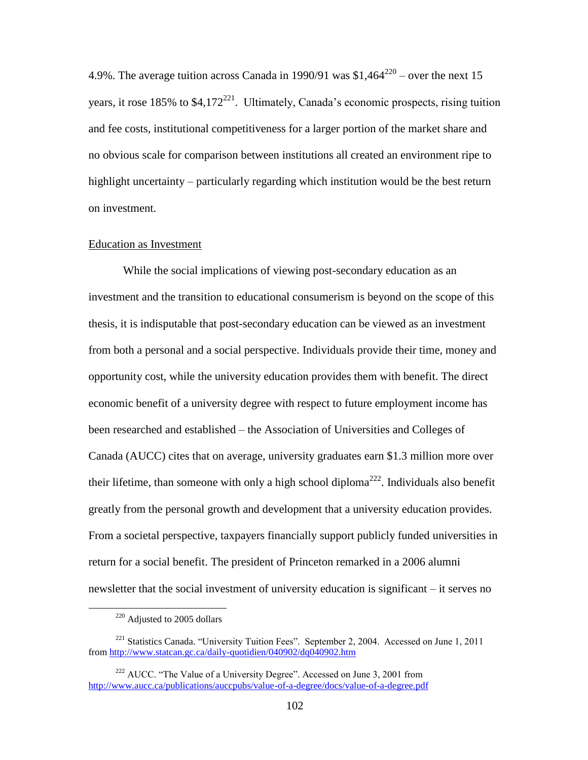4.9%. The average tuition across Canada in 1990/91 was  $$1,464^{220} -$  over the next 15 years, it rose  $185\%$  to \$4,172<sup>221</sup>. Ultimately, Canada's economic prospects, rising tuition and fee costs, institutional competitiveness for a larger portion of the market share and no obvious scale for comparison between institutions all created an environment ripe to highlight uncertainty – particularly regarding which institution would be the best return on investment.

## Education as Investment

While the social implications of viewing post-secondary education as an investment and the transition to educational consumerism is beyond on the scope of this thesis, it is indisputable that post-secondary education can be viewed as an investment from both a personal and a social perspective. Individuals provide their time, money and opportunity cost, while the university education provides them with benefit. The direct economic benefit of a university degree with respect to future employment income has been researched and established – the Association of Universities and Colleges of Canada (AUCC) cites that on average, university graduates earn \$1.3 million more over their lifetime, than someone with only a high school diploma<sup>222</sup>. Individuals also benefit greatly from the personal growth and development that a university education provides. From a societal perspective, taxpayers financially support publicly funded universities in return for a social benefit. The president of Princeton remarked in a 2006 alumni newsletter that the social investment of university education is significant – it serves no

<sup>220</sup> Adjusted to 2005 dollars

<sup>&</sup>lt;sup>221</sup> Statistics Canada. "University Tuition Fees". September 2, 2004. Accessed on June 1, 2011 from<http://www.statcan.gc.ca/daily-quotidien/040902/dq040902.htm>

 $222$  AUCC. "The Value of a University Degree". Accessed on June 3, 2001 from <http://www.aucc.ca/publications/auccpubs/value-of-a-degree/docs/value-of-a-degree.pdf>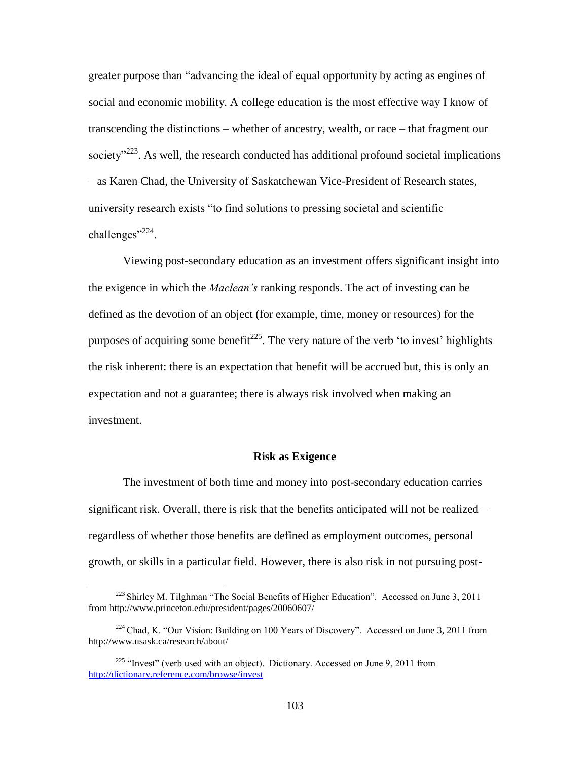greater purpose than "advancing the ideal of equal opportunity by acting as engines of social and economic mobility. A college education is the most effective way I know of transcending the distinctions – whether of ancestry, wealth, or race – that fragment our society<sup> $223$ </sup>. As well, the research conducted has additional profound societal implications – as Karen Chad, the University of Saskatchewan Vice-President of Research states, university research exists "to find solutions to pressing societal and scientific challenges"<sup>224</sup>.

Viewing post-secondary education as an investment offers significant insight into the exigence in which the *Maclean's* ranking responds. The act of investing can be defined as the devotion of an object (for example, time, money or resources) for the purposes of acquiring some benefit<sup>225</sup>. The very nature of the verb 'to invest' highlights the risk inherent: there is an expectation that benefit will be accrued but, this is only an expectation and not a guarantee; there is always risk involved when making an investment.

#### **Risk as Exigence**

The investment of both time and money into post-secondary education carries significant risk. Overall, there is risk that the benefits anticipated will not be realized – regardless of whether those benefits are defined as employment outcomes, personal growth, or skills in a particular field. However, there is also risk in not pursuing post-

<sup>&</sup>lt;sup>223</sup> Shirley M. Tilghman "The Social Benefits of Higher Education". Accessed on June 3, 2011 from<http://www.princeton.edu/president/pages/20060607/>

<sup>&</sup>lt;sup>224</sup> Chad, K. "Our Vision: Building on 100 Years of Discovery". Accessed on June 3, 2011 from <http://www.usask.ca/research/about/>

 $225$  "Invest" (verb used with an object). Dictionary. Accessed on June 9, 2011 from <http://dictionary.reference.com/browse/invest>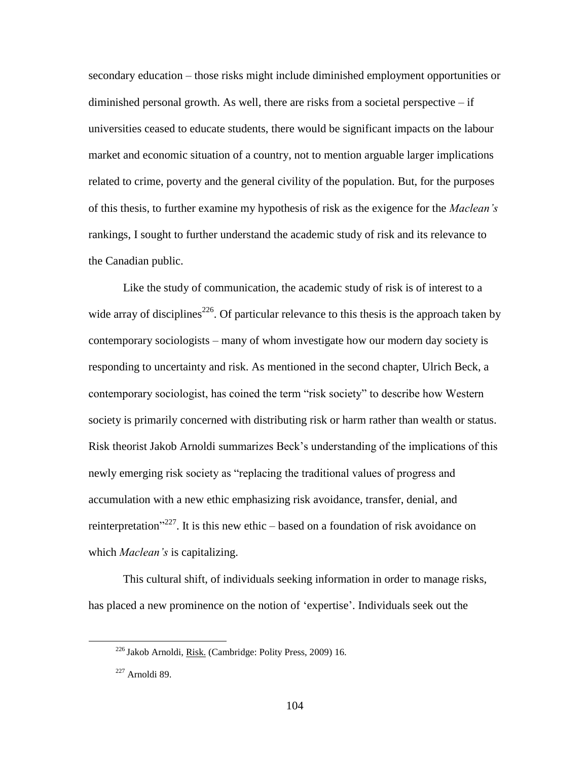secondary education – those risks might include diminished employment opportunities or diminished personal growth. As well, there are risks from a societal perspective – if universities ceased to educate students, there would be significant impacts on the labour market and economic situation of a country, not to mention arguable larger implications related to crime, poverty and the general civility of the population. But, for the purposes of this thesis, to further examine my hypothesis of risk as the exigence for the *Maclean's*  rankings, I sought to further understand the academic study of risk and its relevance to the Canadian public.

Like the study of communication, the academic study of risk is of interest to a wide array of disciplines<sup>226</sup>. Of particular relevance to this thesis is the approach taken by contemporary sociologists – many of whom investigate how our modern day society is responding to uncertainty and risk. As mentioned in the second chapter, Ulrich Beck, a contemporary sociologist, has coined the term "risk society" to describe how Western society is primarily concerned with distributing risk or harm rather than wealth or status. Risk theorist Jakob Arnoldi summarizes Beck"s understanding of the implications of this newly emerging risk society as "replacing the traditional values of progress and accumulation with a new ethic emphasizing risk avoidance, transfer, denial, and reinterpretation<sup>"227</sup>. It is this new ethic – based on a foundation of risk avoidance on which *Maclean's* is capitalizing.

This cultural shift, of individuals seeking information in order to manage risks, has placed a new prominence on the notion of "expertise". Individuals seek out the

<sup>226</sup> Jakob Arnoldi, Risk. (Cambridge: Polity Press, 2009) 16.

 $227$  Arnoldi 89.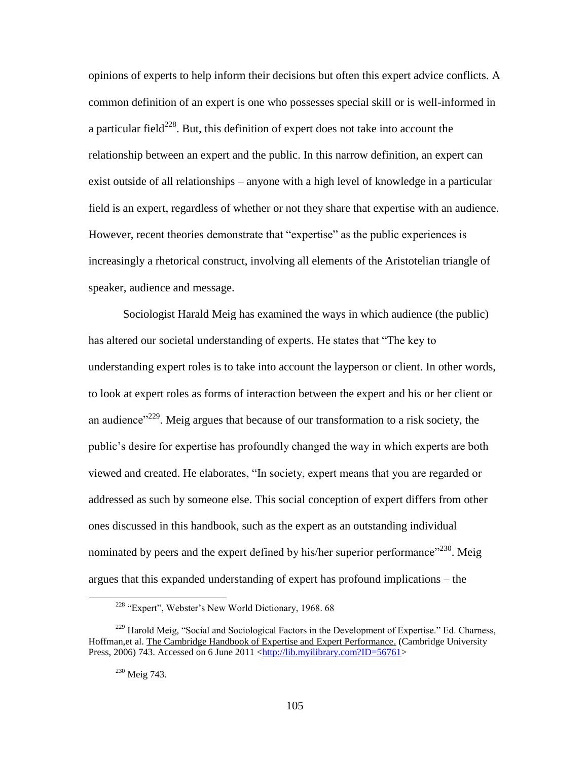opinions of experts to help inform their decisions but often this expert advice conflicts. A common definition of an expert is one who possesses special skill or is well-informed in a particular field $^{228}$ . But, this definition of expert does not take into account the relationship between an expert and the public. In this narrow definition, an expert can exist outside of all relationships – anyone with a high level of knowledge in a particular field is an expert, regardless of whether or not they share that expertise with an audience. However, recent theories demonstrate that "expertise" as the public experiences is increasingly a rhetorical construct, involving all elements of the Aristotelian triangle of speaker, audience and message.

Sociologist Harald Meig has examined the ways in which audience (the public) has altered our societal understanding of experts. He states that "The key to understanding expert roles is to take into account the layperson or client. In other words, to look at expert roles as forms of interaction between the expert and his or her client or an audience"<sup>229</sup>. Meig argues that because of our transformation to a risk society, the public"s desire for expertise has profoundly changed the way in which experts are both viewed and created. He elaborates, "In society, expert means that you are regarded or addressed as such by someone else. This social conception of expert differs from other ones discussed in this handbook, such as the expert as an outstanding individual nominated by peers and the expert defined by his/her superior performance"<sup>230</sup>. Meig argues that this expanded understanding of expert has profound implications – the

<sup>&</sup>lt;sup>228</sup> "Expert", Webster's New World Dictionary, 1968. 68

 $^{229}$  Harold Meig, "Social and Sociological Factors in the Development of Expertise." Ed. Charness, Hoffman,et al. The Cambridge Handbook of Expertise and Expert Performance. (Cambridge University Press, 2006) 743. Accessed on 6 June 2011 [<http://lib.myilibrary.com?ID=56761>](http://lib.myilibrary.com/?ID=56761)

<sup>230</sup> Meig 743.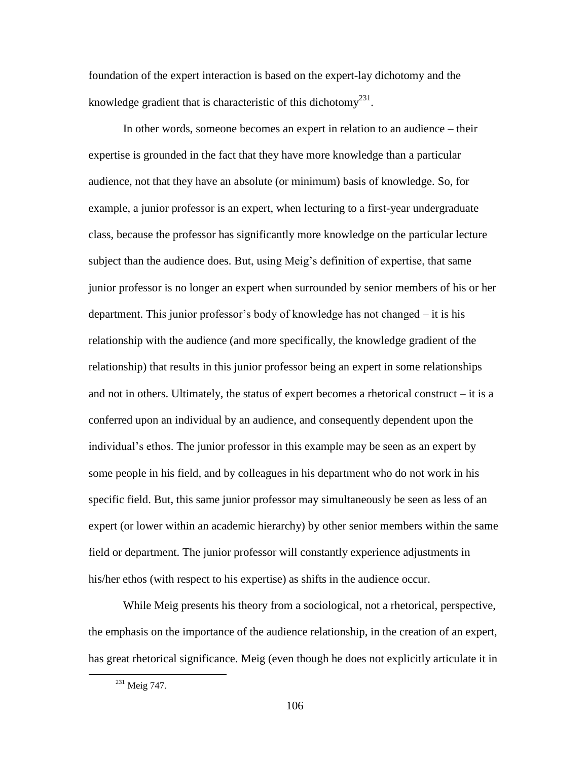foundation of the expert interaction is based on the expert-lay dichotomy and the knowledge gradient that is characteristic of this dichotomy<sup>231</sup>.

In other words, someone becomes an expert in relation to an audience – their expertise is grounded in the fact that they have more knowledge than a particular audience, not that they have an absolute (or minimum) basis of knowledge. So, for example, a junior professor is an expert, when lecturing to a first-year undergraduate class, because the professor has significantly more knowledge on the particular lecture subject than the audience does. But, using Meig"s definition of expertise, that same junior professor is no longer an expert when surrounded by senior members of his or her department. This junior professor"s body of knowledge has not changed – it is his relationship with the audience (and more specifically, the knowledge gradient of the relationship) that results in this junior professor being an expert in some relationships and not in others. Ultimately, the status of expert becomes a rhetorical construct – it is a conferred upon an individual by an audience, and consequently dependent upon the individual"s ethos. The junior professor in this example may be seen as an expert by some people in his field, and by colleagues in his department who do not work in his specific field. But, this same junior professor may simultaneously be seen as less of an expert (or lower within an academic hierarchy) by other senior members within the same field or department. The junior professor will constantly experience adjustments in his/her ethos (with respect to his expertise) as shifts in the audience occur.

While Meig presents his theory from a sociological, not a rhetorical, perspective, the emphasis on the importance of the audience relationship, in the creation of an expert, has great rhetorical significance. Meig (even though he does not explicitly articulate it in

<sup>&</sup>lt;sup>231</sup> Meig 747.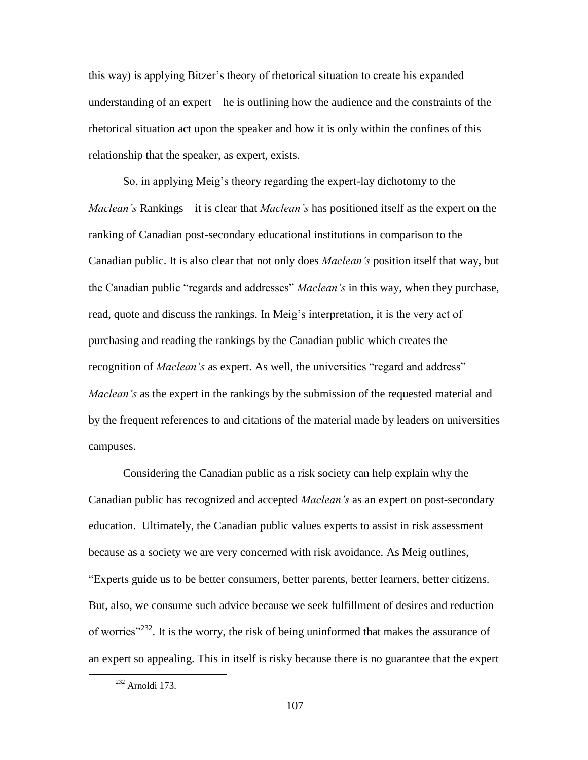this way) is applying Bitzer"s theory of rhetorical situation to create his expanded understanding of an expert – he is outlining how the audience and the constraints of the rhetorical situation act upon the speaker and how it is only within the confines of this relationship that the speaker, as expert, exists.

So, in applying Meig"s theory regarding the expert-lay dichotomy to the *Maclean's* Rankings – it is clear that *Maclean's* has positioned itself as the expert on the ranking of Canadian post-secondary educational institutions in comparison to the Canadian public. It is also clear that not only does *Maclean's* position itself that way, but the Canadian public "regards and addresses" *Maclean's* in this way, when they purchase, read, quote and discuss the rankings. In Meig"s interpretation, it is the very act of purchasing and reading the rankings by the Canadian public which creates the recognition of *Maclean's* as expert. As well, the universities "regard and address" *Maclean's* as the expert in the rankings by the submission of the requested material and by the frequent references to and citations of the material made by leaders on universities campuses.

Considering the Canadian public as a risk society can help explain why the Canadian public has recognized and accepted *Maclean's* as an expert on post-secondary education. Ultimately, the Canadian public values experts to assist in risk assessment because as a society we are very concerned with risk avoidance. As Meig outlines, "Experts guide us to be better consumers, better parents, better learners, better citizens. But, also, we consume such advice because we seek fulfillment of desires and reduction of worries $1232$ . It is the worry, the risk of being uninformed that makes the assurance of an expert so appealing. This in itself is risky because there is no guarantee that the expert

<sup>232</sup> Arnoldi 173.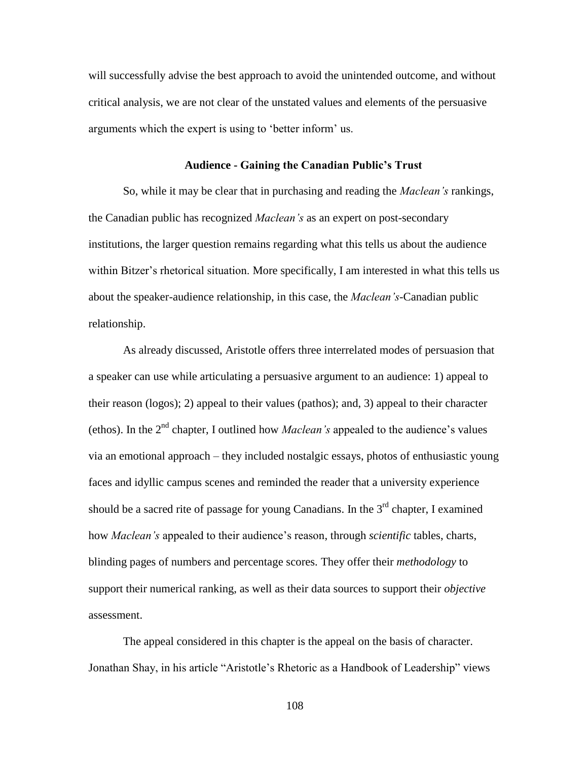will successfully advise the best approach to avoid the unintended outcome, and without critical analysis, we are not clear of the unstated values and elements of the persuasive arguments which the expert is using to "better inform" us.

## **Audience - Gaining the Canadian Public's Trust**

So, while it may be clear that in purchasing and reading the *Maclean's* rankings, the Canadian public has recognized *Maclean's* as an expert on post-secondary institutions, the larger question remains regarding what this tells us about the audience within Bitzer's rhetorical situation. More specifically, I am interested in what this tells us about the speaker-audience relationship, in this case, the *Maclean's*-Canadian public relationship.

As already discussed, Aristotle offers three interrelated modes of persuasion that a speaker can use while articulating a persuasive argument to an audience: 1) appeal to their reason (logos); 2) appeal to their values (pathos); and, 3) appeal to their character (ethos). In the 2nd chapter, I outlined how *Maclean's* appealed to the audience"s values via an emotional approach – they included nostalgic essays, photos of enthusiastic young faces and idyllic campus scenes and reminded the reader that a university experience should be a sacred rite of passage for young Canadians. In the  $3<sup>rd</sup>$  chapter, I examined how *Maclean's* appealed to their audience"s reason, through *scientific* tables, charts, blinding pages of numbers and percentage scores. They offer their *methodology* to support their numerical ranking, as well as their data sources to support their *objective* assessment.

The appeal considered in this chapter is the appeal on the basis of character. Jonathan Shay, in his article "Aristotle"s Rhetoric as a Handbook of Leadership" views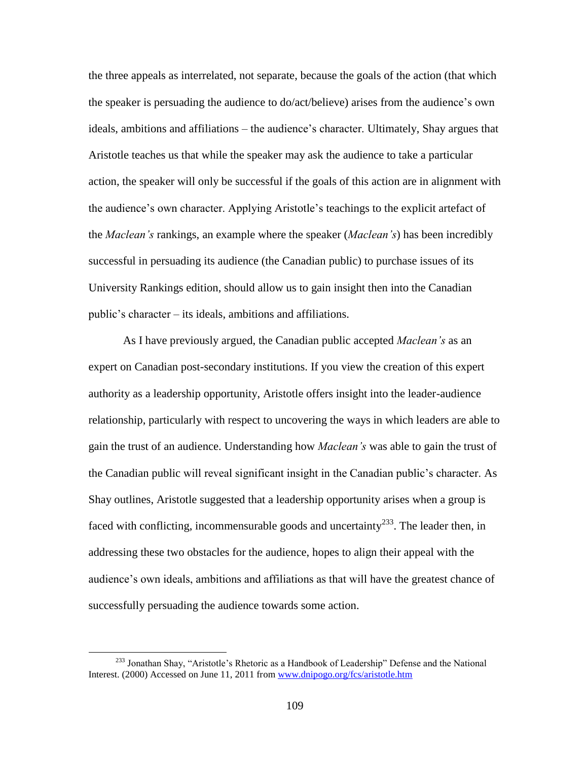the three appeals as interrelated, not separate, because the goals of the action (that which the speaker is persuading the audience to do/act/believe) arises from the audience"s own ideals, ambitions and affiliations – the audience's character. Ultimately, Shay argues that Aristotle teaches us that while the speaker may ask the audience to take a particular action, the speaker will only be successful if the goals of this action are in alignment with the audience"s own character. Applying Aristotle"s teachings to the explicit artefact of the *Maclean's* rankings, an example where the speaker (*Maclean's*) has been incredibly successful in persuading its audience (the Canadian public) to purchase issues of its University Rankings edition, should allow us to gain insight then into the Canadian public"s character – its ideals, ambitions and affiliations.

As I have previously argued, the Canadian public accepted *Maclean's* as an expert on Canadian post-secondary institutions. If you view the creation of this expert authority as a leadership opportunity, Aristotle offers insight into the leader-audience relationship, particularly with respect to uncovering the ways in which leaders are able to gain the trust of an audience. Understanding how *Maclean's* was able to gain the trust of the Canadian public will reveal significant insight in the Canadian public"s character. As Shay outlines, Aristotle suggested that a leadership opportunity arises when a group is faced with conflicting, incommensurable goods and uncertainty<sup>233</sup>. The leader then, in addressing these two obstacles for the audience, hopes to align their appeal with the audience"s own ideals, ambitions and affiliations as that will have the greatest chance of successfully persuading the audience towards some action.

<sup>&</sup>lt;sup>233</sup> Jonathan Shay, "Aristotle's Rhetoric as a Handbook of Leadership" Defense and the National Interest. (2000) Accessed on June 11, 2011 fro[m www.dnipogo.org/fcs/aristotle.htm](http://www.dnipogo.org/fcs/aristotle.htm)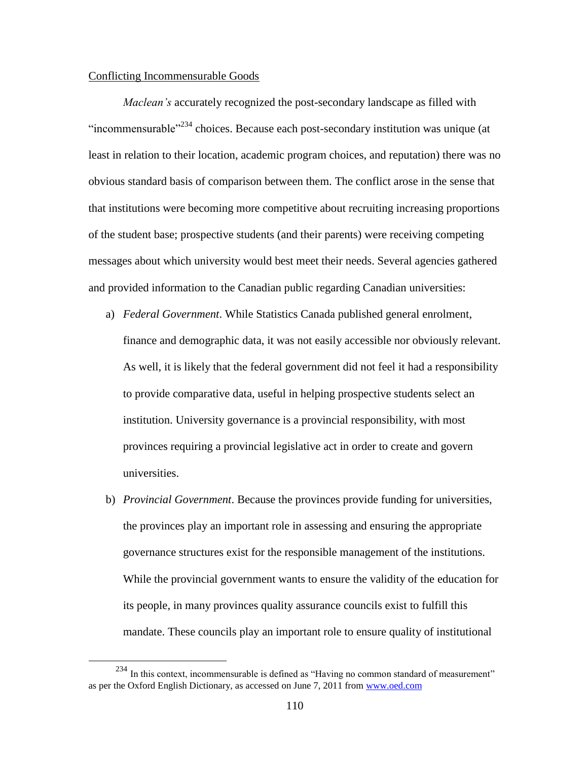## Conflicting Incommensurable Goods

 $\overline{a}$ 

*Maclean's* accurately recognized the post-secondary landscape as filled with "incommensurable"<sup>234</sup> choices. Because each post-secondary institution was unique (at least in relation to their location, academic program choices, and reputation) there was no obvious standard basis of comparison between them. The conflict arose in the sense that that institutions were becoming more competitive about recruiting increasing proportions of the student base; prospective students (and their parents) were receiving competing messages about which university would best meet their needs. Several agencies gathered and provided information to the Canadian public regarding Canadian universities:

- a) *Federal Government*. While Statistics Canada published general enrolment, finance and demographic data, it was not easily accessible nor obviously relevant. As well, it is likely that the federal government did not feel it had a responsibility to provide comparative data, useful in helping prospective students select an institution. University governance is a provincial responsibility, with most provinces requiring a provincial legislative act in order to create and govern universities.
- b) *Provincial Government*. Because the provinces provide funding for universities, the provinces play an important role in assessing and ensuring the appropriate governance structures exist for the responsible management of the institutions. While the provincial government wants to ensure the validity of the education for its people, in many provinces quality assurance councils exist to fulfill this mandate. These councils play an important role to ensure quality of institutional

<sup>234</sup> In this context, incommensurable is defined as "Having no common standard of measurement" as per the Oxford English Dictionary, as accessed on June 7, 2011 from [www.oed.com](http://www.oed.com/)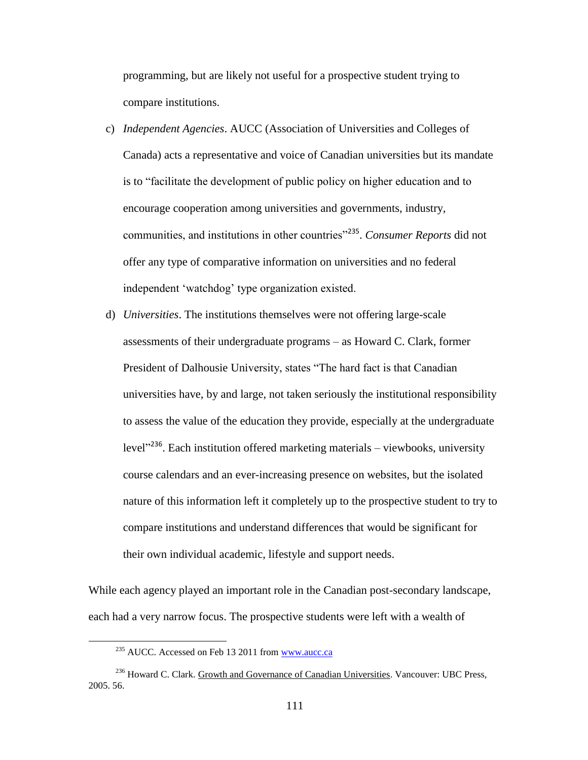programming, but are likely not useful for a prospective student trying to compare institutions.

- c) *Independent Agencies*. AUCC (Association of Universities and Colleges of Canada) acts a representative and voice of Canadian universities but its mandate is to "facilitate the development of public policy on higher education and to encourage cooperation among universities and governments, industry, communities, and institutions in other countries<sup>"235</sup>. *Consumer Reports* did not offer any type of comparative information on universities and no federal independent "watchdog" type organization existed.
- d) *Universities*. The institutions themselves were not offering large-scale assessments of their undergraduate programs – as Howard C. Clark, former President of Dalhousie University, states "The hard fact is that Canadian universities have, by and large, not taken seriously the institutional responsibility to assess the value of the education they provide, especially at the undergraduate level<sup>2236</sup>. Each institution offered marketing materials – viewbooks, university course calendars and an ever-increasing presence on websites, but the isolated nature of this information left it completely up to the prospective student to try to compare institutions and understand differences that would be significant for their own individual academic, lifestyle and support needs.

While each agency played an important role in the Canadian post-secondary landscape, each had a very narrow focus. The prospective students were left with a wealth of

<sup>&</sup>lt;sup>235</sup> AUCC. Accessed on Feb 13 2011 fro[m www.aucc.ca](http://www.aucc.ca/)

<sup>&</sup>lt;sup>236</sup> Howard C. Clark. Growth and Governance of Canadian Universities. Vancouver: UBC Press, 2005. 56.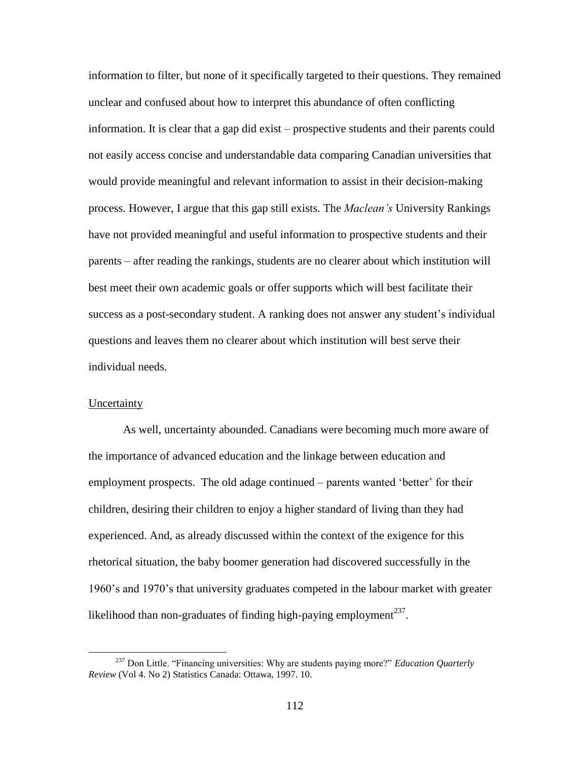information to filter, but none of it specifically targeted to their questions. They remained unclear and confused about how to interpret this abundance of often conflicting information. It is clear that a gap did exist – prospective students and their parents could not easily access concise and understandable data comparing Canadian universities that would provide meaningful and relevant information to assist in their decision-making process. However, I argue that this gap still exists. The *Maclean's* University Rankings have not provided meaningful and useful information to prospective students and their parents – after reading the rankings, students are no clearer about which institution will best meet their own academic goals or offer supports which will best facilitate their success as a post-secondary student. A ranking does not answer any student"s individual questions and leaves them no clearer about which institution will best serve their individual needs.

# **Uncertainty**

 $\overline{a}$ 

As well, uncertainty abounded. Canadians were becoming much more aware of the importance of advanced education and the linkage between education and employment prospects. The old adage continued – parents wanted "better" for their children, desiring their children to enjoy a higher standard of living than they had experienced. And, as already discussed within the context of the exigence for this rhetorical situation, the baby boomer generation had discovered successfully in the 1960"s and 1970"s that university graduates competed in the labour market with greater likelihood than non-graduates of finding high-paying employment $^{237}$ .

<sup>237</sup> Don Little. "Financing universities: Why are students paying more?" *Education Quarterly Review* (Vol 4. No 2) Statistics Canada: Ottawa, 1997. 10.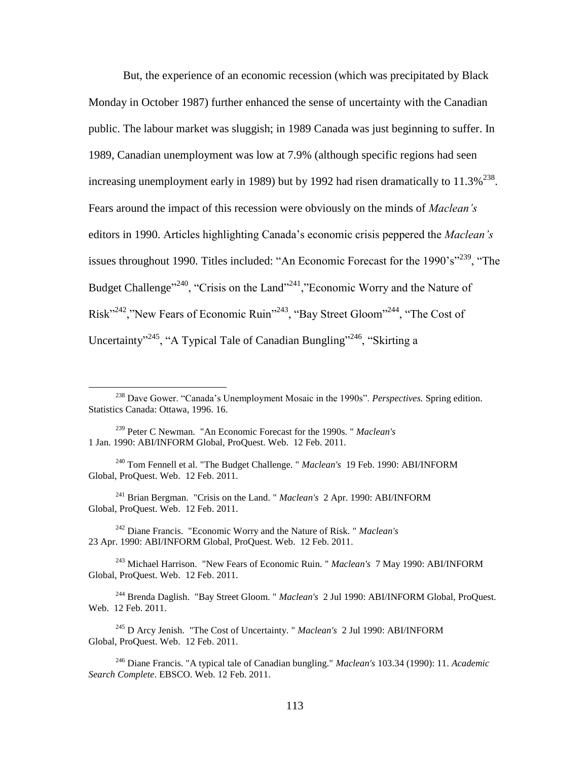But, the experience of an economic recession (which was precipitated by Black Monday in October 1987) further enhanced the sense of uncertainty with the Canadian public. The labour market was sluggish; in 1989 Canada was just beginning to suffer. In 1989, Canadian unemployment was low at 7.9% (although specific regions had seen increasing unemployment early in 1989) but by 1992 had risen dramatically to  $11.3\%^{238}$ . Fears around the impact of this recession were obviously on the minds of *Maclean's* editors in 1990. Articles highlighting Canada"s economic crisis peppered the *Maclean's* issues throughout 1990. Titles included: "An Economic Forecast for the  $1990$ 's"<sup>239</sup>, "The Budget Challenge<sup>"240</sup>, "Crisis on the Land"<sup>241</sup>, "Economic Worry and the Nature of Risk"<sup>242</sup>,"New Fears of Economic Ruin"<sup>243</sup>, "Bay Street Gloom"<sup>244</sup>, "The Cost of Uncertainty"<sup>245</sup>, "A Typical Tale of Canadian Bungling"<sup>246</sup>, "Skirting a

 $\overline{a}$ 

<sup>242</sup> Diane Francis. "Economic Worry and the Nature of Risk. " *Maclean's* 23 Apr. 1990: ABI/INFORM Global, ProQuest. Web. 12 Feb. 2011.

<sup>243</sup> Michael Harrison. "New Fears of Economic Ruin. " *Maclean's* 7 May 1990: ABI/INFORM Global, ProQuest. Web. 12 Feb. 2011.

<sup>244</sup> Brenda Daglish. "Bay Street Gloom. " *Maclean's* 2 Jul 1990: ABI/INFORM Global, ProQuest. Web. 12 Feb. 2011.

<sup>245</sup> D Arcy Jenish. "The Cost of Uncertainty. " *Maclean's* 2 Jul 1990: ABI/INFORM Global, ProQuest. Web. 12 Feb. 2011.

<sup>238</sup> Dave Gower. "Canada"s Unemployment Mosaic in the 1990s". *Perspectives.* Spring edition. Statistics Canada: Ottawa, 1996. 16.

<sup>239</sup> Peter C Newman. "An Economic Forecast for the 1990s. " *Maclean's* 1 Jan. 1990: ABI/INFORM Global, ProQuest. Web. 12 Feb. 2011.

<sup>240</sup> Tom Fennell et al. "The Budget Challenge. " *Maclean's* 19 Feb. 1990: ABI/INFORM Global, ProQuest. Web. 12 Feb. 2011.

<sup>241</sup> Brian Bergman. "Crisis on the Land. " *Maclean's* 2 Apr. 1990: ABI/INFORM Global, ProQuest. Web. 12 Feb. 2011.

<sup>246</sup> Diane Francis. "A typical tale of Canadian bungling." *Maclean's* 103.34 (1990): 11. *Academic Search Complete*. EBSCO. Web. 12 Feb. 2011.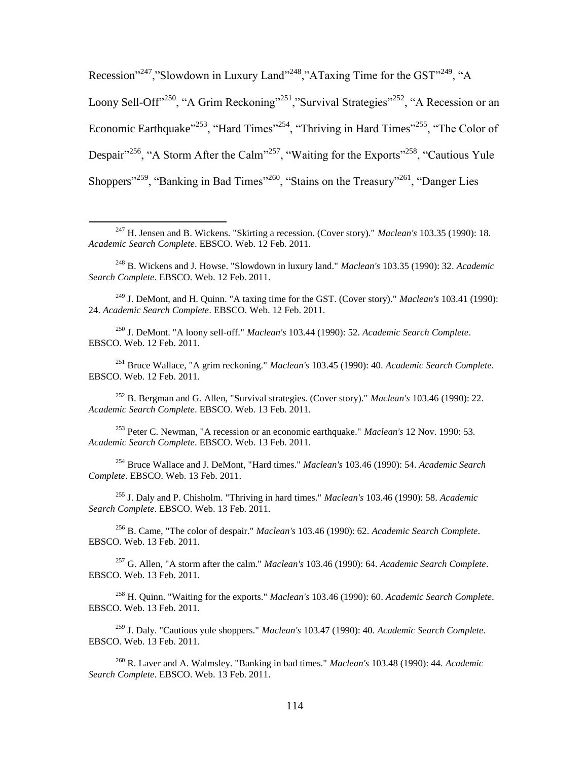Recession"<sup>247</sup>,"Slowdown in Luxury Land"<sup>248</sup>,"ATaxing Time for the GST"<sup>249</sup>, "A Loony Sell-Off<sup>"250</sup>, "A Grim Reckoning"<sup>251</sup>, "Survival Strategies"<sup>252</sup>, "A Recession or an Economic Earthquake"<sup>253</sup>, "Hard Times"<sup>254</sup>, "Thriving in Hard Times"<sup>255</sup>, "The Color of Despair"<sup>256</sup>, "A Storm After the Calm"<sup>257</sup>, "Waiting for the Exports"<sup>258</sup>, "Cautious Yule Shoppers<sup>"259</sup>, "Banking in Bad Times"<sup>260</sup>, "Stains on the Treasury"<sup>261</sup>, "Danger Lies

 $\overline{a}$ 

<sup>249</sup> J. DeMont, and H. Quinn. "A taxing time for the GST. (Cover story)." *Maclean's* 103.41 (1990): 24. *Academic Search Complete*. EBSCO. Web. 12 Feb. 2011.

<sup>250</sup> J. DeMont. "A loony sell-off." *Maclean's* 103.44 (1990): 52. *Academic Search Complete*. EBSCO. Web. 12 Feb. 2011.

<sup>251</sup> Bruce Wallace, "A grim reckoning." *Maclean's* 103.45 (1990): 40. *Academic Search Complete*. EBSCO. Web. 12 Feb. 2011.

<sup>252</sup> B. Bergman and G. Allen, "Survival strategies. (Cover story)." *Maclean's* 103.46 (1990): 22. *Academic Search Complete*. EBSCO. Web. 13 Feb. 2011.

<sup>253</sup> Peter C. Newman, "A recession or an economic earthquake." *Maclean's* 12 Nov. 1990: 53. *Academic Search Complete*. EBSCO. Web. 13 Feb. 2011.

<sup>254</sup> Bruce Wallace and J. DeMont, "Hard times." *Maclean's* 103.46 (1990): 54. *Academic Search Complete*. EBSCO. Web. 13 Feb. 2011.

<sup>255</sup> J. Daly and P. Chisholm. "Thriving in hard times." *Maclean's* 103.46 (1990): 58. *Academic Search Complete*. EBSCO. Web. 13 Feb. 2011.

<sup>256</sup> B. Came, "The color of despair." *Maclean's* 103.46 (1990): 62. *Academic Search Complete*. EBSCO. Web. 13 Feb. 2011.

<sup>257</sup> G. Allen, "A storm after the calm." *Maclean's* 103.46 (1990): 64. *Academic Search Complete*. EBSCO. Web. 13 Feb. 2011.

<sup>258</sup> H. Quinn. "Waiting for the exports." *Maclean's* 103.46 (1990): 60. *Academic Search Complete*. EBSCO. Web. 13 Feb. 2011.

<sup>259</sup> J. Daly. "Cautious yule shoppers." *Maclean's* 103.47 (1990): 40. *Academic Search Complete*. EBSCO. Web. 13 Feb. 2011.

<sup>260</sup> R. Laver and A. Walmsley. "Banking in bad times." *Maclean's* 103.48 (1990): 44. *Academic Search Complete*. EBSCO. Web. 13 Feb. 2011.

<sup>247</sup> H. Jensen and B. Wickens. "Skirting a recession. (Cover story)." *Maclean's* 103.35 (1990): 18. *Academic Search Complete*. EBSCO. Web. 12 Feb. 2011.

<sup>248</sup> B. Wickens and J. Howse. "Slowdown in luxury land." *Maclean's* 103.35 (1990): 32. *Academic Search Complete*. EBSCO. Web. 12 Feb. 2011.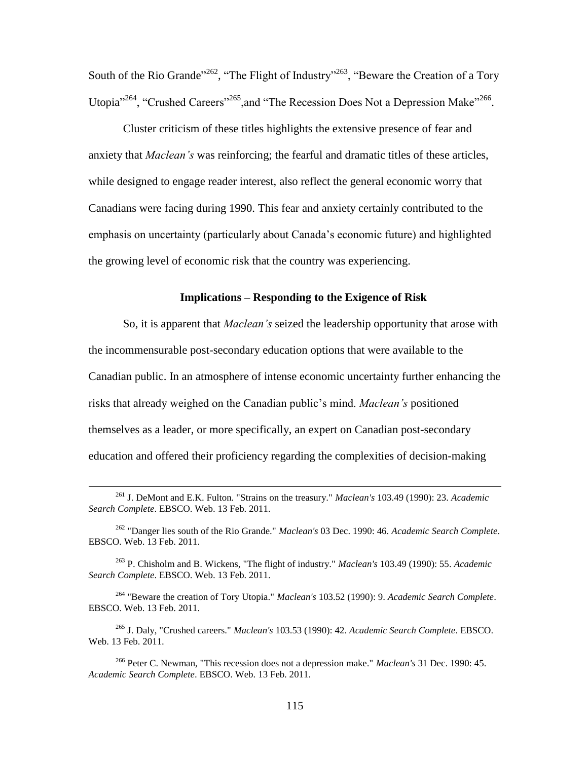South of the Rio Grande<sup> $262$ </sup>, "The Flight of Industry"<sup>263</sup>, "Beware the Creation of a Tory Utopia<sup>3264</sup>, "Crushed Careers<sup>3265</sup>, and "The Recession Does Not a Depression Make<sup>3266</sup>.

Cluster criticism of these titles highlights the extensive presence of fear and anxiety that *Maclean's* was reinforcing; the fearful and dramatic titles of these articles, while designed to engage reader interest, also reflect the general economic worry that Canadians were facing during 1990. This fear and anxiety certainly contributed to the emphasis on uncertainty (particularly about Canada"s economic future) and highlighted the growing level of economic risk that the country was experiencing.

## **Implications – Responding to the Exigence of Risk**

So, it is apparent that *Maclean's* seized the leadership opportunity that arose with the incommensurable post-secondary education options that were available to the Canadian public. In an atmosphere of intense economic uncertainty further enhancing the risks that already weighed on the Canadian public"s mind. *Maclean's* positioned themselves as a leader, or more specifically, an expert on Canadian post-secondary education and offered their proficiency regarding the complexities of decision-making

<sup>261</sup> J. DeMont and E.K. Fulton. "Strains on the treasury." *Maclean's* 103.49 (1990): 23. *Academic Search Complete*. EBSCO. Web. 13 Feb. 2011.

<sup>262</sup> "Danger lies south of the Rio Grande." *Maclean's* 03 Dec. 1990: 46. *Academic Search Complete*. EBSCO. Web. 13 Feb. 2011.

<sup>263</sup> P. Chisholm and B. Wickens, "The flight of industry." *Maclean's* 103.49 (1990): 55. *Academic Search Complete*. EBSCO. Web. 13 Feb. 2011.

<sup>264</sup> "Beware the creation of Tory Utopia." *Maclean's* 103.52 (1990): 9. *Academic Search Complete*. EBSCO. Web. 13 Feb. 2011.

<sup>265</sup> J. Daly, "Crushed careers." *Maclean's* 103.53 (1990): 42. *Academic Search Complete*. EBSCO. Web. 13 Feb. 2011.

<sup>266</sup> Peter C. Newman, "This recession does not a depression make." *Maclean's* 31 Dec. 1990: 45. *Academic Search Complete*. EBSCO. Web. 13 Feb. 2011.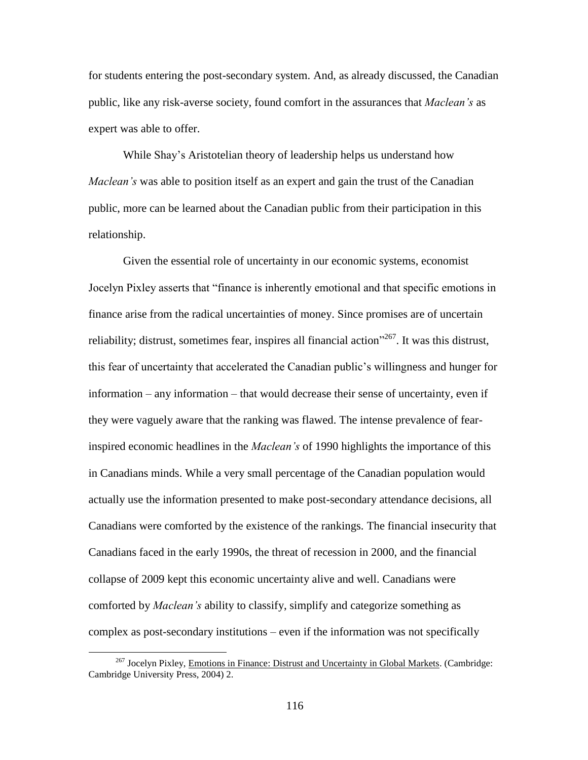for students entering the post-secondary system. And, as already discussed, the Canadian public, like any risk-averse society, found comfort in the assurances that *Maclean's* as expert was able to offer.

While Shay"s Aristotelian theory of leadership helps us understand how *Maclean's* was able to position itself as an expert and gain the trust of the Canadian public, more can be learned about the Canadian public from their participation in this relationship.

Given the essential role of uncertainty in our economic systems, economist Jocelyn Pixley asserts that "finance is inherently emotional and that specific emotions in finance arise from the radical uncertainties of money. Since promises are of uncertain reliability; distrust, sometimes fear, inspires all financial action<sup>"267</sup>. It was this distrust, this fear of uncertainty that accelerated the Canadian public"s willingness and hunger for information – any information – that would decrease their sense of uncertainty, even if they were vaguely aware that the ranking was flawed. The intense prevalence of fearinspired economic headlines in the *Maclean's* of 1990 highlights the importance of this in Canadians minds. While a very small percentage of the Canadian population would actually use the information presented to make post-secondary attendance decisions, all Canadians were comforted by the existence of the rankings. The financial insecurity that Canadians faced in the early 1990s, the threat of recession in 2000, and the financial collapse of 2009 kept this economic uncertainty alive and well. Canadians were comforted by *Maclean's* ability to classify, simplify and categorize something as complex as post-secondary institutions – even if the information was not specifically

<sup>&</sup>lt;sup>267</sup> Jocelyn Pixley, *Emotions in Finance: Distrust and Uncertainty in Global Markets.* (Cambridge: Cambridge University Press, 2004) 2.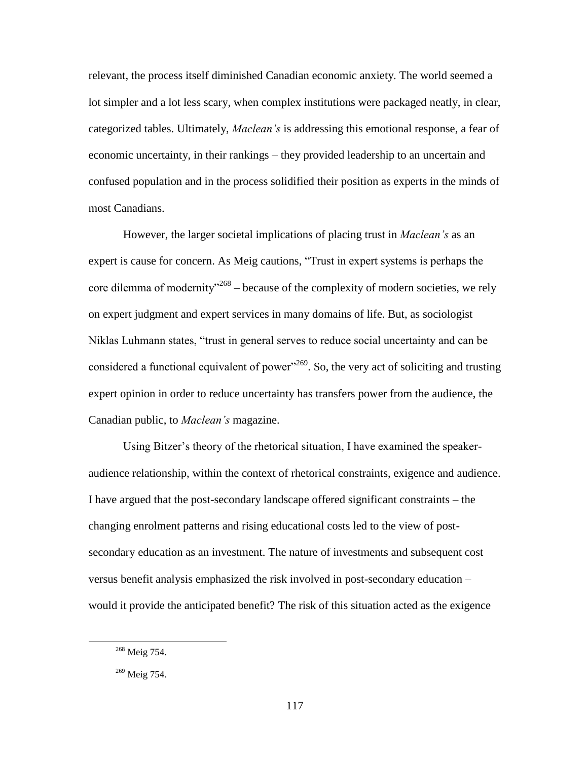relevant, the process itself diminished Canadian economic anxiety. The world seemed a lot simpler and a lot less scary, when complex institutions were packaged neatly, in clear, categorized tables. Ultimately, *Maclean's* is addressing this emotional response, a fear of economic uncertainty, in their rankings – they provided leadership to an uncertain and confused population and in the process solidified their position as experts in the minds of most Canadians.

However, the larger societal implications of placing trust in *Maclean's* as an expert is cause for concern. As Meig cautions, "Trust in expert systems is perhaps the core dilemma of modernity<sup> $268$ </sup> – because of the complexity of modern societies, we rely on expert judgment and expert services in many domains of life. But, as sociologist Niklas Luhmann states, "trust in general serves to reduce social uncertainty and can be considered a functional equivalent of power<sup> $269$ </sup>. So, the very act of soliciting and trusting expert opinion in order to reduce uncertainty has transfers power from the audience, the Canadian public, to *Maclean's* magazine.

Using Bitzer's theory of the rhetorical situation, I have examined the speakeraudience relationship, within the context of rhetorical constraints, exigence and audience. I have argued that the post-secondary landscape offered significant constraints – the changing enrolment patterns and rising educational costs led to the view of postsecondary education as an investment. The nature of investments and subsequent cost versus benefit analysis emphasized the risk involved in post-secondary education – would it provide the anticipated benefit? The risk of this situation acted as the exigence

<sup>268</sup> Meig 754.

<sup>269</sup> Meig 754.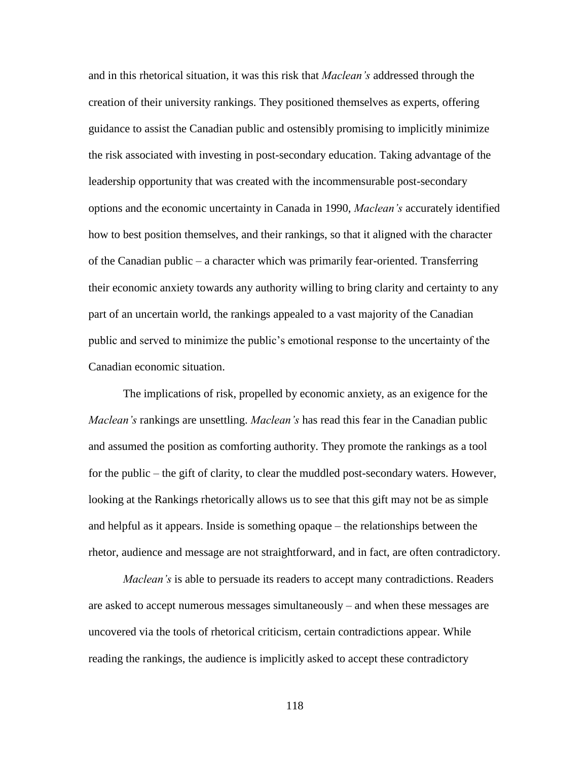and in this rhetorical situation, it was this risk that *Maclean's* addressed through the creation of their university rankings. They positioned themselves as experts, offering guidance to assist the Canadian public and ostensibly promising to implicitly minimize the risk associated with investing in post-secondary education. Taking advantage of the leadership opportunity that was created with the incommensurable post-secondary options and the economic uncertainty in Canada in 1990, *Maclean's* accurately identified how to best position themselves, and their rankings, so that it aligned with the character of the Canadian public – a character which was primarily fear-oriented. Transferring their economic anxiety towards any authority willing to bring clarity and certainty to any part of an uncertain world, the rankings appealed to a vast majority of the Canadian public and served to minimize the public"s emotional response to the uncertainty of the Canadian economic situation.

The implications of risk, propelled by economic anxiety, as an exigence for the *Maclean's* rankings are unsettling. *Maclean's* has read this fear in the Canadian public and assumed the position as comforting authority. They promote the rankings as a tool for the public – the gift of clarity, to clear the muddled post-secondary waters. However, looking at the Rankings rhetorically allows us to see that this gift may not be as simple and helpful as it appears. Inside is something opaque – the relationships between the rhetor, audience and message are not straightforward, and in fact, are often contradictory.

*Maclean's* is able to persuade its readers to accept many contradictions. Readers are asked to accept numerous messages simultaneously – and when these messages are uncovered via the tools of rhetorical criticism, certain contradictions appear. While reading the rankings, the audience is implicitly asked to accept these contradictory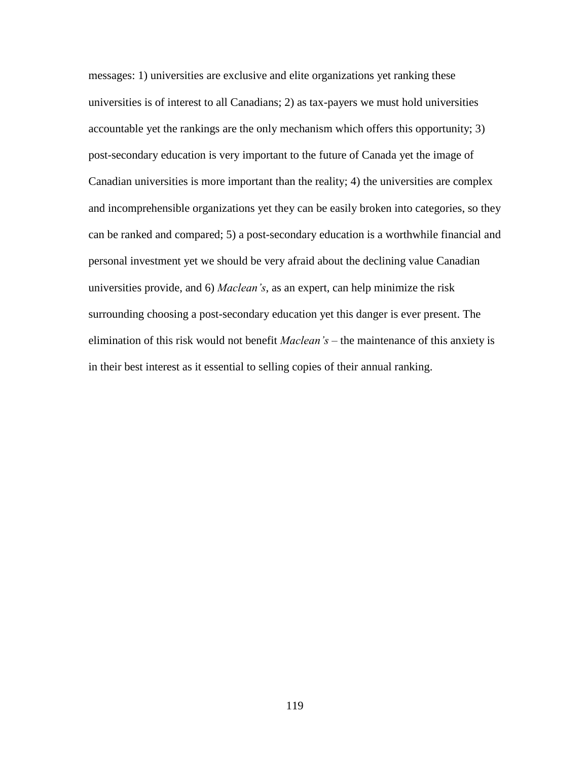messages: 1) universities are exclusive and elite organizations yet ranking these universities is of interest to all Canadians; 2) as tax-payers we must hold universities accountable yet the rankings are the only mechanism which offers this opportunity; 3) post-secondary education is very important to the future of Canada yet the image of Canadian universities is more important than the reality; 4) the universities are complex and incomprehensible organizations yet they can be easily broken into categories, so they can be ranked and compared; 5) a post-secondary education is a worthwhile financial and personal investment yet we should be very afraid about the declining value Canadian universities provide, and 6) *Maclean's*, as an expert, can help minimize the risk surrounding choosing a post-secondary education yet this danger is ever present. The elimination of this risk would not benefit *Maclean's* – the maintenance of this anxiety is in their best interest as it essential to selling copies of their annual ranking.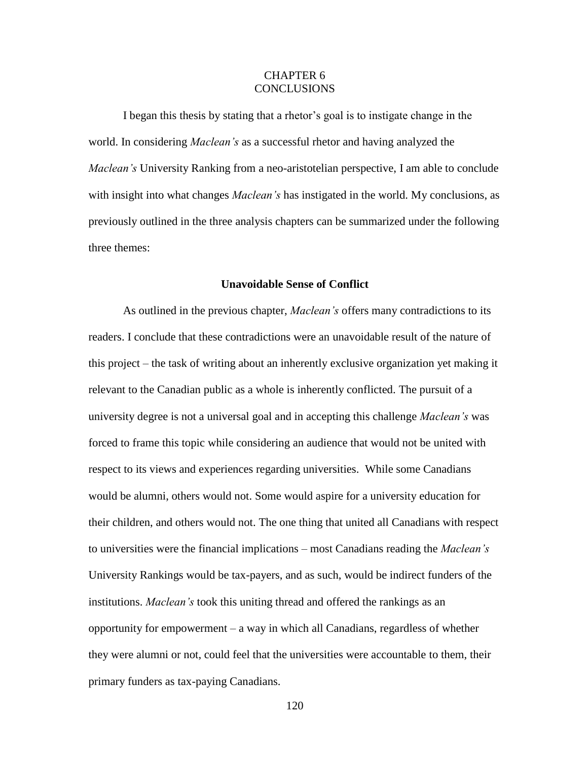# CHAPTER 6 **CONCLUSIONS**

I began this thesis by stating that a rhetor"s goal is to instigate change in the world. In considering *Maclean's* as a successful rhetor and having analyzed the *Maclean's* University Ranking from a neo-aristotelian perspective, I am able to conclude with insight into what changes *Maclean's* has instigated in the world. My conclusions, as previously outlined in the three analysis chapters can be summarized under the following three themes:

#### **Unavoidable Sense of Conflict**

As outlined in the previous chapter, *Maclean's* offers many contradictions to its readers. I conclude that these contradictions were an unavoidable result of the nature of this project – the task of writing about an inherently exclusive organization yet making it relevant to the Canadian public as a whole is inherently conflicted. The pursuit of a university degree is not a universal goal and in accepting this challenge *Maclean's* was forced to frame this topic while considering an audience that would not be united with respect to its views and experiences regarding universities. While some Canadians would be alumni, others would not. Some would aspire for a university education for their children, and others would not. The one thing that united all Canadians with respect to universities were the financial implications – most Canadians reading the *Maclean's*  University Rankings would be tax-payers, and as such, would be indirect funders of the institutions. *Maclean's* took this uniting thread and offered the rankings as an opportunity for empowerment – a way in which all Canadians, regardless of whether they were alumni or not, could feel that the universities were accountable to them, their primary funders as tax-paying Canadians.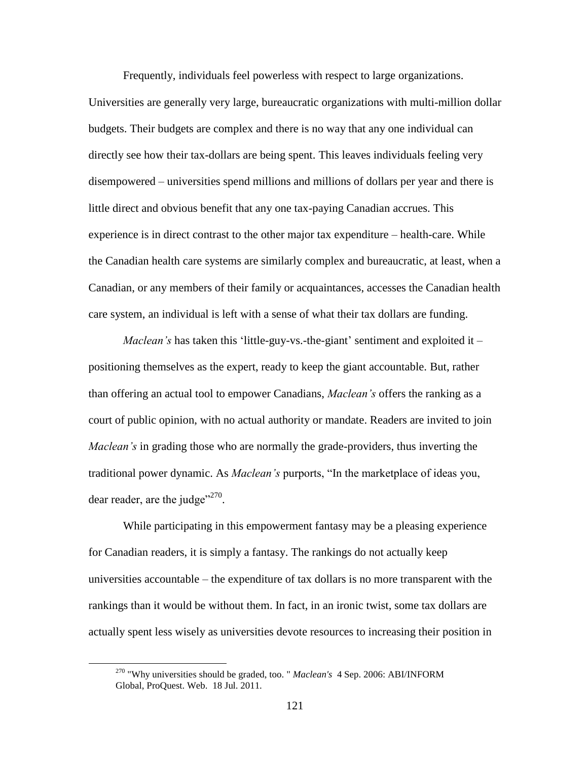Frequently, individuals feel powerless with respect to large organizations.

Universities are generally very large, bureaucratic organizations with multi-million dollar budgets. Their budgets are complex and there is no way that any one individual can directly see how their tax-dollars are being spent. This leaves individuals feeling very disempowered – universities spend millions and millions of dollars per year and there is little direct and obvious benefit that any one tax-paying Canadian accrues. This experience is in direct contrast to the other major tax expenditure – health-care. While the Canadian health care systems are similarly complex and bureaucratic, at least, when a Canadian, or any members of their family or acquaintances, accesses the Canadian health care system, an individual is left with a sense of what their tax dollars are funding.

*Maclean's* has taken this 'little-guy-vs.-the-giant' sentiment and exploited it – positioning themselves as the expert, ready to keep the giant accountable. But, rather than offering an actual tool to empower Canadians, *Maclean's* offers the ranking as a court of public opinion, with no actual authority or mandate. Readers are invited to join *Maclean's* in grading those who are normally the grade-providers, thus inverting the traditional power dynamic. As *Maclean's* purports, "In the marketplace of ideas you, dear reader, are the judge"<sup>270</sup>.

While participating in this empowerment fantasy may be a pleasing experience for Canadian readers, it is simply a fantasy. The rankings do not actually keep universities accountable – the expenditure of tax dollars is no more transparent with the rankings than it would be without them. In fact, in an ironic twist, some tax dollars are actually spent less wisely as universities devote resources to increasing their position in

<sup>270</sup> "Why universities should be graded, too. " *Maclean's* 4 Sep. 2006: ABI/INFORM Global, ProQuest. Web. 18 Jul. 2011.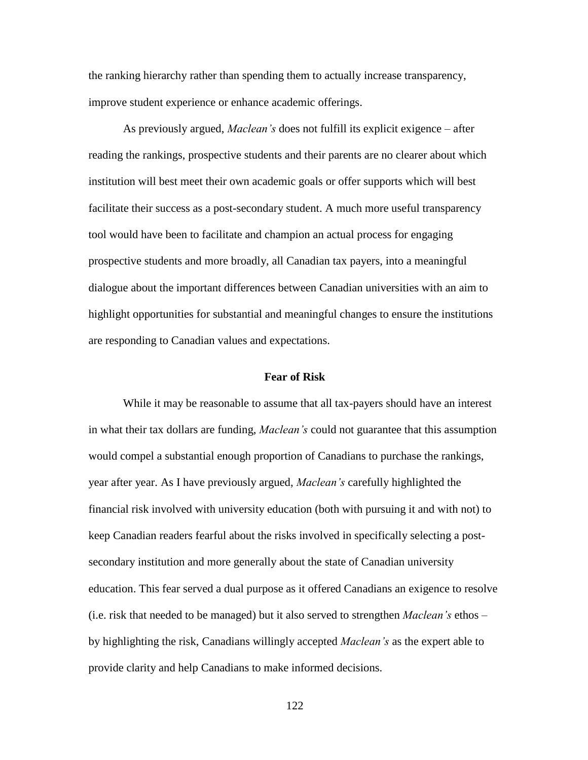the ranking hierarchy rather than spending them to actually increase transparency, improve student experience or enhance academic offerings.

As previously argued, *Maclean's* does not fulfill its explicit exigence – after reading the rankings, prospective students and their parents are no clearer about which institution will best meet their own academic goals or offer supports which will best facilitate their success as a post-secondary student. A much more useful transparency tool would have been to facilitate and champion an actual process for engaging prospective students and more broadly, all Canadian tax payers, into a meaningful dialogue about the important differences between Canadian universities with an aim to highlight opportunities for substantial and meaningful changes to ensure the institutions are responding to Canadian values and expectations.

# **Fear of Risk**

While it may be reasonable to assume that all tax-payers should have an interest in what their tax dollars are funding, *Maclean's* could not guarantee that this assumption would compel a substantial enough proportion of Canadians to purchase the rankings, year after year. As I have previously argued, *Maclean's* carefully highlighted the financial risk involved with university education (both with pursuing it and with not) to keep Canadian readers fearful about the risks involved in specifically selecting a postsecondary institution and more generally about the state of Canadian university education. This fear served a dual purpose as it offered Canadians an exigence to resolve (i.e. risk that needed to be managed) but it also served to strengthen *Maclean's* ethos – by highlighting the risk, Canadians willingly accepted *Maclean's* as the expert able to provide clarity and help Canadians to make informed decisions.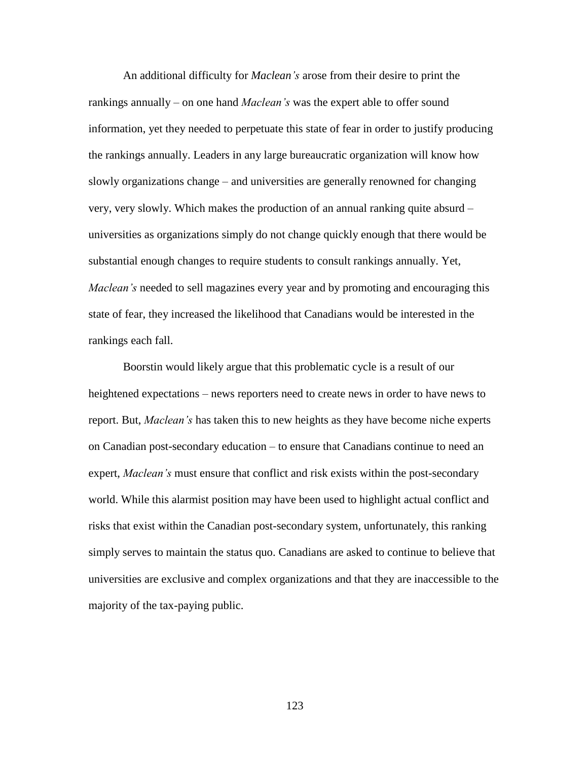An additional difficulty for *Maclean's* arose from their desire to print the rankings annually – on one hand *Maclean's* was the expert able to offer sound information, yet they needed to perpetuate this state of fear in order to justify producing the rankings annually. Leaders in any large bureaucratic organization will know how slowly organizations change – and universities are generally renowned for changing very, very slowly. Which makes the production of an annual ranking quite absurd – universities as organizations simply do not change quickly enough that there would be substantial enough changes to require students to consult rankings annually. Yet, *Maclean's* needed to sell magazines every year and by promoting and encouraging this state of fear, they increased the likelihood that Canadians would be interested in the rankings each fall.

Boorstin would likely argue that this problematic cycle is a result of our heightened expectations – news reporters need to create news in order to have news to report. But, *Maclean's* has taken this to new heights as they have become niche experts on Canadian post-secondary education – to ensure that Canadians continue to need an expert, *Maclean's* must ensure that conflict and risk exists within the post-secondary world. While this alarmist position may have been used to highlight actual conflict and risks that exist within the Canadian post-secondary system, unfortunately, this ranking simply serves to maintain the status quo. Canadians are asked to continue to believe that universities are exclusive and complex organizations and that they are inaccessible to the majority of the tax-paying public.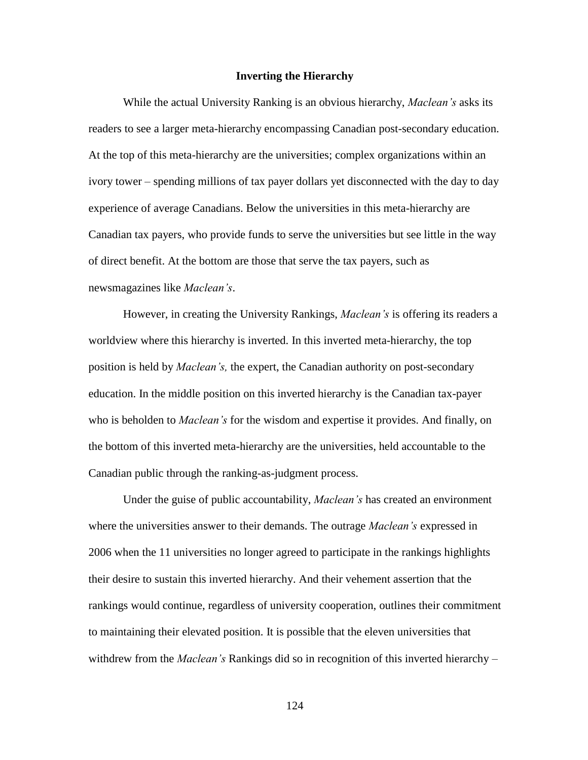#### **Inverting the Hierarchy**

While the actual University Ranking is an obvious hierarchy, *Maclean's* asks its readers to see a larger meta-hierarchy encompassing Canadian post-secondary education. At the top of this meta-hierarchy are the universities; complex organizations within an ivory tower – spending millions of tax payer dollars yet disconnected with the day to day experience of average Canadians. Below the universities in this meta-hierarchy are Canadian tax payers, who provide funds to serve the universities but see little in the way of direct benefit. At the bottom are those that serve the tax payers, such as newsmagazines like *Maclean's*.

However, in creating the University Rankings, *Maclean's* is offering its readers a worldview where this hierarchy is inverted. In this inverted meta-hierarchy, the top position is held by *Maclean's,* the expert, the Canadian authority on post-secondary education. In the middle position on this inverted hierarchy is the Canadian tax-payer who is beholden to *Maclean's* for the wisdom and expertise it provides. And finally, on the bottom of this inverted meta-hierarchy are the universities, held accountable to the Canadian public through the ranking-as-judgment process.

Under the guise of public accountability, *Maclean's* has created an environment where the universities answer to their demands. The outrage *Maclean's* expressed in 2006 when the 11 universities no longer agreed to participate in the rankings highlights their desire to sustain this inverted hierarchy. And their vehement assertion that the rankings would continue, regardless of university cooperation, outlines their commitment to maintaining their elevated position. It is possible that the eleven universities that withdrew from the *Maclean's* Rankings did so in recognition of this inverted hierarchy –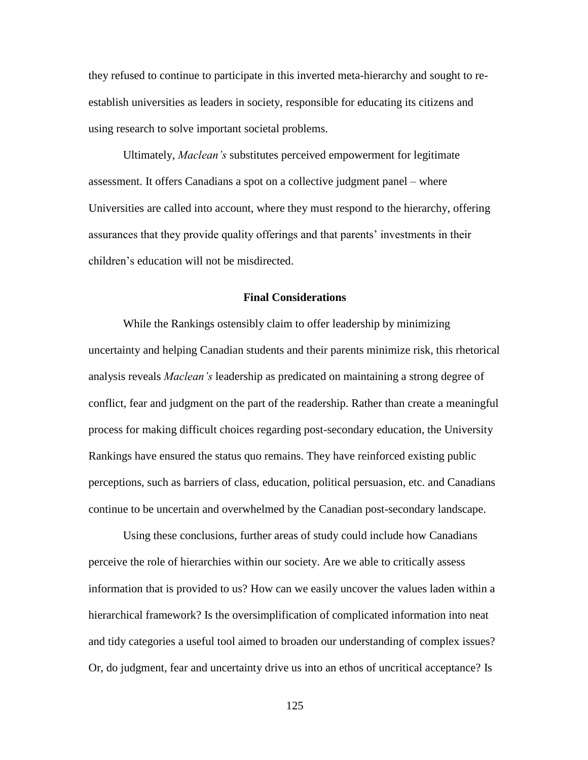they refused to continue to participate in this inverted meta-hierarchy and sought to reestablish universities as leaders in society, responsible for educating its citizens and using research to solve important societal problems.

Ultimately, *Maclean's* substitutes perceived empowerment for legitimate assessment. It offers Canadians a spot on a collective judgment panel – where Universities are called into account, where they must respond to the hierarchy, offering assurances that they provide quality offerings and that parents' investments in their children"s education will not be misdirected.

# **Final Considerations**

While the Rankings ostensibly claim to offer leadership by minimizing uncertainty and helping Canadian students and their parents minimize risk, this rhetorical analysis reveals *Maclean's* leadership as predicated on maintaining a strong degree of conflict, fear and judgment on the part of the readership. Rather than create a meaningful process for making difficult choices regarding post-secondary education, the University Rankings have ensured the status quo remains. They have reinforced existing public perceptions, such as barriers of class, education, political persuasion, etc. and Canadians continue to be uncertain and overwhelmed by the Canadian post-secondary landscape.

Using these conclusions, further areas of study could include how Canadians perceive the role of hierarchies within our society. Are we able to critically assess information that is provided to us? How can we easily uncover the values laden within a hierarchical framework? Is the oversimplification of complicated information into neat and tidy categories a useful tool aimed to broaden our understanding of complex issues? Or, do judgment, fear and uncertainty drive us into an ethos of uncritical acceptance? Is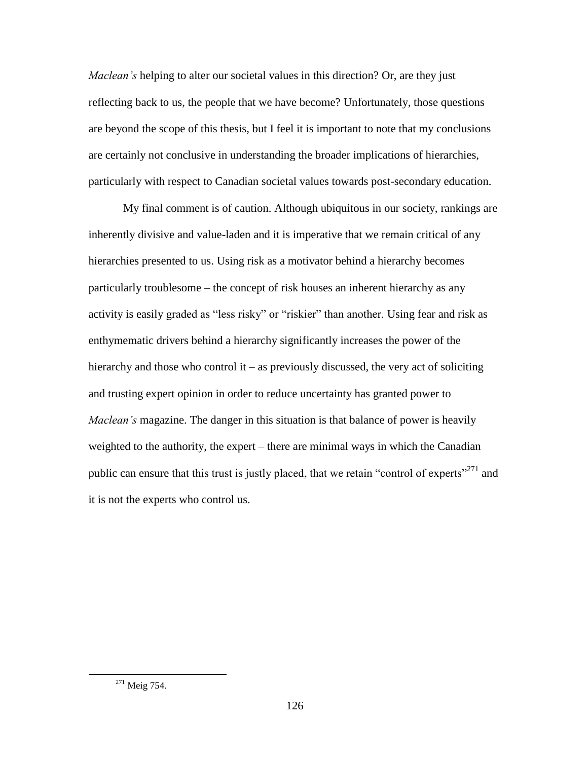*Maclean's* helping to alter our societal values in this direction? Or, are they just reflecting back to us, the people that we have become? Unfortunately, those questions are beyond the scope of this thesis, but I feel it is important to note that my conclusions are certainly not conclusive in understanding the broader implications of hierarchies, particularly with respect to Canadian societal values towards post-secondary education.

My final comment is of caution. Although ubiquitous in our society, rankings are inherently divisive and value-laden and it is imperative that we remain critical of any hierarchies presented to us. Using risk as a motivator behind a hierarchy becomes particularly troublesome – the concept of risk houses an inherent hierarchy as any activity is easily graded as "less risky" or "riskier" than another. Using fear and risk as enthymematic drivers behind a hierarchy significantly increases the power of the hierarchy and those who control it – as previously discussed, the very act of soliciting and trusting expert opinion in order to reduce uncertainty has granted power to *Maclean's* magazine. The danger in this situation is that balance of power is heavily weighted to the authority, the expert – there are minimal ways in which the Canadian public can ensure that this trust is justly placed, that we retain "control of experts"<sup>271</sup> and it is not the experts who control us.

<sup>&</sup>lt;sup>271</sup> Meig 754.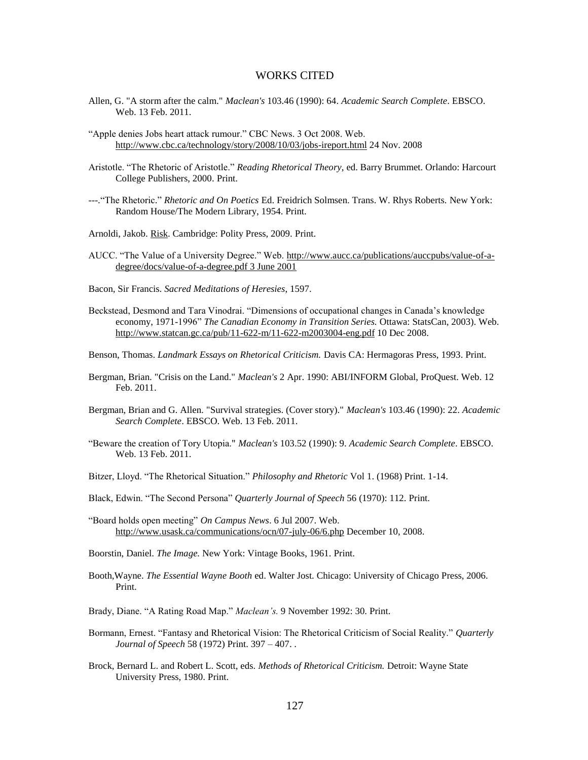#### WORKS CITED

- Allen, G. "A storm after the calm." *Maclean's* 103.46 (1990): 64. *Academic Search Complete*. EBSCO. Web. 13 Feb. 2011.
- "Apple denies Jobs heart attack rumour." CBC News. 3 Oct 2008. Web. <http://www.cbc.ca/technology/story/2008/10/03/jobs-ireport.html> 24 Nov. 2008
- Aristotle. "The Rhetoric of Aristotle." *Reading Rhetorical Theory*, ed. Barry Brummet. Orlando: Harcourt College Publishers, 2000. Print.
- ---."The Rhetoric." *Rhetoric and On Poetics* Ed. Freidrich Solmsen. Trans. W. Rhys Roberts. New York: Random House/The Modern Library, 1954. Print.
- Arnoldi, Jakob. Risk. Cambridge: Polity Press, 2009. Print.
- AUCC. "The Value of a University Degree." Web. [http://www.aucc.ca/publications/auccpubs/value-of-a](http://www.aucc.ca/publications/auccpubs/value-of-a-degree/docs/value-of-a-degree.pdf%203%20June%202001)[degree/docs/value-of-a-degree.pdf 3 June 2001](http://www.aucc.ca/publications/auccpubs/value-of-a-degree/docs/value-of-a-degree.pdf%203%20June%202001)
- Bacon, Sir Francis. *Sacred Meditations of Heresies*, 1597.
- Beckstead, Desmond and Tara Vinodrai. "Dimensions of occupational changes in Canada"s knowledge economy, 1971-1996" *The Canadian Economy in Transition Series.* Ottawa: StatsCan, 2003). Web. http://www.statcan.gc.ca/pub/11-622-m/11-622-m2003004-eng.pdf 10 Dec 2008.
- Benson, Thomas. *Landmark Essays on Rhetorical Criticism.* Davis CA: Hermagoras Press, 1993. Print.
- Bergman, Brian. "Crisis on the Land." *Maclean's* 2 Apr. 1990: ABI/INFORM Global, ProQuest. Web. 12 Feb. 2011.
- Bergman, Brian and G. Allen. "Survival strategies. (Cover story)." *Maclean's* 103.46 (1990): 22. *Academic Search Complete*. EBSCO. Web. 13 Feb. 2011.
- "Beware the creation of Tory Utopia." *Maclean's* 103.52 (1990): 9. *Academic Search Complete*. EBSCO. Web. 13 Feb. 2011.
- Bitzer, Lloyd. "The Rhetorical Situation." *Philosophy and Rhetoric* Vol 1. (1968) Print. 1-14.
- Black, Edwin. "The Second Persona" *Quarterly Journal of Speech* 56 (1970): 112. Print.
- "Board holds open meeting" *On Campus News*. 6 Jul 2007. Web. <http://www.usask.ca/communications/ocn/07-july-06/6.php> December 10, 2008.

Boorstin, Daniel. *The Image.* New York: Vintage Books, 1961. Print.

- Booth,Wayne. *The Essential Wayne Booth* ed. Walter Jost. Chicago: University of Chicago Press, 2006. Print.
- Brady, Diane. "A Rating Road Map." *Maclean's.* 9 November 1992: 30. Print.
- Bormann, Ernest. "Fantasy and Rhetorical Vision: The Rhetorical Criticism of Social Reality." *Quarterly Journal of Speech* 58 (1972) Print. 397 – 407. .
- Brock, Bernard L. and Robert L. Scott, eds. *Methods of Rhetorical Criticism.* Detroit: Wayne State University Press, 1980. Print.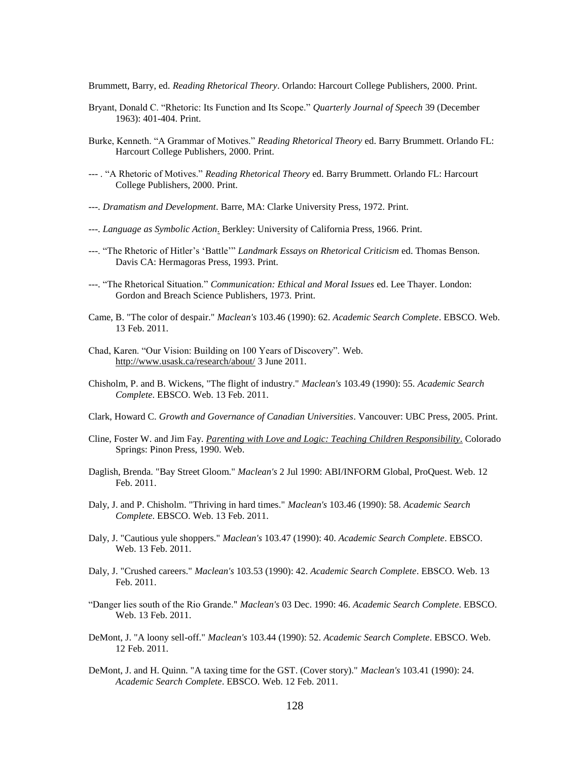Brummett, Barry, ed. *Reading Rhetorical Theory*. Orlando: Harcourt College Publishers, 2000. Print.

- Bryant, Donald C. "Rhetoric: Its Function and Its Scope." *Quarterly Journal of Speech* 39 (December 1963): 401-404. Print.
- Burke, Kenneth. "A Grammar of Motives." *Reading Rhetorical Theory* ed. Barry Brummett. Orlando FL: Harcourt College Publishers, 2000. Print.
- --- . "A Rhetoric of Motives." *Reading Rhetorical Theory* ed. Barry Brummett. Orlando FL: Harcourt College Publishers, 2000. Print.
- ---. *Dramatism and Development*. Barre, MA: Clarke University Press, 1972. Print.
- ---. *Language as Symbolic Action*. Berkley: University of California Press, 1966. Print.
- ---. "The Rhetoric of Hitler"s "Battle"" *Landmark Essays on Rhetorical Criticism* ed. Thomas Benson. Davis CA: Hermagoras Press, 1993. Print.
- ---. "The Rhetorical Situation." *Communication: Ethical and Moral Issues* ed. Lee Thayer. London: Gordon and Breach Science Publishers, 1973. Print.
- Came, B. "The color of despair." *Maclean's* 103.46 (1990): 62. *Academic Search Complete*. EBSCO. Web. 13 Feb. 2011.
- Chad, Karen. "Our Vision: Building on 100 Years of Discovery". Web. <http://www.usask.ca/research/about/> 3 June 2011.
- Chisholm, P. and B. Wickens, "The flight of industry." *Maclean's* 103.49 (1990): 55. *Academic Search Complete*. EBSCO. Web. 13 Feb. 2011.
- Clark, Howard C. *Growth and Governance of Canadian Universities*. Vancouver: UBC Press, 2005. Print.
- Cline, Foster W. and Jim Fay. *[Parenting with Love and Logic: Teaching Children Responsibility.](http://www.loveandlogic.com/)* Colorado Springs: Pinon Press, 1990. Web.
- Daglish, Brenda. "Bay Street Gloom." *Maclean's* 2 Jul 1990: ABI/INFORM Global, ProQuest. Web. 12 Feb. 2011.
- Daly, J. and P. Chisholm. "Thriving in hard times." *Maclean's* 103.46 (1990): 58. *Academic Search Complete*. EBSCO. Web. 13 Feb. 2011.
- Daly, J. "Cautious yule shoppers." *Maclean's* 103.47 (1990): 40. *Academic Search Complete*. EBSCO. Web. 13 Feb. 2011.
- Daly, J. "Crushed careers." *Maclean's* 103.53 (1990): 42. *Academic Search Complete*. EBSCO. Web. 13 Feb. 2011.
- "Danger lies south of the Rio Grande." *Maclean's* 03 Dec. 1990: 46. *Academic Search Complete*. EBSCO. Web. 13 Feb. 2011.
- DeMont, J. "A loony sell-off." *Maclean's* 103.44 (1990): 52. *Academic Search Complete*. EBSCO. Web. 12 Feb. 2011.
- DeMont, J. and H. Quinn. "A taxing time for the GST. (Cover story)." *Maclean's* 103.41 (1990): 24. *Academic Search Complete*. EBSCO. Web. 12 Feb. 2011.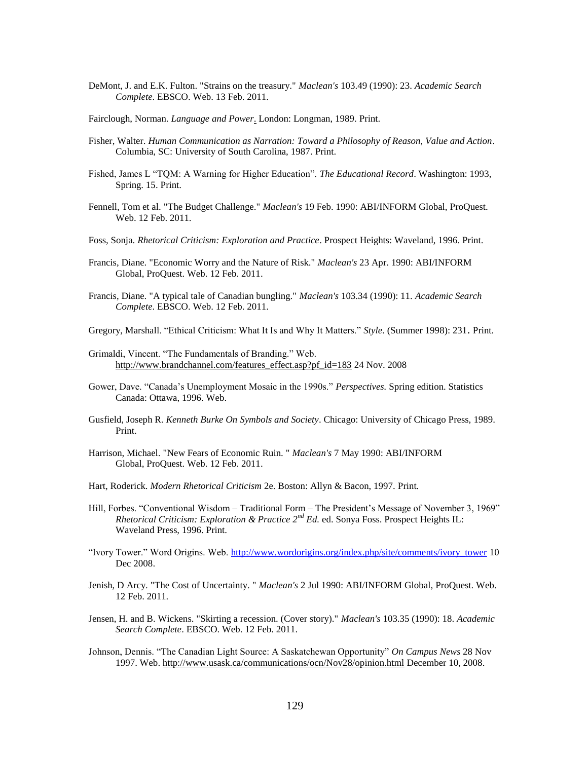- DeMont, J. and E.K. Fulton. "Strains on the treasury." *Maclean's* 103.49 (1990): 23. *Academic Search Complete*. EBSCO. Web. 13 Feb. 2011.
- Fairclough, Norman. *Language and Power*. London: Longman, 1989. Print.
- Fisher, Walter. *Human Communication as Narration: Toward a Philosophy of Reason, Value and Action*. Columbia, SC: University of South Carolina, 1987. Print.
- Fished, James L "TQM: A Warning for Higher Education". *The Educational Record*. Washington: 1993, Spring. 15. Print.
- Fennell, Tom et al. "The Budget Challenge." *Maclean's* 19 Feb. 1990: ABI/INFORM Global, ProQuest. Web. 12 Feb. 2011.
- Foss, Sonja. *Rhetorical Criticism: Exploration and Practice*. Prospect Heights: Waveland, 1996. Print.
- Francis, Diane. "Economic Worry and the Nature of Risk." *Maclean's* 23 Apr. 1990: ABI/INFORM Global, ProQuest. Web. 12 Feb. 2011.
- Francis, Diane. "A typical tale of Canadian bungling." *Maclean's* 103.34 (1990): 11. *Academic Search Complete*. EBSCO. Web. 12 Feb. 2011.
- Gregory, Marshall. "Ethical Criticism: What It Is and Why It Matters." *Style*. (Summer 1998): 231. Print.
- Grimaldi, Vincent. "The Fundamentals of Branding." Web. [http://www.brandchannel.com/features\\_effect.asp?pf\\_id=183](http://www.brandchannel.com/features_effect.asp?pf_id=183) 24 Nov. 2008
- Gower, Dave. "Canada"s Unemployment Mosaic in the 1990s." *Perspectives.* Spring edition. Statistics Canada: Ottawa, 1996. Web.
- Gusfield, Joseph R. *Kenneth Burke On Symbols and Society*. Chicago: University of Chicago Press, 1989. Print.
- Harrison, Michael. "New Fears of Economic Ruin. " *Maclean's* 7 May 1990: ABI/INFORM Global, ProQuest. Web. 12 Feb. 2011.
- Hart, Roderick. *Modern Rhetorical Criticism* 2e. Boston: Allyn & Bacon, 1997. Print.
- Hill, Forbes. "Conventional Wisdom Traditional Form The President"s Message of November 3, 1969" *Rhetorical Criticism: Exploration & Practice 2nd Ed.* ed. Sonya Foss. Prospect Heights IL: Waveland Press, 1996. Print.
- "Ivory Tower." Word Origins. Web. [http://www.wordorigins.org/index.php/site/comments/ivory\\_tower](http://www.wordorigins.org/index.php/site/comments/ivory_tower) 10 Dec 2008.
- Jenish, D Arcy. "The Cost of Uncertainty. " *Maclean's* 2 Jul 1990: ABI/INFORM Global, ProQuest. Web. 12 Feb. 2011.
- Jensen, H. and B. Wickens. "Skirting a recession. (Cover story)." *Maclean's* 103.35 (1990): 18. *Academic Search Complete*. EBSCO. Web. 12 Feb. 2011.
- Johnson, Dennis. "The Canadian Light Source: A Saskatchewan Opportunity" *On Campus News* 28 Nov 1997. Web.<http://www.usask.ca/communications/ocn/Nov28/opinion.html> December 10, 2008.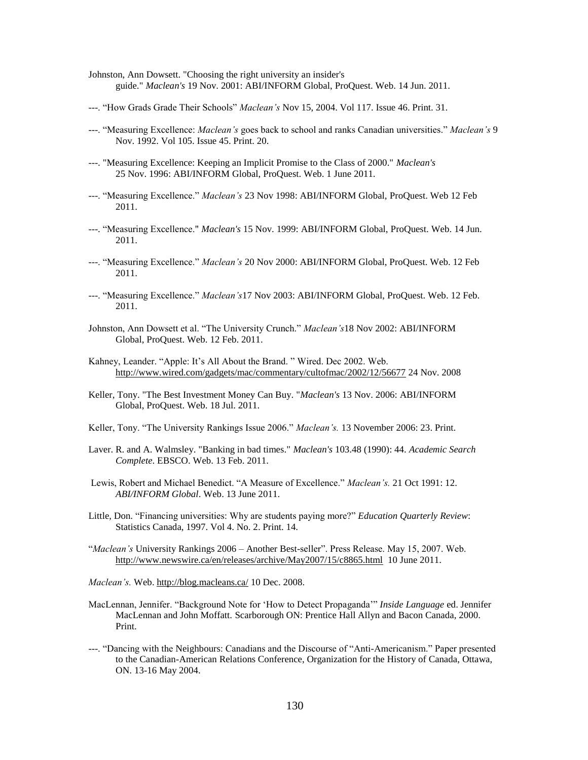- Johnston, Ann Dowsett. "Choosing the right university an insider's guide." *Maclean's* 19 Nov. 2001: ABI/INFORM Global, ProQuest. Web. 14 Jun. 2011.
- ---. "How Grads Grade Their Schools" *Maclean's* Nov 15, 2004. Vol 117. Issue 46. Print. 31.
- ---. "Measuring Excellence: *Maclean's* goes back to school and ranks Canadian universities." *Maclean's* 9 Nov. 1992. Vol 105. Issue 45. Print. 20.
- ---. "Measuring Excellence: Keeping an Implicit Promise to the Class of 2000." *Maclean's* 25 Nov. 1996: ABI/INFORM Global, ProQuest. Web. 1 June 2011.
- ---. "Measuring Excellence." *Maclean's* 23 Nov 1998: ABI/INFORM Global, ProQuest. Web 12 Feb 2011.
- ---. "Measuring Excellence." *Maclean's* 15 Nov. 1999: ABI/INFORM Global, ProQuest. Web. 14 Jun. 2011.
- ---. "Measuring Excellence." *Maclean's* 20 Nov 2000: ABI/INFORM Global, ProQuest. Web. 12 Feb 2011.
- ---. "Measuring Excellence." *Maclean's*17 Nov 2003: ABI/INFORM Global, ProQuest. Web. 12 Feb. 2011.
- Johnston, Ann Dowsett et al. "The University Crunch." *Maclean's*18 Nov 2002: ABI/INFORM Global, ProQuest. Web. 12 Feb. 2011.
- Kahney, Leander. "Apple: It's All About the Brand. "Wired. Dec 2002. Web. <http://www.wired.com/gadgets/mac/commentary/cultofmac/2002/12/56677> 24 Nov. 2008
- Keller, Tony. "The Best Investment Money Can Buy. "*Maclean's* 13 Nov. 2006: ABI/INFORM Global, ProQuest. Web. 18 Jul. 2011.
- Keller, Tony. "The University Rankings Issue 2006." *Maclean's.* 13 November 2006: 23. Print.
- Laver. R. and A. Walmsley. "Banking in bad times." *Maclean's* 103.48 (1990): 44. *Academic Search Complete*. EBSCO. Web. 13 Feb. 2011.
- Lewis, Robert and Michael Benedict. "A Measure of Excellence." *Maclean's.* 21 Oct 1991: 12. *ABI/INFORM Global*. Web. 13 June 2011.
- Little, Don. "Financing universities: Why are students paying more?" *Education Quarterly Review*: Statistics Canada, 1997. Vol 4. No. 2. Print. 14.
- "*Maclean's* University Rankings 2006 Another Best-seller". Press Release. May 15, 2007. Web. <http://www.newswire.ca/en/releases/archive/May2007/15/c8865.html> 10 June 2011.
- *Maclean's.* Web.<http://blog.macleans.ca/> 10 Dec. 2008.
- MacLennan, Jennifer. "Background Note for "How to Detect Propaganda"" *Inside Language* ed. Jennifer MacLennan and John Moffatt. Scarborough ON: Prentice Hall Allyn and Bacon Canada, 2000. Print.
- ---. "Dancing with the Neighbours: Canadians and the Discourse of "Anti-Americanism." Paper presented to the Canadian-American Relations Conference, Organization for the History of Canada, Ottawa, ON. 13-16 May 2004.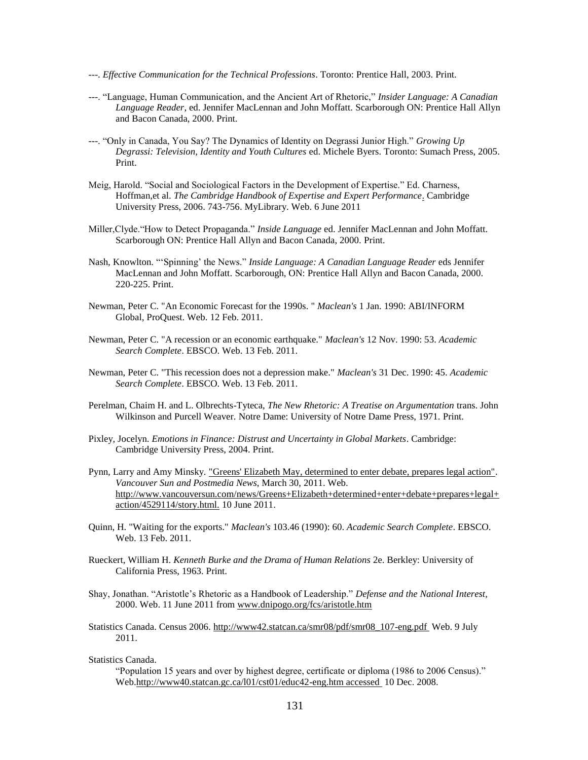- ---. *Effective Communication for the Technical Professions*. Toronto: Prentice Hall, 2003. Print.
- ---. "Language, Human Communication, and the Ancient Art of Rhetoric," *Insider Language: A Canadian Language Reader*, ed. Jennifer MacLennan and John Moffatt. Scarborough ON: Prentice Hall Allyn and Bacon Canada, 2000. Print.
- ---. "Only in Canada, You Say? The Dynamics of Identity on Degrassi Junior High." *Growing Up Degrassi: Television, Identity and Youth Cultures* ed. Michele Byers. Toronto: Sumach Press, 2005. Print.
- Meig, Harold. "Social and Sociological Factors in the Development of Expertise." Ed. Charness, Hoffman,et al. *The Cambridge Handbook of Expertise and Expert Performance*. Cambridge University Press, 2006. 743-756. MyLibrary. Web. 6 June 2011
- Miller,Clyde."How to Detect Propaganda." *Inside Language* ed. Jennifer MacLennan and John Moffatt. Scarborough ON: Prentice Hall Allyn and Bacon Canada, 2000. Print.
- Nash, Knowlton. ""Spinning" the News." *Inside Language: A Canadian Language Reader* eds Jennifer MacLennan and John Moffatt. Scarborough, ON: Prentice Hall Allyn and Bacon Canada, 2000. 220-225. Print.
- Newman, Peter C. "An Economic Forecast for the 1990s. " *Maclean's* 1 Jan. 1990: ABI/INFORM Global, ProQuest. Web. 12 Feb. 2011.
- Newman, Peter C. "A recession or an economic earthquake." *Maclean's* 12 Nov. 1990: 53. *Academic Search Complete*. EBSCO. Web. 13 Feb. 2011.
- Newman, Peter C. "This recession does not a depression make." *Maclean's* 31 Dec. 1990: 45. *Academic Search Complete*. EBSCO. Web. 13 Feb. 2011.
- Perelman, Chaim H. and L. Olbrechts-Tyteca, *The New Rhetoric: A Treatise on Argumentation* trans. John Wilkinson and Purcell Weaver. Notre Dame: University of Notre Dame Press, 1971. Print.
- Pixley, Jocelyn. *Emotions in Finance: Distrust and Uncertainty in Global Markets*. Cambridge: Cambridge University Press, 2004. Print.
- Pynn, Larry and Amy Minsky. ["Greens' Elizabeth May, determined to enter debate, prepares legal action".](http://www.vancouversun.com/news/Greens+Elizabeth+determined+enter+debate+prepares+legal+action/4529114/story.html) *Vancouver Sun and Postmedia News*, March 30, 2011. Web. [http://www.vancouversun.com/news/Greens+Elizabeth+determined+enter+debate+prepares+legal+](http://www.vancouversun.com/news/Greens+Elizabeth+determined+enter+debate+prepares+legal+action/4529114/story.html.) [action/4529114/story.html.](http://www.vancouversun.com/news/Greens+Elizabeth+determined+enter+debate+prepares+legal+action/4529114/story.html.) 10 June 2011.
- Quinn, H. "Waiting for the exports." *Maclean's* 103.46 (1990): 60. *Academic Search Complete*. EBSCO. Web. 13 Feb. 2011.
- Rueckert, William H. *Kenneth Burke and the Drama of Human Relations* 2e. Berkley: University of California Press, 1963. Print.
- Shay, Jonathan. "Aristotle"s Rhetoric as a Handbook of Leadership." *Defense and the National Interest*, 2000. Web. 11 June 2011 from [www.dnipogo.org/fcs/aristotle.htm](http://www.dnipogo.org/fcs/aristotle.htm)
- Statistics Canada. Census 2006. [http://www42.statcan.ca/smr08/pdf/smr08\\_107-eng.pdf](http://www42.statcan.ca/smr08/pdf/smr08_107-eng.pdf) Web. 9 July 2011.

#### Statistics Canada.

"Population 15 years and over by highest degree, certificate or diploma (1986 to 2006 Census)." Web[.http://www40.statcan.gc.ca/l01/cst01/educ42-eng.htm accessed](http://www40.statcan.gc.ca/l01/cst01/educ42-eng.htm%20accessed%20%20%20%20on%20December%2010,%202008.) 10 Dec. 2008.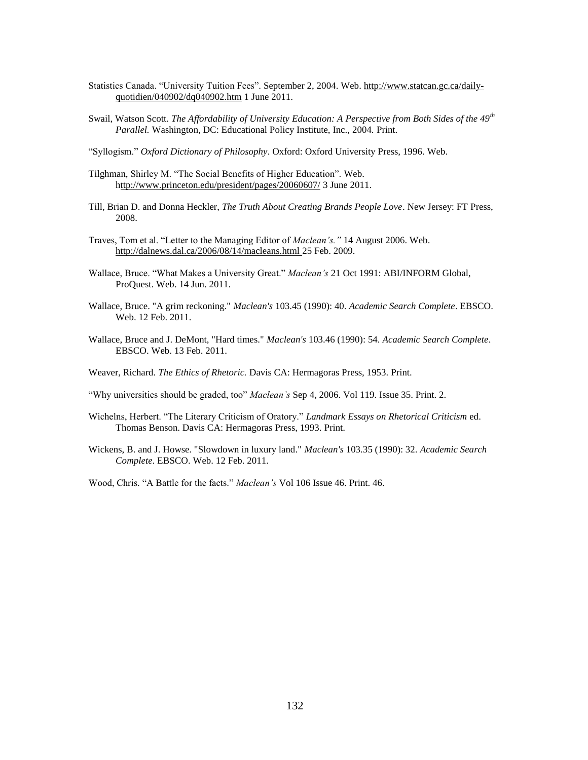- Statistics Canada. "University Tuition Fees". September 2, 2004. Web. [http://www.statcan.gc.ca/daily](http://www.statcan.gc.ca/daily-quotidien/040902/dq040902.htm)[quotidien/040902/dq040902.htm](http://www.statcan.gc.ca/daily-quotidien/040902/dq040902.htm) 1 June 2011.
- Swail, Watson Scott. *The Affordability of University Education: A Perspective from Both Sides of the 49th Parallel.* Washington, DC: Educational Policy Institute, Inc., 2004. Print.
- "Syllogism." *Oxford Dictionary of Philosophy*. Oxford: Oxford University Press, 1996. Web.
- Tilghman, Shirley M. "The Social Benefits of Higher Education". Web. <http://www.princeton.edu/president/pages/20060607/> 3 June 2011.
- Till, Brian D. and Donna Heckler, *The Truth About Creating Brands People Love*. New Jersey: FT Press, 2008.
- Traves, Tom et al. "Letter to the Managing Editor of *Maclean's."* 14 August 2006. Web. <http://dalnews.dal.ca/2006/08/14/macleans.html> 25 Feb. 2009.
- Wallace, Bruce. "What Makes a University Great." *Maclean's* 21 Oct 1991: ABI/INFORM Global, ProQuest. Web. 14 Jun. 2011.
- Wallace, Bruce. "A grim reckoning." *Maclean's* 103.45 (1990): 40. *Academic Search Complete*. EBSCO. Web. 12 Feb. 2011.
- Wallace, Bruce and J. DeMont, "Hard times." *Maclean's* 103.46 (1990): 54. *Academic Search Complete*. EBSCO. Web. 13 Feb. 2011.
- Weaver, Richard. *The Ethics of Rhetoric.* Davis CA: Hermagoras Press, 1953. Print.
- "Why universities should be graded, too" *Maclean's* Sep 4, 2006. Vol 119. Issue 35. Print. 2.
- Wichelns, Herbert. "The Literary Criticism of Oratory." *Landmark Essays on Rhetorical Criticism* ed. Thomas Benson. Davis CA: Hermagoras Press, 1993. Print.
- Wickens, B. and J. Howse. "Slowdown in luxury land." *Maclean's* 103.35 (1990): 32. *Academic Search Complete*. EBSCO. Web. 12 Feb. 2011.
- Wood, Chris. "A Battle for the facts." *Maclean's* Vol 106 Issue 46. Print. 46.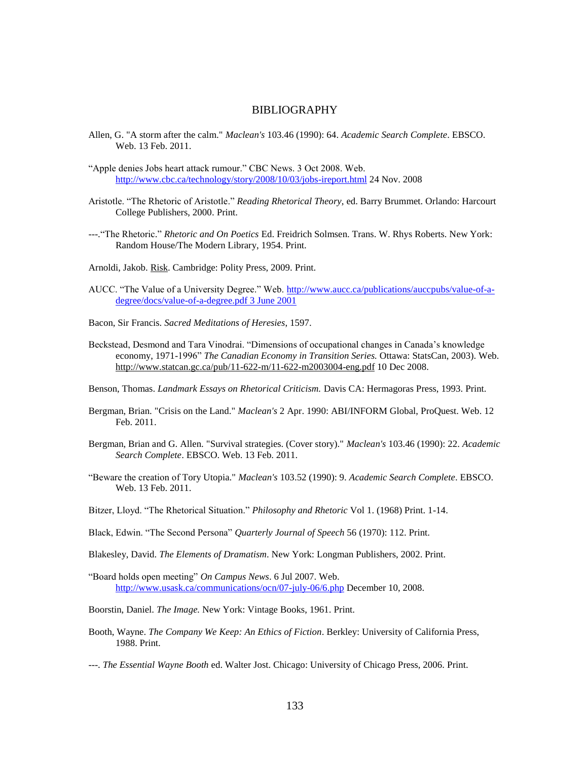#### BIBLIOGRAPHY

- Allen, G. "A storm after the calm." *Maclean's* 103.46 (1990): 64. *Academic Search Complete*. EBSCO. Web. 13 Feb. 2011.
- "Apple denies Jobs heart attack rumour." CBC News. 3 Oct 2008. Web. <http://www.cbc.ca/technology/story/2008/10/03/jobs-ireport.html> 24 Nov. 2008
- Aristotle. "The Rhetoric of Aristotle." *Reading Rhetorical Theory*, ed. Barry Brummet. Orlando: Harcourt College Publishers, 2000. Print.
- ---."The Rhetoric." *Rhetoric and On Poetics* Ed. Freidrich Solmsen. Trans. W. Rhys Roberts. New York: Random House/The Modern Library, 1954. Print.
- Arnoldi, Jakob. Risk. Cambridge: Polity Press, 2009. Print.
- AUCC. "The Value of a University Degree." Web. [http://www.aucc.ca/publications/auccpubs/value-of-a](http://www.aucc.ca/publications/auccpubs/value-of-a-degree/docs/value-of-a-degree.pdf%203%20June%202001)[degree/docs/value-of-a-degree.pdf 3 June 2001](http://www.aucc.ca/publications/auccpubs/value-of-a-degree/docs/value-of-a-degree.pdf%203%20June%202001)
- Bacon, Sir Francis. *Sacred Meditations of Heresies*, 1597.
- Beckstead, Desmond and Tara Vinodrai. "Dimensions of occupational changes in Canada"s knowledge economy, 1971-1996" *The Canadian Economy in Transition Series.* Ottawa: StatsCan, 2003). Web. http://www.statcan.gc.ca/pub/11-622-m/11-622-m2003004-eng.pdf 10 Dec 2008.
- Benson, Thomas. *Landmark Essays on Rhetorical Criticism.* Davis CA: Hermagoras Press, 1993. Print.
- Bergman, Brian. "Crisis on the Land." *Maclean's* 2 Apr. 1990: ABI/INFORM Global, ProQuest. Web. 12 Feb. 2011.
- Bergman, Brian and G. Allen. "Survival strategies. (Cover story)." *Maclean's* 103.46 (1990): 22. *Academic Search Complete*. EBSCO. Web. 13 Feb. 2011.
- "Beware the creation of Tory Utopia." *Maclean's* 103.52 (1990): 9. *Academic Search Complete*. EBSCO. Web. 13 Feb. 2011.
- Bitzer, Lloyd. "The Rhetorical Situation." *Philosophy and Rhetoric* Vol 1. (1968) Print. 1-14.
- Black, Edwin. "The Second Persona" *Quarterly Journal of Speech* 56 (1970): 112. Print.
- Blakesley, David. *The Elements of Dramatism*. New York: Longman Publishers, 2002. Print.
- "Board holds open meeting" *On Campus News*. 6 Jul 2007. Web. <http://www.usask.ca/communications/ocn/07-july-06/6.php> December 10, 2008.
- Boorstin, Daniel. *The Image.* New York: Vintage Books, 1961. Print.
- Booth, Wayne. *The Company We Keep: An Ethics of Fiction*. Berkley: University of California Press, 1988. Print.
- ---. *The Essential Wayne Booth* ed. Walter Jost. Chicago: University of Chicago Press, 2006. Print.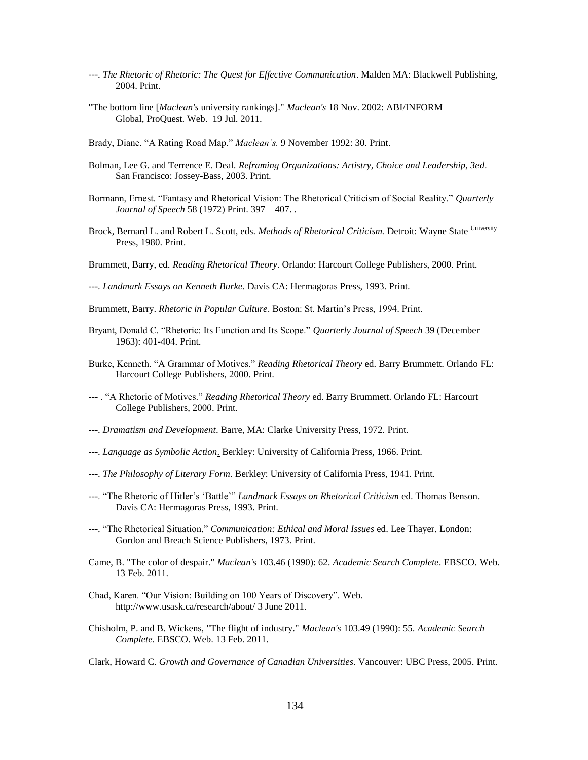- ---. *The Rhetoric of Rhetoric: The Quest for Effective Communication*. Malden MA: Blackwell Publishing, 2004. Print.
- "The bottom line [*Maclean's* university rankings]." *Maclean's* 18 Nov. 2002: ABI/INFORM Global, ProQuest. Web. 19 Jul. 2011.
- Brady, Diane. "A Rating Road Map." *Maclean's.* 9 November 1992: 30. Print.
- Bolman, Lee G. and Terrence E. Deal. *Reframing Organizations: Artistry, Choice and Leadership, 3ed*. San Francisco: Jossey-Bass, 2003. Print.
- Bormann, Ernest. "Fantasy and Rhetorical Vision: The Rhetorical Criticism of Social Reality." *Quarterly Journal of Speech* 58 (1972) Print. 397 – 407. .
- Brock, Bernard L. and Robert L. Scott, eds. Methods of Rhetorical Criticism. Detroit: Wayne State University Press, 1980. Print.
- Brummett, Barry, ed. *Reading Rhetorical Theory*. Orlando: Harcourt College Publishers, 2000. Print.

---. *Landmark Essays on Kenneth Burke*. Davis CA: Hermagoras Press, 1993. Print.

Brummett, Barry. *Rhetoric in Popular Culture*. Boston: St. Martin"s Press, 1994. Print.

- Bryant, Donald C. "Rhetoric: Its Function and Its Scope." *Quarterly Journal of Speech* 39 (December 1963): 401-404. Print.
- Burke, Kenneth. "A Grammar of Motives." *Reading Rhetorical Theory* ed. Barry Brummett. Orlando FL: Harcourt College Publishers, 2000. Print.
- --- . "A Rhetoric of Motives." *Reading Rhetorical Theory* ed. Barry Brummett. Orlando FL: Harcourt College Publishers, 2000. Print.
- ---. *Dramatism and Development*. Barre, MA: Clarke University Press, 1972. Print.
- ---. *Language as Symbolic Action*. Berkley: University of California Press, 1966. Print.
- ---. *The Philosophy of Literary Form*. Berkley: University of California Press, 1941. Print.
- ---. "The Rhetoric of Hitler"s "Battle"" *Landmark Essays on Rhetorical Criticism* ed. Thomas Benson. Davis CA: Hermagoras Press, 1993. Print.
- ---. "The Rhetorical Situation." *Communication: Ethical and Moral Issues* ed. Lee Thayer. London: Gordon and Breach Science Publishers, 1973. Print.
- Came, B. "The color of despair." *Maclean's* 103.46 (1990): 62. *Academic Search Complete*. EBSCO. Web. 13 Feb. 2011.
- Chad, Karen. "Our Vision: Building on 100 Years of Discovery". Web. <http://www.usask.ca/research/about/> 3 June 2011.
- Chisholm, P. and B. Wickens, "The flight of industry." *Maclean's* 103.49 (1990): 55. *Academic Search Complete*. EBSCO. Web. 13 Feb. 2011.

Clark, Howard C. *Growth and Governance of Canadian Universities*. Vancouver: UBC Press, 2005. Print.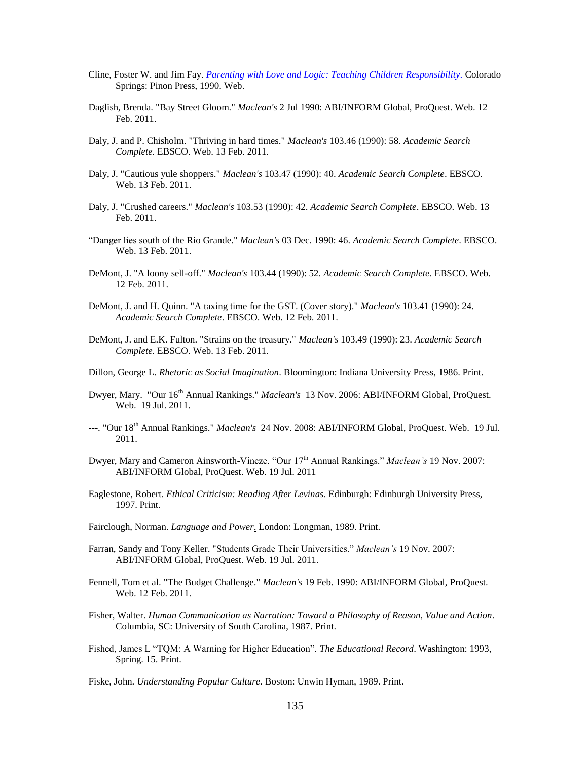- Cline, Foster W. and Jim Fay. *[Parenting with Love and Logic: Teaching Children Responsibility.](http://www.loveandlogic.com/)* Colorado Springs: Pinon Press, 1990. Web.
- Daglish, Brenda. "Bay Street Gloom." *Maclean's* 2 Jul 1990: ABI/INFORM Global, ProQuest. Web. 12 Feb. 2011.
- Daly, J. and P. Chisholm. "Thriving in hard times." *Maclean's* 103.46 (1990): 58. *Academic Search Complete*. EBSCO. Web. 13 Feb. 2011.
- Daly, J. "Cautious yule shoppers." *Maclean's* 103.47 (1990): 40. *Academic Search Complete*. EBSCO. Web. 13 Feb. 2011.
- Daly, J. "Crushed careers." *Maclean's* 103.53 (1990): 42. *Academic Search Complete*. EBSCO. Web. 13 Feb. 2011.
- "Danger lies south of the Rio Grande." *Maclean's* 03 Dec. 1990: 46. *Academic Search Complete*. EBSCO. Web. 13 Feb. 2011.
- DeMont, J. "A loony sell-off." *Maclean's* 103.44 (1990): 52. *Academic Search Complete*. EBSCO. Web. 12 Feb. 2011.
- DeMont, J. and H. Quinn. "A taxing time for the GST. (Cover story)." *Maclean's* 103.41 (1990): 24. *Academic Search Complete*. EBSCO. Web. 12 Feb. 2011.
- DeMont, J. and E.K. Fulton. "Strains on the treasury." *Maclean's* 103.49 (1990): 23. *Academic Search Complete*. EBSCO. Web. 13 Feb. 2011.
- Dillon, George L. *Rhetoric as Social Imagination*. Bloomington: Indiana University Press, 1986. Print.
- Dwyer, Mary. "Our 16th Annual Rankings." *Maclean's* 13 Nov. 2006: ABI/INFORM Global, ProQuest. Web. 19 Jul. 2011.
- ---. "Our 18<sup>th</sup> Annual Rankings." *Maclean's* 24 Nov. 2008: ABI/INFORM Global, ProQuest. Web. 19 Jul. 2011.
- Dwyer, Mary and Cameron Ainsworth-Vincze. "Our 17<sup>th</sup> Annual Rankings." *Maclean's* 19 Nov. 2007: ABI/INFORM Global, ProQuest. Web. 19 Jul. 2011
- Eaglestone, Robert. *Ethical Criticism: Reading After Levinas*. Edinburgh: Edinburgh University Press, 1997. Print.
- Fairclough, Norman. *Language and Power*. London: Longman, 1989. Print.
- Farran, Sandy and Tony Keller. "Students Grade Their Universities." *Maclean's* 19 Nov. 2007: ABI/INFORM Global, ProQuest. Web. 19 Jul. 2011.
- Fennell, Tom et al. "The Budget Challenge." *Maclean's* 19 Feb. 1990: ABI/INFORM Global, ProQuest. Web. 12 Feb. 2011.
- Fisher, Walter. *Human Communication as Narration: Toward a Philosophy of Reason, Value and Action*. Columbia, SC: University of South Carolina, 1987. Print.
- Fished, James L "TQM: A Warning for Higher Education". *The Educational Record*. Washington: 1993, Spring. 15. Print.
- Fiske, John. *Understanding Popular Culture*. Boston: Unwin Hyman, 1989. Print.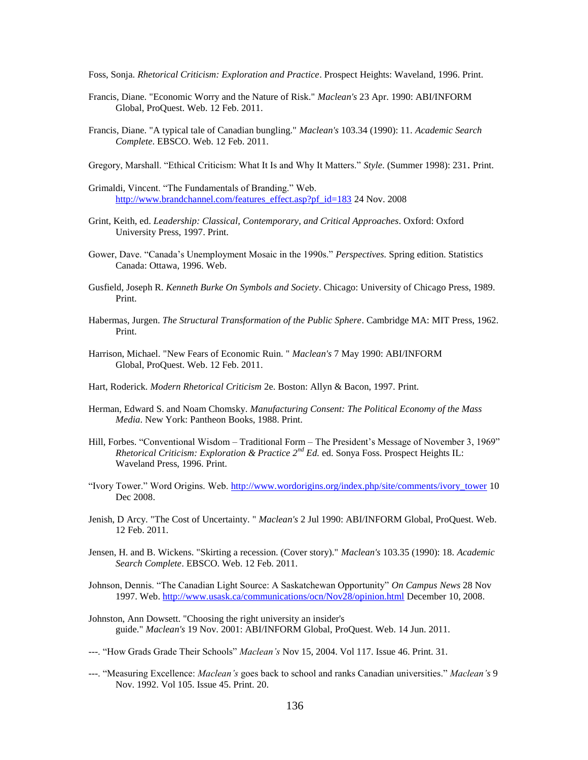Foss, Sonja. *Rhetorical Criticism: Exploration and Practice*. Prospect Heights: Waveland, 1996. Print.

- Francis, Diane. "Economic Worry and the Nature of Risk." *Maclean's* 23 Apr. 1990: ABI/INFORM Global, ProQuest. Web. 12 Feb. 2011.
- Francis, Diane. "A typical tale of Canadian bungling." *Maclean's* 103.34 (1990): 11. *Academic Search Complete*. EBSCO. Web. 12 Feb. 2011.
- Gregory, Marshall. "Ethical Criticism: What It Is and Why It Matters." *Style*. (Summer 1998): 231. Print.
- Grimaldi, Vincent. "The Fundamentals of Branding." Web. [http://www.brandchannel.com/features\\_effect.asp?pf\\_id=183](http://www.brandchannel.com/features_effect.asp?pf_id=183) 24 Nov. 2008
- Grint, Keith, ed. *Leadership: Classical, Contemporary, and Critical Approaches*. Oxford: Oxford University Press, 1997. Print.
- Gower, Dave. "Canada"s Unemployment Mosaic in the 1990s." *Perspectives.* Spring edition. Statistics Canada: Ottawa, 1996. Web.
- Gusfield, Joseph R. *Kenneth Burke On Symbols and Society*. Chicago: University of Chicago Press, 1989. Print.
- Habermas, Jurgen. *The Structural Transformation of the Public Sphere*. Cambridge MA: MIT Press, 1962. Print.
- Harrison, Michael. "New Fears of Economic Ruin. " *Maclean's* 7 May 1990: ABI/INFORM Global, ProQuest. Web. 12 Feb. 2011.
- Hart, Roderick. *Modern Rhetorical Criticism* 2e. Boston: Allyn & Bacon, 1997. Print.
- Herman, Edward S. and Noam Chomsky. *Manufacturing Consent: The Political Economy of the Mass Media*. New York: Pantheon Books, 1988. Print.
- Hill, Forbes. "Conventional Wisdom Traditional Form The President"s Message of November 3, 1969" *Rhetorical Criticism: Exploration & Practice 2nd Ed.* ed. Sonya Foss. Prospect Heights IL: Waveland Press, 1996. Print.
- "Ivory Tower." Word Origins. Web. [http://www.wordorigins.org/index.php/site/comments/ivory\\_tower](http://www.wordorigins.org/index.php/site/comments/ivory_tower) 10 Dec 2008.
- Jenish, D Arcy. "The Cost of Uncertainty. " *Maclean's* 2 Jul 1990: ABI/INFORM Global, ProQuest. Web. 12 Feb. 2011.
- Jensen, H. and B. Wickens. "Skirting a recession. (Cover story)." *Maclean's* 103.35 (1990): 18. *Academic Search Complete*. EBSCO. Web. 12 Feb. 2011.
- Johnson, Dennis. "The Canadian Light Source: A Saskatchewan Opportunity" *On Campus News* 28 Nov 1997. Web.<http://www.usask.ca/communications/ocn/Nov28/opinion.html> December 10, 2008.
- Johnston, Ann Dowsett. "Choosing the right university an insider's guide." *Maclean's* 19 Nov. 2001: ABI/INFORM Global, ProQuest. Web. 14 Jun. 2011.
- ---. "How Grads Grade Their Schools" *Maclean's* Nov 15, 2004. Vol 117. Issue 46. Print. 31.
- ---. "Measuring Excellence: *Maclean's* goes back to school and ranks Canadian universities." *Maclean's* 9 Nov. 1992. Vol 105. Issue 45. Print. 20.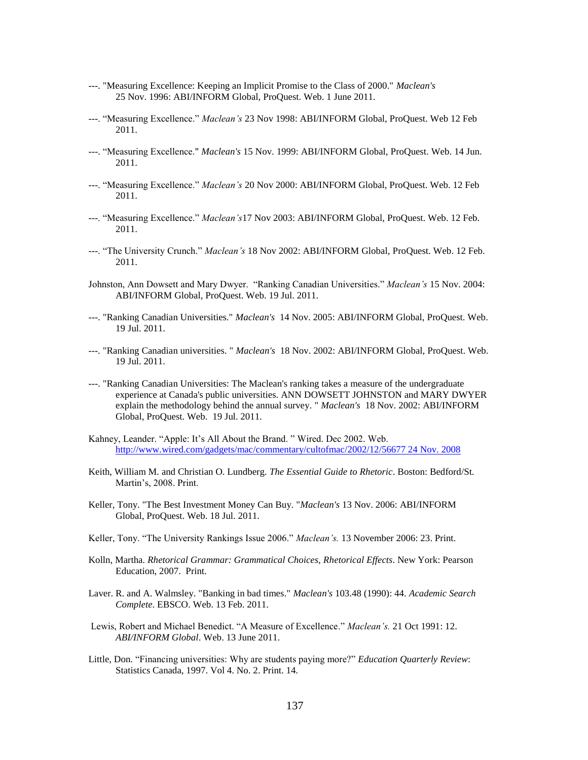- ---. "Measuring Excellence: Keeping an Implicit Promise to the Class of 2000." *Maclean's* 25 Nov. 1996: ABI/INFORM Global, ProQuest. Web. 1 June 2011.
- ---. "Measuring Excellence." *Maclean's* 23 Nov 1998: ABI/INFORM Global, ProQuest. Web 12 Feb 2011.
- ---. "Measuring Excellence." *Maclean's* 15 Nov. 1999: ABI/INFORM Global, ProQuest. Web. 14 Jun. 2011.
- ---. "Measuring Excellence." *Maclean's* 20 Nov 2000: ABI/INFORM Global, ProQuest. Web. 12 Feb 2011.
- ---. "Measuring Excellence." *Maclean's*17 Nov 2003: ABI/INFORM Global, ProQuest. Web. 12 Feb. 2011.
- ---. "The University Crunch." *Maclean's* 18 Nov 2002: ABI/INFORM Global, ProQuest. Web. 12 Feb. 2011.
- Johnston, Ann Dowsett and Mary Dwyer. "Ranking Canadian Universities." *Maclean's* 15 Nov. 2004: ABI/INFORM Global, ProQuest. Web. 19 Jul. 2011.
- ---. "Ranking Canadian Universities." *Maclean's* 14 Nov. 2005: ABI/INFORM Global, ProQuest. Web. 19 Jul. 2011.
- ---. "Ranking Canadian universities. " *Maclean's* 18 Nov. 2002: ABI/INFORM Global, ProQuest. Web. 19 Jul. 2011.
- ---. "Ranking Canadian Universities: The Maclean's ranking takes a measure of the undergraduate experience at Canada's public universities. ANN DOWSETT JOHNSTON and MARY DWYER explain the methodology behind the annual survey. " *Maclean's* 18 Nov. 2002: ABI/INFORM Global, ProQuest. Web. 19 Jul. 2011.
- Kahney, Leander. "Apple: It's All About the Brand. " Wired. Dec 2002. Web. [http://www.wired.com/gadgets/mac/commentary/cultofmac/2002/12/56677 24 Nov. 2008](http://www.wired.com/gadgets/mac/commentary/cultofmac/2002/12/56677%2024%20Nov.%202008)
- Keith, William M. and Christian O. Lundberg. *The Essential Guide to Rhetoric*. Boston: Bedford/St. Martin"s, 2008. Print.
- Keller, Tony. "The Best Investment Money Can Buy. "*Maclean's* 13 Nov. 2006: ABI/INFORM Global, ProQuest. Web. 18 Jul. 2011.
- Keller, Tony. "The University Rankings Issue 2006." *Maclean's.* 13 November 2006: 23. Print.
- Kolln, Martha. *Rhetorical Grammar: Grammatical Choices, Rhetorical Effects*. New York: Pearson Education, 2007. Print.
- Laver. R. and A. Walmsley. "Banking in bad times." *Maclean's* 103.48 (1990): 44. *Academic Search Complete*. EBSCO. Web. 13 Feb. 2011.
- Lewis, Robert and Michael Benedict. "A Measure of Excellence." *Maclean's.* 21 Oct 1991: 12. *ABI/INFORM Global*. Web. 13 June 2011.
- Little, Don. "Financing universities: Why are students paying more?" *Education Quarterly Review*: Statistics Canada, 1997. Vol 4. No. 2. Print. 14.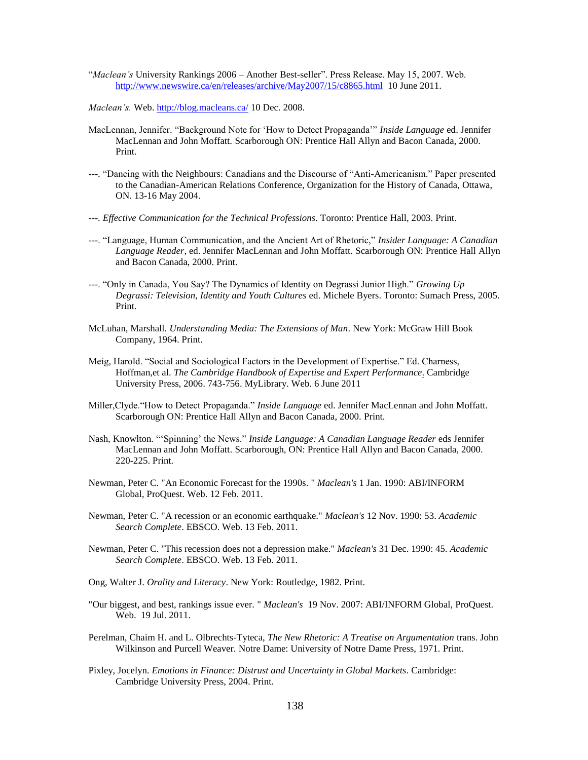- "*Maclean's* University Rankings 2006 Another Best-seller". Press Release. May 15, 2007. Web. <http://www.newswire.ca/en/releases/archive/May2007/15/c8865.html> 10 June 2011.
- *Maclean's.* Web.<http://blog.macleans.ca/> 10 Dec. 2008.
- MacLennan, Jennifer. "Background Note for "How to Detect Propaganda"" *Inside Language* ed. Jennifer MacLennan and John Moffatt. Scarborough ON: Prentice Hall Allyn and Bacon Canada, 2000. Print.
- ---. "Dancing with the Neighbours: Canadians and the Discourse of "Anti-Americanism." Paper presented to the Canadian-American Relations Conference, Organization for the History of Canada, Ottawa, ON. 13-16 May 2004.
- ---. *Effective Communication for the Technical Professions*. Toronto: Prentice Hall, 2003. Print.
- ---. "Language, Human Communication, and the Ancient Art of Rhetoric," *Insider Language: A Canadian Language Reader*, ed. Jennifer MacLennan and John Moffatt. Scarborough ON: Prentice Hall Allyn and Bacon Canada, 2000. Print.
- ---. "Only in Canada, You Say? The Dynamics of Identity on Degrassi Junior High." *Growing Up Degrassi: Television, Identity and Youth Cultures* ed. Michele Byers. Toronto: Sumach Press, 2005. Print.
- McLuhan, Marshall. *Understanding Media: The Extensions of Man*. New York: McGraw Hill Book Company, 1964. Print.
- Meig, Harold. "Social and Sociological Factors in the Development of Expertise." Ed. Charness, Hoffman,et al. *The Cambridge Handbook of Expertise and Expert Performance*. Cambridge University Press, 2006. 743-756. MyLibrary. Web. 6 June 2011
- Miller,Clyde."How to Detect Propaganda." *Inside Language* ed. Jennifer MacLennan and John Moffatt. Scarborough ON: Prentice Hall Allyn and Bacon Canada, 2000. Print.
- Nash, Knowlton. ""Spinning" the News." *Inside Language: A Canadian Language Reader* eds Jennifer MacLennan and John Moffatt. Scarborough, ON: Prentice Hall Allyn and Bacon Canada, 2000. 220-225. Print.
- Newman, Peter C. "An Economic Forecast for the 1990s. " *Maclean's* 1 Jan. 1990: ABI/INFORM Global, ProQuest. Web. 12 Feb. 2011.
- Newman, Peter C. "A recession or an economic earthquake." *Maclean's* 12 Nov. 1990: 53. *Academic Search Complete*. EBSCO. Web. 13 Feb. 2011.
- Newman, Peter C. "This recession does not a depression make." *Maclean's* 31 Dec. 1990: 45. *Academic Search Complete*. EBSCO. Web. 13 Feb. 2011.
- Ong, Walter J. *Orality and Literacy*. New York: Routledge, 1982. Print.
- "Our biggest, and best, rankings issue ever. " *Maclean's* 19 Nov. 2007: ABI/INFORM Global, ProQuest. Web. 19 Jul. 2011.
- Perelman, Chaim H. and L. Olbrechts-Tyteca, *The New Rhetoric: A Treatise on Argumentation* trans. John Wilkinson and Purcell Weaver. Notre Dame: University of Notre Dame Press, 1971. Print.
- Pixley, Jocelyn. *Emotions in Finance: Distrust and Uncertainty in Global Markets*. Cambridge: Cambridge University Press, 2004. Print.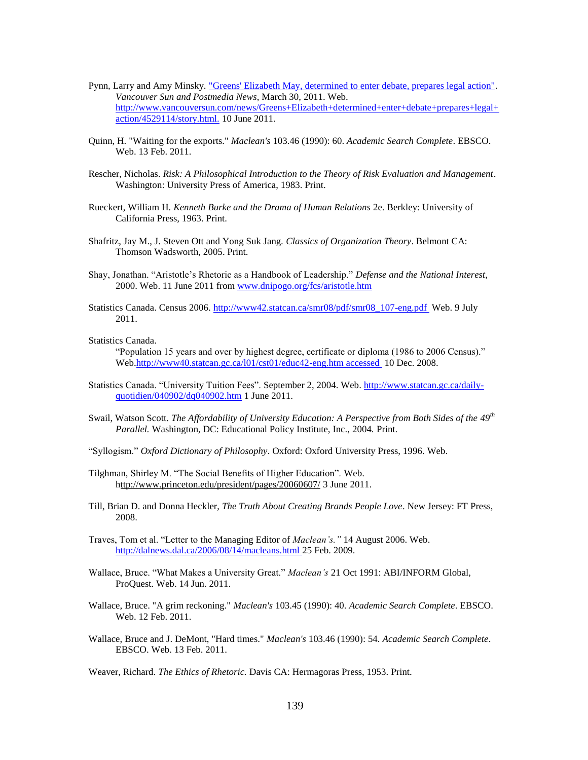- Pynn, Larry and Amy Minsky. ["Greens' Elizabeth May, determined to enter debate, prepares legal action".](http://www.vancouversun.com/news/Greens+Elizabeth+determined+enter+debate+prepares+legal+action/4529114/story.html) *Vancouver Sun and Postmedia News*, March 30, 2011. Web. [http://www.vancouversun.com/news/Greens+Elizabeth+determined+enter+debate+prepares+legal+](http://www.vancouversun.com/news/Greens+Elizabeth+determined+enter+debate+prepares+legal+action/4529114/story.html.) [action/4529114/story.html.](http://www.vancouversun.com/news/Greens+Elizabeth+determined+enter+debate+prepares+legal+action/4529114/story.html.) 10 June 2011.
- Quinn, H. "Waiting for the exports." *Maclean's* 103.46 (1990): 60. *Academic Search Complete*. EBSCO. Web. 13 Feb. 2011.
- Rescher, Nicholas. *Risk: A Philosophical Introduction to the Theory of Risk Evaluation and Management*. Washington: University Press of America, 1983. Print.
- Rueckert, William H. *Kenneth Burke and the Drama of Human Relations* 2e. Berkley: University of California Press, 1963. Print.
- Shafritz, Jay M., J. Steven Ott and Yong Suk Jang. *Classics of Organization Theory*. Belmont CA: Thomson Wadsworth, 2005. Print.
- Shay, Jonathan. "Aristotle"s Rhetoric as a Handbook of Leadership." *Defense and the National Interest*, 2000. Web. 11 June 2011 from [www.dnipogo.org/fcs/aristotle.htm](http://www.dnipogo.org/fcs/aristotle.htm)
- Statistics Canada. Census 2006. [http://www42.statcan.ca/smr08/pdf/smr08\\_107-eng.pdf](http://www42.statcan.ca/smr08/pdf/smr08_107-eng.pdf) Web. 9 July 2011.
- Statistics Canada.

"Population 15 years and over by highest degree, certificate or diploma (1986 to 2006 Census)." Web[.http://www40.statcan.gc.ca/l01/cst01/educ42-eng.htm accessed](http://www40.statcan.gc.ca/l01/cst01/educ42-eng.htm%20accessed%20%20%20%20on%20December%2010,%202008.) 10 Dec. 2008.

- Statistics Canada. "University Tuition Fees". September 2, 2004. Web. [http://www.statcan.gc.ca/daily](http://www.statcan.gc.ca/daily-quotidien/040902/dq040902.htm)[quotidien/040902/dq040902.htm](http://www.statcan.gc.ca/daily-quotidien/040902/dq040902.htm) 1 June 2011.
- Swail, Watson Scott. *The Affordability of University Education: A Perspective from Both Sides of the 49th Parallel.* Washington, DC: Educational Policy Institute, Inc., 2004. Print.
- "Syllogism." *Oxford Dictionary of Philosophy*. Oxford: Oxford University Press, 1996. Web.
- Tilghman, Shirley M. "The Social Benefits of Higher Education". Web. <http://www.princeton.edu/president/pages/20060607/> 3 June 2011.
- Till, Brian D. and Donna Heckler, *The Truth About Creating Brands People Love*. New Jersey: FT Press, 2008.
- Traves, Tom et al. "Letter to the Managing Editor of *Maclean's."* 14 August 2006. Web. <http://dalnews.dal.ca/2006/08/14/macleans.html> 25 Feb. 2009.
- Wallace, Bruce. "What Makes a University Great." *Maclean's* 21 Oct 1991: ABI/INFORM Global, ProQuest. Web. 14 Jun. 2011.
- Wallace, Bruce. "A grim reckoning." *Maclean's* 103.45 (1990): 40. *Academic Search Complete*. EBSCO. Web. 12 Feb. 2011.
- Wallace, Bruce and J. DeMont, "Hard times." *Maclean's* 103.46 (1990): 54. *Academic Search Complete*. EBSCO. Web. 13 Feb. 2011.
- Weaver, Richard. *The Ethics of Rhetoric.* Davis CA: Hermagoras Press, 1953. Print.